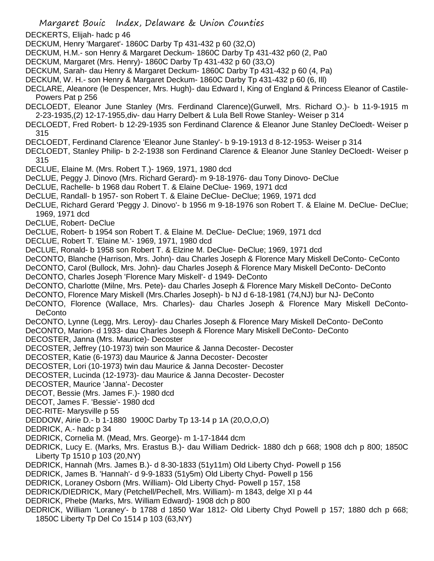Margaret Bouic Index, Delaware & Union Counties DECKERTS, Elijah- hadc p 46 DECKUM, Henry 'Margaret'- 1860C Darby Tp 431-432 p 60 (32,O) DECKUM, H.M.- son Henry & Margaret Deckum- 1860C Darby Tp 431-432 p60 (2, Pa0 DECKUM, Margaret (Mrs. Henry)- 1860C Darby Tp 431-432 p 60 (33,O) DECKUM, Sarah- dau Henry & Margaret Deckum- 1860C Darby Tp 431-432 p 60 (4, Pa) DECKUM, W. H.- son Henry & Margaret Deckum- 1860C Darby Tp 431-432 p 60 (6, Ill) DECLARE, Aleanore (le Despencer, Mrs. Hugh)- dau Edward I, King of England & Princess Eleanor of Castile-Powers Pat p 256 DECLOEDT, Eleanor June Stanley (Mrs. Ferdinand Clarence)(Gurwell, Mrs. Richard O.)- b 11-9-1915 m 2-23-1935,(2) 12-17-1955,div- dau Harry Delbert & Lula Bell Rowe Stanley- Weiser p 314 DECLOEDT, Fred Robert- b 12-29-1935 son Ferdinand Clarence & Eleanor June Stanley DeCloedt- Weiser p 315 DECLOEDT, Ferdinand Clarence 'Eleanor June Stanley'- b 9-19-1913 d 8-12-1953- Weiser p 314 DECLOEDT, Stanley Philip- b 2-2-1938 son Ferdinand Clarence & Eleanor June Stanley DeCloedt- Weiser p 315 DECLUE, Elaine M. (Mrs. Robert T.)- 1969, 1971, 1980 dcd DeCLUE, Peggy J. Dinovo (Mrs. Richard Gerard)- m 9-18-1976- dau Tony Dinovo- DeClue DeCLUE, Rachelle- b 1968 dau Robert T. & Elaine DeClue- 1969, 1971 dcd DeCLUE, Randall- b 1957- son Robert T. & Elaine DeClue- DeClue; 1969, 1971 dcd DeCLUE, Richard Gerard 'Peggy J. Dinovo'- b 1956 m 9-18-1976 son Robert T. & Elaine M. DeClue- DeClue; 1969, 1971 dcd DeCLUE, Robert- DeClue DeCLUE, Robert- b 1954 son Robert T. & Elaine M. DeClue- DeClue; 1969, 1971 dcd DECLUE, Robert T. 'Elaine M.'- 1969, 1971, 1980 dcd DeCLUE, Ronald- b 1958 son Robert T. & Elzine M. DeClue- DeClue; 1969, 1971 dcd DeCONTO, Blanche (Harrison, Mrs. John)- dau Charles Joseph & Florence Mary Miskell DeConto- CeConto DeCONTO, Carol (Bullock, Mrs. John)- dau Charles Joseph & Florence Mary Miskell DeConto- DeConto DeCONTO, Charles Joseph 'Florence Mary Miskell'- d 1949- DeConto DeCONTO, Charlotte (Milne, Mrs. Pete)- dau Charles Joseph & Florence Mary Miskell DeConto- DeConto DeCONTO, Florence Mary Miskell (Mrs.Charles Joseph)- b NJ d 6-18-1981 (74,NJ) bur NJ- DeConto DeCONTO, Florence (Wallace, Mrs. Charles)- dau Charles Joseph & Florence Mary Miskell DeConto-**DeConto** DeCONTO, Lynne (Legg, Mrs. Leroy)- dau Charles Joseph & Florence Mary Miskell DeConto- DeConto DeCONTO, Marion- d 1933- dau Charles Joseph & Florence Mary Miskell DeConto- DeConto DECOSTER, Janna (Mrs. Maurice)- Decoster DECOSTER, Jeffrey (10-1973) twin son Maurice & Janna Decoster- Decoster DECOSTER, Katie (6-1973) dau Maurice & Janna Decoster- Decoster DECOSTER, Lori (10-1973) twin dau Maurice & Janna Decoster- Decoster DECOSTER, Lucinda (12-1973)- dau Maurice & Janna Decoster- Decoster DECOSTER, Maurice 'Janna'- Decoster DECOT, Bessie (Mrs. James F.)- 1980 dcd DECOT, James F. 'Bessie'- 1980 dcd DEC-RITE- Marysville p 55 DEDDOW, Airie D.- b 1-1880 1900C Darby Tp 13-14 p 1A (20,O,O,O) DEDRICK, A.- hadc p 34 DEDRICK, Cornelia M. (Mead, Mrs. George)- m 1-17-1844 dcm DEDRICK, Lucy E. (Marks, Mrs. Erastus B.)- dau William Dedrick- 1880 dch p 668; 1908 dch p 800; 1850C Liberty Tp 1510 p 103 (20,NY) DEDRICK, Hannah (Mrs. James B.)- d 8-30-1833 (51y11m) Old Liberty Chyd- Powell p 156 DEDRICK, James B. 'Hannah'- d 9-9-1833 (51y5m) Old Liberty Chyd- Powell p 156 DEDRICK, Loraney Osborn (Mrs. William)- Old Liberty Chyd- Powell p 157, 158 DEDRICK/DIEDRICK, Mary (Petchell/Pechell, Mrs. William)- m 1843, delge XI p 44 DEDRICK, Phebe (Marks, Mrs. William Edward)- 1908 dch p 800 DEDRICK, William 'Loraney'- b 1788 d 1850 War 1812- Old Liberty Chyd Powell p 157; 1880 dch p 668; 1850C Liberty Tp Del Co 1514 p 103 (63,NY)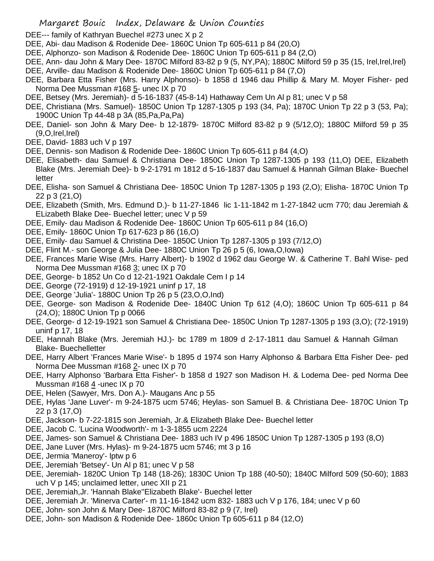- DEE--- family of Kathryan Buechel #273 unec X p 2
- DEE, Abi- dau Madison & Rodenide Dee- 1860C Union Tp 605-611 p 84 (20,O)
- DEE, Alphonzo- son Madison & Rodenide Dee- 1860C Union Tp 605-611 p 84 (2,O)
- DEE, Ann- dau John & Mary Dee- 1870C Milford 83-82 p 9 (5, NY,PA); 1880C Milford 59 p 35 (15, Irel,Irel,Irel)
- DEE, Arville- dau Madison & Rodenide Dee- 1860C Union Tp 605-611 p 84 (7,O)
- DEE, Barbara Etta Fisher (Mrs. Harry Alphonso)- b 1858 d 1946 dau Phillip & Mary M. Moyer Fisher- ped Norma Dee Mussman #168 5- unec IX p 70
- DEE, Betsey (Mrs. Jeremiah)- d 5-16-1837 (45-8-14) Hathaway Cem Un Al p 81; unec V p 58
- DEE, Christiana (Mrs. Samuel)- 1850C Union Tp 1287-1305 p 193 (34, Pa); 1870C Union Tp 22 p 3 (53, Pa); 1900C Union Tp 44-48 p 3A (85,Pa,Pa,Pa)
- DEE, Daniel- son John & Mary Dee- b 12-1879- 1870C Milford 83-82 p 9 (5/12,O); 1880C Milford 59 p 35  $(9, O, Irel, Irel)$
- DEE, David- 1883 uch V p 197
- DEE, Dennis- son Madison & Rodenide Dee- 1860C Union Tp 605-611 p 84 (4,O)
- DEE, Elisabeth- dau Samuel & Christiana Dee- 1850C Union Tp 1287-1305 p 193 (11,O) DEE, Elizabeth Blake (Mrs. Jeremiah Dee)- b 9-2-1791 m 1812 d 5-16-1837 dau Samuel & Hannah Gilman Blake- Buechel letter
- DEE, Elisha- son Samuel & Christiana Dee- 1850C Union Tp 1287-1305 p 193 (2,O); Elisha- 1870C Union Tp 22 p 3 (21,O)
- DEE, Elizabeth (Smith, Mrs. Edmund D.)- b 11-27-1846 lic 1-11-1842 m 1-27-1842 ucm 770; dau Jeremiah & ELizabeth Blake Dee- Buechel letter; unec V p 59
- DEE, Emily- dau Madison & Rodenide Dee- 1860C Union Tp 605-611 p 84 (16,O)
- DEE, Emily- 1860C Union Tp 617-623 p 86 (16,O)
- DEE, Emily- dau Samuel & Christina Dee- 1850C Union Tp 1287-1305 p 193 (7/12,O)
- DEE, Flint M.- son George & Julia Dee- 1880C Union Tp 26 p 5 (6, Iowa,O,Iowa)
- DEE, Frances Marie Wise (Mrs. Harry Albert)- b 1902 d 1962 dau George W. & Catherine T. Bahl Wise- ped Norma Dee Mussman #168 3; unec IX p 70
- DEE, George- b 1852 Un Co d 12-21-1921 Oakdale Cem I p 14
- DEE, George (72-1919) d 12-19-1921 uninf p 17, 18
- DEE, George 'Julia'- 1880C Union Tp 26 p 5 (23,O,O,Ind)
- DEE, George- son Madison & Rodenide Dee- 1840C Union Tp 612 (4,O); 1860C Union Tp 605-611 p 84 (24,O); 1880C Union Tp p 0066
- DEE, George- d 12-19-1921 son Samuel & Christiana Dee- 1850C Union Tp 1287-1305 p 193 (3,O); (72-1919) uninf p 17, 18
- DEE, Hannah Blake (Mrs. Jeremiah HJ.)- bc 1789 m 1809 d 2-17-1811 dau Samuel & Hannah Gilman Blake- Buechelletter
- DEE, Harry Albert 'Frances Marie Wise'- b 1895 d 1974 son Harry Alphonso & Barbara Etta Fisher Dee- ped Norma Dee Mussman #168 2- unec IX p 70
- DEE, Harry Alphonso 'Barbara Etta Fisher'- b 1858 d 1927 son Madison H. & Lodema Dee- ped Norma Dee Mussman #168 4 -unec IX p 70
- DEE, Helen (Sawyer, Mrs. Don A.)- Maugans Anc p 55
- DEE, Hylas 'Jane Luver'- m 9-24-1875 ucm 5746; Heylas- son Samuel B. & Christiana Dee- 1870C Union Tp 22 p 3 (17,O)
- DEE, Jackson- b 7-22-1815 son Jeremiah, Jr.& Elizabeth Blake Dee- Buechel letter
- DEE, Jacob C. 'Lucina Woodworth'- m 1-3-1855 ucm 2224
- DEE, James- son Samuel & Christiana Dee- 1883 uch IV p 496 1850C Union Tp 1287-1305 p 193 (8,O)
- DEE, Jane Luver (Mrs. Hylas)- m 9-24-1875 ucm 5746; mt 3 p 16
- DEE, Jermia 'Maneroy'- lptw p 6
- DEE, Jeremiah 'Betsey'- Un Al p 81; unec V p 58
- DEE, Jeremiah- 1820C Union Tp 148 (18-26); 1830C Union Tp 188 (40-50); 1840C Milford 509 (50-60); 1883 uch V p 145; unclaimed letter, unec XII p 21
- DEE, Jeremiah,Jr. 'Hannah Blake''Elizabeth Blake'- Buechel letter
- DEE, Jeremiah Jr. 'Minerva Carter'- m 11-16-1842 ucm 832- 1883 uch V p 176, 184; unec V p 60
- DEE, John- son John & Mary Dee- 1870C Milford 83-82 p 9 (7, Irel)
- DEE, John- son Madison & Rodenide Dee- 1860c Union Tp 605-611 p 84 (12,O)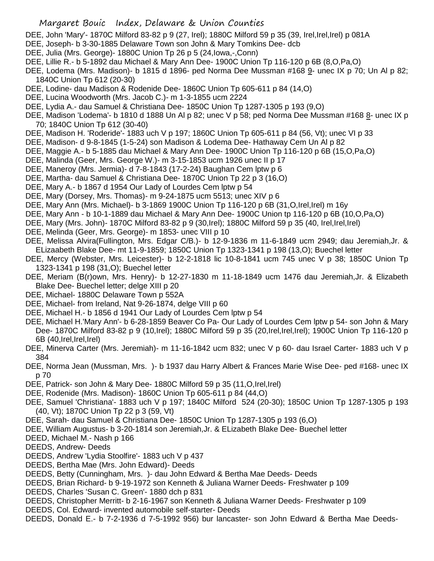- DEE, John 'Mary'- 1870C Milford 83-82 p 9 (27, Irel); 1880C Milford 59 p 35 (39, Irel,Irel,Irel) p 081A
- DEE, Joseph- b 3-30-1885 Delaware Town son John & Mary Tomkins Dee- dcb
- DEE, Julia (Mrs. George)- 1880C Union Tp 26 p 5 (24,Iowa,-,Conn)
- DEE, Lillie R.- b 5-1892 dau Michael & Mary Ann Dee- 1900C Union Tp 116-120 p 6B (8,O,Pa,O)
- DEE, Lodema (Mrs. Madison)- b 1815 d 1896- ped Norma Dee Mussman #168 9- unec IX p 70; Un Al p 82; 1840C Union Tp 612 (20-30)
- DEE, Lodine- dau Madison & Rodenide Dee- 1860C Union Tp 605-611 p 84 (14,O)
- DEE, Lucina Woodworth (Mrs. Jacob C.)- m 1-3-1855 ucm 2224
- DEE, Lydia A.- dau Samuel & Christiana Dee- 1850C Union Tp 1287-1305 p 193 (9,O)
- DEE, Madison 'Lodema'- b 1810 d 1888 Un Al p 82; unec V p 58; ped Norma Dee Mussman #168 8- unec IX p 70; 1840C Union Tp 612 (30-40)
- DEE, Madison H. 'Roderide'- 1883 uch V p 197; 1860C Union Tp 605-611 p 84 (56, Vt); unec VI p 33
- DEE, Madison- d 9-8-1845 (1-5-24) son Madison & Lodema Dee- Hathaway Cem Un Al p 82
- DEE, Maggie A.- b 5-1885 dau Michael & Mary Ann Dee- 1900C Union Tp 116-120 p 6B (15,O,Pa,O)
- DEE, Malinda (Geer, Mrs. George W.)- m 3-15-1853 ucm 1926 unec II p 17
- DEE, Maneroy (Mrs. Jermia)- d 7-8-1843 (17-2-24) Baughan Cem lptw p 6
- DEE, Martha- dau Samuel & Christiana Dee- 1870C Union Tp 22 p 3 (16,O)
- DEE, Mary A.- b 1867 d 1954 Our Lady of Lourdes Cem lptw p 54
- DEE, Mary (Dorsey, Mrs. Thomas)- m 9-24-1875 ucm 5513; unec XIV p 6
- DEE, Mary Ann (Mrs. Michael)- b 3-1869 1900C Union Tp 116-120 p 6B (31,O,Irel,Irel) m 16y
- DEE, Mary Ann b 10-1-1889 dau Michael & Mary Ann Dee- 1900C Union tp 116-120 p 6B (10,O,Pa,O)
- DEE, Mary (Mrs. John)- 1870C Milford 83-82 p 9 (30,Irel); 1880C Milford 59 p 35 (40, Irel,Irel,Irel)
- DEE, Melinda (Geer, Mrs. George)- m 1853- unec VIII p 10
- DEE, Melissa Alvira(Fullington, Mrs. Edgar C/B.)- b 12-9-1836 m 11-6-1849 ucm 2949; dau Jeremiah,Jr. & ELizaabeth Blake Dee- mt 11-9-1859; 1850C Union Tp 1323-1341 p 198 (13,O); Buechel letter
- DEE, Mercy (Webster, Mrs. Leicester)- b 12-2-1818 lic 10-8-1841 ucm 745 unec V p 38; 1850C Union Tp 1323-1341 p 198 (31,O); Buechel letter
- DEE, Meriam (B(r)own, Mrs. Henry)- b 12-27-1830 m 11-18-1849 ucm 1476 dau Jeremiah,Jr. & Elizabeth Blake Dee- Buechel letter; delge XIII p 20
- DEE, Michael- 1880C Delaware Town p 552A
- DEE, Michael- from Ireland, Nat 9-26-1874, delge VIII p 60
- DEE, Michael H.- b 1856 d 1941 Our Lady of Lourdes Cem lptw p 54
- DEE, Michael H.'Mary Ann'- b 6-28-1859 Beaver Co Pa- Our Lady of Lourdes Cem lptw p 54- son John & Mary Dee- 1870C Milford 83-82 p 9 (10,Irel); 1880C Milford 59 p 35 (20,Irel,Irel,Irel); 1900C Union Tp 116-120 p 6B (40,Irel,Irel,Irel)
- DEE, Minerva Carter (Mrs. Jeremiah)- m 11-16-1842 ucm 832; unec V p 60- dau Israel Carter- 1883 uch V p 384
- DEE, Norma Jean (Mussman, Mrs. )- b 1937 dau Harry Albert & Frances Marie Wise Dee- ped #168- unec IX p 70
- DEE, Patrick- son John & Mary Dee- 1880C Milford 59 p 35 (11, O, Irel, Irel)
- DEE, Rodenide (Mrs. Madison)- 1860C Union Tp 605-611 p 84 (44,O)
- DEE, Samuel 'Christiana'- 1883 uch V p 197; 1840C Milford 524 (20-30); 1850C Union Tp 1287-1305 p 193 (40, Vt); 1870C Union Tp 22 p 3 (59, Vt)
- DEE, Sarah- dau Samuel & Christiana Dee- 1850C Union Tp 1287-1305 p 193 (6,O)
- DEE, William Augustus- b 3-20-1814 son Jeremiah,Jr. & ELizabeth Blake Dee- Buechel letter
- DEED, Michael M.- Nash p 166
- DEEDS, Andrew- Deeds
- DEEDS, Andrew 'Lydia Stoolfire'- 1883 uch V p 437
- DEEDS, Bertha Mae (Mrs. John Edward)- Deeds
- DEEDS, Betty (Cunningham, Mrs. )- dau John Edward & Bertha Mae Deeds- Deeds
- DEEDS, Brian Richard- b 9-19-1972 son Kenneth & Juliana Warner Deeds- Freshwater p 109
- DEEDS, Charles 'Susan C. Green'- 1880 dch p 831
- DEEDS, Christopher Merritt- b 2-16-1967 son Kenneth & Juliana Warner Deeds- Freshwater p 109
- DEEDS, Col. Edward- invented automobile self-starter- Deeds
- DEEDS, Donald E.- b 7-2-1936 d 7-5-1992 956) bur lancaster- son John Edward & Bertha Mae Deeds-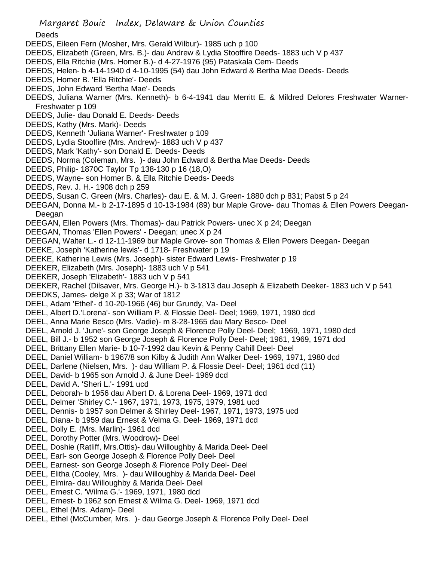Deeds

- DEEDS, Eileen Fern (Mosher, Mrs. Gerald Wilbur)- 1985 uch p 100
- DEEDS, Elizabeth (Green, Mrs. B.)- dau Andrew & Lydia Stooffire Deeds- 1883 uch V p 437
- DEEDS, Ella Ritchie (Mrs. Homer B.)- d 4-27-1976 (95) Pataskala Cem- Deeds
- DEEDS, Helen- b 4-14-1940 d 4-10-1995 (54) dau John Edward & Bertha Mae Deeds- Deeds
- DEEDS, Homer B. 'Ella Ritchie'- Deeds
- DEEDS, John Edward 'Bertha Mae'- Deeds
- DEEDS, Juliana Warner (Mrs. Kenneth)- b 6-4-1941 dau Merritt E. & Mildred Delores Freshwater Warner-Freshwater p 109
- DEEDS, Julie- dau Donald E. Deeds- Deeds
- DEEDS, Kathy (Mrs. Mark)- Deeds
- DEEDS, Kenneth 'Juliana Warner'- Freshwater p 109
- DEEDS, Lydia Stoolfire (Mrs. Andrew)- 1883 uch V p 437
- DEEDS, Mark 'Kathy'- son Donald E. Deeds- Deeds
- DEEDS, Norma (Coleman, Mrs. )- dau John Edward & Bertha Mae Deeds- Deeds
- DEEDS, Philip- 1870C Taylor Tp 138-130 p 16 (18,O)
- DEEDS, Wayne- son Homer B. & Ella Ritchie Deeds- Deeds
- DEEDS, Rev. J. H.- 1908 dch p 259
- DEEDS, Susan C. Green (Mrs. Charles)- dau E. & M. J. Green- 1880 dch p 831; Pabst 5 p 24
- DEEGAN, Donna M.- b 2-17-1895 d 10-13-1984 (89) bur Maple Grove- dau Thomas & Ellen Powers Deegan-Deegan
- DEEGAN, Ellen Powers (Mrs. Thomas)- dau Patrick Powers- unec X p 24; Deegan
- DEEGAN, Thomas 'Ellen Powers' Deegan; unec X p 24
- DEEGAN, Walter L.- d 12-11-1969 bur Maple Grove- son Thomas & Ellen Powers Deegan- Deegan
- DEEKE, Joseph 'Katherine lewis'- d 1718- Freshwater p 19
- DEEKE, Katherine Lewis (Mrs. Joseph)- sister Edward Lewis- Freshwater p 19
- DEEKER, Elizabeth (Mrs. Joseph)- 1883 uch V p 541
- DEEKER, Joseph 'Elizabeth'- 1883 uch V p 541
- DEEKER, Rachel (Dilsaver, Mrs. George H.)- b 3-1813 dau Joseph & Elizabeth Deeker- 1883 uch V p 541
- DEEDKS, James- delge X p 33; War of 1812
- DEEL, Adam 'Ethel'- d 10-20-1966 (46) bur Grundy, Va- Deel
- DEEL, Albert D.'Lorena'- son William P. & Flossie Deel- Deel; 1969, 1971, 1980 dcd
- DEEL, Anna Marie Besco (Mrs. Vadie)- m 8-28-1965 dau Mary Besco- Deel
- DEEL, Arnold J. 'June'- son George Joseph & Florence Polly Deel- Deel; 1969, 1971, 1980 dcd
- DEEL, Bill J.- b 1952 son George Joseph & Florence Polly Deel- Deel; 1961, 1969, 1971 dcd
- DEEL, Brittany Ellen Marie- b 10-7-1992 dau Kevin & Penny Cahill Deel- Deel
- DEEL, Daniel William- b 1967/8 son Kilby & Judith Ann Walker Deel- 1969, 1971, 1980 dcd
- DEEL, Darlene (Nielsen, Mrs. )- dau William P. & Flossie Deel- Deel; 1961 dcd (11)
- DEEL, David- b 1965 son Arnold J. & June Deel- 1969 dcd
- DEEL, David A. 'Sheri L.'- 1991 ucd
- DEEL, Deborah- b 1956 dau Albert D. & Lorena Deel- 1969, 1971 dcd
- DEEL, Delmer 'Shirley C.'- 1967, 1971, 1973, 1975, 1979, 1981 ucd
- DEEL, Dennis- b 1957 son Delmer & Shirley Deel- 1967, 1971, 1973, 1975 ucd
- DEEL, Diana- b 1959 dau Ernest & Velma G. Deel- 1969, 1971 dcd
- DEEL, Dolly E. (Mrs. Marlin)- 1961 dcd
- DEEL, Dorothy Potter (Mrs. Woodrow)- Deel
- DEEL, Doshie (Ratliff, Mrs.Ottis)- dau Willoughby & Marida Deel- Deel
- DEEL, Earl- son George Joseph & Florence Polly Deel- Deel
- DEEL, Earnest- son George Joseph & Florence Polly Deel- Deel
- DEEL, Elitha (Cooley, Mrs. )- dau Willoughby & Marida Deel- Deel
- DEEL, Elmira- dau Willoughby & Marida Deel- Deel
- DEEL, Ernest C. 'Wilma G.'- 1969, 1971, 1980 dcd
- DEEL, Ernest- b 1962 son Ernest & Wilma G. Deel- 1969, 1971 dcd
- DEEL, Ethel (Mrs. Adam)- Deel
- DEEL, Ethel (McCumber, Mrs. )- dau George Joseph & Florence Polly Deel- Deel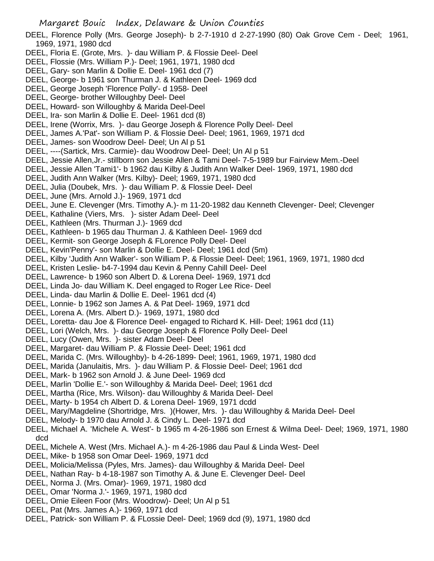- DEEL, Florence Polly (Mrs. George Joseph)- b 2-7-1910 d 2-27-1990 (80) Oak Grove Cem Deel; 1961, 1969, 1971, 1980 dcd
- DEEL, Floria E. (Grote, Mrs. )- dau William P. & Flossie Deel- Deel
- DEEL, Flossie (Mrs. William P.)- Deel; 1961, 1971, 1980 dcd
- DEEL, Gary- son Marlin & Dollie E. Deel- 1961 dcd (7)
- DEEL, George- b 1961 son Thurman J. & Kathleen Deel- 1969 dcd
- DEEL, George Joseph 'Florence Polly'- d 1958- Deel
- DEEL, George- brother Willoughby Deel- Deel
- DEEL, Howard- son Willoughby & Marida Deel-Deel
- DEEL, Ira- son Marlin & Dollie E. Deel- 1961 dcd (8)
- DEEL, Irene (Worrix, Mrs. )- dau George Joseph & Florence Polly Deel- Deel
- DEEL, James A.'Pat'- son William P. & Flossie Deel- Deel; 1961, 1969, 1971 dcd
- DEEL, James- son Woodrow Deel- Deel; Un Al p 51
- DEEL, ----(Sartick, Mrs. Carmie)- dau Woodrow Deel- Deel; Un Al p 51
- DEEL, Jessie Allen,Jr.- stillborn son Jessie Allen & Tami Deel- 7-5-1989 bur Fairview Mem.-Deel
- DEEL, Jessie Allen 'Tami1'- b 1962 dau Kilby & Judith Ann Walker Deel- 1969, 1971, 1980 dcd
- DEEL, Judith Ann Walker (Mrs. Kilby)- Deel; 1969, 1971, 1980 dcd
- DEEL, Julia (Doubek, Mrs. )- dau William P. & Flossie Deel- Deel
- DEEL, June (Mrs. Arnold J.)- 1969, 1971 dcd
- DEEL, June E. Clevenger (Mrs. Timothy A.)- m 11-20-1982 dau Kenneth Clevenger- Deel; Clevenger
- DEEL, Kathaline (Viers, Mrs. )- sister Adam Deel- Deel
- DEEL, Kathleen (Mrs. Thurman J.)- 1969 dcd
- DEEL, Kathleen- b 1965 dau Thurman J. & Kathleen Deel- 1969 dcd
- DEEL, Kermit- son George Joseph & FLorence Polly Deel- Deel
- DEEL, Kevin'Penny'- son Marlin & Dollie E. Deel- Deel; 1961 dcd (5m)
- DEEL, Kilby 'Judith Ann Walker'- son William P. & Flossie Deel- Deel; 1961, 1969, 1971, 1980 dcd
- DEEL, Kristen Leslie- b4-7-1994 dau Kevin & Penny Cahill Deel- Deel
- DEEL, Lawrence- b 1960 son Albert D. & Lorena Deel- 1969, 1971 dcd
- DEEL, Linda Jo- dau William K. Deel engaged to Roger Lee Rice- Deel
- DEEL, Linda- dau Marlin & Dollie E. Deel- 1961 dcd (4)
- DEEL, Lonnie- b 1962 son James A. & Pat Deel- 1969, 1971 dcd
- DEEL, Lorena A. (Mrs. Albert D.)- 1969, 1971, 1980 dcd
- DEEL, Loretta- dau Joe & Florence Deel- engaged to Richard K. Hill- Deel; 1961 dcd (11)
- DEEL, Lori (Welch, Mrs. )- dau George Joseph & Florence Polly Deel- Deel
- DEEL, Lucy (Owen, Mrs. )- sister Adam Deel- Deel
- DEEL, Margaret- dau William P. & Flossie Deel- Deel; 1961 dcd
- DEEL, Marida C. (Mrs. Willoughby)- b 4-26-1899- Deel; 1961, 1969, 1971, 1980 dcd
- DEEL, Marida (Janulaitis, Mrs. )- dau William P. & Flossie Deel- Deel; 1961 dcd
- DEEL, Mark- b 1962 son Arnold J. & June Deel- 1969 dcd
- DEEL, Marlin 'Dollie E.'- son Willoughby & Marida Deel- Deel; 1961 dcd
- DEEL, Martha (Rice, Mrs. Wilson)- dau Willoughby & Marida Deel- Deel
- DEEL, Marty- b 1954 ch Albert D. & Lorena Deel- 1969, 1971 dcdd
- DEEL, Mary/Magdeline (Shortridge, Mrs. )(Hower, Mrs. )- dau Willoughby & Marida Deel- Deel
- DEEL, Melody- b 1970 dau Arnold J. & Cindy L. Deel- 1971 dcd
- DEEL, Michael A. 'Michele A. West'- b 1965 m 4-26-1986 son Ernest & Wilma Deel- Deel; 1969, 1971, 1980 dcd
- DEEL, Michele A. West (Mrs. Michael A.)- m 4-26-1986 dau Paul & Linda West- Deel
- DEEL, Mike- b 1958 son Omar Deel- 1969, 1971 dcd
- DEEL, Molicia/Melissa (Pyles, Mrs. James)- dau Willoughby & Marida Deel- Deel
- DEEL, Nathan Ray- b 4-18-1987 son Timothy A. & June E. Clevenger Deel- Deel
- DEEL, Norma J. (Mrs. Omar)- 1969, 1971, 1980 dcd
- DEEL, Omar 'Norma J.'- 1969, 1971, 1980 dcd
- DEEL, Omie Eileen Foor (Mrs. Woodrow)- Deel; Un Al p 51
- DEEL, Pat (Mrs. James A.)- 1969, 1971 dcd
- DEEL, Patrick- son William P. & FLossie Deel- Deel; 1969 dcd (9), 1971, 1980 dcd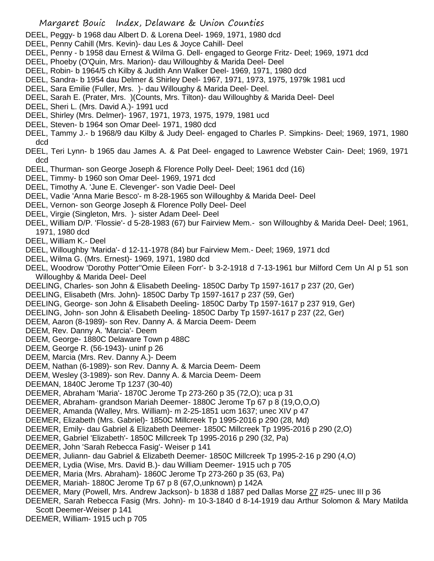- DEEL, Peggy- b 1968 dau Albert D. & Lorena Deel- 1969, 1971, 1980 dcd
- DEEL, Penny Cahill (Mrs. Kevin)- dau Les & Joyce Cahill- Deel
- DEEL, Penny b 1958 dau Ernest & Wilma G. Dell- engaged to George Fritz- Deel; 1969, 1971 dcd
- DEEL, Phoeby (O'Quin, Mrs. Marion)- dau Willoughby & Marida Deel- Deel
- DEEL, Robin- b 1964/5 ch Kilby & Judith Ann Walker Deel- 1969, 1971, 1980 dcd
- DEEL, Sandra- b 1954 dau Delmer & Shirley Deel- 1967, 1971, 1973, 1975, 1979k 1981 ucd
- DEEL, Sara Emilie (Fuller, Mrs. )- dau Willoughy & Marida Deel- Deel.
- DEEL, Sarah E. (Prater, Mrs. )(Counts, Mrs. Tilton)- dau Willoughby & Marida Deel- Deel
- DEEL, Sheri L. (Mrs. David A.)- 1991 ucd
- DEEL, Shirley (Mrs. Delmer)- 1967, 1971, 1973, 1975, 1979, 1981 ucd
- DEEL, Steven- b 1964 son Omar Deel- 1971, 1980 dcd
- DEEL, Tammy J.- b 1968/9 dau Kilby & Judy Deel- engaged to Charles P. Simpkins- Deel; 1969, 1971, 1980 dcd
- DEEL, Teri Lynn- b 1965 dau James A. & Pat Deel- engaged to Lawrence Webster Cain- Deel; 1969, 1971 dcd
- DEEL, Thurman- son George Joseph & Florence Polly Deel- Deel; 1961 dcd (16)
- DEEL, Timmy- b 1960 son Omar Deel- 1969, 1971 dcd
- DEEL, Timothy A. 'June E. Clevenger'- son Vadie Deel- Deel
- DEEL, Vadie 'Anna Marie Besco'- m 8-28-1965 son Willoughby & Marida Deel- Deel
- DEEL, Vernon- son George Joseph & Florence Polly Deel- Deel
- DEEL, Virgie (Singleton, Mrs. )- sister Adam Deel- Deel
- DEEL, William D/P. 'Flossie'- d 5-28-1983 (67) bur Fairview Mem.- son Willoughby & Marida Deel- Deel; 1961, 1971, 1980 dcd
- DEEL, William K.- Deel
- DEEL, Willoughby 'Marida'- d 12-11-1978 (84) bur Fairview Mem.- Deel; 1969, 1971 dcd
- DEEL, Wilma G. (Mrs. Ernest)- 1969, 1971, 1980 dcd
- DEEL, Woodrow 'Dorothy Potter''Omie Eileen Forr'- b 3-2-1918 d 7-13-1961 bur Milford Cem Un Al p 51 son Willoughby & Marida Deel- Deel
- DEELING, Charles- son John & Elisabeth Deeling- 1850C Darby Tp 1597-1617 p 237 (20, Ger)
- DEELING, Elisabeth (Mrs. John)- 1850C Darby Tp 1597-1617 p 237 (59, Ger)
- DEELING, George- son John & Elisabeth Deeling- 1850C Darby Tp 1597-1617 p 237 919, Ger)
- DEELING, John- son John & Elisabeth Deeling- 1850C Darby Tp 1597-1617 p 237 (22, Ger)
- DEEM, Aaron (8-1989)- son Rev. Danny A. & Marcia Deem- Deem
- DEEM, Rev. Danny A. 'Marcia'- Deem
- DEEM, George- 1880C Delaware Town p 488C
- DEEM, George R. (56-1943)- uninf p 26
- DEEM, Marcia (Mrs. Rev. Danny A.)- Deem
- DEEM, Nathan (6-1989)- son Rev. Danny A. & Marcia Deem- Deem
- DEEM, Wesley (3-1989)- son Rev. Danny A. & Marcia Deem- Deem
- DEEMAN, 1840C Jerome Tp 1237 (30-40)
- DEEMER, Abraham 'Maria'- 1870C Jerome Tp 273-260 p 35 (72,O); uca p 31
- DEEMER, Abraham- grandson Mariah Deemer- 1880C Jerome Tp 67 p 8 (19,O,O,O)
- DEEMER, Amanda (Walley, Mrs. William)- m 2-25-1851 ucm 1637; unec XIV p 47
- DEEMER, Elizabeth (Mrs. Gabriel)- 1850C Millcreek Tp 1995-2016 p 290 (28, Md)
- DEEMER, Emily- dau Gabriel & Elizabeth Deemer- 1850C Millcreek Tp 1995-2016 p 290 (2,O)
- DEEMER, Gabriel 'Elizabeth'- 1850C Millcreek Tp 1995-2016 p 290 (32, Pa)
- DEEMER, John 'Sarah Rebecca Fasig'- Weiser p 141
- DEEMER, Juliann- dau Gabriel & Elizabeth Deemer- 1850C Millcreek Tp 1995-2-16 p 290 (4,O)
- DEEMER, Lydia (Wise, Mrs. David B.)- dau William Deemer- 1915 uch p 705
- DEEMER, Maria (Mrs. Abraham)- 1860C Jerome Tp 273-260 p 35 (63, Pa)
- DEEMER, Mariah- 1880C Jerome Tp 67 p 8 (67,O,unknown) p 142A
- DEEMER, Mary (Powell, Mrs. Andrew Jackson)- b 1838 d 1887 ped Dallas Morse 27 #25- unec III p 36
- DEEMER, Sarah Rebecca Fasig (Mrs. John)- m 10-3-1840 d 8-14-1919 dau Arthur Solomon & Mary Matilda Scott Deemer-Weiser p 141
- DEEMER, William- 1915 uch p 705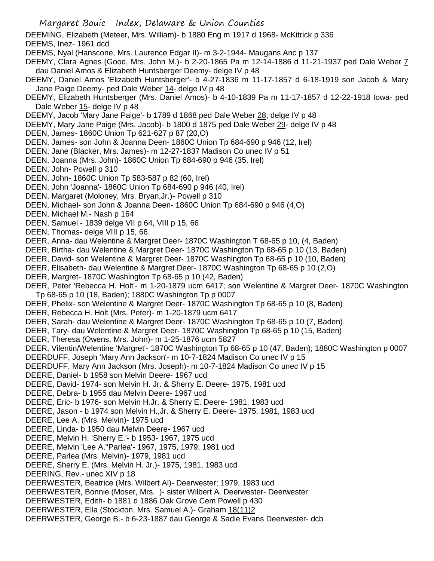DEEMING, Elizabeth (Meteer, Mrs. William)- b 1880 Eng m 1917 d 1968- McKitrick p 336 DEEMS, Inez- 1961 dcd

DEEMS, Nyal (Hanscone, Mrs. Laurence Edgar II)- m 3-2-1944- Maugans Anc p 137

DEEMY, Clara Agnes (Good, Mrs. John M.)- b 2-20-1865 Pa m 12-14-1886 d 11-21-1937 ped Dale Weber 7 dau Daniel Amos & Elizabeth Huntsberger Deemy- delge IV p 48

DEEMY, Daniel Amos 'Elizabeth Huntsberger'- b 4-27-1836 m 11-17-1857 d 6-18-1919 son Jacob & Mary Jane Paige Deemy- ped Dale Weber 14- delge IV p 48

DEEMY, Elizabeth Huntsberger (Mrs. Daniel Amos)- b 4-10-1839 Pa m 11-17-1857 d 12-22-1918 Iowa- ped Dale Weber 15- delge IV p 48

DEEMY, Jacob 'Mary Jane Paige'- b 1789 d 1868 ped Dale Weber 28; delge IV p 48

DEEMY, Mary Jane Paige (Mrs. Jacob)- b 1800 d 1875 ped Dale Weber 29- delge IV p 48

DEEN, James- 1860C Union Tp 621-627 p 87 (20,O)

DEEN, James- son John & Joanna Deen- 1860C Union Tp 684-690 p 946 (12, Irel)

DEEN, Jane (Blacker, Mrs. James)- m 12-27-1837 Madison Co unec IV p 51

DEEN, Joanna (Mrs. John)- 1860C Union Tp 684-690 p 946 (35, Irel)

DEEN, John- Powell p 310

DEEN, John- 1860C Union Tp 583-587 p 82 (60, Irel)

DEEN, John 'Joanna'- 1860C Union Tp 684-690 p 946 (40, Irel)

DEEN, Margaret (Moloney, Mrs. Bryan,Jr.)- Powell p 310

DEEN, Michael- son John & Joanna Deen- 1860C Union Tp 684-690 p 946 (4,O)

DEEN, Michael M.- Nash p 164

DEEN, Samuel - 1839 delge VII p 64, VIII p 15, 66

DEEN, Thomas- delge VIII p 15, 66

DEER, Anna- dau Welentine & Margret Deer- 1870C Washington T 68-65 p 10, (4, Baden)

DEER, Birtha- dau Welentine & Margret Deer- 1870C Washington Tp 68-65 p 10 (13, Baden)

DEER, David- son Welentine & Margret Deer- 1870C Washington Tp 68-65 p 10 (10, Baden)

DEER, Elisabeth- dau Welentine & Margret Deer- 1870C Washington Tp 68-65 p 10 (2,O)

DEER, Margret- 1870C Washington Tp 68-65 p 10 (42, Baden)

DEER, Peter 'Rebecca H. Holt'- m 1-20-1879 ucm 6417; son Welentine & Margret Deer- 1870C Washington Tp 68-65 p 10 (18, Baden); 1880C Washington Tp p 0007

DEER, Phelix- son Welentine & Margret Deer- 1870C Washington Tp 68-65 p 10 (8, Baden)

DEER, Rebecca H. Holt (Mrs. Peter)- m 1-20-1879 ucm 6417

DEER, Sarah- dau Welentine & Margret Deer- 1870C Washington Tp 68-65 p 10 (7, Baden)

DEER, Tary- dau Welentine & Margret Deer- 1870C Washington Tp 68-65 p 10 (15, Baden)

DEER, Theresa (Owens, Mrs. John)- m 1-25-1876 ucm 5827

DEER, Vilentin/Welentine 'Margret'- 1870C Washington Tp 68-65 p 10 (47, Baden); 1880C Washington p 0007

DEERDUFF, Joseph 'Mary Ann Jackson'- m 10-7-1824 Madison Co unec IV p 15

DEERDUFF, Mary Ann Jackson (Mrs. Joseph)- m 10-7-1824 Madison Co unec IV p 15

DEERE, Daniel- b 1958 son Melvin Deere- 1967 ucd

DEERE, David- 1974- son Melvin H. Jr. & Sherry E. Deere- 1975, 1981 ucd

DEERE, Debra- b 1955 dau Melvin Deere- 1967 ucd

DEERE, Eric- b 1976- son Melvin H.Jr. & Sherry E. Deere- 1981, 1983 ucd

DEERE, Jason - b 1974 son Melvin H.,Jr. & Sherry E. Deere- 1975, 1981, 1983 ucd

DEERE, Lee A. (Mrs. Melvin)- 1975 ucd

DEERE, Linda- b 1950 dau Melvin Deere- 1967 ucd

DEERE, Melvin H. 'Sherry E.'- b 1953- 1967, 1975 ucd

DEERE, Melvin 'Lee A.''Parlea'- 1967, 1975, 1979, 1981 ucd

DEERE, Parlea (Mrs. Melvin)- 1979, 1981 ucd

DEERE, Sherry E. (Mrs. Melvin H. Jr.)- 1975, 1981, 1983 ucd

DEERING, Rev.- unec XIV p 18

DEERWESTER, Beatrice (Mrs. Wilbert Al)- Deerwester; 1979, 1983 ucd

DEERWESTER, Bonnie (Moser, Mrs. )- sister Wilbert A. Deerwester- Deerwester

DEERWESTER, Edith- b 1881 d 1886 Oak Grove Cem Powell p 430

DEERWESTER, Ella (Stockton, Mrs. Samuel A.)- Graham 18(11)2

DEERWESTER, George B.- b 6-23-1887 dau George & Sadie Evans Deerwester- dcb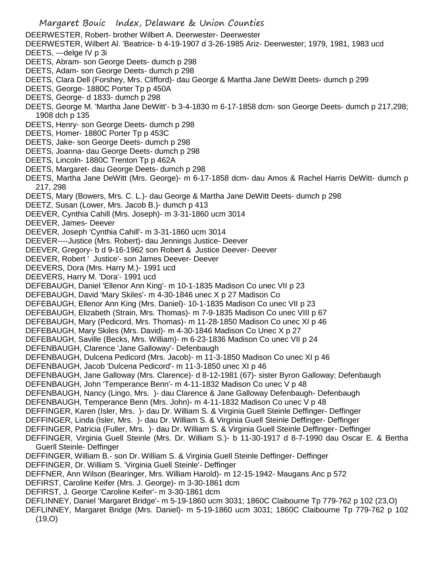- Margaret Bouic Index, Delaware & Union Counties DEERWESTER, Robert- brother Wilbert A. Deerwester- Deerwester DEERWESTER, Wilbert Al. 'Beatrice- b 4-19-1907 d 3-26-1985 Ariz- Deerwester; 1979, 1981, 1983 ucd DEETS, ---delge IV p 3i DEETS, Abram- son George Deets- dumch p 298 DEETS, Adam- son George Deets- dumch p 298 DEETS, Clara Dell (Forshey, Mrs. Clifford)- dau George & Martha Jane DeWitt Deets- dumch p 299 DEETS, George- 1880C Porter Tp p 450A DEETS, George- d 1833- dumch p 298 DEETS, George M. 'Martha Jane DeWitt'- b 3-4-1830 m 6-17-1858 dcm- son George Deets- dumch p 217,298; 1908 dch p 135 DEETS, Henry- son George Deets- dumch p 298 DEETS, Homer- 1880C Porter Tp p 453C DEETS, Jake- son George Deets- dumch p 298 DEETS, Joanna- dau George Deets- dumch p 298 DEETS, Lincoln- 1880C Trenton Tp p 462A DEETS, Margaret- dau George Deets- dumch p 298 DEETS, Martha Jane DeWitt (Mrs. George)- m 6-17-1858 dcm- dau Amos & Rachel Harris DeWitt- dumch p 217, 298 DEETS, Mary (Bowers, Mrs. C. L.)- dau George & Martha Jane DeWitt Deets- dumch p 298 DEETZ, Susan (Lower, Mrs. Jacob B.)- dumch p 413 DEEVER, Cynthia Cahill (Mrs. Joseph)- m 3-31-1860 ucm 3014 DEEVER, James- Deever DEEVER, Joseph 'Cynthia Cahill'- m 3-31-1860 ucm 3014 DEEVER----Justice (Mrs. Robert)- dau Jennings Justice- Deever DEEVER, Gregory- b d 9-16-1962 son Robert & Justice Deever- Deever DEEVER, Robert ' Justice'- son James Deever- Deever DEEVERS, Dora (Mrs. Harry M.)- 1991 ucd DEEVERS, Harry M. 'Dora'- 1991 ucd DEFEBAUGH, Daniel 'Ellenor Ann King'- m 10-1-1835 Madison Co unec VII p 23 DEFEBAUGH, David 'Mary Skiles'- m 4-30-1846 unec X p 27 Madison Co DEFEBAUGH, Ellenor Ann King (Mrs. Daniel)- 10-1-1835 Madison Co unec VII p 23 DEFEBAUGH, Elizabeth (Strain, Mrs. Thomas)- m 7-9-1835 Madison Co unec VIII p 67 DEFEBAUGH, Mary (Pedicord, Mrs. Thomas)- m 11-28-1850 Madison Co unec XI p 46 DEFEBAUGH, Mary Skiles (Mrs. David)- m 4-30-1846 Madison Co Unec X p 27 DEFEBAUGH, Saville (Becks, Mrs. William)- m 6-23-1836 Madison Co unec VII p 24 DEFENBAUGH, Clarence 'Jane Galloway'- Defenbaugh DEFENBAUGH, Dulcena Pedicord (Mrs. Jacob)- m 11-3-1850 Madison Co unec XI p 46 DEFENBAUGH, Jacob 'Dulcena Pedicord'- m 11-3-1850 unec XI p 46 DEFENBAUGH, Jane Galloway (Mrs. Clarence)- d 8-12-1981 (67)- sister Byron Galloway; Defenbaugh DEFENBAUGH, John 'Temperance Benn'- m 4-11-1832 Madison Co unec V p 48 DEFENBAUGH, Nancy (Lingo, Mrs. )- dau Clarence & Jane Galloway Defenbaugh- Defenbaugh DEFENBAUGH, Temperance Benn (Mrs. John)- m 4-11-1832 Madison Co unec V p 48 DEFFINGER, Karen (Isler, Mrs. )- dau Dr. William S. & Virginia Guell Steinle Deffinger- Deffinger DEFFINGER, Linda (Isler, Mrs. )- dau Dr. William S. & Virginia Guell Steinle Deffinger- Deffinger DEFFINGER, Patricia (Fuller, Mrs. )- dau Dr. William S. & Virginia Guell Steinle Deffinger- Deffinger DEFFINGER, Virginia Guell Steinle (Mrs. Dr. William S.)- b 11-30-1917 d 8-7-1990 dau Oscar E. & Bertha Guerll Steinle- Deffinger DEFFINGER, William B.- son Dr. William S. & Virginia Guell Steinle Deffinger- Deffinger DEFFINGER, Dr. William S. 'Virginia Guell Steinle'- Deffinger DEFFNER, Ann Wilson (Bearinger, Mrs. William Harold)- m 12-15-1942- Maugans Anc p 572 DEFIRST, Caroline Keifer (Mrs. J. George)- m 3-30-1861 dcm DEFIRST, J. George 'Caroline Keifer'- m 3-30-1861 dcm DEFLINNEY, Daniel 'Margaret Bridge'- m 5-19-1860 ucm 3031; 1860C Claibourne Tp 779-762 p 102 (23,O) DEFLINNEY, Margaret Bridge (Mrs. Daniel)- m 5-19-1860 ucm 3031; 1860C Claibourne Tp 779-762 p 102
	- (19,O)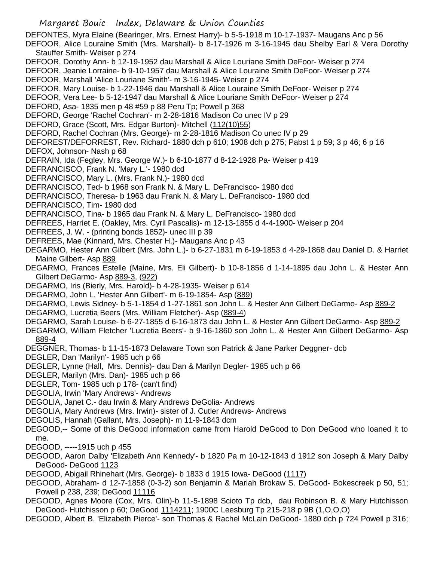DEFONTES, Myra Elaine (Bearinger, Mrs. Ernest Harry)- b 5-5-1918 m 10-17-1937- Maugans Anc p 56 DEFOOR, Alice Louraine Smith (Mrs. Marshall)- b 8-17-1926 m 3-16-1945 dau Shelby Earl & Vera Dorothy Stauffer Smith- Weiser p 274

- DEFOOR, Dorothy Ann- b 12-19-1952 dau Marshall & Alice Louriane Smith DeFoor- Weiser p 274
- DEFOOR, Jeanie Lorraine- b 9-10-1957 dau Marshall & Alice Louraine Smith DeFoor- Weiser p 274
- DEFOOR, Marshall 'Alice Louriane Smith'- m 3-16-1945- Weiser p 274
- DEFOOR, Mary Louise- b 1-22-1946 dau Marshall & Alice Louraine Smith DeFoor- Weiser p 274
- DEFOOR, Vera Lee- b 5-12-1947 dau Marshall & Alice Louriane Smith DeFoor- Weiser p 274
- DEFORD, Asa- 1835 men p 48 #59 p 88 Peru Tp; Powell p 368
- DEFORD, George 'Rachel Cochran'- m 2-28-1816 Madison Co unec IV p 29
- DEFORD, Grace (Scott, Mrs. Edgar Burton)- Mitchell (112(10)55)
- DEFORD, Rachel Cochran (Mrs. George)- m 2-28-1816 Madison Co unec IV p 29
- DEFOREST/DEFORREST, Rev. Richard- 1880 dch p 610; 1908 dch p 275; Pabst 1 p 59; 3 p 46; 6 p 16 DEFOX, Johnson- Nash p 68
- DEFRAIN, Ida (Fegley, Mrs. George W.)- b 6-10-1877 d 8-12-1928 Pa- Weiser p 419
- DEFRANCISCO, Frank N. 'Mary L.'- 1980 dcd
- DEFRANCISCO, Mary L. (Mrs. Frank N.)- 1980 dcd
- DEFRANCISCO, Ted- b 1968 son Frank N. & Mary L. DeFrancisco- 1980 dcd
- DEFRANCISCO, Theresa- b 1963 dau Frank N. & Mary L. DeFrancisco- 1980 dcd
- DEFRANCISCO, Tim- 1980 dcd
- DEFRANCISCO, Tina- b 1965 dau Frank N. & Mary L. DeFrancisco- 1980 dcd
- DEFREES, Harriet E. (Oakley, Mrs. Cyril Pascalis)- m 12-13-1855 d 4-4-1900- Weiser p 204
- DEFREES, J. W. (printing bonds 1852)- unec III p 39
- DEFREES, Mae (Kinnard, Mrs. Chester H.)- Maugans Anc p 43
- DEGARMO, Hester Ann Gilbert (Mrs. John L.)- b 6-27-1831 m 6-19-1853 d 4-29-1868 dau Daniel D. & Harriet Maine Gilbert- Asp 889
- DEGARMO, Frances Estelle (Maine, Mrs. Eli Gilbert)- b 10-8-1856 d 1-14-1895 dau John L. & Hester Ann Gilbert DeGarmo- Asp 889-3, (922)
- DEGARMO, Iris (Bierly, Mrs. Harold)- b 4-28-1935- Weiser p 614
- DEGARMO, John L. 'Hester Ann Gilbert'- m 6-19-1854- Asp (889)
- DEGARMO, Lewis Sidney- b 5-1-1854 d 1-27-1861 son John L. & Hester Ann Gilbert DeGarmo- Asp 889-2
- DEGARMO, Lucretia Beers (Mrs. William Fletcher)- Asp (889-4)
- DEGARMO, Sarah Louise- b 6-27-1855 d 6-16-1873 dau John L. & Hester Ann Gilbert DeGarmo- Asp 889-2
- DEGARMO, William Fletcher 'Lucretia Beers'- b 9-16-1860 son John L. & Hester Ann Gilbert DeGarmo- Asp 889-4
- DEGGNER, Thomas- b 11-15-1873 Delaware Town son Patrick & Jane Parker Deggner- dcb
- DEGLER, Dan 'Marilyn'- 1985 uch p 66
- DEGLER, Lynne (Hall, Mrs. Dennis)- dau Dan & Marilyn Degler- 1985 uch p 66
- DEGLER, Marilyn (Mrs. Dan)- 1985 uch p 66
- DEGLER, Tom- 1985 uch p 178- (can't find)
- DEGOLIA, Irwin 'Mary Andrews'- Andrews
- DEGOLIA, Janet C.- dau Irwin & Mary Andrews DeGolia- Andrews
- DEGOLIA, Mary Andrews (Mrs. Irwin)- sister of J. Cutler Andrews- Andrews
- DEGOLIS, Hannah (Gallant, Mrs. Joseph)- m 11-9-1843 dcm
- DEGOOD,-- Some of this DeGood information came from Harold DeGood to Don DeGood who loaned it to me.
- DEGOOD, -----1915 uch p 455
- DEGOOD, Aaron Dalby 'Elizabeth Ann Kennedy'- b 1820 Pa m 10-12-1843 d 1912 son Joseph & Mary Dalby DeGood- DeGood 1123
- DEGOOD, Abigail Rhinehart (Mrs. George)- b 1833 d 1915 Iowa- DeGood (1117)
- DEGOOD, Abraham- d 12-7-1858 (0-3-2) son Benjamin & Mariah Brokaw S. DeGood- Bokescreek p 50, 51; Powell p 238, 239; DeGood 11116
- DEGOOD, Agnes Moore (Cox, Mrs. Olin)-b 11-5-1898 Scioto Tp dcb, dau Robinson B. & Mary Hutchisson DeGood- Hutchisson p 60; DeGood 1114211; 1900C Leesburg Tp 215-218 p 9B (1,O,O,O)
- DEGOOD, Albert B. 'Elizabeth Pierce'- son Thomas & Rachel McLain DeGood- 1880 dch p 724 Powell p 316;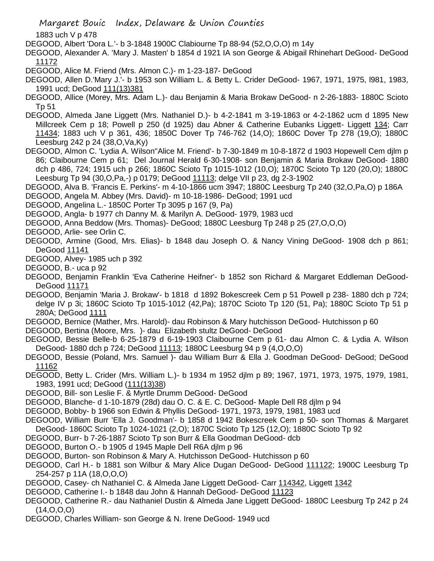1883 uch V p 478

DEGOOD, Albert 'Dora L.'- b 3-1848 1900C Clabiourne Tp 88-94 (52,O,O,O) m 14y

DEGOOD, Alexander A. 'Mary J. Masten' b 1854 d 1921 IA son George & Abigail Rhinehart DeGood- DeGood 11172

DEGOOD, Alice M. Friend (Mrs. Almon C.)- m 1-23-187- DeGood

- DEGOOD, Allen D.'Mary J.'- b 1953 son William L. & Betty L. Crider DeGood- 1967, 1971, 1975, l981, 1983, 1991 ucd; DeGood 111(13)381
- DEGOOD, Allice (Morey, Mrs. Adam L.)- dau Benjamin & Maria Brokaw DeGood- n 2-26-1883- 1880C Scioto Tp 51
- DEGOOD, Almeda Jane Liggett (Mrs. Nathaniel D.)- b 4-2-1841 m 3-19-1863 or 4-2-1862 ucm d 1895 New Millcreek Cem p 18; Powell p 250 (d 1925) dau Abner & Catherine Eubanks Liggett- Liggett 134; Carr 11434; 1883 uch V p 361, 436; 1850C Dover Tp 746-762 (14,O); 1860C Dover Tp 278 (19,O); 1880C Leesburg 242 p 24 (38,O,Va,Ky)
- DEGOOD, Almon C. 'Lydia A. Wilson''Alice M. Friend'- b 7-30-1849 m 10-8-1872 d 1903 Hopewell Cem djlm p 86; Claibourne Cem p 61; Del Journal Herald 6-30-1908- son Benjamin & Maria Brokaw DeGood- 1880 dch p 486, 724; 1915 uch p 266; 1860C Scioto Tp 1015-1012 (10,O); 1870C Scioto Tp 120 (20,O); 1880C Leesburg Tp 94 (30,O,Pa,-) p 0179; DeGood 11113; delge VII p 23, dg 2-3-1902
- DEGOOD, Alva B. 'Francis E. Perkins'- m 4-10-1866 ucm 3947; 1880C Leesburg Tp 240 (32,O,Pa,O) p 186A
- DEGOOD, Angela M. Abbey (Mrs. David)- m 10-18-1986- DeGood; 1991 ucd
- DEGOOD, Angelina L.- 1850C Porter Tp 3095 p 167 (9, Pa)

DEGOOD, Angla- b 1977 ch Danny M. & Marilyn A. DeGood- 1979, 1983 ucd

- DEGOOD, Anna Beddow (Mrs. Thomas)- DeGood; 1880C Leesburg Tp 248 p 25 (27,O,O,O)
- DEGOOD, Arlie- see Orlin C.
- DEGOOD, Armine (Good, Mrs. Elias)- b 1848 dau Joseph O. & Nancy Vining DeGood- 1908 dch p 861; DeGood 11141
- DEGOOD, Alvey- 1985 uch p 392
- DEGOOD, B.- uca p 92
- DEGOOD, Benjamin Franklin 'Eva Catherine Heifner'- b 1852 son Richard & Margaret Eddleman DeGood-DeGood 11171
- DEGOOD, Benjamin 'Maria J. Brokaw'- b 1818 d 1892 Bokescreek Cem p 51 Powell p 238- 1880 dch p 724; delge IV p 3i; 1860C Scioto Tp 1015-1012 (42,Pa); 1870C Scioto Tp 120 (51, Pa); 1880C Scioto Tp 51 p 280A; DeGood 1111
- DEGOOD, Bernice (Mather, Mrs. Harold)- dau Robinson & Mary hutchisson DeGood- Hutchisson p 60
- DEGOOD, Bertina (Moore, Mrs. )- dau Elizabeth stultz DeGood- DeGood
- DEGOOD, Bessie Belle-b 6-25-1879 d 6-19-1903 Claibourne Cem p 61- dau Almon C. & Lydia A. Wilson DeGood- 1880 dch p 724; DeGood 11113; 1880C Leesburg 94 p 9 (4,O,O,O)
- DEGOOD, Bessie (Poland, Mrs. Samuel )- dau William Burr & Ella J. Goodman DeGood- DeGood; DeGood 11162
- DEGOOD, Betty L. Crider (Mrs. William L.)- b 1934 m 1952 djlm p 89; 1967, 1971, 1973, 1975, 1979, 1981, 1983, 1991 ucd; DeGood (111(13)38)
- DEGOOD, Bill- son Leslie F. & Myrtle Drumm DeGood- DeGood
- DEGOOD, Blanche- d 1-10-1879 (28d) dau O. C. & E. C. DeGood- Maple Dell R8 djlm p 94
- DEGOOD, Bobby- b 1966 son Edwin & Phyllis DeGood- 1971, 1973, 1979, 1981, 1983 ucd
- DEGOOD, William Burr 'Ella J. Goodman'- b 1858 d 1942 Bokescreek Cem p 50- son Thomas & Margaret DeGood- 1860C Scioto Tp 1024-1021 (2,O); 1870C Scioto Tp 125 (12,O); 1880C Scioto Tp 92
- DEGOOD, Burr- b 7-26-1887 Scioto Tp son Burr & Ella Goodman DeGood- dcb
- DEGOOD, Burton O.- b 1905 d 1945 Maple Dell R6A djlm p 96
- DEGOOD, Burton- son Robinson & Mary A. Hutchisson DeGood- Hutchisson p 60
- DEGOOD, Carl H.- b 1881 son Wilbur & Mary Alice Dugan DeGood- DeGood 111122; 1900C Leesburg Tp 254-257 p 11A (18,O,O,O)
- DEGOOD, Casey- ch Nathaniel C. & Almeda Jane Liggett DeGood- Carr 114342, Liggett 1342
- DEGOOD, Catherine I.- b 1848 dau John & Hannah DeGood- DeGood 11123
- DEGOOD, Catherine R.- dau Nathaniel Dustin & Almeda Jane Liggett DeGood- 1880C Leesburg Tp 242 p 24 (14,O,O,O)
- DEGOOD, Charles William- son George & N. Irene DeGood- 1949 ucd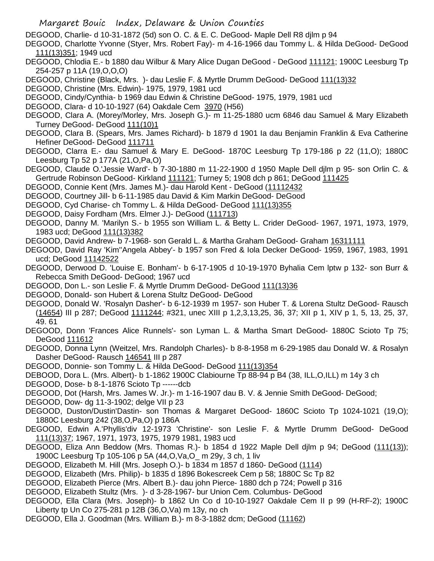DEGOOD, Charlie- d 10-31-1872 (5d) son O. C. & E. C. DeGood- Maple Dell R8 djlm p 94

DEGOOD, Charlotte Yvonne (Styer, Mrs. Robert Fay)- m 4-16-1966 dau Tommy L. & Hilda DeGood- DeGood 111(13)351; 1949 ucd

- DEGOOD, Chlodia E.- b 1880 dau Wilbur & Mary Alice Dugan DeGood DeGood 111121; 1900C Leesburg Tp 254-257 p 11A (19,O,O,O)
- DEGOOD, Christine (Black, Mrs. )- dau Leslie F. & Myrtle Drumm DeGood- DeGood 111(13)32

DEGOOD, Christine (Mrs. Edwin)- 1975, 1979, 1981 ucd

DEGOOD, Cindy/Cynthia- b 1969 dau Edwin & Christine DeGood- 1975, 1979, 1981 ucd

- DEGOOD, Clara- d 10-10-1927 (64) Oakdale Cem 3970 (H56)
- DEGOOD, Clara A. (Morey/Morley, Mrs. Joseph G.)- m 11-25-1880 ucm 6846 dau Samuel & Mary Elizabeth Turney DeGood- DeGood 111(10)1
- DEGOOD, Clara B. (Spears, Mrs. James Richard)- b 1879 d 1901 Ia dau Benjamin Franklin & Eva Catherine Hefiner DeGood- DeGood 111711
- DEGOOD, Clarra E.- dau Samuel & Mary E. DeGood- 1870C Leesburg Tp 179-186 p 22 (11,O); 1880C Leesburg Tp 52 p 177A (21,O,Pa,O)
- DEGOOD, Claude O.'Jessie Ward'- b 7-30-1880 m 11-22-1900 d 1950 Maple Dell djlm p 95- son Orlin C. & Gertrude Robinson DeGood- Kirkland 111121; Turney 5; 1908 dch p 861; DeGood 111425
- DEGOOD, Connie Kent (Mrs. James M.)- dau Harold Kent DeGood (11112432
- DEGOOD, Courtney Jill- b 6-11-1985 dau David & Kim Markin DeGood- DeGood
- DEGOOD, Cyd Charise- ch Tommy L. & Hilda DeGood- DeGood 111(13)355
- DEGOOD, Daisy Fordham (Mrs. Elmer J.)- DeGood (111713)
- DEGOOD, Danny M. 'Marilyn S.- b 1955 son William L. & Betty L. Crider DeGood- 1967, 1971, 1973, 1979, 1983 ucd; DeGood 111(13)382
- DEGOOD, David Andrew- b 7-1968- son Gerald L. & Martha Graham DeGood- Graham 16311111
- DEGOOD, David Ray 'Kim''Angela Abbey'- b 1957 son Fred & Iola Decker DeGood- 1959, 1967, 1983, 1991 ucd; DeGood 11142522
- DEGOOD, Derwood D. 'Louise E. Bonham'- b 6-17-1905 d 10-19-1970 Byhalia Cem lptw p 132- son Burr & Rebecca Smith DeGood- DeGood; 1967 ucd
- DEGOOD, Don L.- son Leslie F. & Myrtle Drumm DeGood- DeGood 111(13)36
- DEGOOD, Donald- son Hubert & Lorena Stultz DeGood- DeGood
- DEGOOD, Donald W. 'Rosalyn Dasher'- b 6-12-1939 m 1957- son Huber T. & Lorena Stultz DeGood- Rausch (14654) III p 287; DeGood 1111244; #321, unec XIII p 1,2,3,13,25, 36, 37; XII p 1, XIV p 1, 5, 13, 25, 37, 49. 61
- DEGOOD, Donn 'Frances Alice Runnels'- son Lyman L. & Martha Smart DeGood- 1880C Scioto Tp 75; DeGood 111612
- DEGOOD, Donna Lynn (Weitzel, Mrs. Randolph Charles)- b 8-8-1958 m 6-29-1985 dau Donald W. & Rosalyn Dasher DeGood- Rausch 146541 III p 287
- DEGOOD, Donnie- son Tommy L. & Hilda DeGood- DeGood 111(13)354
- DEBOOD, Dora L. (Mrs. Albert)- b 1-1862 1900C Clabiourne Tp 88-94 p B4 (38, ILL,O,ILL) m 14y 3 ch
- DEGOOD, Dose- b 8-1-1876 Scioto Tp ------dcb
- DEGOOD, Dot (Harsh, Mrs. James W. Jr.)- m 1-16-1907 dau B. V. & Jennie Smith DeGood- DeGood;
- DEGOOD, Dow- dg 11-3-1902; delge VII p 23
- DEGOOD, Duston/Dustin'Dastin- son Thomas & Margaret DeGood- 1860C Scioto Tp 1024-1021 (19,O); 1880C Leesburg 242 (38,O,Pa,O) p 186A
- DEGOOD, Edwin A.'Phyllis'div 12-1973 'Christine'- son Leslie F. & Myrtle Drumm DeGood- DeGood 111(13)37; 1967, 1971, 1973, 1975, 1979 1981, 1983 ucd
- DEGOOD, Eliza Ann Beddow (Mrs. Thomas R.)- b 1854 d 1922 Maple Dell djlm p 94; DeGood (111(13)); 1900C Leesburg Tp 105-106 p 5A (44,O,Va,O\_ m 29y, 3 ch, 1 liv
- DEGOOD, Elizabeth M. Hill (Mrs. Joseph O.)- b 1834 m 1857 d 1860- DeGood (1114)
- DEGOOD, Elizabeth (Mrs. Philip)- b 1835 d 1896 Bokescreek Cem p 58; 1880C Sc Tp 82
- DEGOOD, Elizabeth Pierce (Mrs. Albert B.)- dau john Pierce- 1880 dch p 724; Powell p 316
- DEGOOD, Elizabeth Stultz (Mrs. )- d 3-28-1967- bur Union Cem. Columbus- DeGood
- DEGOOD, Ella Clara (Mrs. Joseph)- b 1862 Un Co d 10-10-1927 Oakdale Cem II p 99 (H-RF-2); 1900C Liberty tp Un Co 275-281 p 12B (36,O,Va) m 13y, no ch
- DEGOOD, Ella J. Goodman (Mrs. William B.)- m 8-3-1882 dcm; DeGood (11162)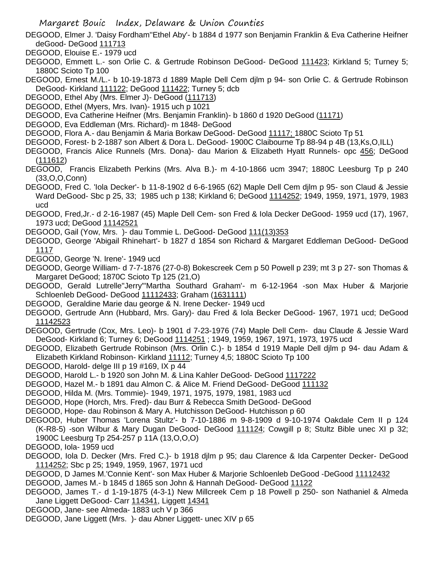- DEGOOD, Elmer J. 'Daisy Fordham''Ethel Aby'- b 1884 d 1977 son Benjamin Franklin & Eva Catherine Heifner deGood- DeGood 111713
- DEGOOD, Elouise E.- 1979 ucd
- DEGOOD, Emmett L.- son Orlie C. & Gertrude Robinson DeGood- DeGood 111423; Kirkland 5; Turney 5; 1880C Scioto Tp 100
- DEGOOD, Ernest M./L.- b 10-19-1873 d 1889 Maple Dell Cem djlm p 94- son Orlie C. & Gertrude Robinson DeGood- Kirkland 111122; DeGood 111422; Turney 5; dcb
- DEGOOD, Ethel Aby (Mrs. Elmer J)- DeGood (111713)
- DEGOOD, Ethel (Myers, Mrs. Ivan)- 1915 uch p 1021
- DEGOOD, Eva Catherine Heifner (Mrs. Benjamin Franklin)- b 1860 d 1920 DeGood (11171)
- DEGOOD, Eva Eddleman (Mrs. Richard)- m 1848- DeGood
- DEGOOD, Flora A.- dau Benjamin & Maria Borkaw DeGood- DeGood 11117; 1880C Scioto Tp 51
- DEGOOD, Forest- b 2-1887 son Albert & Dora L. DeGood- 1900C Claibourne Tp 88-94 p 4B (13,Ks,O,ILL)
- DEGOOD, Francis Alice Runnels (Mrs. Dona)- dau Marion & Elizabeth Hyatt Runnels- opc 456; DeGood (111612)
- DEGOOD, Francis Elizabeth Perkins (Mrs. Alva B.)- m 4-10-1866 ucm 3947; 1880C Leesburg Tp p 240 (33,O,O,Conn)
- DEGOOD, Fred C. 'Iola Decker'- b 11-8-1902 d 6-6-1965 (62) Maple Dell Cem djlm p 95- son Claud & Jessie Ward DeGood- Sbc p 25, 33; 1985 uch p 138; Kirkland 6; DeGood 1114252; 1949, 1959, 1971, 1979, 1983 ucd
- DEGOOD, Fred,Jr.- d 2-16-1987 (45) Maple Dell Cem- son Fred & Iola Decker DeGood- 1959 ucd (17), 1967, 1973 ucd; DeGood 11142521
- DEGOOD, Gail (Yow, Mrs.) dau Tommie L. DeGood- DeGood 111(13)353
- DEGOOD, George 'Abigail Rhinehart'- b 1827 d 1854 son Richard & Margaret Eddleman DeGood- DeGood 1117
- DEGOOD, George 'N. Irene'- 1949 ucd
- DEGOOD, George William- d 7-7-1876 (27-0-8) Bokescreek Cem p 50 Powell p 239; mt 3 p 27- son Thomas & Margaret DeGood; 1870C Scioto Tp 125 (21,O)
- DEGOOD, Gerald Lutrelle"Jerry"'Martha Southard Graham'- m 6-12-1964 -son Max Huber & Marjorie Schloenleb DeGood- DeGood 11112433; Graham (1631111)
- DEGOOD, Geraldine Marie dau george & N. Irene Decker- 1949 ucd
- DEGOOD, Gertrude Ann (Hubbard, Mrs. Gary)- dau Fred & Iola Becker DeGood- 1967, 1971 ucd; DeGood 11142523
- DEGOOD, Gertrude (Cox, Mrs. Leo)- b 1901 d 7-23-1976 (74) Maple Dell Cem- dau Claude & Jessie Ward DeGood- Kirkland 6; Turney 6; DeGood 1114251 ; 1949, 1959, 1967, 1971, 1973, 1975 ucd
- DEGOOD, Elizabeth Gertrude Robinson (Mrs. Orlin C.)- b 1854 d 1919 Maple Dell djlm p 94- dau Adam & Elizabeth Kirkland Robinson- Kirkland 11112; Turney 4,5; 1880C Scioto Tp 100
- DEGOOD, Harold- delge III p 19 #169, IX p 44
- DEGOOD, Harold L.- b 1920 son John M. & Lina Kahler DeGood- DeGood 1117222
- DEGOOD, Hazel M.- b 1891 dau Almon C. & Alice M. Friend DeGood- DeGood 111132
- DEGOOD, Hilda M. (Mrs. Tommie)- 1949, 1971, 1975, 1979, 1981, 1983 ucd
- DEGOOD, Hope (Horch, Mrs. Fred)- dau Burr & Rebecca Smith DeGood- DeGood
- DEGOOD, Hope- dau Robinson & Mary A. Hutchisson DeGood- Hutchisson p 60
- DEGOOD, Huber Thomas 'Lorena Stultz'- b 7-10-1886 m 9-8-1909 d 9-10-1974 Oakdale Cem II p 124 (K-R8-5) -son Wilbur & Mary Dugan DeGood- DeGood 111124; Cowgill p 8; Stultz Bible unec XI p 32; 1900C Leesburg Tp 254-257 p 11A (13,O,O,O)
- DEGOOD, Iola- 1959 ucd
- DEGOOD, Iola D. Decker (Mrs. Fred C.)- b 1918 djlm p 95; dau Clarence & Ida Carpenter Decker- DeGood 1114252; Sbc p 25; 1949, 1959, 1967, 1971 ucd
- DEGOOD, D James M.'Connie Kent'- son Max Huber & Marjorie Schloenleb DeGood -DeGood 11112432
- DEGOOD, James M.- b 1845 d 1865 son John & Hannah DeGood- DeGood 11122
- DEGOOD, James T.- d 1-19-1875 (4-3-1) New Millcreek Cem p 18 Powell p 250- son Nathaniel & Almeda Jane Liggett DeGood- Carr 114341, Liggett 14341
- DEGOOD, Jane- see Almeda- 1883 uch V p 366
- DEGOOD, Jane Liggett (Mrs. )- dau Abner Liggett- unec XIV p 65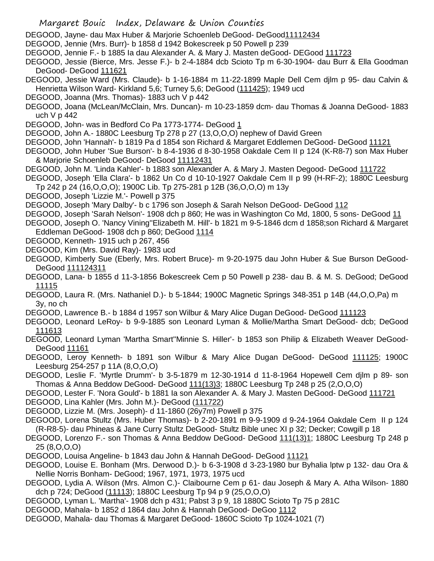- DEGOOD, Jayne- dau Max Huber & Marjorie Schoenleb DeGood- DeGood11112434
- DEGOOD, Jennie (Mrs. Burr)- b 1858 d 1942 Bokescreek p 50 Powell p 239
- DEGOOD, Jennie F.- b 1885 Ia dau Alexander A. & Mary J. Masten deGood- DEGood 111723
- DEGOOD, Jessie (Bierce, Mrs. Jesse F.)- b 2-4-1884 dcb Scioto Tp m 6-30-1904- dau Burr & Ella Goodman DeGood- DeGood 111621
- DEGOOD, Jessie Ward (Mrs. Claude)- b 1-16-1884 m 11-22-1899 Maple Dell Cem djlm p 95- dau Calvin & Henrietta Wilson Ward- Kirkland 5,6; Turney 5,6; DeGood (111425); 1949 ucd
- DEGOOD, Joanna (Mrs. Thomas)- 1883 uch V p 442
- DEGOOD, Joana (McLean/McClain, Mrs. Duncan)- m 10-23-1859 dcm- dau Thomas & Joanna DeGood- 1883 uch V p 442
- DEGOOD, John- was in Bedford Co Pa 1773-1774- DeGood 1
- DEGOOD, John A.- 1880C Leesburg Tp 278 p 27 (13,O,O,O) nephew of David Green
- DEGOOD, John 'Hannah'- b 1819 Pa d 1854 son Richard & Margaret Eddlemen DeGood- DeGood 11121
- DEGOOD, John Huber 'Sue Burson'- b 8-4-1936 d 8-30-1958 Oakdale Cem II p 124 (K-R8-7) son Max Huber & Marjorie Schoenleb DeGood- DeGood 11112431
- DEGOOD, John M. 'Linda Kahler'- b 1883 son Alexander A. & Mary J. Masten Degood- DeGood 111722
- DEGOOD, Joseph 'Ella Clara'- b 1862 Un Co d 10-10-1927 Oakdale Cem II p 99 (H-RF-2); 1880C Leesburg Tp 242 p 24 (16,O,O,O); 1900C Lib. Tp 275-281 p 12B (36,O,O,O) m 13y
- DEGOOD, Joseph 'Lizzie M.'- Powell p 375
- DEGOOD, Joseph 'Mary Dalby'- b c 1796 son Joseph & Sarah Nelson DeGood- DeGood 112
- DEGOOD, Joseph 'Sarah Nelson'- 1908 dch p 860; He was in Washington Co Md, 1800, 5 sons- DeGood 11
- DEGOOD, Joseph O. 'Nancy Vining''Elizabeth M. Hill'- b 1821 m 9-5-1846 dcm d 1858;son Richard & Margaret Eddleman DeGood- 1908 dch p 860; DeGood 1114
- DEGOOD, Kenneth- 1915 uch p 267, 456
- DEGOOD, Kim (Mrs. David Ray)- 1983 ucd
- DEGOOD, Kimberly Sue (Eberly, Mrs. Robert Bruce)- m 9-20-1975 dau John Huber & Sue Burson DeGood-DeGood 111124311
- DEGOOD, Lana- b 1855 d 11-3-1856 Bokescreek Cem p 50 Powell p 238- dau B. & M. S. DeGood; DeGood 11115
- DEGOOD, Laura R. (Mrs. Nathaniel D.)- b 5-1844; 1900C Magnetic Springs 348-351 p 14B (44,O,O,Pa) m 3y, no ch
- DEGOOD, Lawrence B.- b 1884 d 1957 son Wilbur & Mary Alice Dugan DeGood- DeGood 111123
- DEGOOD, Leonard LeRoy- b 9-9-1885 son Leonard Lyman & Mollie/Martha Smart DeGood- dcb; DeGood 111613
- DEGOOD, Leonard Lyman 'Martha Smart''Minnie S. Hiller'- b 1853 son Philip & Elizabeth Weaver DeGood-DeGood 11161
- DEGOOD, Leroy Kenneth- b 1891 son Wilbur & Mary Alice Dugan DeGood- DeGood 111125; 1900C Leesburg 254-257 p 11A (8,O,O,O)
- DEGOOD, Leslie F. 'Myrtle Drumm'- b 3-5-1879 m 12-30-1914 d 11-8-1964 Hopewell Cem djlm p 89- son Thomas & Anna Beddow DeGood- DeGood 111(13)3; 1880C Leesburg Tp 248 p 25 (2,O,O,O)
- DEGOOD, Lester F. 'Nora Gould'- b 1881 Ia son Alexander A. & Mary J. Masten DeGood- DeGood 111721 DEGOOD, Lina Kahler (Mrs. John M.)- DeGood (111722)
- DEGOOD, Lizzie M. (Mrs. Joseph)- d 11-1860 (26y7m) Powell p 375
- DEGOOD, Lorena Stultz (Mrs. Huber Thomas)- b 2-20-1891 m 9-9-1909 d 9-24-1964 Oakdale Cem II p 124 (R-R8-5)- dau Phineas & Jane Curry Stultz DeGood- Stultz Bible unec XI p 32; Decker; Cowgill p 18
- DEGOOD, Lorenzo F.- son Thomas & Anna Beddow DeGood- DeGood 111(13)1; 1880C Leesburg Tp 248 p 25 (8,O,O,O)
- DEGOOD, Louisa Angeline- b 1843 dau John & Hannah DeGood- DeGood 11121
- DEGOOD, Louise E. Bonham (Mrs. Derwood D.)- b 6-3-1908 d 3-23-1980 bur Byhalia lptw p 132- dau Ora & Nellie Norris Bonham- DeGood; 1967, 1971, 1973, 1975 ucd
- DEGOOD, Lydia A. Wilson (Mrs. Almon C.)- Claibourne Cem p 61- dau Joseph & Mary A. Atha Wilson- 1880 dch p 724; DeGood (11113); 1880C Leesburg Tp 94 p 9 (25,O,O,O)
- DEGOOD, Lyman L. 'Martha'- 1908 dch p 431; Pabst 3 p 9, 18 1880C Scioto Tp 75 p 281C
- DEGOOD, Mahala- b 1852 d 1864 dau John & Hannah DeGood- DeGoo 1112
- DEGOOD, Mahala- dau Thomas & Margaret DeGood- 1860C Scioto Tp 1024-1021 (7)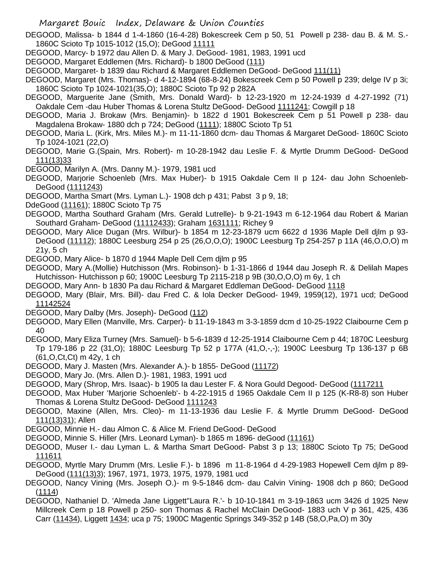DEGOOD, Malissa- b 1844 d 1-4-1860 (16-4-28) Bokescreek Cem p 50, 51 Powell p 238- dau B. & M. S.- 1860C Scioto Tp 1015-1012 (15,O); DeGood 11111

- DEGOOD, Marcy- b 1972 dau Allen D. & Mary J. DeGood- 1981, 1983, 1991 ucd
- DEGOOD, Margaret Eddlemen (Mrs. Richard)- b 1800 DeGood (111)
- DEGOOD, Margaret- b 1839 dau Richard & Margaret Eddlemen DeGood- DeGood 111(11)
- DEGOOD, Margaret (Mrs. Thomas)- d 4-12-1894 (68-8-24) Bokescreek Cem p 50 Powell p 239; delge IV p 3i; 1860C Scioto Tp 1024-1021(35,O); 1880C Scioto Tp 92 p 282A
- DEGOOD, Marguerite Jane (Smith, Mrs. Donald Ward)- b 12-23-1920 m 12-24-1939 d 4-27-1992 (71) Oakdale Cem -dau Huber Thomas & Lorena Stultz DeGood- DeGood 1111241; Cowgill p 18
- DEGOOD, Maria J. Brokaw (Mrs. Benjamin)- b 1822 d 1901 Bokescreek Cem p 51 Powell p 238- dau Magdalena Brokaw- 1880 dch p 724; DeGood (1111); 1880C Scioto Tp 51
- DEGOOD, Maria L. (Kirk, Mrs. Miles M.)- m 11-11-1860 dcm- dau Thomas & Margaret DeGood- 1860C Scioto Tp 1024-1021 (22,O)
- DEGOOD, Marie G.(Spain, Mrs. Robert)- m 10-28-1942 dau Leslie F. & Myrtle Drumm DeGood- DeGood 111(13)33
- DEGOOD, Marilyn A. (Mrs. Danny M.)- 1979, 1981 ucd
- DEGOOD, Marjorie Schoenleb (Mrs. Max Huber)- b 1915 Oakdale Cem II p 124- dau John Schoenleb-DeGood (1111243)
- DEGOOD, Martha Smart (Mrs. Lyman L.)- 1908 dch p 431; Pabst 3 p 9, 18;
- DdeGood (11161); 1880C Scioto Tp 75
- DEGOOD, Martha Southard Graham (Mrs. Gerald Lutrelle)- b 9-21-1943 m 6-12-1964 dau Robert & Marian Southard Graham- DeGood (11112433); Graham 1631111; Richey 9
- DEGOOD, Mary Alice Dugan (Mrs. Wilbur)- b 1854 m 12-23-1879 ucm 6622 d 1936 Maple Dell djlm p 93- DeGood (11112); 1880C Leesburg 254 p 25 (26,O,O,O); 1900C Leesburg Tp 254-257 p 11A (46,O,O,O) m 21y, 5 ch
- DEGOOD, Mary Alice- b 1870 d 1944 Maple Dell Cem djlm p 95
- DEGOOD, Mary A.(Mollie) Hutchisson (Mrs. Robinson)- b 1-31-1866 d 1944 dau Joseph R. & Delilah Mapes Hutchisson- Hutchisson p 60; 1900C Leesburg Tp 2115-218 p 9B (30,O,O,O) m 6y, 1 ch
- DEGOOD, Mary Ann- b 1830 Pa dau Richard & Margaret Eddleman DeGood- DeGood 1118
- DEGOOD, Mary (Blair, Mrs. Bill)- dau Fred C. & Iola Decker DeGood- 1949, 1959(12), 1971 ucd; DeGood 11142524
- DEGOOD, Mary Dalby (Mrs. Joseph)- DeGood (112)
- DEGOOD, Mary Ellen (Manville, Mrs. Carper)- b 11-19-1843 m 3-3-1859 dcm d 10-25-1922 Claibourne Cem p 40
- DEGOOD, Mary Eliza Turney (Mrs. Samuel)- b 5-6-1839 d 12-25-1914 Claibourne Cem p 44; 1870C Leesburg Tp 179-186 p 22 (31,O); 1880C Leesburg Tp 52 p 177A (41,O,-,-); 1900C Leesburg Tp 136-137 p 6B (61,O,Ct,Ct) m 42y, 1 ch
- DEGOOD, Mary J. Masten (Mrs. Alexander A.)- b 1855- DeGood (11172)
- DEGOOD, Mary Jo. (Mrs. Allen D.)- 1981, 1983, 1991 ucd
- DEGOOD, Mary (Shrop, Mrs. Isaac)- b 1905 Ia dau Lester F. & Nora Gould Degood- DeGood (1117211
- DEGOOD, Max Huber 'Marjorie Schoenleb'- b 4-22-1915 d 1965 Oakdale Cem II p 125 (K-R8-8) son Huber Thomas & Lorena Stultz DeGood- DeGood 1111243
- DEGOOD, Maxine (Allen, Mrs. Cleo)- m 11-13-1936 dau Leslie F. & Myrtle Drumm DeGood- DeGood 111(13)31); Allen
- DEGOOD, Minnie H.- dau Almon C. & Alice M. Friend DeGood- DeGood
- DEGOOD, Minnie S. Hiller (Mrs. Leonard Lyman)- b 1865 m 1896- deGood (11161)
- DEGOOD, Muser I.- dau Lyman L. & Martha Smart DeGood- Pabst 3 p 13; 1880C Scioto Tp 75; DeGood 111611
- DEGOOD, Myrtle Mary Drumm (Mrs. Leslie F.)- b 1896 m 11-8-1964 d 4-29-1983 Hopewell Cem djlm p 89- DeGood (111(13)3); 1967, 1971, 1973, 1975, 1979, 1981 ucd
- DEGOOD, Nancy Vining (Mrs. Joseph O.)- m 9-5-1846 dcm- dau Calvin Vining- 1908 dch p 860; DeGood (1114)
- DEGOOD, Nathaniel D. 'Almeda Jane Liggett''Laura R.'- b 10-10-1841 m 3-19-1863 ucm 3426 d 1925 New Millcreek Cem p 18 Powell p 250- son Thomas & Rachel McClain DeGood- 1883 uch V p 361, 425, 436 Carr (11434), Liggett 1434; uca p 75; 1900C Magentic Springs 349-352 p 14B (58,O,Pa,O) m 30y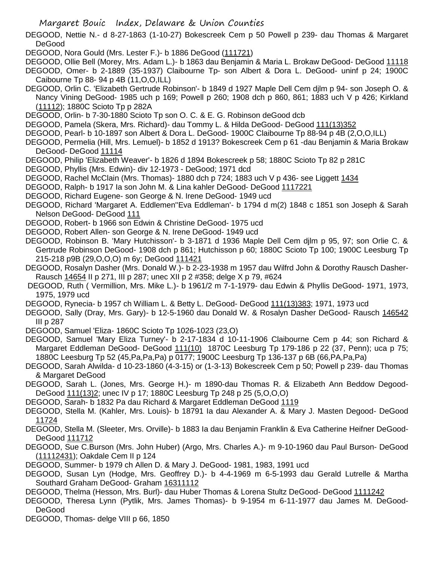DEGOOD, Nettie N.- d 8-27-1863 (1-10-27) Bokescreek Cem p 50 Powell p 239- dau Thomas & Margaret DeGood

DEGOOD, Nora Gould (Mrs. Lester F.)- b 1886 DeGood (111721)

- DEGOOD, Ollie Bell (Morey, Mrs. Adam L.)- b 1863 dau Benjamin & Maria L. Brokaw DeGood- DeGood 11118
- DEGOOD, Omer- b 2-1889 (35-1937) Claibourne Tp- son Albert & Dora L. DeGood- uninf p 24; 1900C Caibourne Tp 88- 94 p 4B (11,O,O,ILL)
- DEGOOD, Orlin C. 'Elizabeth Gertrude Robinson'- b 1849 d 1927 Maple Dell Cem djlm p 94- son Joseph O. & Nancy Vining DeGood- 1985 uch p 169; Powell p 260; 1908 dch p 860, 861; 1883 uch V p 426; Kirkland (11112); 1880C Scioto Tp p 282A
- DEGOOD, Orlin- b 7-30-1880 Scioto Tp son O. C. & E. G. Robinson deGood dcb
- DEGOOD, Pamela (Skera, Mrs. Richard)- dau Tommy L. & Hilda DeGood- DeGood 111(13)352
- DEGOOD, Pearl- b 10-1897 son Albert & Dora L. DeGood- 1900C Claibourne Tp 88-94 p 4B (2,O,O,ILL)
- DEGOOD, Permelia (Hill, Mrs. Lemuel)- b 1852 d 1913? Bokescreek Cem p 61 -dau Benjamin & Maria Brokaw DeGood- DeGood 11114
- DEGOOD, Philip 'Elizabeth Weaver'- b 1826 d 1894 Bokescreek p 58; 1880C Scioto Tp 82 p 281C
- DEGOOD, Phyllis (Mrs. Edwin)- div 12-1973 DeGood; 1971 dcd
- DEGOOD, Rachel McClain (Mrs. Thomas)- 1880 dch p 724; 1883 uch V p 436- see Liggett 1434
- DEGOOD, Ralph- b 1917 Ia son John M. & Lina kahler DeGood- DeGood 1117221
- DEGOOD, Richard Eugene- son George & N. Irene DeGood- 1949 ucd
- DEGOOD, Richard 'Margaret A. Eddlemen''Eva Eddleman'- b 1794 d m(2) 1848 c 1851 son Joseph & Sarah Nelson DeGood- DeGood 111
- DEGOOD, Robert- b 1966 son Edwin & Christine DeGood- 1975 ucd
- DEGOOD, Robert Allen- son George & N. Irene DeGood- 1949 ucd
- DEGOOD, Robinson B. 'Mary Hutchisson'- b 3-1871 d 1936 Maple Dell Cem djlm p 95, 97; son Orlie C. & Gertrude Robinson DeGood- 1908 dch p 861; Hutchisson p 60; 1880C Scioto Tp 100; 1900C Leesburg Tp 215-218 p9B (29,O,O,O) m 6y; DeGood 111421
- DEGOOD, Rosalyn Dasher (Mrs. Donald W.)- b 2-23-1938 m 1957 dau Wilfrd John & Dorothy Rausch Dasher-Rausch 14654 II p 271, III p 287; unec XII p 2 #358; delge X p 79, #624
- DEGOOD, Ruth ( Vermillion, Mrs. Mike L.)- b 1961/2 m 7-1-1979- dau Edwin & Phyllis DeGood- 1971, 1973, 1975, 1979 ucd
- DEGOOD, Rynecia- b 1957 ch William L. & Betty L. DeGood- DeGood 111(13)383; 1971, 1973 ucd
- DEGOOD, Sally (Dray, Mrs. Gary)- b 12-5-1960 dau Donald W. & Rosalyn Dasher DeGood- Rausch 146542 III p 287
- DEGOOD, Samuel 'Eliza- 1860C Scioto Tp 1026-1023 (23,O)
- DEGOOD, Samuel 'Mary Eliza Turney'- b 2-17-1834 d 10-11-1906 Claibourne Cem p 44; son Richard & Margaret Eddleman DeGood- DeGood 111(10) 1870C Leesburg Tp 179-186 p 22 (37, Penn); uca p 75; 1880C Leesburg Tp 52 (45,Pa,Pa,Pa) p 0177; 1900C Leesburg Tp 136-137 p 6B (66,PA,Pa,Pa)
- DEGOOD, Sarah Alwilda- d 10-23-1860 (4-3-15) or (1-3-13) Bokescreek Cem p 50; Powell p 239- dau Thomas & Margaret DeGood
- DEGOOD, Sarah L. (Jones, Mrs. George H.)- m 1890-dau Thomas R. & Elizabeth Ann Beddow Degood-DeGood 111(13)2; unec IV p 17; 1880C Leesburg Tp 248 p 25 (5,O,O,O)
- DEGOOD, Sarah- b 1832 Pa dau Richard & Margaret Eddleman DeGood 1119
- DEGOOD, Stella M. (Kahler, Mrs. Louis)- b 18791 Ia dau Alexander A. & Mary J. Masten Degood- DeGood 11724
- DEGOOD, Stella M. (Sleeter, Mrs. Orville)- b 1883 Ia dau Benjamin Franklin & Eva Catherine Heifner DeGood-DeGood 111712
- DEGOOD, Sue C.Burson (Mrs. John Huber) (Argo, Mrs. Charles A.)- m 9-10-1960 dau Paul Burson- DeGood (11112431); Oakdale Cem II p 124
- DEGOOD, Summer- b 1979 ch Allen D. & Mary J. DeGood- 1981, 1983, 1991 ucd
- DEGOOD, Susan Lyn (Hodge, Mrs. Geoffrey D.)- b 4-4-1969 m 6-5-1993 dau Gerald Lutrelle & Martha Southard Graham DeGood- Graham 16311112
- DEGOOD, Thelma (Hesson, Mrs. Burl)- dau Huber Thomas & Lorena Stultz DeGood- DeGood 1111242
- DEGOOD, Theresa Lynn (Pytlik, Mrs. James Thomas)- b 9-1954 m 6-11-1977 dau James M. DeGood-DeGood
- DEGOOD, Thomas- delge VIII p 66, 1850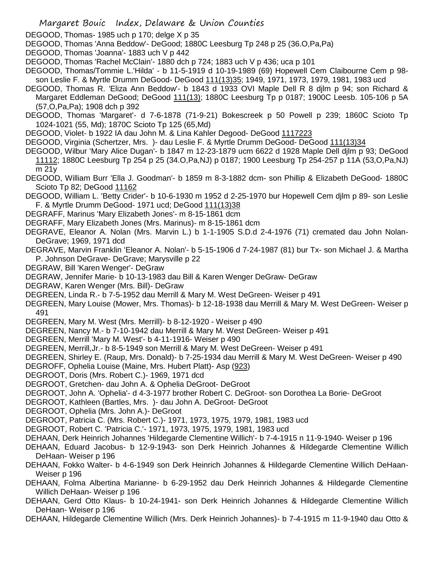DEGOOD, Thomas- 1985 uch p 170; delge X p 35

- DEGOOD, Thomas 'Anna Beddow'- DeGood; 1880C Leesburg Tp 248 p 25 (36.O,Pa,Pa)
- DEGOOD, Thomas 'Joanna'- 1883 uch V p 442
- DEGOOD, Thomas 'Rachel McClain'- 1880 dch p 724; 1883 uch V p 436; uca p 101
- DEGOOD, Thomas/Tommie L.'Hilda' b 11-5-1919 d 10-19-1989 (69) Hopewell Cem Claibourne Cem p 98 son Leslie F. & Myrtle Drumm DeGood- DeGood 111(13)35; 1949, 1971, 1973, 1979, 1981, 1983 ucd
- DEGOOD, Thomas R. 'Eliza Ann Beddow'- b 1843 d 1933 OVI Maple Dell R 8 djlm p 94; son Richard & Margaret Eddleman DeGood; DeGood 111(13); 1880C Leesburg Tp p 0187; 1900C Leesb. 105-106 p 5A (57,O,Pa,Pa); 1908 dch p 392
- DEGOOD, Thomas 'Margaret'- d 7-6-1878 (71-9-21) Bokescreek p 50 Powell p 239; 1860C Scioto Tp 1024-1021 (55, Md); 1870C Scioto Tp 125 (65,Md)
- DEGOOD, Violet- b 1922 IA dau John M. & Lina Kahler Degood- DeGood 1117223
- DEGOOD, Virginia (Schertzer, Mrs.) dau Leslie F. & Myrtle Drumm DeGood- DeGood 111(13)34
- DEGOOD, Wilbur 'Mary Alice Dugan'- b 1847 m 12-23-1879 ucm 6622 d 1928 Maple Dell djlm p 93; DeGood 11112; 1880C Leesburg Tp 254 p 25 (34.O,Pa,NJ) p 0187; 1900 Leesburg Tp 254-257 p 11A (53,O,Pa,NJ) m 21y
- DEGOOD, William Burr 'Ella J. Goodman'- b 1859 m 8-3-1882 dcm- son Phillip & Elizabeth DeGood- 1880C Scioto Tp 82; DeGood 11162
- DEGOOD, William L. 'Betty Crider'- b 10-6-1930 m 1952 d 2-25-1970 bur Hopewell Cem djlm p 89- son Leslie F. & Myrtle Drumm DeGood- 1971 ucd; DeGood 111(13)38
- DEGRAFF, Marinus 'Mary Elizabeth Jones'- m 8-15-1861 dcm
- DEGRAFF, Mary Elizabeth Jones (Mrs. Marinus)- m 8-15-1861 dcm
- DEGRAVE, Eleanor A. Nolan (Mrs. Marvin L.) b 1-1-1905 S.D.d 2-4-1976 (71) cremated dau John Nolan-DeGrave; 1969, 1971 dcd
- DEGRAVE, Marvin Franklin 'Eleanor A. Nolan'- b 5-15-1906 d 7-24-1987 (81) bur Tx- son Michael J. & Martha P. Johnson DeGrave- DeGrave; Marysville p 22
- DEGRAW, Bill 'Karen Wenger'- DeGraw
- DEGRAW, Jennifer Marie- b 10-13-1983 dau Bill & Karen Wenger DeGraw- DeGraw
- DEGRAW, Karen Wenger (Mrs. Bill)- DeGraw
- DEGREEN, Linda R.- b 7-5-1952 dau Merrill & Mary M. West DeGreen- Weiser p 491
- DEGREEN, Mary Louise (Mower, Mrs. Thomas)- b 12-18-1938 dau Merrill & Mary M. West DeGreen- Weiser p 491
- DEGREEN, Mary M. West (Mrs. Merrill)- b 8-12-1920 Weiser p 490
- DEGREEN, Nancy M.- b 7-10-1942 dau Merrill & Mary M. West DeGreen- Weiser p 491
- DEGREEN, Merrill 'Mary M. West'- b 4-11-1916- Weiser p 490
- DEGREEN, Merrill,Jr.- b 8-5-1949 son Merrill & Mary M. West DeGreen- Weiser p 491
- DEGREEN, Shirley E. (Raup, Mrs. Donald)- b 7-25-1934 dau Merrill & Mary M. West DeGreen- Weiser p 490
- DEGROFF, Ophelia Louise (Maine, Mrs. Hubert Platt)- Asp (923)
- DEGROOT, Doris (Mrs. Robert C.)- 1969, 1971 dcd
- DEGROOT, Gretchen- dau John A. & Ophelia DeGroot- DeGroot
- DEGROOT, John A. 'Ophelia'- d 4-3-1977 brother Robert C. DeGroot- son Dorothea La Borie- DeGroot
- DEGROOT, Kathleen (Bartles, Mrs. )- dau John A. DeGroot- DeGroot
- DEGROOT, Ophelia (Mrs. John A.)- DeGroot
- DEGROOT, Patricia C. (Mrs. Robert C.)- 1971, 1973, 1975, 1979, 1981, 1983 ucd
- DEGROOT, Robert C. 'Patricia C.'- 1971, 1973, 1975, 1979, 1981, 1983 ucd
- DEHAAN, Derk Heinrich Johannes 'Hildegarde Clementine Willich'- b 7-4-1915 n 11-9-1940- Weiser p 196
- DEHAAN, Eduard Jacobus- b 12-9-1943- son Derk Heinrich Johannes & Hildegarde Clementine Willich DeHaan- Weiser p 196
- DEHAAN, Fokko Walter- b 4-6-1949 son Derk Heinrich Johannes & Hildegarde Clementine Willich DeHaan-Weiser p 196
- DEHAAN, Folma Albertina Marianne- b 6-29-1952 dau Derk Heinrich Johannes & Hildegarde Clementine Willich DeHaan- Weiser p 196
- DEHAAN, Gerd Otto Klaus- b 10-24-1941- son Derk Heinrich Johannes & Hildegarde Clementine Willich DeHaan- Weiser p 196
- DEHAAN, Hildegarde Clementine Willich (Mrs. Derk Heinrich Johannes)- b 7-4-1915 m 11-9-1940 dau Otto &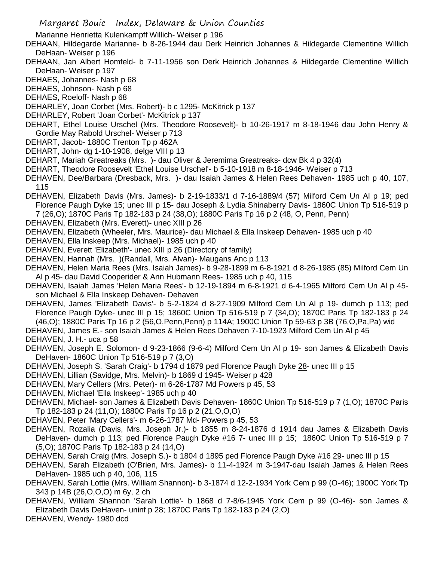Marianne Henrietta Kulenkampff Willich- Weiser p 196

- DEHAAN, Hildegarde Marianne- b 8-26-1944 dau Derk Heinrich Johannes & Hildegarde Clementine Willich DeHaan- Weiser p 196
- DEHAAN, Jan Albert Homfeld- b 7-11-1956 son Derk Heinrich Johannes & Hildegarde Clementine Willich DeHaan- Weiser p 197
- DEHAES, Johannes- Nash p 68
- DEHAES, Johnson- Nash p 68
- DEHAES, Roeloff- Nash p 68
- DEHARLEY, Joan Corbet (Mrs. Robert)- b c 1295- McKitrick p 137
- DEHARLEY, Robert 'Joan Corbet'- McKitrick p 137
- DEHART, Ethel Louise Urschel (Mrs. Theodore Roosevelt)- b 10-26-1917 m 8-18-1946 dau John Henry & Gordie May Rabold Urschel- Weiser p 713
- DEHART, Jacob- 1880C Trenton Tp p 462A
- DEHART, John- dg 1-10-1908, delge VIII p 13
- DEHART, Mariah Greatreaks (Mrs. )- dau Oliver & Jeremima Greatreaks- dcw Bk 4 p 32(4)
- DEHART, Theodore Roosevelt 'Ethel Louise Urschel'- b 5-10-1918 m 8-18-1946- Weiser p 713
- DEHAVEN, Dee/Barbara (Dresback, Mrs. )- dau Isaiah James & Helen Rees Dehaven- 1985 uch p 40, 107, 115
- DEHAVEN, Elizabeth Davis (Mrs. James)- b 2-19-1833/1 d 7-16-1889/4 (57) Milford Cem Un Al p 19; ped Florence Paugh Dyke 15; unec III p 15- dau Joseph & Lydia Shinaberry Davis- 1860C Union Tp 516-519 p 7 (26,O); 1870C Paris Tp 182-183 p 24 (38,O); 1880C Paris Tp 16 p 2 (48, O, Penn, Penn)
- DEHAVEN, Elizabeth (Mrs. Everett)- unec XIII p 26
- DEHAVEN, Elizabeth (Wheeler, Mrs. Maurice)- dau Michael & Ella Inskeep Dehaven- 1985 uch p 40
- DEHAVEN, Ella Inskeep (Mrs. Michael)- 1985 uch p 40
- DEHAVEN, Everett 'Elizabeth'- unec XIII p 26 (Directory of family)
- DEHAVEN, Hannah (Mrs. )(Randall, Mrs. Alvan)- Maugans Anc p 113
- DEHAVEN, Helen Maria Rees (Mrs. Isaiah James)- b 9-28-1899 m 6-8-1921 d 8-26-1985 (85) Milford Cem Un Al p 45- dau David Cooperider & Ann Hubmann Rees- 1985 uch p 40, 115
- DEHAVEN, Isaiah James 'Helen Maria Rees'- b 12-19-1894 m 6-8-1921 d 6-4-1965 Milford Cem Un Al p 45 son Michael & Ella Inskeep Dehaven- Dehaven
- DEHAVEN, James 'Elizabeth Davis'- b 5-2-1824 d 8-27-1909 Milford Cem Un Al p 19- dumch p 113; ped Florence Paugh Dyke- unec III p 15; 1860C Union Tp 516-519 p 7 (34,O); 1870C Paris Tp 182-183 p 24 (46,O); 1880C Paris Tp 16 p 2 (56,O,Penn,Penn) p 114A; 1900C Union Tp 59-63 p 3B (76,O,Pa,Pa) wid
- DEHAVEN, James E.- son Isaiah James & Helen Rees Dehaven 7-10-1923 Milford Cem Un Al p 45

DEHAVEN, J. H.- uca p 58

- DEHAVEN, Joseph E. Solomon- d 9-23-1866 (9-6-4) Milford Cem Un Al p 19- son James & Elizabeth Davis DeHaven- 1860C Union Tp 516-519 p 7 (3,O)
- DEHAVEN, Joseph S. 'Sarah Craig'- b 1794 d 1879 ped Florence Paugh Dyke 28- unec III p 15
- DEHAVEN, Lillian (Savidge, Mrs. Melvin)- b 1869 d 1945- Weiser p 428
- DEHAVEN, Mary Cellers (Mrs. Peter)- m 6-26-1787 Md Powers p 45, 53
- DEHAVEN, Michael 'Ella Inskeep'- 1985 uch p 40
- DEHAVEN, Michael- son James & Elizabeth Davis Dehaven- 1860C Union Tp 516-519 p 7 (1,O); 1870C Paris Tp 182-183 p 24 (11,O); 1880C Paris Tp 16 p 2 (21,O,O,O)
- DEHAVEN, Peter 'Mary Cellers'- m 6-26-1787 Md- Powers p 45, 53
- DEHAVEN, Rozalia (Davis, Mrs. Joseph Jr.)- b 1855 m 8-24-1876 d 1914 dau James & Elizabeth Davis DeHaven- dumch p 113; ped Florence Paugh Dyke #16 7- unec III p 15; 1860C Union Tp 516-519 p 7 (5,O); 1870C Paris Tp 182-183 p 24 (14,O)
- DEHAVEN, Sarah Craig (Mrs. Joseph S.)- b 1804 d 1895 ped Florence Paugh Dyke #16 29- unec III p 15
- DEHAVEN, Sarah Elizabeth (O'Brien, Mrs. James)- b 11-4-1924 m 3-1947-dau Isaiah James & Helen Rees DeHaven- 1985 uch p 40, 106, 115
- DEHAVEN, Sarah Lottie (Mrs. William Shannon)- b 3-1874 d 12-2-1934 York Cem p 99 (O-46); 1900C York Tp 343 p 14B (26,O,O,O) m 6y, 2 ch
- DEHAVEN, William Shannon 'Sarah Lottie'- b 1868 d 7-8/6-1945 York Cem p 99 (O-46)- son James & Elizabeth Davis DeHaven- uninf p 28; 1870C Paris Tp 182-183 p 24 (2,O)

DEHAVEN, Wendy- 1980 dcd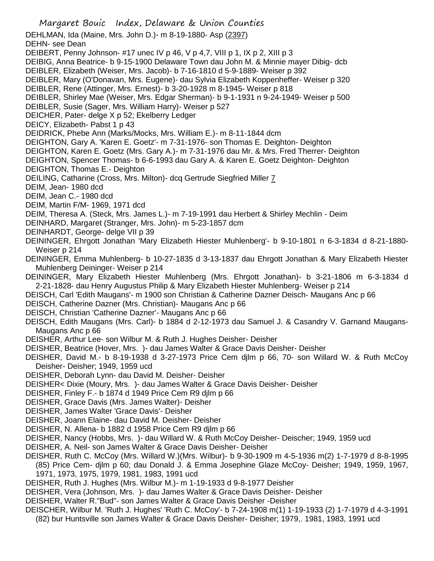- Margaret Bouic Index, Delaware & Union Counties DEHLMAN, Ida (Maine, Mrs. John D.)- m 8-19-1880- Asp (2397) DEHN- see Dean DEIBERT, Penny Johnson- #17 unec IV p 46, V p 4,7, VIII p 1, IX p 2, XIII p 3 DEIBIG, Anna Beatrice- b 9-15-1900 Delaware Town dau John M. & Minnie mayer Dibig- dcb DEIBLER, Elizabeth (Weiser, Mrs. Jacob)- b 7-16-1810 d 5-9-1889- Weiser p 392 DEIBLER, Mary (O'Donavan, Mrs. Eugene)- dau Sylvia Elizabeth Koppenheffer- Weiser p 320 DEIBLER, Rene (Attinger, Mrs. Ernest)- b 3-20-1928 m 8-1945- Weiser p 818 DEIBLER, Shirley Mae (Weiser, Mrs. Edgar Sherman)- b 9-1-1931 n 9-24-1949- Weiser p 500 DEIBLER, Susie (Sager, Mrs. William Harry)- Weiser p 527 DEICHER, Pater- delge X p 52; Ekelberry Ledger DEICY, Elizabeth- Pabst 1 p 43 DEIDRICK, Phebe Ann (Marks/Mocks, Mrs. William E.)- m 8-11-1844 dcm DEIGHTON, Gary A. 'Karen E. Goetz'- m 7-31-1976- son Thomas E. Deighton- Deighton DEIGHTON, Karen E. Goetz (Mrs. Gary A.)- m 7-31-1976 dau Mr. & Mrs. Fred Therrer- Deighton DEIGHTON, Spencer Thomas- b 6-6-1993 dau Gary A. & Karen E. Goetz Deighton- Deighton DEIGHTON, Thomas E.- Deighton DEILING, Catharine (Cross, Mrs. Milton)- dcq Gertrude Siegfried Miller 7 DEIM, Jean- 1980 dcd DEIM, Jean C.- 1980 dcd DEIM, Martin F/M- 1969, 1971 dcd DEIM, Theresa A. (Steck, Mrs. James L.)- m 7-19-1991 dau Herbert & Shirley Mechlin - Deim DEINHARD, Margaret (Stranger, Mrs. John)- m 5-23-1857 dcm DEINHARDT, George- delge VII p 39 DEININGER, Ehrgott Jonathan 'Mary Elizabeth Hiester Muhlenberg'- b 9-10-1801 n 6-3-1834 d 8-21-1880- Weiser p 214 DEININGER, Emma Muhlenberg- b 10-27-1835 d 3-13-1837 dau Ehrgott Jonathan & Mary Elizabeth Hiester Muhlenberg Deininger- Weiser p 214 DEININGER, Mary Elizabeth Hiester Muhlenberg (Mrs. Ehrgott Jonathan)- b 3-21-1806 m 6-3-1834 d 2-21-1828- dau Henry Augustus Philip & Mary Elizabeth Hiester Muhlenberg- Weiser p 214 DEISCH, Carl 'Edith Maugans'- m 1900 son Christian & Catherine Dazner Deisch- Maugans Anc p 66 DEISCH, Catherine Dazner (Mrs. Christian)- Maugans Anc p 66 DEISCH, Christian 'Catherine Dazner'- Maugans Anc p 66 DEISCH, Edith Maugans (Mrs. Carl)- b 1884 d 2-12-1973 dau Samuel J. & Casandry V. Garnand Maugans-Maugans Anc p 66 DEISHER, Arthur Lee- son Wilbur M. & Ruth J. Hughes Deisher- Deisher DEISHER, Beatrice (Hover, Mrs. )- dau James Walter & Grace Davis Deisher- Deisher DEISHER, David M.- b 8-19-1938 d 3-27-1973 Price Cem djlm p 66, 70- son Willard W. & Ruth McCoy Deisher- Deisher; 1949, 1959 ucd DEISHER, Deborah Lynn- dau David M. Deisher- Deisher DEISHER< Dixie (Moury, Mrs. )- dau James Walter & Grace Davis Deisher- Deisher DEISHER, Finley F.- b 1874 d 1949 Price Cem R9 djlm p 66 DEISHER, Grace Davis (Mrs. James Walter)- Deisher DEISHER, James Walter 'Grace Davis'- Deisher DEISHER, Joann Elaine- dau David M. Deisher- Deisher DEISHER, N. Allena- b 1882 d 1958 Price Cem R9 djlm p 66 DEISHER, Nancy (Hobbs, Mrs. )- dau Willard W. & Ruth McCoy Deisher- Deischer; 1949, 1959 ucd DEISHER, A. Neil- son James Walter & Grace Davis Deisher- Deisher DEISHER, Ruth C. McCoy (Mrs. Willard W.)(Mrs. Wilbur)- b 9-30-1909 m 4-5-1936 m(2) 1-7-1979 d 8-8-1995 (85) Price Cem- djlm p 60; dau Donald J. & Emma Josephine Glaze McCoy- Deisher; 1949, 1959, 1967, 1971, 1973, 1975, 1979, 1981, 1983, 1991 ucd DEISHER, Ruth J. Hughes (Mrs. Wilbur M.)- m 1-19-1933 d 9-8-1977 Deisher DEISHER, Vera (Johnson, Mrs. )- dau James Walter & Grace Davis Deisher- Deisher DEISHER, Walter R."Bud"- son James Walter & Grace Davis Deisher -Deisher DEISCHER, Wilbur M. 'Ruth J. Hughes' 'Ruth C. McCoy'- b 7-24-1908 m(1) 1-19-1933 (2) 1-7-1979 d 4-3-1991
	- (82) bur Huntsville son James Walter & Grace Davis Deisher- Deisher; 1979,. 1981, 1983, 1991 ucd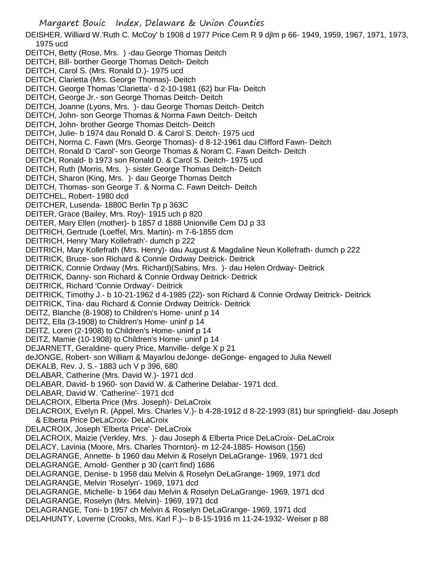Margaret Bouic Index, Delaware & Union Counties DEISHER, Williard W.'Ruth C. McCoy' b 1908 d 1977 Price Cem R 9 djlm p 66- 1949, 1959, 1967, 1971, 1973, 1975 ucd DEITCH, Betty (Rose, Mrs. ) -dau George Thomas Deitch DEITCH, Bill- borther George Thomas Deitch- Deitch DEITCH, Carol S. (Mrs. Ronald D.)- 1975 ucd DEITCH, Clarietta (Mrs. George Thomas)- Deitch DEITCH, George Thomas 'Clarietta'- d 2-10-1981 (62) bur Fla- Deitch DEITCH, George Jr.- son George Thomas Deitch- Deitch DEITCH, Joanne (Lyons, Mrs. )- dau George Thomas Deitch- Deitch DEITCH, John- son George Thomas & Norma Fawn Deitch- Deitch DEITCH, John- brother George Thomas Deitch- Deitch DEITCH, Julie- b 1974 dau Ronald D. & Carol S. Deitch- 1975 ucd DEITCH, Norma C. Fawn (Mrs. George Thomas)- d 8-12-1961 dau Clifford Fawn- Deitch DEITCH, Ronald D 'Carol'- son George Thomas & Noram C. Fawn Deitch- Deitch DEITCH, Ronald- b 1973 son Ronald D. & Carol S. Deitch- 1975 ucd DEITCH, Ruth (Morris, Mrs. )- sister George Thomas Deitch- Deitch DEITCH, Sharon (King, Mrs. )- dau George Thomas Deitch DEITCH, Thomas- son George T. & Norma C. Fawn Deitch- Deitch DEITCHEL, Robert- 1980 dcd DEITCHER, Lusenda- 1880C Berlin Tp p 363C DEITER, Grace (Bailey, Mrs. Roy)- 1915 uch p 820 DEITER, Mary Ellen (mother)- b 1857 d 1888 Unionville Cem DJ p 33 DEITRICH, Gertrude (Loeffel, Mrs. Martin)- m 7-6-1855 dcm DEITRICH, Henry 'Mary Kollefrath'- dumch p 222 DEITRICH, Mary Kollefrath (Mrs. Henry)- dau August & Magdaline Neun Kollefrath- dumch p 222 DEITRICK, Bruce- son Richard & Connie Ordway Deitrick- Deitrick DEITRICK, Connie Ordway (Mrs. Richard)(Sabins, Mrs. )- dau Helen Ordway- Deitrick DEITRICK, Danny- son Richard & Connie Ordway Deitrick- Deitrick DEITRICK, Richard 'Connie Ordway'- Deitrick DEITRICK, Timothy J.- b 10-21-1962 d 4-1985 (22)- son Richard & Connie Ordway Deitrick- Deitrick DEITRICK, Tina- dau Richard & Connie Ordway Deitrick- Deitrick DEITZ, Blanche (8-1908) to Children's Home- uninf p 14 DEITZ, Ella (3-1908) to Children's Home- uninf p 14 DEITZ, Loren (2-1908) to Children's Home- uninf p 14 DEITZ, Mamie (10-1908) to Children's Home- uninf p 14 DEJARNETT, Geraldine- query Price, Manville- delge X p 21 deJONGE, Robert- son William & Mayarlou deJonge- deGonge- engaged to Julia Newell DEKALB, Rev. J. S.- 1883 uch V p 396, 680 DELABAR, Catherine (Mrs. David W.)- 1971 dcd DELABAR, David- b 1960- son David W. & Catherine Delabar- 1971 dcd. DELABAR, David W. 'Catherine'- 1971 dcd DELACROIX, Elberta Price (Mrs. Joseph)- DeLaCroix DELACROIX, Evelyn R. (Appel, Mrs. Charles V.)- b 4-28-1912 d 8-22-1993 (81) bur springfield- dau Joseph & Elberta Price DeLaCroix- DeLaCroix DELACROIX, Joseph 'Elberta Price'- DeLaCroix DELACROIX, Maizie (Verkley, Mrs. )- dau Joseph & Elberta Price DeLaCroix- DeLaCroix DELACY, Lavinia (Moore, Mrs. Charles Thornton)- m 12-24-1885- Howison (156) DELAGRANGE, Annette- b 1960 dau Melvin & Roselyn DeLaGrange- 1969, 1971 dcd DELAGRANGE, Arnold- Genther p 30 (can't find) 1686 DELAGRANGE, Denise- b 1958 dau Melvin & Roselyn DeLaGrange- 1969, 1971 dcd DELAGRANGE, Melvin 'Roselyn'- 1969, 1971 dcd DELAGRANGE, Michelle- b 1964 dau Melvin & Roselyn DeLaGrange- 1969, 1971 dcd DELAGRANGE, Roselyn (Mrs. Melvin)- 1969, 1971 dcd DELAGRANGE, Toni- b 1957 ch Melvin & Roselyn DeLaGrange- 1969, 1971 dcd DELAHUNTY, Loverne (Crooks, Mrs. Karl F.)-- b 8-15-1916 m 11-24-1932- Weiser p 88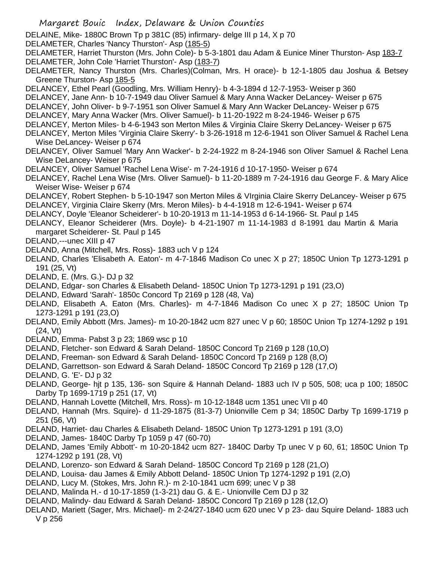- Margaret Bouic Index, Delaware & Union Counties
- DELAINE, Mike- 1880C Brown Tp p 381C (85) infirmary- delge III p 14, X p 70
- DELAMETER, Charles 'Nancy Thurston'- Asp (185-5)
- DELAMETER, Harriet Thurston (Mrs. John Cole)- b 5-3-1801 dau Adam & Eunice Miner Thurston- Asp 183-7 DELAMETER, John Cole 'Harriet Thurston'- Asp (183-7)
- DELAMETER, Nancy Thurston (Mrs. Charles)(Colman, Mrs. H orace)- b 12-1-1805 dau Joshua & Betsey Greene Thurston- Asp 185-5
- DELANCEY, Ethel Pearl (Goodling, Mrs. William Henry)- b 4-3-1894 d 12-7-1953- Weiser p 360
- DELANCEY, Jane Ann- b 10-7-1949 dau Oliver Samuel & Mary Anna Wacker DeLancey- Weiser p 675
- DELANCEY, John Oliver- b 9-7-1951 son Oliver Samuel & Mary Ann Wacker DeLancey- Weiser p 675
- DELANCEY, Mary Anna Wacker (Mrs. Oliver Samuel)- b 11-20-1922 m 8-24-1946- Weiser p 675
- DELANCEY, Merton Miles- b 4-6-1943 son Merton Miles & Virginia Claire Skerry DeLancey- Weiser p 675
- DELANCEY, Merton Miles 'Virginia Claire Skerry'- b 3-26-1918 m 12-6-1941 son Oliver Samuel & Rachel Lena Wise DeLancey- Weiser p 674
- DELANCEY, Oliver Samuel 'Mary Ann Wacker'- b 2-24-1922 m 8-24-1946 son Oliver Samuel & Rachel Lena Wise DeLancey- Weiser p 675
- DELANCEY, Oliver Samuel 'Rachel Lena Wise'- m 7-24-1916 d 10-17-1950- Weiser p 674
- DELANCEY, Rachel Lena Wise (Mrs. Oliver Samuel)- b 11-20-1889 m 7-24-1916 dau George F. & Mary Alice Weiser Wise- Weiser p 674
- DELANCEY, Robert Stephen- b 5-10-1947 son Merton Miles & VIrginia Claire Skerry DeLancey- Weiser p 675 DELANCEY, Virginia Claire Skerry (Mrs. Meron Miles)- b 4-4-1918 m 12-6-1941- Weiser p 674
- DELANCY, Doyle 'Eleanor Scheiderer'- b 10-20-1913 m 11-14-1953 d 6-14-1966- St. Paul p 145
- DELANCY, Eleanor Scheiderer (Mrs. Doyle)- b 4-21-1907 m 11-14-1983 d 8-1991 dau Martin & Maria margaret Scheiderer- St. Paul p 145
- DELAND,---unec XIII p 47
- DELAND, Anna (Mitchell, Mrs. Ross)- 1883 uch V p 124
- DELAND, Charles 'Elisabeth A. Eaton'- m 4-7-1846 Madison Co unec X p 27; 1850C Union Tp 1273-1291 p 191 (25, Vt)
- DELAND, E. (Mrs. G.)- DJ p 32
- DELAND, Edgar- son Charles & Elisabeth Deland- 1850C Union Tp 1273-1291 p 191 (23,O)
- DELAND, Edward 'Sarah'- 1850c Concord Tp 2169 p 128 (48, Va)
- DELAND, Elisabeth A. Eaton (Mrs. Charles)- m 4-7-1846 Madison Co unec X p 27; 1850C Union Tp 1273-1291 p 191 (23,O)
- DELAND, Emily Abbott (Mrs. James)- m 10-20-1842 ucm 827 unec V p 60; 1850C Union Tp 1274-1292 p 191 (24, Vt)
- DELAND, Emma- Pabst 3 p 23; 1869 wsc p 10
- DELAND, Fletcher- son Edward & Sarah Deland- 1850C Concord Tp 2169 p 128 (10,O)
- DELAND, Freeman- son Edward & Sarah Deland- 1850C Concord Tp 2169 p 128 (8,O)
- DELAND, Garrettson- son Edward & Sarah Deland- 1850C Concord Tp 2169 p 128 (17,O)
- DELAND, G. 'E'- DJ p 32
- DELAND, George- hjt p 135, 136- son Squire & Hannah Deland- 1883 uch IV p 505, 508; uca p 100; 1850C Darby Tp 1699-1719 p 251 (17, Vt)
- DELAND, Hannah Lovette (Mitchell, Mrs. Ross)- m 10-12-1848 ucm 1351 unec VII p 40
- DELAND, Hannah (Mrs. Squire)- d 11-29-1875 (81-3-7) Unionville Cem p 34; 1850C Darby Tp 1699-1719 p 251 (56, Vt)
- DELAND, Harriet- dau Charles & Elisabeth Deland- 1850C Union Tp 1273-1291 p 191 (3,O)
- DELAND, James- 1840C Darby Tp 1059 p 47 (60-70)
- DELAND, James 'Emily Abbott'- m 10-20-1842 ucm 827- 1840C Darby Tp unec V p 60, 61; 1850C Union Tp 1274-1292 p 191 (28, Vt)
- DELAND, Lorenzo- son Edward & Sarah Deland- 1850C Concord Tp 2169 p 128 (21,O)
- DELAND, Louisa- dau James & Emily Abbott Deland- 1850C Union Tp 1274-1292 p 191 (2,O)
- DELAND, Lucy M. (Stokes, Mrs. John R.)- m 2-10-1841 ucm 699; unec V p 38
- DELAND, Malinda H.- d 10-17-1859 (1-3-21) dau G. & E.- Unionville Cem DJ p 32
- DELAND, Malindy- dau Edward & Sarah Deland- 1850C Concord Tp 2169 p 128 (12,O)
- DELAND, Mariett (Sager, Mrs. Michael)- m 2-24/27-1840 ucm 620 unec V p 23- dau Squire Deland- 1883 uch V p 256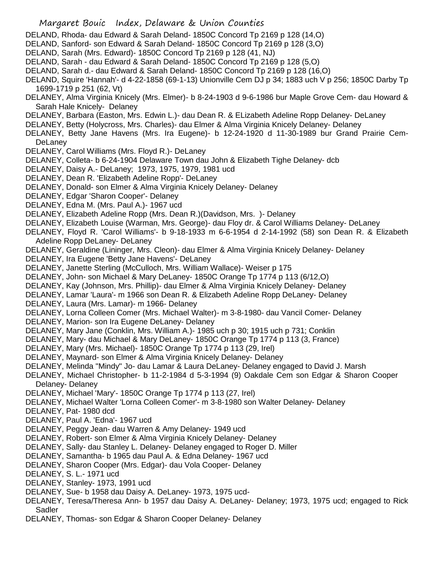- DELAND, Rhoda- dau Edward & Sarah Deland- 1850C Concord Tp 2169 p 128 (14,O)
- DELAND, Sanford- son Edward & Sarah Deland- 1850C Concord Tp 2169 p 128 (3,O)
- DELAND, Sarah (Mrs. Edward)- 1850C Concord Tp 2169 p 128 (41, NJ)
- DELAND, Sarah dau Edward & Sarah Deland- 1850C Concord Tp 2169 p 128 (5,O)
- DELAND, Sarah d.- dau Edward & Sarah Deland- 1850C Concord Tp 2169 p 128 (16,O)
- DELAND, Squire 'Hannah'- d 4-22-1858 (69-1-13) Unionville Cem DJ p 34; 1883 uch V p 256; 1850C Darby Tp 1699-1719 p 251 (62, Vt)
- DELANEY, Alma Virginia Knicely (Mrs. Elmer)- b 8-24-1903 d 9-6-1986 bur Maple Grove Cem- dau Howard & Sarah Hale Knicely- Delaney
- DELANEY, Barbara (Easton, Mrs. Edwin L.)- dau Dean R. & ELizabeth Adeline Ropp Delaney- DeLaney
- DELANEY, Betty (Holycross, Mrs. Charles)- dau Elmer & Alma Virginia Knicely Delaney- Delaney
- DELANEY, Betty Jane Havens (Mrs. Ira Eugene)- b 12-24-1920 d 11-30-1989 bur Grand Prairie Cem-**DeLanev**
- DELANEY, Carol Williams (Mrs. Floyd R.)- DeLaney
- DELANEY, Colleta- b 6-24-1904 Delaware Town dau John & Elizabeth Tighe Delaney- dcb
- DELANEY, Daisy A.- DeLaney; 1973, 1975, 1979, 1981 ucd
- DELANEY, Dean R. 'Elizabeth Adeline Ropp'- DeLaney
- DELANEY, Donald- son Elmer & Alma Virginia Knicely Delaney- Delaney
- DELANEY, Edgar 'Sharon Cooper'- Delaney
- DELANEY, Edna M. (Mrs. Paul A.)- 1967 ucd
- DELANEY, Elizabeth Adeline Ropp (Mrs. Dean R.)(Davidson, Mrs. )- Delaney
- DELANEY, Elizabeth Louise (Warman, Mrs. George)- dau Floy dr. & Carol Williams Delaney- DeLaney
- DELANEY, Floyd R. 'Carol Williams'- b 9-18-1933 m 6-6-1954 d 2-14-1992 (58) son Dean R. & Elizabeth Adeline Ropp DeLaney- DeLaney
- DELANEY, Geraldine (Lininger, Mrs. Cleon)- dau Elmer & Alma Virginia Knicely Delaney- Delaney
- DELANEY, Ira Eugene 'Betty Jane Havens'- DeLaney
- DELANEY, Janette Sterling (McCulloch, Mrs. William Wallace)- Weiser p 175
- DELANEY, John- son Michael & Mary DeLaney- 1850C Orange Tp 1774 p 113 (6/12,O)
- DELANEY, Kay (Johnson, Mrs. Phillip)- dau Elmer & Alma Virginia Knicely Delaney- Delaney
- DELANEY, Lamar 'Laura'- m 1966 son Dean R. & Elizabeth Adeline Ropp DeLaney- Delaney
- DELANEY, Laura (Mrs. Lamar)- m 1966- Delaney
- DELANEY, Lorna Colleen Comer (Mrs. Michael Walter)- m 3-8-1980- dau Vancil Comer- Delaney
- DELANEY, Marion- son Ira Eugene DeLaney- Delaney
- DELANEY, Mary Jane (Conklin, Mrs. William A.)- 1985 uch p 30; 1915 uch p 731; Conklin
- DELANEY, Mary- dau Michael & Mary DeLaney- 1850C Orange Tp 1774 p 113 (3, France)
- DELANEY, Mary (Mrs. Michael)- 1850C Orange Tp 1774 p 113 (29, Irel)
- DELANEY, Maynard- son Elmer & Alma Virginia Knicely Delaney- Delaney
- DELANEY, Melinda "Mindy" Jo- dau Lamar & Laura DeLaney- Delaney engaged to David J. Marsh
- DELANEY, Michael Christopher- b 11-2-1984 d 5-3-1994 (9) Oakdale Cem son Edgar & Sharon Cooper Delaney- Delaney
- DELANEY, Michael 'Mary'- 1850C Orange Tp 1774 p 113 (27, Irel)
- DELANEY, Michael Walter 'Lorna Colleen Comer'- m 3-8-1980 son Walter Delaney- Delaney
- DELANEY, Pat- 1980 dcd
- DELANEY, Paul A. 'Edna'- 1967 ucd
- DELANEY, Peggy Jean- dau Warren & Amy Delaney- 1949 ucd
- DELANEY, Robert- son Elmer & Alma Virginia Knicely Delaney- Delaney
- DELANEY, Sally- dau Stanley L. Delaney- Delaney engaged to Roger D. Miller
- DELANEY, Samantha- b 1965 dau Paul A. & Edna Delaney- 1967 ucd
- DELANEY, Sharon Cooper (Mrs. Edgar)- dau Vola Cooper- Delaney
- DELANEY, S. L.- 1971 ucd
- DELANEY, Stanley- 1973, 1991 ucd
- DELANEY, Sue- b 1958 dau Daisy A. DeLaney- 1973, 1975 ucd-
- DELANEY, Teresa/Theresa Ann- b 1957 dau Daisy A. DeLaney- Delaney; 1973, 1975 ucd; engaged to Rick Sadler
- DELANEY, Thomas- son Edgar & Sharon Cooper Delaney- Delaney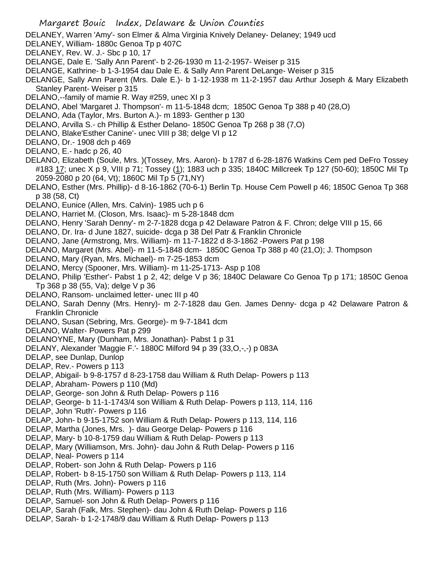DELANEY, Warren 'Amy'- son Elmer & Alma Virginia Knively Delaney- Delaney; 1949 ucd

- DELANEY, William- 1880c Genoa Tp p 407C
- DELANEY, Rev. W. J.- Sbc p 10, 17
- DELANGE, Dale E. 'Sally Ann Parent'- b 2-26-1930 m 11-2-1957- Weiser p 315
- DELANGE, Kathrine- b 1-3-1954 dau Dale E. & Sally Ann Parent DeLange- Weiser p 315
- DELANGE, Sally Ann Parent (Mrs. Dale E.)- b 1-12-1938 m 11-2-1957 dau Arthur Joseph & Mary Elizabeth Stanley Parent- Weiser p 315
- DELANO,--family of mamie R. Way #259, unec XI p 3
- DELANO, Abel 'Margaret J. Thompson'- m 11-5-1848 dcm; 1850C Genoa Tp 388 p 40 (28,O)
- DELANO, Ada (Taylor, Mrs. Burton A.)- m 1893- Genther p 130
- DELANO, Arvilla S.- ch Phillip & Esther Delano- 1850C Genoa Tp 268 p 38 (7,O)
- DELANO, Blake'Esther Canine'- unec VIII p 38; delge VI p 12
- DELANO, Dr.- 1908 dch p 469
- DELANO, E.- hadc p 26, 40
- DELANO, Elizabeth (Soule, Mrs. )(Tossey, Mrs. Aaron)- b 1787 d 6-28-1876 Watkins Cem ped DeFro Tossey #183 17; unec X p 9, VIII p 71; Tossey (1); 1883 uch p 335; 1840C Millcreek Tp 127 (50-60); 1850C Mil Tp 2059-2080 p 20 (64, Vt); 1860C Mil Tp 5 (71,NY)
- DELANO, Esther (Mrs. Phillip)- d 8-16-1862 (70-6-1) Berlin Tp. House Cem Powell p 46; 1850C Genoa Tp 368 p 38 (58, Ct)
- DELANO, Eunice (Allen, Mrs. Calvin)- 1985 uch p 6
- DELANO, Harriet M. (Closon, Mrs. Isaac)- m 5-28-1848 dcm
- DELANO, Henry 'Sarah Denny'- m 2-7-1828 dcga p 42 Delaware Patron & F. Chron; delge VIII p 15, 66
- DELANO, Dr. Ira- d June 1827, suicide- dcga p 38 Del Patr & Franklin Chronicle
- DELANO, Jane (Armstrong, Mrs. William)- m 11-7-1822 d 8-3-1862 -Powers Pat p 198
- DELANO, Margaret (Mrs. Abel)- m 11-5-1848 dcm- 1850C Genoa Tp 388 p 40 (21,O); J. Thompson
- DELANO, Mary (Ryan, Mrs. Michael)- m 7-25-1853 dcm
- DELANO, Mercy (Spooner, Mrs. William)- m 11-25-1713- Asp p 108
- DELANO, Philip 'Esther'- Pabst 1 p 2, 42; delge V p 36; 1840C Delaware Co Genoa Tp p 171; 1850C Genoa Tp 368 p 38 (55, Va); delge V p 36
- DELANO, Ransom- unclaimed letter- unec III p 40
- DELANO, Sarah Denny (Mrs. Henry)- m 2-7-1828 dau Gen. James Denny- dcga p 42 Delaware Patron & Franklin Chronicle
- DELANO, Susan (Sebring, Mrs. George)- m 9-7-1841 dcm
- DELANO, Walter- Powers Pat p 299
- DELANOYNE, Mary (Dunham, Mrs. Jonathan)- Pabst 1 p 31
- DELANY, Alexander 'Maggie F.'- 1880C Milford 94 p 39 (33,O,-,-) p 083A
- DELAP, see Dunlap, Dunlop
- DELAP, Rev.- Powers p 113
- DELAP, Abigail- b 9-8-1757 d 8-23-1758 dau William & Ruth Delap- Powers p 113
- DELAP, Abraham- Powers p 110 (Md)
- DELAP, George- son John & Ruth Delap- Powers p 116
- DELAP, George- b 11-1-1743/4 son William & Ruth Delap- Powers p 113, 114, 116
- DELAP, John 'Ruth'- Powers p 116
- DELAP, John- b 9-15-1752 son William & Ruth Delap- Powers p 113, 114, 116
- DELAP, Martha (Jones, Mrs. )- dau George Delap- Powers p 116
- DELAP, Mary- b 10-8-1759 dau William & Ruth Delap- Powers p 113
- DELAP, Mary (Williamson, Mrs. John)- dau John & Ruth Delap- Powers p 116
- DELAP, Neal- Powers p 114
- DELAP, Robert- son John & Ruth Delap- Powers p 116
- DELAP, Robert- b 8-15-1750 son William & Ruth Delap- Powers p 113, 114
- DELAP, Ruth (Mrs. John)- Powers p 116
- DELAP, Ruth (Mrs. William)- Powers p 113
- DELAP, Samuel- son John & Ruth Delap- Powers p 116
- DELAP, Sarah (Falk, Mrs. Stephen)- dau John & Ruth Delap- Powers p 116
- DELAP, Sarah- b 1-2-1748/9 dau William & Ruth Delap- Powers p 113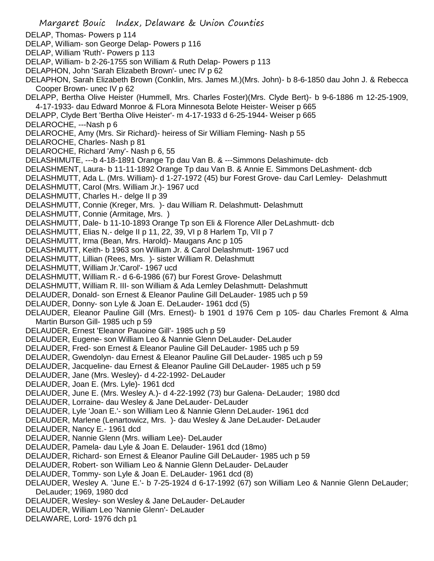Margaret Bouic Index, Delaware & Union Counties DELAP, Thomas- Powers p 114 DELAP, William- son George Delap- Powers p 116 DELAP, William 'Ruth'- Powers p 113 DELAP, William- b 2-26-1755 son William & Ruth Delap- Powers p 113 DELAPHON, John 'Sarah Elizabeth Brown'- unec IV p 62 DELAPHON, Sarah Elizabeth Brown (Conklin, Mrs. James M.)(Mrs. John)- b 8-6-1850 dau John J. & Rebecca Cooper Brown- unec IV p 62 DELAPP, Bertha Olive Heister (Hummell, Mrs. Charles Foster)(Mrs. Clyde Bert)- b 9-6-1886 m 12-25-1909, 4-17-1933- dau Edward Monroe & FLora Minnesota Belote Heister- Weiser p 665 DELAPP, Clyde Bert 'Bertha Olive Heister'- m 4-17-1933 d 6-25-1944- Weiser p 665 DELAROCHE, ---Nash p 6 DELAROCHE, Amy (Mrs. Sir Richard)- heiress of Sir William Fleming- Nash p 55 DELAROCHE, Charles- Nash p 81 DELAROCHE, Richard 'Amy'- Nash p 6, 55 DELASHIMUTE, ---b 4-18-1891 Orange Tp dau Van B. & ---Simmons Delashimute- dcb DELASHMENT, Laura- b 11-11-1892 Orange Tp dau Van B. & Annie E. Simmons DeLashment- dcb DELASHMUTT, Ada L. (Mrs. William)- d 1-27-1972 (45) bur Forest Grove- dau Carl Lemley- Delashmutt DELASHMUTT, Carol (Mrs. William Jr.)- 1967 ucd DELASHMUTT, Charles H.- delge II p 39 DELASHMUTT, Connie (Kreger, Mrs. )- dau William R. Delashmutt- Delashmutt DELASHMUTT, Connie (Armitage, Mrs. ) DELASHMUTT, Dale- b 11-10-1893 Orange Tp son Eli & Florence Aller DeLashmutt- dcb DELASHMUTT, Elias N.- delge II p 11, 22, 39, VI p 8 Harlem Tp, VII p 7 DELASHMUTT, Irma (Bean, Mrs. Harold)- Maugans Anc p 105 DELASHMUTT, Keith- b 1963 son William Jr. & Carol Delashmutt- 1967 ucd DELASHMUTT, Lillian (Rees, Mrs. )- sister William R. Delashmutt DELASHMUTT, William Jr.'Carol'- 1967 ucd DELASHMUTT, William R.- d 6-6-1986 (67) bur Forest Grove- Delashmutt DELASHMUTT, William R. III- son William & Ada Lemley Delashmutt- Delashmutt DELAUDER, Donald- son Ernest & Eleanor Pauline Gill DeLauder- 1985 uch p 59 DELAUDER, Donny- son Lyle & Joan E. DeLauder- 1961 dcd (5) DELAUDER, Eleanor Pauline Gill (Mrs. Ernest)- b 1901 d 1976 Cem p 105- dau Charles Fremont & Alma Martin Burson Gill- 1985 uch p 59 DELAUDER, Ernest 'Eleanor Pauoine Gill'- 1985 uch p 59 DELAUDER, Eugene- son William Leo & Nannie Glenn DeLauder- DeLauder DELAUDER, Fred- son Ernest & Eleanor Pauline Gill DeLauder- 1985 uch p 59 DELAUDER, Gwendolyn- dau Ernest & Eleanor Pauline Gill DeLauder- 1985 uch p 59 DELAUDER, Jacqueline- dau Ernest & Eleanor Pauline Gill DeLauder- 1985 uch p 59 DELAUDER, Jane (Mrs. Wesley)- d 4-22-1992- DeLauder DELAUDER, Joan E. (Mrs. Lyle)- 1961 dcd DELAUDER, June E. (Mrs. Wesley A.)- d 4-22-1992 (73) bur Galena- DeLauder; 1980 dcd DELAUDER, Lorraine- dau Wesley & Jane DeLauder- DeLauder DELAUDER, Lyle 'Joan E.'- son William Leo & Nannie Glenn DeLauder- 1961 dcd DELAUDER, Marlene (Lenartowicz, Mrs. )- dau Wesley & Jane DeLauder- DeLauder DELAUDER, Nancy E.- 1961 dcd DELAUDER, Nannie Glenn (Mrs. william Lee)- DeLauder DELAUDER, Pamela- dau Lyle & Joan E. Delauder- 1961 dcd (18mo) DELAUDER, Richard- son Ernest & Eleanor Pauline Gill DeLauder- 1985 uch p 59 DELAUDER, Robert- son William Leo & Nannie Glenn DeLauder- DeLauder DELAUDER, Tommy- son Lyle & Joan E. DeLauder- 1961 dcd (8) DELAUDER, Wesley A. 'June E.'- b 7-25-1924 d 6-17-1992 (67) son William Leo & Nannie Glenn DeLauder; DeLauder; 1969, 1980 dcd DELAUDER, Wesley- son Wesley & Jane DeLauder- DeLauder DELAUDER, William Leo 'Nannie Glenn'- DeLauder DELAWARE, Lord- 1976 dch p1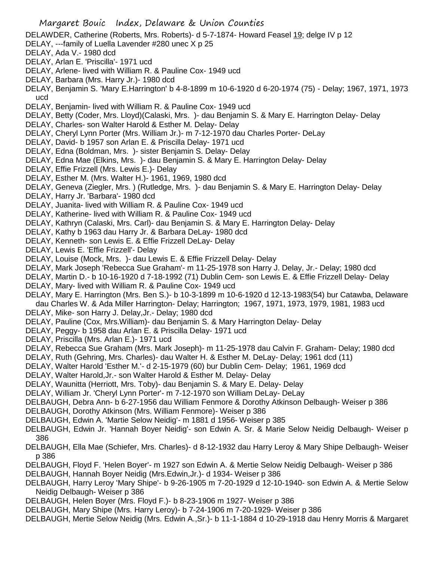DELAWDER, Catherine (Roberts, Mrs. Roberts)- d 5-7-1874- Howard Feasel 19; delge IV p 12

- DELAY, ---family of Luella Lavender #280 unec X p 25
- DELAY, Ada V.- 1980 dcd
- DELAY, Arlan E. 'Priscilla'- 1971 ucd
- DELAY, Arlene- lived with William R. & Pauline Cox- 1949 ucd
- DELAY, Barbara (Mrs. Harry Jr.)- 1980 dcd
- DELAY, Benjamin S. 'Mary E.Harrington' b 4-8-1899 m 10-6-1920 d 6-20-1974 (75) Delay; 1967, 1971, 1973 ucd
- DELAY, Benjamin- lived with William R. & Pauline Cox- 1949 ucd
- DELAY, Betty (Coder, Mrs. Lloyd)(Calaski, Mrs. )- dau Benjamin S. & Mary E. Harrington Delay- Delay
- DELAY, Charles- son Walter Harold & Esther M. Delay- Delay
- DELAY, Cheryl Lynn Porter (Mrs. William Jr.)- m 7-12-1970 dau Charles Porter- DeLay
- DELAY, David- b 1957 son Arlan E. & Priscilla Delay- 1971 ucd
- DELAY, Edna (Boldman, Mrs. )- sister Benjamin S. Delay- Delay
- DELAY, Edna Mae (Elkins, Mrs. )- dau Benjamin S. & Mary E. Harrington Delay- Delay
- DELAY, Effie Frizzell (Mrs. Lewis E.)- Delay
- DELAY, Esther M. (Mrs. Walter H.)- 1961, 1969, 1980 dcd
- DELAY, Geneva (Ziegler, Mrs. ) (Rutledge, Mrs. )- dau Benjamin S. & Mary E. Harrington Delay- Delay
- DELAY, Harry Jr. 'Barbara'- 1980 dcd
- DELAY, Juanita- lived with William R. & Pauline Cox- 1949 ucd
- DELAY, Katherine- lived with William R. & Pauline Cox- 1949 ucd
- DELAY, Kathryn (Calaski, Mrs. Carl)- dau Benjamin S. & Mary E. Harrington Delay- Delay
- DELAY, Kathy b 1963 dau Harry Jr. & Barbara DeLay- 1980 dcd
- DELAY, Kenneth- son Lewis E. & Effie Frizzell DeLay- Delay
- DELAY, Lewis E. 'Effie Frizzell'- Delay
- DELAY, Louise (Mock, Mrs. )- dau Lewis E. & Effie Frizzell Delay- Delay
- DELAY, Mark Joseph 'Rebecca Sue Graham'- m 11-25-1978 son Harry J. Delay, Jr.- Delay; 1980 dcd
- DELAY, Martin D.- b 10-16-1920 d 7-18-1992 (71) Dublin Cem- son Lewis E. & Effie Frizzell Delay- Delay
- DELAY, Mary- lived with William R. & Pauline Cox- 1949 ucd
- DELAY, Mary E. Harrington (Mrs. Ben S.)- b 10-3-1899 m 10-6-1920 d 12-13-1983(54) bur Catawba, Delaware dau Charles W. & Ada Miller Harrington- Delay; Harrington; 1967, 1971, 1973, 1979, 1981, 1983 ucd
- DELAY, Mike- son Harry J. Delay,Jr.- Delay; 1980 dcd
- DELAY, Pauline (Cox, Mrs.William)- dau Benjamin S. & Mary Harrington Delay- Delay
- DELAY, Peggy- b 1958 dau Arlan E. & Priscilla Delay- 1971 ucd
- DELAY, Priscilla (Mrs. Arlan E.)- 1971 ucd
- DELAY, Rebecca Sue Graham (Mrs. Mark Joseph)- m 11-25-1978 dau Calvin F. Graham- Delay; 1980 dcd
- DELAY, Ruth (Gehring, Mrs. Charles)- dau Walter H. & Esther M. DeLay- Delay; 1961 dcd (11)
- DELAY, Walter Harold 'Esther M.'- d 2-15-1979 (60) bur Dublin Cem- Delay; 1961, 1969 dcd
- DELAY, Walter Harold,Jr.- son Walter Harold & Esther M. Delay- Delay
- DELAY, Waunitta (Herriott, Mrs. Toby)- dau Benjamin S. & Mary E. Delay- Delay
- DELAY, William Jr. 'Cheryl Lynn Porter'- m 7-12-1970 son William DeLay- DeLay
- DELBAUGH, Debra Ann- b 6-27-1956 dau William Fenmore & Dorothy Atkinson Delbaugh- Weiser p 386
- DELBAUGH, Dorothy Atkinson (Mrs. William Fenmore)- Weiser p 386
- DELBAUGH, Edwin A. 'Martie Selow Neidig'- m 1881 d 1956- Weiser p 385
- DELBAUGH, Edwin Jr. 'Hannah Boyer Neidig'- son Edwin A. Sr. & Marie Selow Neidig Delbaugh- Weiser p 386
- DELBAUGH, Ella Mae (Schiefer, Mrs. Charles)- d 8-12-1932 dau Harry Leroy & Mary Shipe Delbaugh- Weiser p 386
- DELBAUGH, Floyd F. 'Helen Boyer'- m 1927 son Edwin A. & Mertie Selow Neidig Delbaugh- Weiser p 386
- DELBAUGH, Hannah Boyer Neidig (Mrs.Edwin,Jr.)- d 1934- Weiser p 386
- DELBAUGH, Harry Leroy 'Mary Shipe'- b 9-26-1905 m 7-20-1929 d 12-10-1940- son Edwin A. & Mertie Selow Neidig Delbaugh- Weiser p 386
- DELBAUGH, Helen Boyer (Mrs. Floyd F.)- b 8-23-1906 m 1927- Weiser p 386
- DELBAUGH, Mary Shipe (Mrs. Harry Leroy)- b 7-24-1906 m 7-20-1929- Weiser p 386
- DELBAUGH, Mertie Selow Neidig (Mrs. Edwin A.,Sr.)- b 11-1-1884 d 10-29-1918 dau Henry Morris & Margaret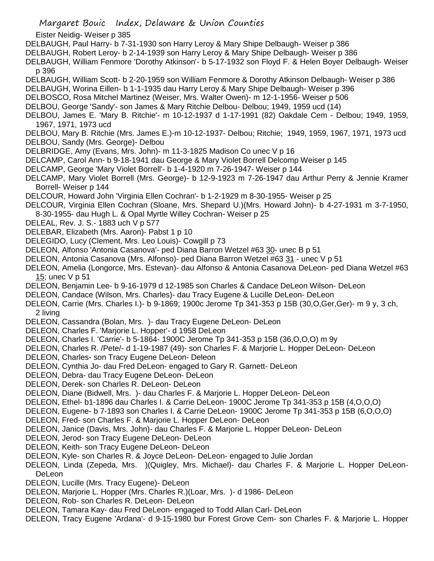Eister Neidig- Weiser p 385

- DELBAUGH, Paul Harry- b 7-31-1930 son Harry Leroy & Mary Shipe Delbaugh- Weiser p 386
- DELBAUGH, Robert Leroy- b 2-14-1939 son Harry Leroy & Mary Shipe Delbaugh- Weiser p 386

DELBAUGH, William Fenmore 'Dorothy Atkinson'- b 5-17-1932 son Floyd F. & Helen Boyer Delbaugh- Weiser p 396

- DELBAUGH, William Scott- b 2-20-1959 son William Fenmore & Dorothy Atkinson Delbaugh- Weiser p 386
- DELBAUGH, Worina Eillen- b 1-1-1935 dau Harry Leroy & Mary Shipe Delbaugh- Weiser p 396
- DELBOSCO, Rosa Mitchel Martinez (Weiser, Mrs. Walter Owen)- m 12-1-1956- Weiser p 506
- DELBOU, George 'Sandy'- son James & Mary Ritchie Delbou- Delbou; 1949, 1959 ucd (14)
- DELBOU, James E. 'Mary B. Ritchie'- m 10-12-1937 d 1-17-1991 (82) Oakdale Cem Delbou; 1949, 1959, 1967, 1971, 1973 ucd

DELBOU, Mary B. Ritchie (Mrs. James E.)-m 10-12-1937- Delbou; Ritchie; 1949, 1959, 1967, 1971, 1973 ucd DELBOU, Sandy (Mrs. George)- Delbou

- DELBRIDGE, Amy (Evans, Mrs. John)- m 11-3-1825 Madison Co unec V p 16
- DELCAMP, Carol Ann- b 9-18-1941 dau George & Mary Violet Borrell Delcomp Weiser p 145
- DELCAMP, George 'Mary Violet Borrell'- b 1-4-1920 m 7-26-1947- Weiser p 144
- DELCAMP, Mary Violet Borrell (Mrs. George)- b 12-9-1923 m 7-26-1947 dau Arthur Perry & Jennie Kramer Borrell- Weiser p 144
- DELCOUR, Howard John 'Virginia Ellen Cochran'- b 1-2-1929 m 8-30-1955- Weiser p 25
- DELCOUR, Virginia Ellen Cochran (Sloane, Mrs. Shepard U.)(Mrs. Howard John)- b 4-27-1931 m 3-7-1950, 8-30-1955- dau Hugh L. & Opal Myrtle Willey Cochran- Weiser p 25
- DELEAL, Rev. J. S.- 1883 uch V p 577
- DELEBAR, Elizabeth (Mrs. Aaron)- Pabst 1 p 10
- DELEGIDO, Lucy (Clement, Mrs. Leo Louis)- Cowgill p 73
- DELEON, Alfonso 'Antonia Casanova'- ped Diana Barron Wetzel #63 30- unec B p 51
- DELEON, Antonia Casanova (Mrs. Alfonso)- ped Diana Barron Wetzel #63 31 unec V p 51
- DELEON, Amelia (Longorce, Mrs. Estevan)- dau Alfonso & Antonia Casanova DeLeon- ped Diana Wetzel #63 15; unec V p 51
- DELEON, Benjamin Lee- b 9-16-1979 d 12-1985 son Charles & Candace DeLeon Wilson- DeLeon
- DELEON, Candace (Wilson, Mrs. Charles)- dau Tracy Eugene & Lucille DeLeon- DeLeon
- DELEON, Carrie (Mrs. Charles I.)- b 9-1869; 1900c Jerome Tp 341-353 p 15B (30,O,Ger,Ger)- m 9 y, 3 ch, 2 living
- DELEON, Cassandra (Bolan, Mrs. )- dau Tracy Eugene DeLeon- DeLeon
- DELEON, Charles F. 'Marjorie L. Hopper'- d 1958 DeLeon
- DELEON, Charles I. 'Carrie'- b 5-1864- 1900C Jerome Tp 341-353 p 15B (36,O,O,O) m 9y
- DELEON, Charles R. /Pete/- d 1-19-1987 (49)- son Charles F. & Marjorie L. Hopper DeLeon- DeLeon
- DELEON, Charles- son Tracy Eugene DeLeon- Deleon
- DELEON, Cynthia Jo- dau Fred DeLeon- engaged to Gary R. Garnett- DeLeon
- DELEON, Debra- dau Tracy Eugene DeLeon- DeLeon
- DELEON, Derek- son Charles R. DeLeon- DeLeon
- DELEON, Diane (Bidwell, Mrs. )- dau Charles F. & Marjorie L. Hopper DeLeon- DeLeon
- DELEON, Ethel- b1-1896 dau Charles I. & Carrie DeLeon- 1900C Jerome Tp 341-353 p 15B (4,O,O,O)
- DELEON, Eugene- b 7-1893 son Charles I. & Carrie DeLeon- 1900C Jerome Tp 341-353 p 15B (6,O,O,O)
- DELEON, Fred- son Charles F. & Marjorie L. Hopper DeLeon- DeLeon
- DELEON, Janice (Davis, Mrs. John)- dau Charles F. & Marjorie L. Hopper DeLeon- DeLeon
- DELEON, Jerod- son Tracy Eugene DeLeon- DeLeon
- DELEON, Keith- son Tracy Eugene DeLeon- DeLeon
- DELEON, Kyle- son Charles R. & Joyce DeLeon- DeLeon- engaged to Julie Jordan
- DELEON, Linda (Zepeda, Mrs. )(Quigley, Mrs. Michael)- dau Charles F. & Marjorie L. Hopper DeLeon-DeLeon
- DELEON, Lucille (Mrs. Tracy Eugene)- DeLeon
- DELEON, Marjorie L. Hopper (Mrs. Charles R.)(Loar, Mrs. )- d 1986- DeLeon
- DELEON, Rob- son Charles R. DeLeon- DeLeon
- DELEON, Tamara Kay- dau Fred DeLeon- engaged to Todd Allan Carl- DeLeon
- DELEON, Tracy Eugene 'Ardana'- d 9-15-1980 bur Forest Grove Cem- son Charles F. & Marjorie L. Hopper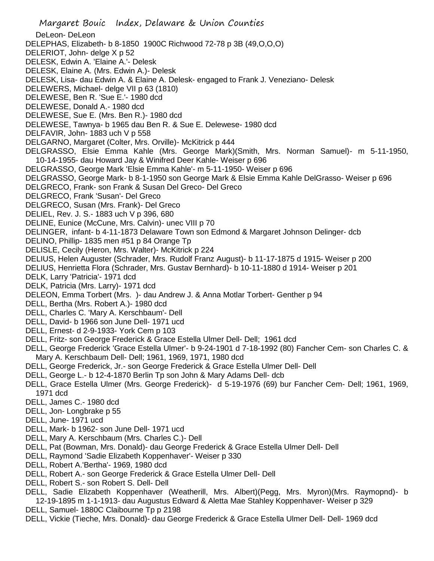Margaret Bouic Index, Delaware & Union Counties DeLeon- DeLeon DELEPHAS, Elizabeth- b 8-1850 1900C Richwood 72-78 p 3B (49,O,O,O) DELERIOT, John- delge X p 52 DELESK, Edwin A. 'Elaine A.'- Delesk DELESK, Elaine A. (Mrs. Edwin A.)- Delesk DELESK, Lisa- dau Edwin A. & Elaine A. Delesk- engaged to Frank J. Veneziano- Delesk DELEWERS, Michael- delge VII p 63 (1810) DELEWESE, Ben R. 'Sue E.'- 1980 dcd DELEWESE, Donald A.- 1980 dcd DELEWESE, Sue E. (Mrs. Ben R.)- 1980 dcd DELEWESE, Tawnya- b 1965 dau Ben R. & Sue E. Delewese- 1980 dcd DELFAVIR, John- 1883 uch V p 558 DELGARNO, Margaret (Colter, Mrs. Orville)- McKitrick p 444 DELGRASSO, Elsie Emma Kahle (Mrs. George Mark)(Smith, Mrs. Norman Samuel)- m 5-11-1950, 10-14-1955- dau Howard Jay & Winifred Deer Kahle- Weiser p 696 DELGRASSO, George Mark 'Elsie Emma Kahle'- m 5-11-1950- Weiser p 696 DELGRASSO, George Mark- b 8-1-1950 son George Mark & Elsie Emma Kahle DelGrasso- Weiser p 696 DELGRECO, Frank- son Frank & Susan Del Greco- Del Greco DELGRECO, Frank 'Susan'- Del Greco DELGRECO, Susan (Mrs. Frank)- Del Greco DELIEL, Rev. J. S.- 1883 uch V p 396, 680 DELINE, Eunice (McCune, Mrs. Calvin)- unec VIII p 70 DELINGER, infant- b 4-11-1873 Delaware Town son Edmond & Margaret Johnson Delinger- dcb DELINO, Phillip- 1835 men #51 p 84 Orange Tp DELISLE, Cecily (Heron, Mrs. Walter)- McKitrick p 224 DELIUS, Helen Auguster (Schrader, Mrs. Rudolf Franz August)- b 11-17-1875 d 1915- Weiser p 200 DELIUS, Henrietta Flora (Schrader, Mrs. Gustav Bernhard)- b 10-11-1880 d 1914- Weiser p 201 DELK, Larry 'Patricia'- 1971 dcd DELK, Patricia (Mrs. Larry)- 1971 dcd DELEON, Emma Torbert (Mrs. )- dau Andrew J. & Anna Motlar Torbert- Genther p 94 DELL, Bertha (Mrs. Robert A.)- 1980 dcd DELL, Charles C. 'Mary A. Kerschbaum'- Dell DELL, David- b 1966 son June Dell- 1971 ucd DELL, Ernest- d 2-9-1933- York Cem p 103 DELL, Fritz- son George Frederick & Grace Estella Ulmer Dell- Dell; 1961 dcd DELL, George Frederick 'Grace Estella Ulmer'- b 9-24-1901 d 7-18-1992 (80) Fancher Cem- son Charles C. & Mary A. Kerschbaum Dell- Dell; 1961, 1969, 1971, 1980 dcd DELL, George Frederick, Jr.- son George Frederick & Grace Estella Ulmer Dell- Dell DELL, George L.- b 12-4-1870 Berlin Tp son John & Mary Adams Dell- dcb DELL, Grace Estella Ulmer (Mrs. George Frederick)- d 5-19-1976 (69) bur Fancher Cem- Dell; 1961, 1969, 1971 dcd DELL, James C.- 1980 dcd DELL, Jon- Longbrake p 55 DELL, June- 1971 ucd DELL, Mark- b 1962- son June Dell- 1971 ucd DELL, Mary A. Kerschbaum (Mrs. Charles C.)- Dell DELL, Pat (Bowman, Mrs. Donald)- dau George Frederick & Grace Estella Ulmer Dell- Dell DELL, Raymond 'Sadie Elizabeth Koppenhaver'- Weiser p 330 DELL, Robert A.'Bertha'- 1969, 1980 dcd DELL, Robert A.- son George Frederick & Grace Estella Ulmer Dell- Dell DELL, Robert S.- son Robert S. Dell- Dell

- DELL, Sadie Elizabeth Koppenhaver (Weatherill, Mrs. Albert)(Pegg, Mrs. Myron)(Mrs. Raymopnd)- b 12-19-1895 m 1-1-1913- dau Augustus Edward & Aletta Mae Stahley Koppenhaver- Weiser p 329
- DELL, Samuel- 1880C Claibourne Tp p 2198
- DELL, Vickie (Tieche, Mrs. Donald)- dau George Frederick & Grace Estella Ulmer Dell- Dell- 1969 dcd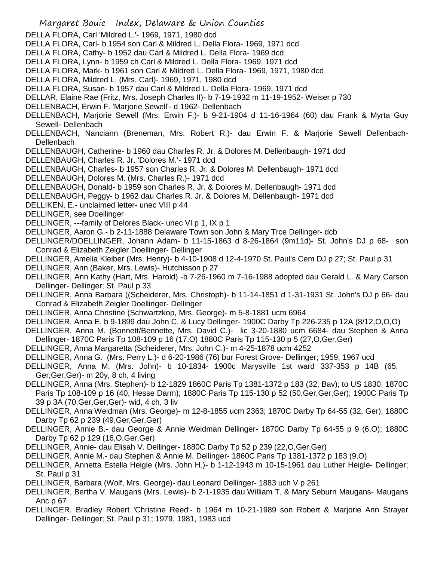- Margaret Bouic Index, Delaware & Union Counties DELLA FLORA, Carl 'Mildred L.'- 1969, 1971, 1980 dcd DELLA FLORA, Carl- b 1954 son Carl & Mildred L. Della Flora- 1969, 1971 dcd DELLA FLORA, Cathy- b 1952 dau Carl & Mildred L. Della Flora- 1969 dcd DELLA FLORA, Lynn- b 1959 ch Carl & Mildred L. Della Flora- 1969, 1971 dcd DELLA FLORA, Mark- b 1961 son Carl & Mildred L. Della Flora- 1969, 1971, 1980 dcd DELLA FLORA, Mildred L. (Mrs. Carl)- 1969, 1971, 1980 dcd DELLA FLORA, Susan- b 1957 dau Carl & Mildred L. Della Flora- 1969, 1971 dcd DELLAR, Elaine Rae (Fritz, Mrs. Joseph Charles II)- b 7-19-1932 m 11-19-1952- Weiser p 730 DELLENBACH, Erwin F. 'Marjorie Sewell'- d 1962- Dellenbach DELLENBACH, Marjorie Sewell (Mrs. Erwin F.)- b 9-21-1904 d 11-16-1964 (60) dau Frank & Myrta Guy Sewell- Dellenbach DELLENBACH, Nanciann (Breneman, Mrs. Robert R.)- dau Erwin F. & Marjorie Sewell Dellenbach-**Dellenbach** DELLENBAUGH, Catherine- b 1960 dau Charles R. Jr. & Dolores M. Dellenbaugh- 1971 dcd DELLENBAUGH, Charles R. Jr. 'Dolores M.'- 1971 dcd DELLENBAUGH, Charles- b 1957 son Charles R. Jr. & Dolores M. Dellenbaugh- 1971 dcd DELLENBAUGH, Dolores M. (Mrs. Charles R.)- 1971 dcd DELLENBAUGH, Donald- b 1959 son Charles R. Jr. & Dolores M. Dellenbaugh- 1971 dcd DELLENBAUGH, Peggy- b 1962 dau Charles R. Jr. & Dolores M. Dellenbaugh- 1971 dcd DELLIKEN, E.- unclaimed letter- unec VIII p 44 DELLINGER, see Doellinger DELLINGER, ---family of Delores Black- unec VI p 1, IX p 1 DELLINGER, Aaron G.- b 2-11-1888 Delaware Town son John & Mary Trce Dellinger- dcb DELLINGER/DOELLINGER, Johann Adam- b 11-15-1863 d 8-26-1864 (9m11d)- St. John's DJ p 68- son Conrad & Elizabeth Zeigler Doellinger- Dellinger DELLINGER, Amelia Kleiber (Mrs. Henry)- b 4-10-1908 d 12-4-1970 St. Paul's Cem DJ p 27; St. Paul p 31 DELLINGER, Ann (Baker, Mrs. Lewis)- Hutchisson p 27 DELLINGER, Ann Kathy (Hart, Mrs. Harold) -b 7-26-1960 m 7-16-1988 adopted dau Gerald L. & Mary Carson Dellinger- Dellinger; St. Paul p 33 DELLINGER, Anna Barbara ((Scheiderer, Mrs. Christoph)- b 11-14-1851 d 1-31-1931 St. John's DJ p 66- dau Conrad & Elizabeth Zeigler Doellinger- Dellinger DELLINGER, Anna Christine (Schwartzkop, Mrs. George)- m 5-8-1881 ucm 6964 DELLINGER, Anna E. b 9-1899 dau John C. & Lucy Dellinger- 1900C Darby Tp 226-235 p 12A (8/12,O,O,O) DELLINGER, Anna M. (Bonnett/Bennette, Mrs. David C.)- lic 3-20-1880 ucm 6684- dau Stephen & Anna Dellinger- 1870C Paris Tp 108-109 p 16 (17,O) 1880C Paris Tp 115-130 p 5 (27,O,Ger,Ger) DELLINGER, Anna Margaretta (Scheiderer, Mrs. John C.)- m 4-25-1878 ucm 4252 DELLINGER, Anna G. (Mrs. Perry L.)- d 6-20-1986 (76) bur Forest Grove- Dellinger; 1959, 1967 ucd DELLINGER, Anna M. (Mrs. John)- b 10-1834- 1900c Marysville 1st ward 337-353 p 14B (65, Ger,Ger,Ger)- m 20y, 8 ch, 4 living DELLINGER, Anna (Mrs. Stephen)- b 12-1829 1860C Paris Tp 1381-1372 p 183 (32, Bav); to US 1830; 1870C Paris Tp 108-109 p 16 (40, Hesse Darm); 1880C Paris Tp 115-130 p 52 (50,Ger,Ger,Ger); 1900C Paris Tp 39 p 3A (70,Ger,Ger,Ger)- wid, 4 ch, 3 liv DELLINGER, Anna Weidman (Mrs. George)- m 12-8-1855 ucm 2363; 1870C Darby Tp 64-55 (32, Ger); 1880C Darby Tp 62 p 239 (49,Ger,Ger,Ger) DELLINGER, Annie B.- dau George & Annie Weidman Dellinger- 1870C Darby Tp 64-55 p 9 (6,O); 1880C Darby Tp 62 p 129 (16,O,Ger,Ger) DELLINGER, Annie- dau Elisah V. Dellinger- 1880C Darby Tp 52 p 239 (22,O,Ger,Ger) DELLINGER, Annie M.- dau Stephen & Annie M. Dellinger- 1860C Paris Tp 1381-1372 p 183 (9,O) DELLINGER, Annetta Estella Heigle (Mrs. John H.)- b 1-12-1943 m 10-15-1961 dau Luther Heigle- Dellinger; St. Paul p 31 DELLINGER, Barbara (Wolf, Mrs. George)- dau Leonard Dellinger- 1883 uch V p 261 DELLINGER, Bertha V. Maugans (Mrs. Lewis)- b 2-1-1935 dau William T. & Mary Seburn Maugans- Maugans
	- Anc p 67
	- DELLINGER, Bradley Robert 'Christine Reed'- b 1964 m 10-21-1989 son Robert & Marjorie Ann Strayer Dellinger- Dellinger; St. Paul p 31; 1979, 1981, 1983 ucd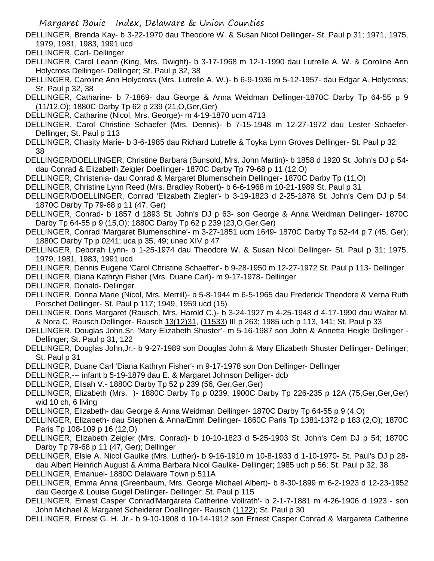- DELLINGER, Brenda Kay- b 3-22-1970 dau Theodore W. & Susan Nicol Dellinger- St. Paul p 31; 1971, 1975, 1979, 1981, 1983, 1991 ucd
- DELLINGER, Carl- Dellinger
- DELLINGER, Carol Leann (King, Mrs. Dwight)- b 3-17-1968 m 12-1-1990 dau Lutrelle A. W. & Coroline Ann Holycross Dellinger- Dellinger; St. Paul p 32, 38
- DELLINGER, Caroline Ann Holycross (Mrs. Lutrelle A. W.)- b 6-9-1936 m 5-12-1957- dau Edgar A. Holycross; St. Paul p 32, 38
- DELLINGER, Catharine- b 7-1869- dau George & Anna Weidman Dellinger-1870C Darby Tp 64-55 p 9 (11/12,O); 1880C Darby Tp 62 p 239 (21,O,Ger,Ger)
- DELLINGER, Catharine (Nicol, Mrs. George)- m 4-19-1870 ucm 4713
- DELLINGER, Carol Christine Schaefer (Mrs. Dennis)- b 7-15-1948 m 12-27-1972 dau Lester Schaefer-Dellinger; St. Paul p 113
- DELLINGER, Chasity Marie- b 3-6-1985 dau Richard Lutrelle & Toyka Lynn Groves Dellinger- St. Paul p 32, 38
- DELLINGER/DOELLINGER, Christine Barbara (Bunsold, Mrs. John Martin)- b 1858 d 1920 St. John's DJ p 54 dau Conrad & Elizabeth Zeigler Doellinger- 1870C Darby Tp 79-68 p 11 (12,O)
- DELLINGER, Christenia- dau Conrad & Margaret Blumenschein Dellinger- 1870C Darby Tp (11,O)
- DELLINGER, Christine Lynn Reed (Mrs. Bradley Robert)- b 6-6-1968 m 10-21-1989 St. Paul p 31
- DELLINGER/DOELLINGER, Conrad 'Elizabeth Ziegler'- b 3-19-1823 d 2-25-1878 St. John's Cem DJ p 54; 1870C Darby Tp 79-68 p 11 (47, Ger)
- DELLINGER, Conrad- b 1857 d 1893 St. John's DJ p 63- son George & Anna Weidman Dellinger- 1870C Darby Tp 64-55 p 9 (15,O); 1880C Darby Tp 62 p 239 (23,O,Ger,Ger)
- DELLINGER, Conrad 'Margaret Blumenschine'- m 3-27-1851 ucm 1649- 1870C Darby Tp 52-44 p 7 (45, Ger); 1880C Darby Tp p 0241; uca p 35, 49; unec XIV p 47
- DELLINGER, Deborah Lynn- b 1-25-1974 dau Theodore W. & Susan Nicol Dellinger- St. Paul p 31; 1975, 1979, 1981, 1983, 1991 ucd
- DELLINGER, Dennis Eugene 'Carol Christine Schaeffer'- b 9-28-1950 m 12-27-1972 St. Paul p 113- Dellinger
- DELLINGER, Diana Kathryn Fisher (Mrs. Duane Carl)- m 9-17-1978- Dellinger
- DELLINGER, Donald- Dellinger
- DELLINGER, Donna Marie (Nicol, Mrs. Merrill)- b 5-8-1944 m 6-5-1965 dau Frederick Theodore & Verna Ruth Porschet Dellinger- St. Paul p 117; 1949, 1959 ucd (15)
- DELLINGER, Doris Margaret (Rausch, Mrs. Harold C.)- b 3-24-1927 m 4-25-1948 d 4-17-1990 dau Walter M. & Nora C. Rausch Dellinger- Rausch 13(12)31, (11533) III p 263; 1985 uch p 113, 141; St. Paul p 33
- DELLINGER, Douglas John,Sr. 'Mary Elizabeth Shuster'- m 5-16-1987 son John & Annetta Heigle Dellinger Dellinger; St. Paul p 31, 122
- DELLINGER, Douglas John,Jr.- b 9-27-1989 son Douglas John & Mary Elizabeth Shuster Dellinger- Dellinger; St. Paul p 31
- DELLINGER, Duane Carl 'Diana Kathryn Fisher'- m 9-17-1978 son Don Dellinger- Dellinger
- DELLINGER,--- infant b 5-19-1879 dau E. & Margaret Johnson Delliger- dcb
- DELLINGER, Elisah V.- 1880C Darby Tp 52 p 239 (56, Ger,Ger,Ger)
- DELLINGER, Elizabeth (Mrs. )- 1880C Darby Tp p 0239; 1900C Darby Tp 226-235 p 12A (75,Ger,Ger,Ger) wid 10 ch, 6 living
- DELLINGER, Elizabeth- dau George & Anna Weidman Dellinger- 1870C Darby Tp 64-55 p 9 (4,O)
- DELLINGER, Elizabeth- dau Stephen & Anna/Emm Dellinger- 1860C Paris Tp 1381-1372 p 183 (2,O); 1870C Paris Tp 108-109 p 16 (12,O)
- DELLINGER, Elizabeth Zeigler (Mrs. Conrad)- b 10-10-1823 d 5-25-1903 St. John's Cem DJ p 54; 1870C Darby Tp 79-68 p 11 (47, Ger); Dellinger
- DELLINGER, Elsie A. Nicol Gaulke (Mrs. Luther)- b 9-16-1910 m 10-8-1933 d 1-10-1970- St. Paul's DJ p 28 dau Albert Heinrich August & Amma Barbara Nicol Gaulke- Dellinger; 1985 uch p 56; St. Paul p 32, 38
- DELLINGER, Emanuel- 1880C Delaware Town p 511A
- DELLINGER, Emma Anna (Greenbaum, Mrs. George Michael Albert)- b 8-30-1899 m 6-2-1923 d 12-23-1952 dau George & Louise Gugel Dellinger- Dellinger; St. Paul p 115
- DELLINGER, Ernest Casper Conrad'Margareta Catherine Vollrath'- b 2-1-7-1881 m 4-26-1906 d 1923 son John Michael & Margaret Scheiderer Doellinger- Rausch (1122); St. Paul p 30
- DELLINGER, Ernest G. H. Jr.- b 9-10-1908 d 10-14-1912 son Ernest Casper Conrad & Margareta Catherine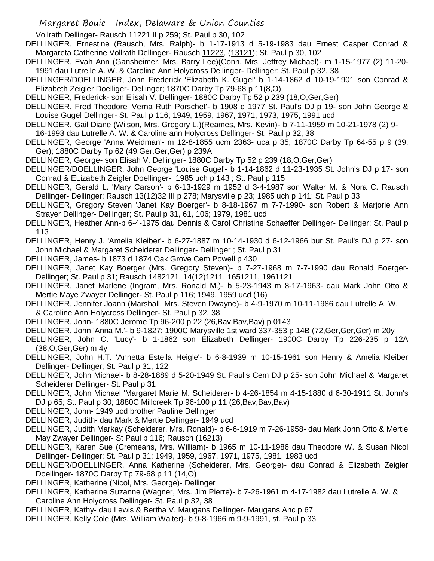Vollrath Dellinger- Rausch 11221 II p 259; St. Paul p 30, 102

- DELLINGER, Ernestine (Rausch, Mrs. Ralph)- b 1-17-1913 d 5-19-1983 dau Ernest Casper Conrad & Margareta Catherine Vollrath Dellinger- Rausch 11223, (13121); St. Paul p 30, 102
- DELLINGER, Evah Ann (Gansheimer, Mrs. Barry Lee)(Conn, Mrs. Jeffrey Michael)- m 1-15-1977 (2) 11-20- 1991 dau Lutrelle A. W. & Caroline Ann Holycross Dellinger- Dellinger; St. Paul p 32, 38
- DELLINGER/DOELLINGER, John Frederick 'Elizabeth K. Gugel' b 1-14-1862 d 10-19-1901 son Conrad & Elizabeth Zeigler Doelliger- Dellinger; 1870C Darby Tp 79-68 p 11(8,O)
- DELLINGER, Frederick- son Elisah V. Dellinger- 1880C Darby Tp 52 p 239 (18,O,Ger,Ger)
- DELLINGER, Fred Theodore 'Verna Ruth Porschet'- b 1908 d 1977 St. Paul's DJ p 19- son John George & Louise Gugel Dellinger- St. Paul p 116; 1949, 1959, 1967, 1971, 1973, 1975, 1991 ucd
- DELLINGER, Gail Diane (Wilson, Mrs. Gregory L.)(Reames, Mrs. Kevin)- b 7-11-1959 m 10-21-1978 (2) 9- 16-1993 dau Lutrelle A. W. & Caroline ann Holycross Dellinger- St. Paul p 32, 38
- DELLINGER, George 'Anna Weidman'- m 12-8-1855 ucm 2363- uca p 35; 1870C Darby Tp 64-55 p 9 (39, Ger); 1880C Darby Tp 62 (49,Ger,Ger,Ger) p 239A
- DELLINGER, George- son Elisah V. Dellinger- 1880C Darby Tp 52 p 239 (18,O,Ger,Ger)
- DELLINGER/DOELLINGER, John George 'Louise Gugel'- b 1-14-1862 d 11-23-1935 St. John's DJ p 17- son Conrad & ELizabeth Zeigler Doellinger- 1985 uch p 143 ; St. Paul p 115
- DELLINGER, Gerald L. 'Mary Carson'- b 6-13-1929 m 1952 d 3-4-1987 son Walter M. & Nora C. Rausch Dellinger- Dellinger; Rausch 13(12)32 III p 278; Marysville p 23; 1985 uch p 141; St. Paul p 33
- DELLINGER, Gregory Steven 'Janet Kay Boerger'- b 8-18-1967 m 7-7-1990- son Robert & Marjorie Ann Strayer Dellinger- Dellinger; St. Paul p 31, 61, 106; 1979, 1981 ucd
- DELLINGER, Heather Ann-b 6-4-1975 dau Dennis & Carol Christine Schaeffer Dellinger- Dellinger; St. Paul p 113
- DELLINGER, Henry J. 'Amelia Kleiber'- b 6-27-1887 m 10-14-1930 d 6-12-1966 bur St. Paul's DJ p 27- son John Michael & Margaret Scheiderer Dellinger- Dellinger ; St. Paul p 31
- DELLINGER, James- b 1873 d 1874 Oak Grove Cem Powell p 430
- DELLINGER, Janet Kay Boerger (Mrs. Gregory Steven)- b 7-27-1968 m 7-7-1990 dau Ronald Boerger-Dellinger; St. Paul p 31; Rausch 1482121, 14(12)1211, 1651211, 1961121
- DELLINGER, Janet Marlene (Ingram, Mrs. Ronald M.)- b 5-23-1943 m 8-17-1963- dau Mark John Otto & Mertie Maye Zwayer Dellinger- St. Paul p 116; 1949, 1959 ucd (16)
- DELLINGER, Jennifer Joann (Marshall, Mrs. Steven Dwayne)- b 4-9-1970 m 10-11-1986 dau Lutrelle A. W.
- & Caroline Ann Holycross Dellinger- St. Paul p 32, 38
- DELLINGER, John- 1880C Jerome Tp 96-200 p 22 (26, Bav, Bav, Bav) p 0143
- DELLINGER, John 'Anna M.'- b 9-1827; 1900C Marysville 1st ward 337-353 p 14B (72,Ger,Ger,Ger) m 20y
- DELLINGER, John C. 'Lucy'- b 1-1862 son Elizabeth Dellinger- 1900C Darby Tp 226-235 p 12A (38,O,Ger,Ger) m 4y
- DELLINGER, John H.T. 'Annetta Estella Heigle'- b 6-8-1939 m 10-15-1961 son Henry & Amelia Kleiber Dellinger- Dellinger; St. Paul p 31, 122
- DELLINGER, John Michael- b 8-28-1889 d 5-20-1949 St. Paul's Cem DJ p 25- son John Michael & Margaret Scheiderer Dellinger- St. Paul p 31
- DELLINGER, John Michael 'Margaret Marie M. Scheiderer- b 4-26-1854 m 4-15-1880 d 6-30-1911 St. John's DJ p 65; St. Paul p 30; 1880C Millcreek Tp 96-100 p 11 (26,Bav,Bav,Bav)
- DELLINGER, John- 1949 ucd brother Pauline Dellinger
- DELLINGER, Judith- dau Mark & Mertie Dellinger- 1949 ucd
- DELLINGER, Judith Markay (Scheiderer, Mrs. Ronald)- b 6-6-1919 m 7-26-1958- dau Mark John Otto & Mertie May Zwayer Dellinger- St Paul p 116; Rausch (16213)
- DELLINGER, Karen Sue (Cremeans, Mrs. William)- b 1965 m 10-11-1986 dau Theodore W. & Susan Nicol Dellinger- Dellinger; St. Paul p 31; 1949, 1959, 1967, 1971, 1975, 1981, 1983 ucd
- DELLINGER/DOELLINGER, Anna Katherine (Scheiderer, Mrs. George)- dau Conrad & Elizabeth Zeigler Doellinger- 1870C Darby Tp 79-68 p 11 (14,O)
- DELLINGER, Katherine (Nicol, Mrs. George)- Dellinger
- DELLINGER, Katherine Suzanne (Wagner, Mrs. Jim Pierre)- b 7-26-1961 m 4-17-1982 dau Lutrelle A. W. & Caroline Ann Holycross Dellinger- St. Paul p 32, 38
- DELLINGER, Kathy- dau Lewis & Bertha V. Maugans Dellinger- Maugans Anc p 67
- DELLINGER, Kelly Cole (Mrs. William Walter)- b 9-8-1966 m 9-9-1991, st. Paul p 33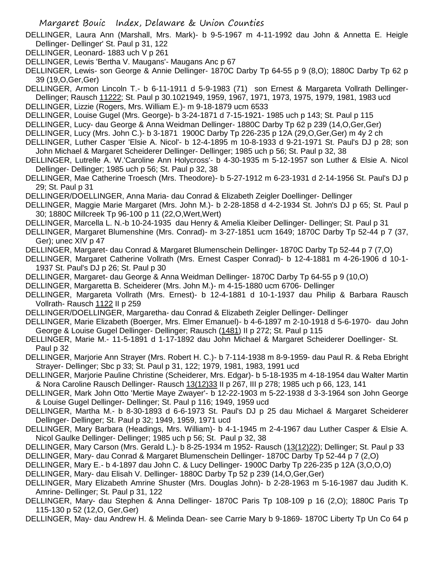- DELLINGER, Laura Ann (Marshall, Mrs. Mark)- b 9-5-1967 m 4-11-1992 dau John & Annetta E. Heigle Dellinger- Dellinger' St. Paul p 31, 122
- DELLINGER, Leonard- 1883 uch V p 261
- DELLINGER, Lewis 'Bertha V. Maugans'- Maugans Anc p 67
- DELLINGER, Lewis- son George & Annie Dellinger- 1870C Darby Tp 64-55 p 9 (8,O); 1880C Darby Tp 62 p 39 (19,O,Ger,Ger)
- DELLINGER, Armon Lincoln T.- b 6-11-1911 d 5-9-1983 (71) son Ernest & Margareta Vollrath Dellinger-Dellinger; Rausch 11222; St. Paul p 30.1021949, 1959, 1967, 1971, 1973, 1975, 1979, 1981, 1983 ucd
- DELLINGER, Lizzie (Rogers, Mrs. William E.)- m 9-18-1879 ucm 6533
- DELLINGER, Louise Gugel (Mrs. George)- b 3-24-1871 d 7-15-1921- 1985 uch p 143; St. Paul p 115
- DELLINGER, Lucy- dau George & Anna Weidman Dellinger- 1880C Darby Tp 62 p 239 (14,O,Ger,Ger)
- DELLINGER, Lucy (Mrs. John C.)- b 3-1871 1900C Darby Tp 226-235 p 12A (29,O,Ger,Ger) m 4y 2 ch
- DELLINGER, Luther Casper 'Elsie A. Nicol'- b 12-4-1895 m 10-8-1933 d 9-21-1971 St. Paul's DJ p 28; son John Michael & Margaret Scheiderer Dellinger- Dellinger; 1985 uch p 56; St. Paul p 32, 38
- DELLINGER, Lutrelle A. W.'Caroline Ann Holycross'- b 4-30-1935 m 5-12-1957 son Luther & Elsie A. Nicol Dellinger- Dellinger; 1985 uch p 56; St. Paul p 32, 38
- DELLINGER, Mae Catherine Troesch (Mrs. Theodore)- b 5-27-1912 m 6-23-1931 d 2-14-1956 St. Paul's DJ p 29; St. Paul p 31
- DELLINGER/DOELLINGER, Anna Maria- dau Conrad & Elizabeth Zeigler Doellinger- Dellinger
- DELLINGER, Maggie Marie Margaret (Mrs. John M.)- b 2-28-1858 d 4-2-1934 St. John's DJ p 65; St. Paul p 30; 1880C Millcreek Tp 96-100 p 11 (22,O,Wert,Wert)
- DELLINGER, Marcella L. N.-b 10-24-1935 dau Henry & Amelia Kleiber Dellinger- Dellinger; St. Paul p 31
- DELLINGER, Margaret Blumenshine (Mrs. Conrad)- m 3-27-1851 ucm 1649; 1870C Darby Tp 52-44 p 7 (37, Ger); unec XIV p 47
- DELLINGER, Margaret- dau Conrad & Margaret Blumenschein Dellinger- 1870C Darby Tp 52-44 p 7 (7,O)
- DELLINGER, Margaret Catherine Vollrath (Mrs. Ernest Casper Conrad)- b 12-4-1881 m 4-26-1906 d 10-1- 1937 St. Paul's DJ p 26; St. Paul p 30
- DELLINGER, Margaret- dau George & Anna Weidman Dellinger- 1870C Darby Tp 64-55 p 9 (10,O)
- DELLINGER, Margaretta B. Scheiderer (Mrs. John M.)- m 4-15-1880 ucm 6706- Dellinger
- DELLINGER, Margareta Vollrath (Mrs. Ernest)- b 12-4-1881 d 10-1-1937 dau Philip & Barbara Rausch Vollrath- Rausch 1122 II p 259
- DELLINGER/DOELLINGER, Margaretha- dau Conrad & Elizabeth Zeigler Dellinger- Dellinger
- DELLINGER, Marie Elizabeth (Boerger, Mrs. Elmer Emanuel)- b 4-6-1897 m 2-10-1918 d 5-6-1970- dau John George & Louise Gugel Dellinger- Dellinger; Rausch (1481) II p 272; St. Paul p 115
- DELLINGER, Marie M.- 11-5-1891 d 1-17-1892 dau John Michael & Margaret Scheiderer Doellinger- St. Paul p 32
- DELLINGER, Marjorie Ann Strayer (Mrs. Robert H. C.)- b 7-114-1938 m 8-9-1959- dau Paul R. & Reba Ebright Strayer- Dellinger; Sbc p 33; St. Paul p 31, 122; 1979, 1981, 1983, 1991 ucd
- DELLINGER, Marjorie Pauline Christine (Scheiderer, Mrs. Edgar)- b 5-18-1935 m 4-18-1954 dau Walter Martin & Nora Caroline Rausch Dellinger- Rausch 13(12)33 II p 267, III p 278; 1985 uch p 66, 123, 141
- DELLINGER, Mark John Otto 'Mertie Maye Zwayer'- b 12-22-1903 m 5-22-1938 d 3-3-1964 son John George & Louise Gugel Dellinger- Dellinger; St. Paul p 116; 1949, 1959 ucd
- DELLINGER, Martha M.- b 8-30-1893 d 6-6-1973 St. Paul's DJ p 25 dau Michael & Margaret Scheiderer Dellinger- Dellinger; St. Paul p 32; 1949, 1959, 1971 ucd
- DELLINGER, Mary Barbara (Headings, Mrs. William)- b 4-1-1945 m 2-4-1967 dau Luther Casper & Elsie A. Nicol Gaulke Dellinger- Dellinger; 1985 uch p 56; St. Paul p 32, 38
- DELLINGER, Mary Carson (Mrs. Gerald L.)- b 8-25-1934 m 1952- Rausch (13(12)22); Dellinger; St. Paul p 33 DELLINGER, Mary- dau Conrad & Margaret Blumenschein Dellinger- 1870C Darby Tp 52-44 p 7 (2,O)
- DELLINGER, Mary E.- b 4-1897 dau John C. & Lucy Dellinger- 1900C Darby Tp 226-235 p 12A (3,O,O,O)
- DELLINGER, Mary- dau Elisah V. Dellinger- 1880C Darby Tp 52 p 239 (14,O,Ger,Ger)
- DELLINGER, Mary Elizabeth Amrine Shuster (Mrs. Douglas John)- b 2-28-1963 m 5-16-1987 dau Judith K. Amrine- Dellinger; St. Paul p 31, 122
- DELLINGER, Mary- dau Stephen & Anna Dellinger- 1870C Paris Tp 108-109 p 16 (2,O); 1880C Paris Tp 115-130 p 52 (12,O, Ger,Ger)
- DELLINGER, May- dau Andrew H. & Melinda Dean- see Carrie Mary b 9-1869- 1870C Liberty Tp Un Co 64 p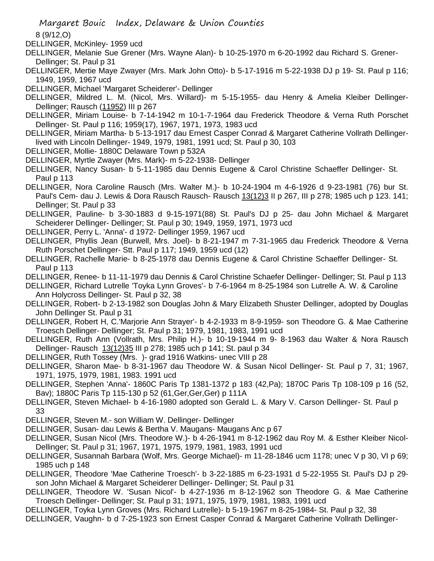8 (9/12,O)

DELLINGER, McKinley- 1959 ucd

DELLINGER, Melanie Sue Grener (Mrs. Wayne Alan)- b 10-25-1970 m 6-20-1992 dau Richard S. Grener-Dellinger; St. Paul p 31

DELLINGER, Mertie Maye Zwayer (Mrs. Mark John Otto)- b 5-17-1916 m 5-22-1938 DJ p 19- St. Paul p 116; 1949, 1959, 1967 ucd

DELLINGER, Michael 'Margaret Scheiderer'- Dellinger

DELLINGER, Mildred L. M. (Nicol, Mrs. Willard)- m 5-15-1955- dau Henry & Amelia Kleiber Dellinger-Dellinger; Rausch (11952) III p 267

DELLINGER, Miriam Louise- b 7-14-1942 m 10-1-7-1964 dau Frederick Theodore & Verna Ruth Porschet Dellinger- St. Paul p 116; 1959(17), 1967, 1971, 1973, 1983 ucd

DELLINGER, Miriam Martha- b 5-13-1917 dau Ernest Casper Conrad & Margaret Catherine Vollrath Dellingerlived with Lincoln Dellinger- 1949, 1979, 1981, 1991 ucd; St. Paul p 30, 103

DELLINGER, Mollie- 1880C Delaware Town p 532A

DELLINGER, Myrtle Zwayer (Mrs. Mark)- m 5-22-1938- Dellinger

DELLINGER, Nancy Susan- b 5-11-1985 dau Dennis Eugene & Carol Christine Schaeffer Dellinger- St. Paul p 113

DELLINGER, Nora Caroline Rausch (Mrs. Walter M.)- b 10-24-1904 m 4-6-1926 d 9-23-1981 (76) bur St. Paul's Cem- dau J. Lewis & Dora Rausch Rausch- Rausch 13(12)3 II p 267, III p 278; 1985 uch p 123. 141; Dellinger; St. Paul p 33

DELLINGER, Pauline- b 3-30-1883 d 9-15-1971(88) St. Paul's DJ p 25- dau John Michael & Margaret Scheiderer Dellinger- Dellinger; St. Paul p 30; 1949, 1959, 1971, 1973 ucd

DELLINGER, Perry L. 'Anna'- d 1972- Dellinger 1959, 1967 ucd

DELLINGER, Phyllis Jean (Burwell, Mrs. Joel)- b 8-21-1947 m 7-31-1965 dau Frederick Theodore & Verna Ruth Porschet Dellinger- Stt. Paul p 117; 1949, 1959 ucd (12)

DELLINGER, Rachelle Marie- b 8-25-1978 dau Dennis Eugene & Carol Christine Schaeffer Dellinger- St. Paul p 113

DELLINGER, Renee- b 11-11-1979 dau Dennis & Carol Christine Schaefer Dellinger- Dellinger; St. Paul p 113

DELLINGER, Richard Lutrelle 'Toyka Lynn Groves'- b 7-6-1964 m 8-25-1984 son Lutrelle A. W. & Caroline Ann Holycross Dellinger- St. Paul p 32, 38

DELLINGER, Robert- b 2-13-1982 son Douglas John & Mary Elizabeth Shuster Dellinger, adopted by Douglas John Dellinger St. Paul p 31

DELLINGER, Robert H, C.'Marjorie Ann Strayer'- b 4-2-1933 m 8-9-1959- son Theodore G. & Mae Catherine Troesch Dellinger- Dellinger; St. Paul p 31; 1979, 1981, 1983, 1991 ucd

DELLINGER, Ruth Ann (Vollrath, Mrs. Philip H.)- b 10-19-1944 m 9- 8-1963 dau Walter & Nora Rausch Dellinger- Rausch 13(12)35 III p 278; 1985 uch p 141; St. paul p 34

DELLINGER, Ruth Tossey (Mrs. )- grad 1916 Watkins- unec VIII p 28

DELLINGER, Sharon Mae- b 8-31-1967 dau Theodore W. & Susan Nicol Dellinger- St. Paul p 7, 31; 1967, 1971, 1975, 1979, 1981, 1983. 1991 ucd

DELLINGER, Stephen 'Anna'- 1860C Paris Tp 1381-1372 p 183 (42,Pa); 1870C Paris Tp 108-109 p 16 (52, Bav); 1880C Paris Tp 115-130 p 52 (61,Ger,Ger,Ger) p 111A

DELLINGER, Steven Michael- b 4-16-1980 adopted son Gerald L. & Mary V. Carson Dellinger- St. Paul p 33

DELLINGER, Steven M.- son William W. Dellinger- Dellinger

DELLINGER, Susan- dau Lewis & Bertha V. Maugans- Maugans Anc p 67

DELLINGER, Susan Nicol (Mrs. Theodore W.)- b 4-26-1941 m 8-12-1962 dau Roy M. & Esther Kleiber Nicol-Dellinger; St. Paul p 31; 1967, 1971, 1975, 1979, 1981, 1983, 1991 ucd

DELLINGER, Susannah Barbara (Wolf, Mrs. George Michael)- m 11-28-1846 ucm 1178; unec V p 30, VI p 69; 1985 uch p 148

DELLINGER, Theodore 'Mae Catherine Troesch'- b 3-22-1885 m 6-23-1931 d 5-22-1955 St. Paul's DJ p 29 son John Michael & Margaret Scheiderer Dellinger- Dellinger; St. Paul p 31

DELLINGER, Theodore W. 'Susan Nicol'- b 4-27-1936 m 8-12-1962 son Theodore G. & Mae Catherine Troesch Dellinger- Dellinger; St. Paul p 31; 1971, 1975, 1979, 1981, 1983, 1991 ucd

DELLINGER, Toyka Lynn Groves (Mrs. Richard Lutrelle)- b 5-19-1967 m 8-25-1984- St. Paul p 32, 38

DELLINGER, Vaughn- b d 7-25-1923 son Ernest Casper Conrad & Margaret Catherine Vollrath Dellinger-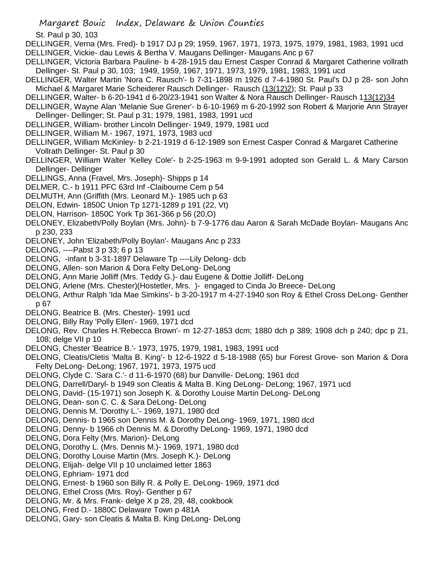St. Paul p 30, 103

DELLINGER, Verna (Mrs. Fred)- b 1917 DJ p 29; 1959, 1967, 1971, 1973, 1975, 1979, 1981, 1983, 1991 ucd DELLINGER, Vickie- dau Lewis & Bertha V. Maugans Dellinger- Maugans Anc p 67

- DELLINGER, Victoria Barbara Pauline- b 4-28-1915 dau Ernest Casper Conrad & Margaret Catherine vollrath Dellinger- St. Paul p 30, 103; 1949, 1959, 1967, 1971, 1973, 1979, 1981, 1983, 1991 ucd
- DELLINGER, Walter Martin 'Nora C. Rausch'- b 7-31-1898 m 1926 d 7-4-1980 St. Paul's DJ p 28- son John Michael & Margaret Marie Scheiderer Rausch Dellinger- Rausch (13(12)2); St. Paul p 33
- DELLINGER, Walter- b 6-20-1941 d 6-20/23-1941 son Walter & Nora Rausch Dellinger- Rausch 113(12)34
- DELLINGER, Wayne Alan 'Melanie Sue Grener'- b 6-10-1969 m 6-20-1992 son Robert & Marjorie Ann Strayer Dellinger- Dellinger; St. Paul p 31; 1979, 1981, 1983, 1991 ucd
- DELLINGER, William- brother Lincoln Dellinger- 1949, 1979, 1981 ucd
- DELLINGER, William M.- 1967, 1971, 1973, 1983 ucd
- DELLINGER, William McKinley- b 2-21-1919 d 6-12-1989 son Ernest Casper Conrad & Margaret Catherine Vollrath Dellinger- St. Paul p 30
- DELLINGER, William Walter 'Kelley Cole'- b 2-25-1963 m 9-9-1991 adopted son Gerald L. & Mary Carson Dellinger- Dellinger
- DELLINGS, Anna (Fravel, Mrs. Joseph)- Shipps p 14
- DELMER, C.- b 1911 PFC 63rd Inf -Claibourne Cem p 54
- DELMUTH, Ann (Griffith (Mrs. Leonard M.)- 1985 uch p 63
- DELON, Edwin- 1850C Union Tp 1271-1289 p 191 (22, Vt)
- DELON, Harrison- 1850C York Tp 361-366 p 56 (20,O)
- DELONEY, Elizabeth/Polly Boylan (Mrs. John)- b 7-9-1776 dau Aaron & Sarah McDade Boylan- Maugans Anc p 230, 233
- DELONEY, John 'Elizabeth/Polly Boylan'- Maugans Anc p 233
- DELONG, ----Pabst 3 p 33; 6 p 13
- DELONG, -infant b 3-31-1897 Delaware Tp ----Lily Delong- dcb
- DELONG, Allen- son Marion & Dora Felty DeLong- DeLong
- DELONG, Ann Marie Jolliff (Mrs. Teddy G.)- dau Eugene & Dottie Jolliff- DeLong
- DELONG, Arlene (Mrs. Chester)(Hostetler, Mrs. )- engaged to Cinda Jo Breece- DeLong
- DELONG, Arthur Ralph 'Ida Mae Simkins'- b 3-20-1917 m 4-27-1940 son Roy & Ethel Cross DeLong- Genther p 67
- DELONG, Beatrice B. (Mrs. Chester)- 1991 ucd
- DELONG, Billy Ray 'Polly Ellen'- 1969, 1971 dcd
- DELONG, Rev. Charles H.'Rebecca Brown'- m 12-27-1853 dcm; 1880 dch p 389; 1908 dch p 240; dpc p 21, 108; delge VII p 10
- DELONG, Chester 'Beatrice B.'- 1973, 1975, 1979, 1981, 1983, 1991 ucd
- DELONG, Cleatis/Cletis 'Malta B. King'- b 12-6-1922 d 5-18-1988 (65) bur Forest Grove- son Marion & Dora Felty DeLong- DeLong; 1967, 1971, 1973, 1975 ucd
- DELONG, Clyde C. 'Sara C.'- d 11-6-1970 (68) bur Danville- DeLong; 1961 dcd
- DELONG, Darrell/Daryl- b 1949 son Cleatis & Malta B. King DeLong- DeLong; 1967, 1971 ucd
- DELONG, David- (15-1971) son Joseph K. & Dorothy Louise Martin DeLong- DeLong
- DELONG, Dean- son C. C. & Sara DeLong- DeLong
- DELONG, Dennis M. 'Dorothy L.'- 1969, 1971, 1980 dcd
- DELONG, Dennis- b 1965 son Dennis M. & Dorothy DeLong- 1969, 1971, 1980 dcd
- DELONG, Denny- b 1966 ch Dennis M. & Dorothy DeLong- 1969, 1971, 1980 dcd
- DELONG, Dora Felty (Mrs. Marion)- DeLong
- DELONG, Dorothy L. (Mrs. Dennis M.)- 1969, 1971, 1980 dcd
- DELONG, Dorothy Louise Martin (Mrs. Joseph K.)- DeLong
- DELONG, Elijah- delge VII p 10 unclaimed letter 1863
- DELONG, Ephriam- 1971 dcd
- DELONG, Ernest- b 1960 son Billy R. & Polly E. DeLong- 1969, 1971 dcd
- DELONG, Ethel Cross (Mrs. Roy)- Genther p 67
- DELONG, Mr. & Mrs. Frank- delge X p 28, 29, 48, cookbook
- DELONG, Fred D.- 1880C Delaware Town p 481A
- DELONG, Gary- son Cleatis & Malta B. King DeLong- DeLong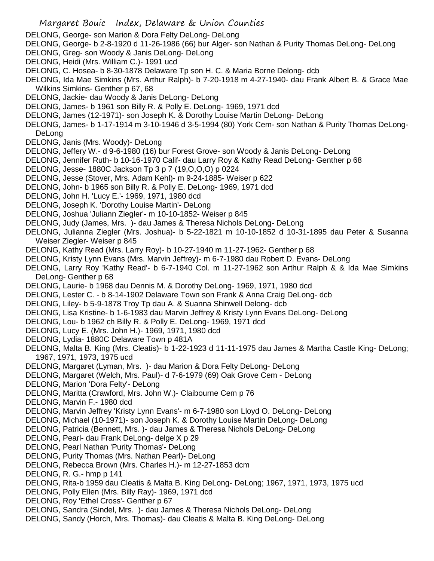- DELONG, George- son Marion & Dora Felty DeLong- DeLong
- DELONG, George- b 2-8-1920 d 11-26-1986 (66) bur Alger- son Nathan & Purity Thomas DeLong- DeLong
- DELONG, Greg- son Woody & Janis DeLong- DeLong
- DELONG, Heidi (Mrs. William C.)- 1991 ucd
- DELONG, C. Hosea- b 8-30-1878 Delaware Tp son H. C. & Maria Borne Delong- dcb
- DELONG, Ida Mae Simkins (Mrs. Arthur Ralph)- b 7-20-1918 m 4-27-1940- dau Frank Albert B. & Grace Mae Wilkins Simkins- Genther p 67, 68
- DELONG, Jackie- dau Woody & Janis DeLong- DeLong
- DELONG, James- b 1961 son Billy R. & Polly E. DeLong- 1969, 1971 dcd
- DELONG, James (12-1971)- son Joseph K. & Dorothy Louise Martin DeLong- DeLong
- DELONG, James- b 1-17-1914 m 3-10-1946 d 3-5-1994 (80) York Cem- son Nathan & Purity Thomas DeLong-DeLong
- DELONG, Janis (Mrs. Woody)- DeLong
- DELONG, Jeffery W.- d 9-6-1980 (16) bur Forest Grove- son Woody & Janis DeLong- DeLong
- DELONG, Jennifer Ruth- b 10-16-1970 Calif- dau Larry Roy & Kathy Read DeLong- Genther p 68
- DELONG, Jesse- 1880C Jackson Tp 3 p 7 (19,O,O,O) p 0224
- DELONG, Jesse (Stover, Mrs. Adam Kehl)- m 9-24-1885- Weiser p 622
- DELONG, John- b 1965 son Billy R. & Polly E. DeLong- 1969, 1971 dcd
- DELONG, John H. 'Lucy E.'- 1969, 1971, 1980 dcd
- DELONG, Joseph K. 'Dorothy Louise Martin'- DeLong
- DELONG, Joshua 'Juliann Ziegler'- m 10-10-1852- Weiser p 845
- DELONG, Judy (James, Mrs. )- dau James & Theresa Nichols DeLong- DeLong
- DELONG, Julianna Ziegler (Mrs. Joshua)- b 5-22-1821 m 10-10-1852 d 10-31-1895 dau Peter & Susanna Weiser Ziegler- Weiser p 845
- DELONG, Kathy Read (Mrs. Larry Roy)- b 10-27-1940 m 11-27-1962- Genther p 68
- DELONG, Kristy Lynn Evans (Mrs. Marvin Jeffrey)- m 6-7-1980 dau Robert D. Evans- DeLong
- DELONG, Larry Roy 'Kathy Read'- b 6-7-1940 Col. m 11-27-1962 son Arthur Ralph & & Ida Mae Simkins DeLong- Genther p 68
- DELONG, Laurie- b 1968 dau Dennis M. & Dorothy DeLong- 1969, 1971, 1980 dcd
- DELONG, Lester C. b 8-14-1902 Delaware Town son Frank & Anna Craig DeLong- dcb
- DELONG, Liley- b 5-9-1878 Troy Tp dau A. & Suanna Shinwell Delong- dcb
- DELONG, Lisa Kristine- b 1-6-1983 dau Marvin Jeffrey & Kristy Lynn Evans DeLong- DeLong
- DELONG, Lou- b 1962 ch Billy R. & Polly E. DeLong- 1969, 1971 dcd
- DELONG, Lucy E. (Mrs. John H.)- 1969, 1971, 1980 dcd
- DELONG, Lydia- 1880C Delaware Town p 481A
- DELONG, Malta B. King (Mrs. Cleatis)- b 1-22-1923 d 11-11-1975 dau James & Martha Castle King- DeLong; 1967, 1971, 1973, 1975 ucd
- DELONG, Margaret (Lyman, Mrs. )- dau Marion & Dora Felty DeLong- DeLong
- DELONG, Margaret (Welch, Mrs. Paul)- d 7-6-1979 (69) Oak Grove Cem DeLong
- DELONG, Marion 'Dora Felty'- DeLong
- DELONG, Maritta (Crawford, Mrs. John W.)- Claibourne Cem p 76
- DELONG, Marvin F.- 1980 dcd
- DELONG, Marvin Jeffrey 'Kristy Lynn Evans'- m 6-7-1980 son Lloyd O. DeLong- DeLong
- DELONG, Michael (10-1971)- son Joseph K. & Dorothy Louise Martin DeLong- DeLong
- DELONG, Patricia (Bennett, Mrs. )- dau James & Theresa Nichols DeLong- DeLong
- DELONG, Pearl- dau Frank DeLong- delge X p 29
- DELONG, Pearl Nathan 'Purity Thomas'- DeLong
- DELONG, Purity Thomas (Mrs. Nathan Pearl)- DeLong
- DELONG, Rebecca Brown (Mrs. Charles H.)- m 12-27-1853 dcm
- DELONG, R. G.- hmp p 141
- DELONG, Rita-b 1959 dau Cleatis & Malta B. King DeLong- DeLong; 1967, 1971, 1973, 1975 ucd
- DELONG, Polly Ellen (Mrs. Billy Ray)- 1969, 1971 dcd
- DELONG, Roy 'Ethel Cross'- Genther p 67
- DELONG, Sandra (Sindel, Mrs. )- dau James & Theresa Nichols DeLong- DeLong
- DELONG, Sandy (Horch, Mrs. Thomas)- dau Cleatis & Malta B. King DeLong- DeLong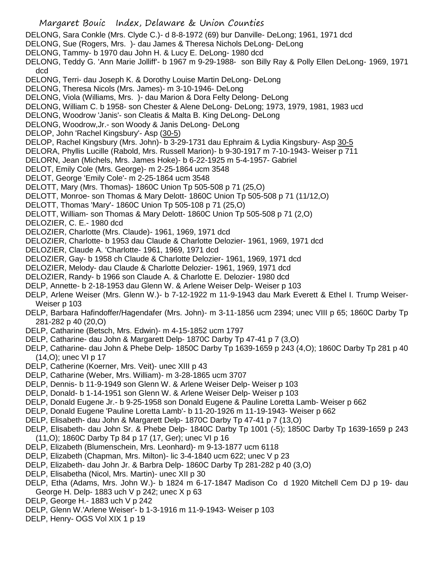- DELONG, Sara Conkle (Mrs. Clyde C.)- d 8-8-1972 (69) bur Danville- DeLong; 1961, 1971 dcd
- DELONG, Sue (Rogers, Mrs. )- dau James & Theresa Nichols DeLong- DeLong
- DELONG, Tammy- b 1970 dau John H. & Lucy E. DeLong- 1980 dcd
- DELONG, Teddy G. 'Ann Marie Jolliff'- b 1967 m 9-29-1988- son Billy Ray & Polly Ellen DeLong- 1969, 1971 dcd
- DELONG, Terri- dau Joseph K. & Dorothy Louise Martin DeLong- DeLong
- DELONG, Theresa Nicols (Mrs. James)- m 3-10-1946- DeLong
- DELONG, Viola (Williams, Mrs. )- dau Marion & Dora Felty Delong- DeLong
- DELONG, William C. b 1958- son Chester & Alene DeLong- DeLong; 1973, 1979, 1981, 1983 ucd
- DELONG, Woodrow 'Janis'- son Cleatis & Malta B. King DeLong- DeLong
- DELONG, Woodrow,Jr.- son Woody & Janis DeLong- DeLong
- DELOP, John 'Rachel Kingsbury'- Asp (30-5)
- DELOP, Rachel Kingsbury (Mrs. John)- b 3-29-1731 dau Ephraim & Lydia Kingsbury- Asp 30-5
- DELORA, Phyllis Lucille (Rabold, Mrs. Russell Marion)- b 9-30-1917 m 7-10-1943- Weiser p 711
- DELORN, Jean (Michels, Mrs. James Hoke)- b 6-22-1925 m 5-4-1957- Gabriel
- DELOT, Emily Cole (Mrs. George)- m 2-25-1864 ucm 3548
- DELOT, George 'Emily Cole'- m 2-25-1864 ucm 3548
- DELOTT, Mary (Mrs. Thomas)- 1860C Union Tp 505-508 p 71 (25,O)
- DELOTT, Monroe- son Thomas & Mary Delott- 1860C Union Tp 505-508 p 71 (11/12,O)
- DELOTT, Thomas 'Mary'- 1860C Union Tp 505-108 p 71 (25,O)
- DELOTT, William- son Thomas & Mary Delott- 1860C Union Tp 505-508 p 71 (2,O)
- DELOZIER, C. E.- 1980 dcd
- DELOZIER, Charlotte (Mrs. Claude)- 1961, 1969, 1971 dcd
- DELOZIER, Charlotte- b 1953 dau Claude & Charlotte Delozier- 1961, 1969, 1971 dcd
- DELOZIER, Claude A. 'Charlotte- 1961, 1969, 1971 dcd
- DELOZIER, Gay- b 1958 ch Claude & Charlotte Delozier- 1961, 1969, 1971 dcd
- DELOZIER, Melody- dau Claude & Charlotte Delozier- 1961, 1969, 1971 dcd
- DELOZIER, Randy- b 1966 son Claude A. & Charlotte E. Delozier- 1980 dcd
- DELP, Annette- b 2-18-1953 dau Glenn W. & Arlene Weiser Delp- Weiser p 103
- DELP, Arlene Weiser (Mrs. Glenn W.)- b 7-12-1922 m 11-9-1943 dau Mark Everett & Ethel I. Trump Weiser-Weiser p 103
- DELP, Barbara Hafindoffer/Hagendafer (Mrs. John)- m 3-11-1856 ucm 2394; unec VIII p 65; 1860C Darby Tp 281-282 p 40 (20,O)
- DELP, Catharine (Betsch, Mrs. Edwin)- m 4-15-1852 ucm 1797
- DELP, Catharine- dau John & Margarett Delp- 1870C Darby Tp 47-41 p 7 (3,O)
- DELP, Catharine- dau John & Phebe Delp- 1850C Darby Tp 1639-1659 p 243 (4,O); 1860C Darby Tp 281 p 40 (14,O); unec VI p 17
- DELP, Catherine (Koerner, Mrs. Veit)- unec XIII p 43
- DELP, Catharine (Weber, Mrs. William)- m 3-28-1865 ucm 3707
- DELP, Dennis- b 11-9-1949 son Glenn W. & Arlene Weiser Delp- Weiser p 103
- DELP, Donald- b 1-14-1951 son Glenn W. & Arlene Weiser Delp- Weiser p 103
- DELP, Donald Eugene Jr.- b 9-25-1958 son Donald Eugene & Pauline Loretta Lamb- Weiser p 662
- DELP, Donald Eugene 'Pauline Loretta Lamb'- b 11-20-1926 m 11-19-1943- Weiser p 662
- DELP, Elisabeth- dau John & Margarett Delp- 1870C Darby Tp 47-41 p 7 (13,O)
- DELP, Elisabeth- dau John Sr. & Phebe Delp- 1840C Darby Tp 1001 (-5); 1850C Darby Tp 1639-1659 p 243 (11,O); 1860C Darby Tp 84 p 17 (17, Ger); unec VI p 16
- DELP, Elizabeth (Blumenschein, Mrs. Leonhard)- m 9-13-1877 ucm 6118
- DELP, Elizabeth (Chapman, Mrs. Milton)- lic 3-4-1840 ucm 622; unec V p 23
- DELP, Elizabeth- dau John Jr. & Barbra Delp- 1860C Darby Tp 281-282 p 40 (3,O)
- DELP, Elisabetha (Nicol, Mrs. Martin)- unec XII p 30
- DELP, Etha (Adams, Mrs. John W.)- b 1824 m 6-17-1847 Madison Co d 1920 Mitchell Cem DJ p 19- dau George H. Delp- 1883 uch V p 242; unec X p 63
- DELP, George H.- 1883 uch V p 242
- DELP, Glenn W.'Arlene Weiser'- b 1-3-1916 m 11-9-1943- Weiser p 103
- DELP, Henry- OGS Vol XIX 1 p 19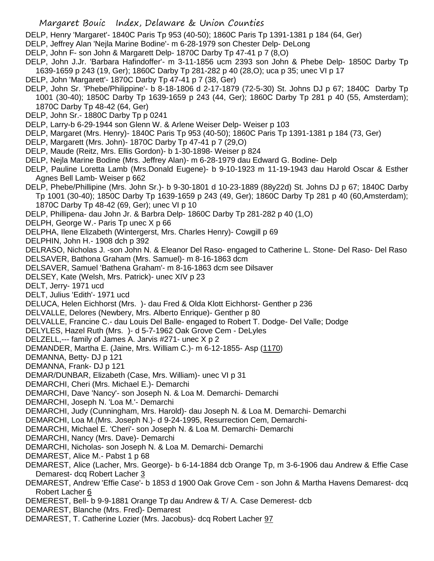DELP, Henry 'Margaret'- 1840C Paris Tp 953 (40-50); 1860C Paris Tp 1391-1381 p 184 (64, Ger)

DELP, Jeffrey Alan 'Nejla Marine Bodine'- m 6-28-1979 son Chester Delp- DeLong

- DELP, John F- son John & Margarett Delp- 1870C Darby Tp 47-41 p 7 (8,O)
- DELP, John J.Jr. 'Barbara Hafindoffer'- m 3-11-1856 ucm 2393 son John & Phebe Delp- 1850C Darby Tp 1639-1659 p 243 (19, Ger); 1860C Darby Tp 281-282 p 40 (28,O); uca p 35; unec VI p 17
- DELP, John 'Margarett'- 1870C Darby Tp 47-41 p 7 (38, Ger)
- DELP, John Sr. 'Phebe/Philippine'- b 8-18-1806 d 2-17-1879 (72-5-30) St. Johns DJ p 67; 1840C Darby Tp 1001 (30-40); 1850C Darby Tp 1639-1659 p 243 (44, Ger); 1860C Darby Tp 281 p 40 (55, Amsterdam); 1870C Darby Tp 48-42 (64, Ger)
- DELP, John Sr.- 1880C Darby Tp p 0241
- DELP, Larry-b 6-29-1944 son Glenn W. & Arlene Weiser Delp- Weiser p 103
- DELP, Margaret (Mrs. Henry)- 1840C Paris Tp 953 (40-50); 1860C Paris Tp 1391-1381 p 184 (73, Ger)
- DELP, Margarett (Mrs. John)- 1870C Darby Tp 47-41 p 7 (29,O)
- DELP, Maude (Reitz, Mrs. Ellis Gordon)- b 1-30-1898- Weiser p 824
- DELP, Nejla Marine Bodine (Mrs. Jeffrey Alan)- m 6-28-1979 dau Edward G. Bodine- Delp
- DELP, Pauline Loretta Lamb (Mrs.Donald Eugene)- b 9-10-1923 m 11-19-1943 dau Harold Oscar & Esther Agnes Bell Lamb- Weiser p 662
- DELP, Phebe/Phillipine (Mrs. John Sr.)- b 9-30-1801 d 10-23-1889 (88y22d) St. Johns DJ p 67; 1840C Darby Tp 1001 (30-40); 1850C Darby Tp 1639-1659 p 243 (49, Ger); 1860C Darby Tp 281 p 40 (60,Amsterdam); 1870C Darby Tp 48-42 (69, Ger); unec VI p 10
- DELP, Phillipena- dau John Jr. & Barbra Delp- 1860C Darby Tp 281-282 p 40 (1,O)
- DELPH, George W.- Paris Tp unec X p 66
- DELPHA, Ilene Elizabeth (Wintergerst, Mrs. Charles Henry)- Cowgill p 69
- DELPHIN, John H.- 1908 dch p 392
- DELRASO, Nicholas J. -son John N. & Eleanor Del Raso- engaged to Catherine L. Stone- Del Raso- Del Raso DELSAVER, Bathona Graham (Mrs. Samuel)- m 8-16-1863 dcm
- DELSAVER, Samuel 'Bathena Graham'- m 8-16-1863 dcm see Dilsaver
- DELSEY, Kate (Welsh, Mrs. Patrick)- unec XIV p 23
- DELT, Jerry- 1971 ucd
- DELT, Julius 'Edith'- 1971 ucd
- DELUCA, Helen Eichhorst (Mrs. )- dau Fred & Olda Klott Eichhorst- Genther p 236
- DELVALLE, Delores (Newbery, Mrs. Alberto Enrique)- Genther p 80
- DELVALLE, Francine C.- dau Louis Del Balle- engaged to Robert T. Dodge- Del Valle; Dodge
- DELYLES, Hazel Ruth (Mrs. )- d 5-7-1962 Oak Grove Cem DeLyles
- DELZELL,--- family of James A. Jarvis #271- unec X p 2
- DEMANDER, Martha E. (Jaine, Mrs. William C.)- m 6-12-1855- Asp (1170)
- DEMANNA, Betty- DJ p 121
- DEMANNA, Frank- DJ p 121
- DEMAR/DUNBAR, Elizabeth (Case, Mrs. William)- unec VI p 31
- DEMARCHI, Cheri (Mrs. Michael E.)- Demarchi
- DEMARCHI, Dave 'Nancy'- son Joseph N. & Loa M. Demarchi- Demarchi
- DEMARCHI, Joseph N. 'Loa M.'- Demarchi
- DEMARCHI, Judy (Cunningham, Mrs. Harold)- dau Joseph N. & Loa M. Demarchi- Demarchi
- DEMARCHI, Loa M.(Mrs. Joseph N.)- d 9-24-1995, Resurrection Cem, Demarchi-
- DEMARCHI, Michael E. 'Cheri'- son Joseph N. & Loa M. Demarchi- Demarchi
- DEMARCHI, Nancy (Mrs. Dave)- Demarchi
- DEMARCHI, Nicholas- son Joseph N. & Loa M. Demarchi- Demarchi
- DEMAREST, Alice M.- Pabst 1 p 68
- DEMAREST, Alice (Lacher, Mrs. George)- b 6-14-1884 dcb Orange Tp, m 3-6-1906 dau Andrew & Effie Case Demarest- dcq Robert Lacher 3
- DEMAREST, Andrew 'Effie Case'- b 1853 d 1900 Oak Grove Cem son John & Martha Havens Demarest- dcq Robert Lacher 6
- DEMEREST, Bell- b 9-9-1881 Orange Tp dau Andrew & T/ A. Case Demerest- dcb
- DEMAREST, Blanche (Mrs. Fred)- Demarest
- DEMAREST, T. Catherine Lozier (Mrs. Jacobus)- dcq Robert Lacher 97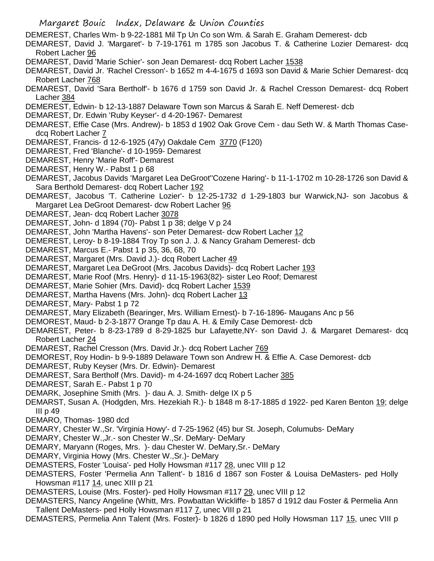DEMEREST, Charles Wm- b 9-22-1881 Mil Tp Un Co son Wm. & Sarah E. Graham Demerest- dcb

DEMAREST, David J. 'Margaret'- b 7-19-1761 m 1785 son Jacobus T. & Catherine Lozier Demarest- dcq Robert Lacher 96

DEMAREST, David 'Marie Schier'- son Jean Demarest- dcq Robert Lacher 1538

DEMAREST, David Jr. 'Rachel Cresson'- b 1652 m 4-4-1675 d 1693 son David & Marie Schier Demarest- dcq Robert Lacher 768

DEMAREST, David 'Sara Bertholf'- b 1676 d 1759 son David Jr. & Rachel Cresson Demarest- dcq Robert Lacher 384

DEMEREST, Edwin- b 12-13-1887 Delaware Town son Marcus & Sarah E. Neff Demerest- dcb

DEMAREST, Dr. Edwin 'Ruby Keyser'- d 4-20-1967- Demarest

DEMAREST, Effie Case (Mrs. Andrew)- b 1853 d 1902 Oak Grove Cem - dau Seth W. & Marth Thomas Casedcq Robert Lacher 7

DEMAREST, Francis- d 12-6-1925 (47y) Oakdale Cem 3770 (F120)

DEMAREST, Fred 'Blanche'- d 10-1959- Demarest

DEMAREST, Henry 'Marie Roff'- Demarest

DEMAREST, Henry W.- Pabst 1 p 68

DEMAREST, Jacobus Davids 'Margaret Lea DeGroot''Cozene Haring'- b 11-1-1702 m 10-28-1726 son David & Sara Berthold Demarest- dcq Robert Lacher 192

DEMAREST, Jacobus 'T. Catherine Lozier'- b 12-25-1732 d 1-29-1803 bur Warwick,NJ- son Jacobus & Margaret Lea DeGroot Demarest- dcw Robert Lacher 96

DEMAREST, Jean- dcq Robert Lacher 3078

DEMAREST, John- d 1894 (70)- Pabst 1 p 38; delge V p 24

DEMAREST, John 'Martha Havens'- son Peter Demarest- dcw Robert Lacher 12

DEMEREST, Leroy- b 8-19-1884 Troy Tp son J. J. & Nancy Graham Demerest- dcb

DEMAREST, Marcus E.- Pabst 1 p 35, 36, 68, 70

DEMAREST, Margaret (Mrs. David J.)- dcq Robert Lacher 49

DEMAREST, Margaret Lea DeGroot (Mrs. Jacobus Davids)- dcq Robert Lacher 193

DEMAREST, Marie Roof (Mrs. Henry)- d 11-15-1963(82)- sister Leo Roof; Demarest

DEMAREST, Marie Sohier (Mrs. David)- dcq Robert Lacher 1539

DEMAREST, Martha Havens (Mrs. John)- dcq Robert Lacher 13

DEMAREST, Mary- Pabst 1 p 72

DEMAREST, Mary Elizabeth (Bearinger, Mrs. William Ernest)- b 7-16-1896- Maugans Anc p 56

DEMOREST, Maud- b 2-3-1877 Orange Tp dau A. H. & Emily Case Demorest- dcb

DEMAREST, Peter- b 8-23-1789 d 8-29-1825 bur Lafayette,NY- son David J. & Margaret Demarest- dcq Robert Lacher 24

DEMAREST, Rachel Cresson (Mrs. David Jr.)- dcq Robert Lacher 769

DEMOREST, Roy Hodin- b 9-9-1889 Delaware Town son Andrew H. & Effie A. Case Demorest- dcb

DEMAREST, Ruby Keyser (Mrs. Dr. Edwin)- Demarest

DEMAREST, Sara Bertholf (Mrs. David)- m 4-24-1697 dcq Robert Lacher 385

DEMAREST, Sarah E.- Pabst 1 p 70

DEMARK, Josephine Smith (Mrs. )- dau A. J. Smith- delge IX p 5

DEMARST, Susan A. (Hodgden, Mrs. Hezekiah R.)- b 1848 m 8-17-1885 d 1922- ped Karen Benton 19; delge III p 49

DEMARO, Thomas- 1980 dcd

DEMARY, Chester W.,Sr. 'Virginia Howy'- d 7-25-1962 (45) bur St. Joseph, Columubs- DeMary

DEMARY, Chester W.,Jr.- son Chester W.,Sr. DeMary- DeMary

DEMARY, Maryann (Roges, Mrs. )- dau Chester W. DeMary,Sr.- DeMary

DEMARY, Virginia Howy (Mrs. Chester W.,Sr.)- DeMary

DEMASTERS, Foster 'Louisa'- ped Holly Howsman #117 28, unec VIII p 12

DEMASTERS, Foster 'Permelia Ann Tallent'- b 1816 d 1867 son Foster & Louisa DeMasters- ped Holly Howsman #117 14, unec XIII p 21

DEMASTERS, Louise (Mrs. Foster)- ped Holly Howsman #117 29, unec VIII p 12

DEMASTERS, Nancy Angeline (Whitt, Mrs. Powbattan Wickliffe- b 1857 d 1912 dau Foster & Permelia Ann Tallent DeMasters- ped Holly Howsman #117 7, unec VIII p 21

DEMASTERS, Permelia Ann Talent (Mrs. Foster)- b 1826 d 1890 ped Holly Howsman 117 15, unec VIII p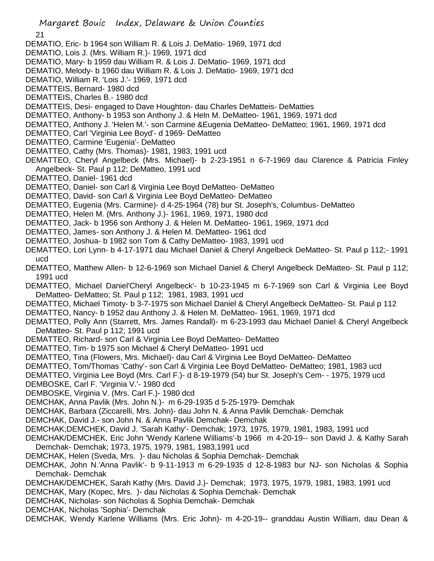21

- DEMATIO, Eric- b 1964 son William R. & Lois J. DeMatio- 1969, 1971 dcd
- DEMATIO, Lois J. (Mrs. William R.)- 1969, 1971 dcd
- DEMATIO, Mary- b 1959 dau William R. & Lois J. DeMatio- 1969, 1971 dcd
- DEMATIO, Melody- b 1960 dau William R. & Lois J. DeMatio- 1969, 1971 dcd
- DEMATIO, William R. 'Lois J.'- 1969, 1971 dcd
- DEMATTEIS, Bernard- 1980 dcd
- DEMATTEIS, Charles B.- 1980 dcd
- DEMATTEIS, Desi- engaged to Dave Houghton- dau Charles DeMatteis- DeMatties
- DEMATTEO, Anthony- b 1953 son Anthony J. & Heln M. DeMatteo- 1961, 1969, 1971 dcd
- DEMATTEO, Anthony J. 'Helen M.'- son Carmine &Eugenia DeMatteo- DeMatteo; 1961, 1969, 1971 dcd
- DEMATTEO, Carl 'Virginia Lee Boyd'- d 1969- DeMatteo
- DEMATTEO, Carmine 'Eugenia'- DeMatteo
- DEMATTEO, Cathy (Mrs. Thomas)- 1981, 1983, 1991 ucd
- DEMATTEO, Cheryl Angelbeck (Mrs. Michael)- b 2-23-1951 n 6-7-1969 dau Clarence & Patricia Finley Angelbeck- St. Paul p 112; DeMatteo, 1991 ucd
- DEMATTEO, Daniel- 1961 dcd
- DEMATTEO, Daniel- son Carl & Virginia Lee Boyd DeMatteo- DeMatteo
- DEMATTEO, David- son Carl & Virginia Lee Boyd DeMatteo- DeMatteo
- DEMATTEO, Eugenia (Mrs. Carmine)- d 4-25-1964 (78) bur St. Joseph's, Columbus- DeMatteo
- DEMATTEO, Helen M. (Mrs. Anthony J.)- 1961, 1969, 1971, 1980 dcd
- DEMATTEO, Jack- b 1956 son Anthony J. & Helen M. DeMatteo- 1961, 1969, 1971 dcd
- DEMATTEO, James- son Anthony J. & Helen M. DeMatteo- 1961 dcd
- DEMATTEO, Joshua- b 1982 son Tom & Cathy DeMatteo- 1983, 1991 ucd
- DEMATTEO, Lori Lynn- b 4-17-1971 dau Michael Daniel & Cheryl Angelbeck DeMatteo- St. Paul p 112;- 1991 ucd
- DEMATTEO, Matthew Allen- b 12-6-1969 son Michael Daniel & Cheryl Angelbeck DeMatteo- St. Paul p 112; 1991 ucd
- DEMATTEO, Michael Daniel'Cheryl Angelbeck'- b 10-23-1945 m 6-7-1969 son Carl & Virginia Lee Boyd DeMatteo- DeMatteo; St. Paul p 112; 1981, 1983, 1991 ucd
- DEMATTEO, Michael Timoty- b 3-7-1975 son Michael Daniel & Cheryl Angelbeck DeMatteo- St. Paul p 112
- DEMATTEO, Nancy- b 1952 dau Anthony J. & Helen M. DeMatteo- 1961, 1969, 1971 dcd
- DEMATTEO, Polly Ann (Starrett, Mrs. James Randall)- m 6-23-1993 dau Michael Daniel & Cheryl Angelbeck DeMatteo- St. Paul p 112; 1991 ucd
- DEMATTEO, Richard- son Carl & Virginia Lee Boyd DeMatteo- DeMatteo
- DEMATTEO, Tim- b 1975 son Michael & Cheryl DeMatteo- 1991 ucd
- DEMATTEO, Tina (Flowers, Mrs. Michael)- dau Carl & Virginia Lee Boyd DeMatteo- DeMatteo
- DEMATTEO, Tom/Thomas 'Cathy'- son Carl & Virginia Lee Boyd DeMatteo- DeMatteo; 1981, 1983 ucd
- DEMATTEO, Virginia Lee Boyd (Mrs. Carl F.)- d 8-19-1979 (54) bur St. Joseph's Cem- 1975, 1979 ucd
- DEMBOSKE, Carl F. 'Virginia V.'- 1980 dcd
- DEMBOSKE, Virginia V. (Mrs. Carl F.)- 1980 dcd
- DEMCHAK, Anna Pavlik (Mrs. John N.)- m 6-29-1935 d 5-25-1979- Demchak
- DEMCHAK, Barbara (Ziccarelli, Mrs. John)- dau John N. & Anna Pavlik Demchak- Demchak
- DEMCHAK, David J.- son John N. & Anna Pavlik Demchak- Demchak
- DEMCHAK;DEMCHEK, David J. 'Sarah Kathy'- Demchak; 1973, 1975, 1979, 1981, 1983, 1991 ucd
- DEMCHAK/DEMCHEK, Eric John 'Wendy Karlene Williams'-b 1966 m 4-20-19-- son David J. & Kathy Sarah Demchak- Demchak; 1973, 1975, 1979, 1981, 1983,1991 ucd
- DEMCHAK, Helen (Sveda, Mrs. )- dau Nicholas & Sophia Demchak- Demchak
- DEMCHAK, John N.'Anna Pavlik'- b 9-11-1913 m 6-29-1935 d 12-8-1983 bur NJ- son Nicholas & Sophia Demchak- Demchak
- DEMCHAK/DEMCHEK, Sarah Kathy (Mrs. David J.)- Demchak; 1973, 1975, 1979, 1981, 1983, 1991 ucd DEMCHAK, Mary (Kopec, Mrs. )- dau Nicholas & Sophia Demchak- Demchak
- DEMCHAK, Nicholas- son Nicholas & Sophia Demchak- Demchak
- DEMCHAK, Nicholas 'Sophia'- Demchak
- DEMCHAK, Wendy Karlene Williams (Mrs. Eric John)- m 4-20-19-- granddau Austin William, dau Dean &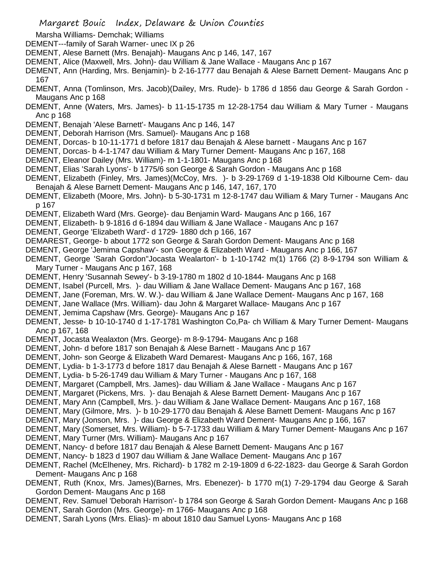- Marsha Williams- Demchak; Williams
- DEMENT---family of Sarah Warner- unec IX p 26
- DEMENT, Alese Barnett (Mrs. Benajah)- Maugans Anc p 146, 147, 167
- DEMENT, Alice (Maxwell, Mrs. John)- dau William & Jane Wallace Maugans Anc p 167
- DEMENT, Ann (Harding, Mrs. Benjamin)- b 2-16-1777 dau Benajah & Alese Barnett Dement- Maugans Anc p 167
- DEMENT, Anna (Tomlinson, Mrs. Jacob)(Dailey, Mrs. Rude)- b 1786 d 1856 dau George & Sarah Gordon Maugans Anc p 168
- DEMENT, Anne (Waters, Mrs. James)- b 11-15-1735 m 12-28-1754 dau William & Mary Turner Maugans Anc p 168
- DEMENT, Benajah 'Alese Barnett'- Maugans Anc p 146, 147
- DEMENT, Deborah Harrison (Mrs. Samuel)- Maugans Anc p 168
- DEMENT, Dorcas- b 10-11-1771 d before 1817 dau Benajah & Alese barnett Maugans Anc p 167
- DEMENT, Dorcas- b 4-1-1747 dau William & Mary Turner Dement- Maugans Anc p 167, 168
- DEMENT, Eleanor Dailey (Mrs. William)- m 1-1-1801- Maugans Anc p 168
- DEMENT, Elias 'Sarah Lyons'- b 1775/6 son George & Sarah Gordon Maugans Anc p 168
- DEMENT, Elizabeth (Finley, Mrs. James)(McCoy, Mrs. )- b 3-29-1769 d 1-19-1838 Old Kilbourne Cem- dau Benajah & Alese Barnett Dement- Maugans Anc p 146, 147, 167, 170
- DEMENT, Elizabeth (Moore, Mrs. John)- b 5-30-1731 m 12-8-1747 dau William & Mary Turner Maugans Anc p 167
- DEMENT, Elizabeth Ward (Mrs. George)- dau Benjamin Ward- Maugans Anc p 166, 167
- DEMENT, Elizabeth- b 9-1816 d 6-1894 dau William & Jane Wallace Maugans Anc p 167
- DEMENT, George 'Elizabeth Ward'- d 1729- 1880 dch p 166, 167
- DEMAREST, George- b about 1772 son George & Sarah Gordon Dement- Maugans Anc p 168
- DEMENT, George 'Jemima Capshaw'- son George & Elizabeth Ward Maugans Anc p 166, 167
- DEMENT, George 'Sarah Gordon''Jocasta Wealarton'- b 1-10-1742 m(1) 1766 (2) 8-9-1794 son William & Mary Turner - Maugans Anc p 167, 168
- DEMENT, Henry 'Susannah Sewey'- b 3-19-1780 m 1802 d 10-1844- Maugans Anc p 168
- DEMENT, Isabel (Purcell, Mrs. )- dau William & Jane Wallace Dement- Maugans Anc p 167, 168
- DEMENT, Jane (Foreman, Mrs. W. W.)- dau William & Jane Wallace Dement- Maugans Anc p 167, 168
- DEMENT, Jane Wallace (Mrs. William)- dau John & Margaret Wallace- Maugans Anc p 167
- DEMENT, Jemima Capshaw (Mrs. George)- Maugans Anc p 167
- DEMENT, Jesse- b 10-10-1740 d 1-17-1781 Washington Co,Pa- ch William & Mary Turner Dement- Maugans Anc p 167, 168
- DEMENT, Jocasta Wealaxton (Mrs. George)- m 8-9-1794- Maugans Anc p 168
- DEMENT, John- d before 1817 son Benajah & Alese Barnett Maugans Anc p 167
- DEMENT, John- son George & Elizabeth Ward Demarest- Maugans Anc p 166, 167, 168
- DEMENT, Lydia- b 1-3-1773 d before 1817 dau Benajah & Alese Barnett Maugans Anc p 167
- DEMENT, Lydia- b 5-26-1749 dau William & Mary Turner Maugans Anc p 167, 168
- DEMENT, Margaret (Campbell, Mrs. James)- dau William & Jane Wallace Maugans Anc p 167
- DEMENT, Margaret (Pickens, Mrs. )- dau Benajah & Alese Barnett Dement- Maugans Anc p 167
- DEMENT, Mary Ann (Campbell, Mrs. )- dau William & Jane Wallace Dement- Maugans Anc p 167, 168
- DEMENT, Mary (Gilmore, Mrs. )- b 10-29-1770 dau Benajah & Alese Barnett Dement- Maugans Anc p 167
- DEMENT, Mary (Jonson, Mrs. )- dau George & Elizabeth Ward Dement- Maugans Anc p 166, 167
- DEMENT, Mary (Somerset, Mrs. William)- b 5-7-1733 dau William & Mary Turner Dement- Maugans Anc p 167
- DEMENT, Mary Turner (Mrs. William)- Maugans Anc p 167
- DEMENT, Nancy- d before 1817 dau Benajah & Alese Barnett Dement- Maugans Anc p 167
- DEMENT, Nancy- b 1823 d 1907 dau William & Jane Wallace Dement- Maugans Anc p 167
- DEMENT, Rachel (McElheney, Mrs. Richard)- b 1782 m 2-19-1809 d 6-22-1823- dau George & Sarah Gordon Dement- Maugans Anc p 168
- DEMENT, Ruth (Knox, Mrs. James)(Barnes, Mrs. Ebenezer)- b 1770 m(1) 7-29-1794 dau George & Sarah Gordon Dement- Maugans Anc p 168
- DEMENT, Rev. Samuel 'Deborah Harrison'- b 1784 son George & Sarah Gordon Dement- Maugans Anc p 168
- DEMENT, Sarah Gordon (Mrs. George)- m 1766- Maugans Anc p 168
- DEMENT, Sarah Lyons (Mrs. Elias)- m about 1810 dau Samuel Lyons- Maugans Anc p 168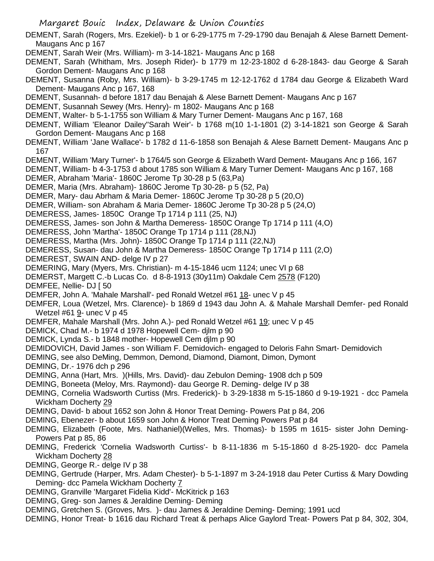- DEMENT, Sarah (Rogers, Mrs. Ezekiel)- b 1 or 6-29-1775 m 7-29-1790 dau Benajah & Alese Barnett Dement-Maugans Anc p 167
- DEMENT, Sarah Weir (Mrs. William)- m 3-14-1821- Maugans Anc p 168
- DEMENT, Sarah (Whitham, Mrs. Joseph Rider)- b 1779 m 12-23-1802 d 6-28-1843- dau George & Sarah Gordon Dement- Maugans Anc p 168
- DEMENT, Susanna (Roby, Mrs. William)- b 3-29-1745 m 12-12-1762 d 1784 dau George & Elizabeth Ward Dement- Maugans Anc p 167, 168
- DEMENT, Susannah- d before 1817 dau Benajah & Alese Barnett Dement- Maugans Anc p 167
- DEMENT, Susannah Sewey (Mrs. Henry)- m 1802- Maugans Anc p 168
- DEMENT, Walter- b 5-1-1755 son William & Mary Turner Dement- Maugans Anc p 167, 168
- DEMENT, William 'Eleanor Dailey''Sarah Weir'- b 1768 m(10 1-1-1801 (2) 3-14-1821 son George & Sarah Gordon Dement- Maugans Anc p 168
- DEMENT, William 'Jane Wallace'- b 1782 d 11-6-1858 son Benajah & Alese Barnett Dement- Maugans Anc p 167
- DEMENT, William 'Mary Turner'- b 1764/5 son George & Elizabeth Ward Dement- Maugans Anc p 166, 167
- DEMENT, William- b 4-3-1753 d about 1785 son William & Mary Turner Dement- Maugans Anc p 167, 168 DEMER, Abraham 'Maria'- 1860C Jerome Tp 30-28 p 5 (63,Pa)
- DEMER, Maria (Mrs. Abraham)- 1860C Jerome Tp 30-28- p 5 (52, Pa)
- DEMER, Mary- dau Abrham & Maria Demer- 1860C Jerome Tp 30-28 p 5 (20,O)
- DEMER, William- son Abraham & Maria Demer- 1860C Jerome Tp 30-28 p 5 (24,O)
- DEMERESS, James- 1850C Orange Tp 1714 p 111 (25, NJ)
- DEMERESS, James- son John & Martha Demeress- 1850C Orange Tp 1714 p 111 (4,O)
- DEMERESS, John 'Martha'- 1850C Orange Tp 1714 p 111 (28,NJ)
- DEMERESS, Martha (Mrs. John)- 1850C Orange Tp 1714 p 111 (22,NJ)
- DEMERESS, Susan- dau John & Martha Demeress- 1850C Orange Tp 1714 p 111 (2,O)
- DEMEREST, SWAIN AND- delge IV p 27
- DEMERING, Mary (Myers, Mrs. Christian)- m 4-15-1846 ucm 1124; unec VI p 68
- DEMERST, Margett C.-b Lucas Co. d 8-8-1913 (30y11m) Oakdale Cem 2578 (F120)
- DEMFEE, Nellie- DJ [ 50
- DEMFER, John A. 'Mahale Marshall'- ped Ronald Wetzel #61 18- unec V p 45
- DEMFER, Loua (Wetzel, Mrs. Clarence)- b 1869 d 1943 dau John A. & Mahale Marshall Demfer- ped Ronald Wetzel #61 9- unec V p 45
- DEMFER, Mahale Marshall (Mrs. John A.)- ped Ronald Wetzel #61 19; unec V p 45
- DEMICK, Chad M.- b 1974 d 1978 Hopewell Cem- djlm p 90
- DEMICK, Lynda S.- b 1848 mother- Hopewell Cem djlm p 90
- DEMIDOVICH, David James son William F. Demidovich- engaged to Deloris Fahn Smart- Demidovich
- DEMING, see also DeMing, Demmon, Demond, Diamond, Diamont, Dimon, Dymont
- DEMING, Dr.- 1976 dch p 296
- DEMING, Anna (Hart, Mrs. )(Hills, Mrs. David)- dau Zebulon Deming- 1908 dch p 509
- DEMING, Boneeta (Meloy, Mrs. Raymond)- dau George R. Deming- delge IV p 38
- DEMING, Cornelia Wadsworth Curtiss (Mrs. Frederick)- b 3-29-1838 m 5-15-1860 d 9-19-1921 dcc Pamela Wickham Docherty 29
- DEMING, David- b about 1652 son John & Honor Treat Deming- Powers Pat p 84, 206
- DEMING, Ebenezer- b about 1659 son John & Honor Treat Deming Powers Pat p 84
- DEMING, Elizabeth (Foote, Mrs. Nathaniel)(Welles, Mrs. Thomas)- b 1595 m 1615- sister John Deming-Powers Pat p 85, 86
- DEMING, Frederick 'Cornelia Wadsworth Curtiss'- b 8-11-1836 m 5-15-1860 d 8-25-1920- dcc Pamela Wickham Docherty 28
- DEMING, George R.- delge IV p 38
- DEMING, Gertrude (Harper, Mrs. Adam Chester)- b 5-1-1897 m 3-24-1918 dau Peter Curtiss & Mary Dowding Deming- dcc Pamela Wickham Docherty 7
- DEMING, Granville 'Margaret Fidelia Kidd'- McKitrick p 163
- DEMING, Greg- son James & Jeraldine Deming- Deming
- DEMING, Gretchen S. (Groves, Mrs. )- dau James & Jeraldine Deming- Deming; 1991 ucd
- DEMING, Honor Treat- b 1616 dau Richard Treat & perhaps Alice Gaylord Treat- Powers Pat p 84, 302, 304,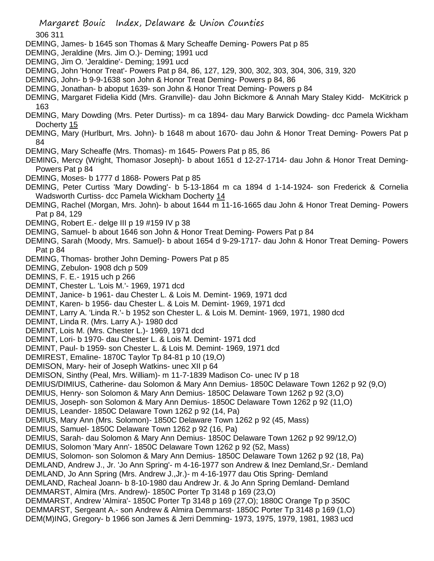306 311

- DEMING, James- b 1645 son Thomas & Mary Scheaffe Deming- Powers Pat p 85
- DEMING, Jeraldine (Mrs. Jim O.)- Deming; 1991 ucd
- DEMING, Jim O. 'Jeraldine'- Deming; 1991 ucd
- DEMING, John 'Honor Treat'- Powers Pat p 84, 86, 127, 129, 300, 302, 303, 304, 306, 319, 320
- DEMING, John- b 9-9-1638 son John & Honor Treat Deming- Powers p 84, 86
- DEMING, Jonathan- b aboput 1639- son John & Honor Treat Deming- Powers p 84
- DEMING, Margaret Fidelia Kidd (Mrs. Granville)- dau John Bickmore & Annah Mary Staley Kidd- McKitrick p 163
- DEMING, Mary Dowding (Mrs. Peter Durtiss)- m ca 1894- dau Mary Barwick Dowding- dcc Pamela Wickham Docherty 15
- DEMING, Mary (Hurlburt, Mrs. John)- b 1648 m about 1670- dau John & Honor Treat Deming- Powers Pat p 84
- DEMING, Mary Scheaffe (Mrs. Thomas)- m 1645- Powers Pat p 85, 86
- DEMING, Mercy (Wright, Thomasor Joseph)- b about 1651 d 12-27-1714- dau John & Honor Treat Deming-Powers Pat p 84
- DEMING, Moses- b 1777 d 1868- Powers Pat p 85
- DEMING, Peter Curtiss 'Mary Dowding'- b 5-13-1864 m ca 1894 d 1-14-1924- son Frederick & Cornelia Wadsworth Curtiss- dcc Pamela Wickham Docherty 14
- DEMING, Rachel (Morgan, Mrs. John)- b about 1644 m 11-16-1665 dau John & Honor Treat Deming- Powers Pat p 84, 129
- DEMING, Robert E.- delge III p 19 #159 IV p 38
- DEMING, Samuel- b about 1646 son John & Honor Treat Deming- Powers Pat p 84
- DEMING, Sarah (Moody, Mrs. Samuel)- b about 1654 d 9-29-1717- dau John & Honor Treat Deming- Powers Pat p 84
- DEMING, Thomas- brother John Deming- Powers Pat p 85
- DEMING, Zebulon- 1908 dch p 509
- DEMINS, F. E.- 1915 uch p 266
- DEMINT, Chester L. 'Lois M.'- 1969, 1971 dcd
- DEMINT, Janice- b 1961- dau Chester L. & Lois M. Demint- 1969, 1971 dcd
- DEMINT, Karen- b 1956- dau Chester L. & Lois M. Demint- 1969, 1971 dcd
- DEMINT, Larry A. 'Linda R.'- b 1952 son Chester L. & Lois M. Demint- 1969, 1971, 1980 dcd
- DEMINT, Linda R. (Mrs. Larry A.)- 1980 dcd
- DEMINT, Lois M. (Mrs. Chester L.)- 1969, 1971 dcd
- DEMINT, Lori- b 1970- dau Chester L. & Lois M. Demint- 1971 dcd
- DEMINT, Paul- b 1959- son Chester L. & Lois M. Demint- 1969, 1971 dcd
- DEMIREST, Emaline- 1870C Taylor Tp 84-81 p 10 (19,O)
- DEMISON, Mary- heir of Joseph Watkins- unec XII p 64
- DEMISON, Sinthy (Peal, Mrs. William)- m 11-7-1839 Madison Co- unec IV p 18
- DEMIUS/DIMIUS, Catherine- dau Solomon & Mary Ann Demius- 1850C Delaware Town 1262 p 92 (9,O)
- DEMIUS, Henry- son Solomon & Mary Ann Demius- 1850C Delaware Town 1262 p 92 (3,O)
- DEMIUS, Joseph- son Solomon & Mary Ann Demius- 1850C Delaware Town 1262 p 92 (11,O)
- DEMIUS, Leander- 1850C Delaware Town 1262 p 92 (14, Pa)
- DEMIUS, Mary Ann (Mrs. Solomon)- 1850C Delaware Town 1262 p 92 (45, Mass)
- DEMIUS, Samuel- 1850C Delaware Town 1262 p 92 (16, Pa)
- DEMIUS, Sarah- dau Solomon & Mary Ann Demius- 1850C Delaware Town 1262 p 92 99/12,O)
- DEMIUS, Solomon 'Mary Ann'- 1850C Delaware Town 1262 p 92 (52, Mass)
- DEMIUS, Solomon- son Solomon & Mary Ann Demius- 1850C Delaware Town 1262 p 92 (18, Pa)
- DEMLAND, Andrew J., Jr. 'Jo Ann Spring'- m 4-16-1977 son Andrew & Inez Demland,Sr.- Demland
- DEMLAND, Jo Ann Spring (Mrs. Andrew J.,Jr.)- m 4-16-1977 dau Otis Spring- Demland
- DEMLAND, Racheal Joann- b 8-10-1980 dau Andrew Jr. & Jo Ann Spring Demland- Demland DEMMARST, Almira (Mrs. Andrew)- 1850C Porter Tp 3148 p 169 (23,O)
- DEMMARST, Andrew 'Almira'- 1850C Porter Tp 3148 p 169 (27,O); 1880C Orange Tp p 350C DEMMARST, Sergeant A.- son Andrew & Almira Demmarst- 1850C Porter Tp 3148 p 169 (1,O) DEM(M)ING, Gregory- b 1966 son James & Jerri Demming- 1973, 1975, 1979, 1981, 1983 ucd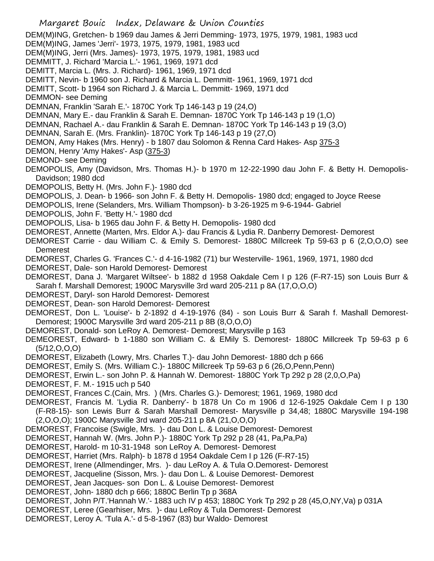Margaret Bouic Index, Delaware & Union Counties DEM(M)ING, Gretchen- b 1969 dau James & Jerri Demming- 1973, 1975, 1979, 1981, 1983 ucd DEM(M)ING, James 'Jerri'- 1973, 1975, 1979, 1981, 1983 ucd DEM(M)ING, Jerri (Mrs. James)- 1973, 1975, 1979, 1981, 1983 ucd DEMMITT, J. Richard 'Marcia L.'- 1961, 1969, 1971 dcd DEMITT, Marcia L. (Mrs. J. Richard)- 1961, 1969, 1971 dcd DEMITT, Nevin- b 1960 son J. Richard & Marcia L. Demmitt- 1961, 1969, 1971 dcd DEMITT, Scott- b 1964 son Richard J. & Marcia L. Demmitt- 1969, 1971 dcd DEMMON- see Deming DEMNAN, Franklin 'Sarah E.'- 1870C York Tp 146-143 p 19 (24,O) DEMNAN, Mary E.- dau Franklin & Sarah E. Demnan- 1870C York Tp 146-143 p 19 (1,O) DEMNAN, Rachael A.- dau Franklin & Sarah E. Demnan- 1870C York Tp 146-143 p 19 (3,O) DEMNAN, Sarah E. (Mrs. Franklin)- 1870C York Tp 146-143 p 19 (27,O) DEMON, Amy Hakes (Mrs. Henry) - b 1807 dau Solomon & Renna Card Hakes- Asp 375-3 DEMON, Henry 'Amy Hakes'- Asp (375-3) DEMOND- see Deming DEMOPOLIS, Amy (Davidson, Mrs. Thomas H.)- b 1970 m 12-22-1990 dau John F. & Betty H. Demopolis-Davidson; 1980 dcd DEMOPOLIS, Betty H. (Mrs. John F.)- 1980 dcd DEMOPOLIS, J. Dean- b 1966- son John F. & Betty H. Demopolis- 1980 dcd; engaged to Joyce Reese DEMOPOLIS, Irene (Selanders, Mrs. William Thompson)- b 3-26-1925 m 9-6-1944- Gabriel DEMOPOLIS, John F. 'Betty H.'- 1980 dcd DEMOPOLIS, Lisa- b 1965 dau John F. & Betty H. Demopolis- 1980 dcd DEMOREST, Annette (Marten, Mrs. Eldor A.)- dau Francis & Lydia R. Danberry Demorest- Demorest DEMOREST Carrie - dau William C. & Emily S. Demorest- 1880C Millcreek Tp 59-63 p 6 (2,O,O,O) see Demerest DEMOREST, Charles G. 'Frances C.'- d 4-16-1982 (71) bur Westerville- 1961, 1969, 1971, 1980 dcd DEMOREST, Dale- son Harold Demorest- Demorest DEMOREST, Dana J. 'Margaret Wiltsee'- b 1882 d 1958 Oakdale Cem I p 126 (F-R7-15) son Louis Burr & Sarah f. Marshall Demorest; 1900C Marysville 3rd ward 205-211 p 8A (17,O,O,O) DEMOREST, Daryl- son Harold Demorest- Demorest DEMOREST, Dean- son Harold Demorest- Demorest DEMOREST, Don L. 'Louise'- b 2-1892 d 4-19-1976 (84) - son Louis Burr & Sarah f. Mashall Demorest-Demorest; 1900C Marysville 3rd ward 205-211 p 8B (8,O,O,O) DEMOREST, Donald- son LeRoy A. Demorest- Demorest; Marysville p 163 DEMEOREST, Edward- b 1-1880 son William C. & EMily S. Demorest- 1880C Millcreek Tp 59-63 p 6 (5/12,O,O,O) DEMOREST, Elizabeth (Lowry, Mrs. Charles T.)- dau John Demorest- 1880 dch p 666 DEMOREST, Emily S. (Mrs. William C.)- 1880C Millcreek Tp 59-63 p 6 (26,O,Penn,Penn) DEMOREST, Erwin L.- son John P. & Hannah W. Demorest- 1880C York Tp 292 p 28 (2,0,O,Pa) DEMOREST, F. M.- 1915 uch p 540 DEMOREST, Frances C.(Cain, Mrs. ) (Mrs. Charles G.)- Demorest; 1961, 1969, 1980 dcd DEMOREST, Francis M. 'Lydia R. Danberry'- b 1878 Un Co m 1906 d 12-6-1925 Oakdale Cem I p 130 (F-R8-15)- son Lewis Burr & Sarah Marshall Demorest- Marysville p 34,48; 1880C Marysville 194-198 (2,O,O,O); 1900C Marysville 3rd ward 205-211 p 8A (21,O,O,O) DEMOREST, Francoise (Swigle, Mrs. )- dau Don L. & Louise Demorest- Demorest DEMOREST, Hannah W. (Mrs. John P.)- 1880C York Tp 292 p 28 (41, Pa,Pa,Pa) DEMOREST, Harold- m 10-31-1948 son LeRoy A. Demorest- Demorest DEMOREST, Harriet (Mrs. Ralph)- b 1878 d 1954 Oakdale Cem I p 126 (F-R7-15) DEMOREST, Irene (Allmendinger, Mrs. )- dau LeRoy A. & Tula O.Demorest- Demorest DEMOREST, Jacqueline (Sisson, Mrs. )- dau Don L. & Louise Demorest- Demorest DEMOREST, Jean Jacques- son Don L. & Louise Demorest- Demorest DEMOREST, John- 1880 dch p 666; 1880C Berlin Tp p 368A DEMOREST, John P/T.'Hannah W.'- 1883 uch IV p 453; 1880C York Tp 292 p 28 (45,O,NY,Va) p 031A DEMOREST, Leree (Gearhiser, Mrs. )- dau LeRoy & Tula Demorest- Demorest DEMOREST, Leroy A. 'Tula A.'- d 5-8-1967 (83) bur Waldo- Demorest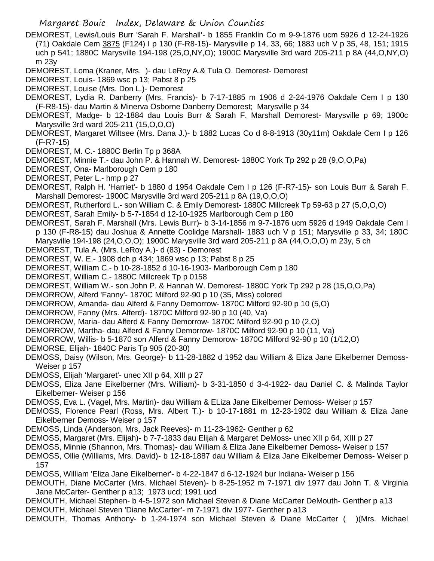- DEMOREST, Lewis/Louis Burr 'Sarah F. Marshall'- b 1855 Franklin Co m 9-9-1876 ucm 5926 d 12-24-1926 (71) Oakdale Cem 3875 (F124) I p 130 (F-R8-15)- Marysville p 14, 33, 66; 1883 uch V p 35, 48, 151; 1915 uch p 541; 1880C Marysville 194-198 (25,O,NY,O); 1900C Marysville 3rd ward 205-211 p 8A (44,O,NY,O) m 23y
- DEMOREST, Loma (Kraner, Mrs. )- dau LeRoy A.& Tula O. Demorest- Demorest
- DEMOREST, Louis- 1869 wsc p 13; Pabst 8 p 25
- DEMOREST, Louise (Mrs. Don L.)- Demorest
- DEMOREST, Lydia R. Danberry (Mrs. Francis)- b 7-17-1885 m 1906 d 2-24-1976 Oakdale Cem I p 130 (F-R8-15)- dau Martin & Minerva Osborne Danberry Demorest; Marysville p 34
- DEMOREST, Madge- b 12-1884 dau Louis Burr & Sarah F. Marshall Demorest- Marysville p 69; 1900c Marysville 3rd ward 205-211 (15,O,O,O)
- DEMOREST, Margaret Wiltsee (Mrs. Dana J.)- b 1882 Lucas Co d 8-8-1913 (30y11m) Oakdale Cem I p 126 (F-R7-15)
- DEMOREST, M. C.- 1880C Berlin Tp p 368A
- DEMOREST, Minnie T.- dau John P. & Hannah W. Demorest- 1880C York Tp 292 p 28 (9,O,O,Pa)
- DEMOREST, Ona- Marlborough Cem p 180
- DEMOREST, Peter L.- hmp p 27
- DEMOREST, Ralph H. 'Harriet'- b 1880 d 1954 Oakdale Cem I p 126 (F-R7-15)- son Louis Burr & Sarah F. Marshall Demorest- 1900C Marysville 3rd ward 205-211 p 8A (19,O,O,O)
- DEMOREST, Rutherford L.- son William C. & Emily Demorest- 1880C Millcreek Tp 59-63 p 27 (5,O,O,O)
- DEMOREST, Sarah Emily- b 5-7-1854 d 12-10-1925 Marlborough Cem p 180
- DEMOREST, Sarah F. Marshall (Mrs. Lewis Burr)- b 3-14-1856 m 9-7-1876 ucm 5926 d 1949 Oakdale Cem I p 130 (F-R8-15) dau Joshua & Annette Coolidge Marshall- 1883 uch V p 151; Marysville p 33, 34; 180C Marysville 194-198 (24,O,O,O); 1900C Marysville 3rd ward 205-211 p 8A (44,O,O,O) m 23y, 5 ch
- DEMOREST, Tula A. (Mrs. LeRoy A.)- d (83) Demorest
- DEMOREST, W. E.- 1908 dch p 434; 1869 wsc p 13; Pabst 8 p 25
- DEMOREST, William C.- b 10-28-1852 d 10-16-1903- Marlborough Cem p 180
- DEMOREST, William C.- 1880C Millcreek Tp p 0158
- DEMOREST, William W.- son John P. & Hannah W. Demorest- 1880C York Tp 292 p 28 (15,O,O,Pa)
- DEMORROW, Alferd 'Fanny'- 1870C Milford 92-90 p 10 (35, Miss) colored
- DEMORROW, Amanda- dau Alferd & Fanny Demorrow- 1870C Milford 92-90 p 10 (5,O)
- DEMORROW, Fanny (Mrs. Alferd)- 1870C Milford 92-90 p 10 (40, Va)
- DEMORROW, Maria- dau Alferd & Fanny Demorrow- 1870C Milford 92-90 p 10 (2,O)
- DEMORROW, Martha- dau Alferd & Fanny Demorrow- 1870C Milford 92-90 p 10 (11, Va)
- DEMORROW, Willis- b 5-1870 son Alferd & Fanny Demorow- 1870C Milford 92-90 p 10 (1/12,O)
- DEMORSE, Elijah- 1840C Paris Tp 905 (20-30)
- DEMOSS, Daisy (Wilson, Mrs. George)- b 11-28-1882 d 1952 dau William & Eliza Jane Eikelberner Demoss-Weiser p 157
- DEMOSS, Elijah 'Margaret'- unec XII p 64, XIII p 27
- DEMOSS, Eliza Jane Eikelberner (Mrs. William)- b 3-31-1850 d 3-4-1922- dau Daniel C. & Malinda Taylor Eikelberner- Weiser p 156
- DEMOSS, Eva L. (Vagel, Mrs. Martin)- dau William & ELiza Jane Eikelberner Demoss- Weiser p 157
- DEMOSS, Florence Pearl (Ross, Mrs. Albert T.)- b 10-17-1881 m 12-23-1902 dau William & Eliza Jane Eikelberner Demoss- Weiser p 157
- DEMOSS, Linda (Anderson, Mrs, Jack Reeves)- m 11-23-1962- Genther p 62
- DEMOSS, Margaret (Mrs. Elijah)- b 7-7-1833 dau Elijah & Margaret DeMoss- unec XII p 64, XIII p 27
- DEMOSS, Minnie (Shannon, Mrs. Thomas)- dau William & Eliza Jane Eikelberner Demoss- Weiser p 157
- DEMOSS, Ollie (Williams, Mrs. David)- b 12-18-1887 dau William & Eliza Jane Eikelberner Demoss- Weiser p 157
- DEMOSS, William 'Eliza Jane Eikelberner'- b 4-22-1847 d 6-12-1924 bur Indiana- Weiser p 156
- DEMOUTH, Diane McCarter (Mrs. Michael Steven)- b 8-25-1952 m 7-1971 div 1977 dau John T. & Virginia Jane McCarter- Genther p a13; 1973 ucd; 1991 ucd
- DEMOUTH, Michael Stephen- b 4-5-1972 son Michael Steven & Diane McCarter DeMouth- Genther p a13 DEMOUTH, Michael Steven 'Diane McCarter'- m 7-1971 div 1977- Genther p a13
- DEMOUTH, Thomas Anthony- b 1-24-1974 son Michael Steven & Diane McCarter ( )(Mrs. Michael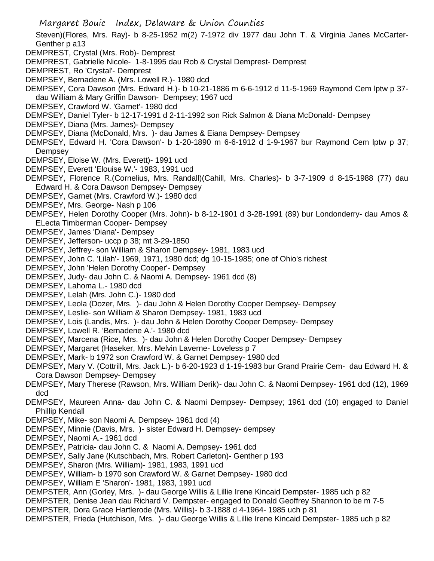- Margaret Bouic Index, Delaware & Union Counties Steven)(Flores, Mrs. Ray)- b 8-25-1952 m(2) 7-1972 div 1977 dau John T. & Virginia Janes McCarter-Genther p a13 DEMPREST, Crystal (Mrs. Rob)- Demprest DEMPREST, Gabrielle Nicole- 1-8-1995 dau Rob & Crystal Demprest- Demprest DEMPREST, Ro 'Crystal'- Demprest DEMPSEY, Bernadene A. (Mrs. Lowell R.)- 1980 dcd DEMPSEY, Cora Dawson (Mrs. Edward H.)- b 10-21-1886 m 6-6-1912 d 11-5-1969 Raymond Cem lptw p 37 dau William & Mary Griffin Dawson- Dempsey; 1967 ucd DEMPSEY, Crawford W. 'Garnet'- 1980 dcd DEMPSEY, Daniel Tyler- b 12-17-1991 d 2-11-1992 son Rick Salmon & Diana McDonald- Dempsey DEMPSEY, Diana (Mrs. James)- Dempsey DEMPSEY, Diana (McDonald, Mrs. )- dau James & Eiana Dempsey- Dempsey DEMPSEY, Edward H. 'Cora Dawson'- b 1-20-1890 m 6-6-1912 d 1-9-1967 bur Raymond Cem lptw p 37; **Dempsey** DEMPSEY, Eloise W. (Mrs. Everett)- 1991 ucd DEMPSEY, Everett 'Elouise W.'- 1983, 1991 ucd DEMPSEY, Florence R.(Cornelius, Mrs. Randall)(Cahill, Mrs. Charles)- b 3-7-1909 d 8-15-1988 (77) dau Edward H. & Cora Dawson Dempsey- Dempsey DEMPSEY, Garnet (Mrs. Crawford W.)- 1980 dcd DEMPSEY, Mrs. George- Nash p 106 DEMPSEY, Helen Dorothy Cooper (Mrs. John)- b 8-12-1901 d 3-28-1991 (89) bur Londonderry- dau Amos & ELecta Timberman Cooper- Dempsey DEMPSEY, James 'Diana'- Dempsey DEMPSEY, Jefferson- uccp p 38; mt 3-29-1850 DEMPSEY, Jeffrey- son William & Sharon Dempsey- 1981, 1983 ucd DEMPSEY, John C. 'Lilah'- 1969, 1971, 1980 dcd; dg 10-15-1985; one of Ohio's richest
- DEMPSEY, John 'Helen Dorothy Cooper'- Dempsey
- DEMPSEY, Judy- dau John C. & Naomi A. Dempsey- 1961 dcd (8)
- DEMPSEY, Lahoma L.- 1980 dcd
- DEMPSEY, Lelah (Mrs. John C.)- 1980 dcd
- DEMPSEY, Leola (Dozer, Mrs. )- dau John & Helen Dorothy Cooper Dempsey- Dempsey
- DEMPSEY, Leslie- son William & Sharon Dempsey- 1981, 1983 ucd
- DEMPSEY, Lois (Landis, Mrs. )- dau John & Helen Dorothy Cooper Dempsey- Dempsey
- DEMPSEY, Lowell R. 'Bernadene A.'- 1980 dcd
- DEMPSEY, Marcena (Rice, Mrs. )- dau John & Helen Dorothy Cooper Dempsey- Dempsey
- DEMPSEY, Margaret (Haseker, Mrs. Melvin Laverne- Loveless p 7
- DEMPSEY, Mark- b 1972 son Crawford W. & Garnet Dempsey- 1980 dcd
- DEMPSEY, Mary V. (Cottrill, Mrs. Jack L.)- b 6-20-1923 d 1-19-1983 bur Grand Prairie Cem- dau Edward H. & Cora Dawson Dempsey- Dempsey
- DEMPSEY, Mary Therese (Rawson, Mrs. William Derik)- dau John C. & Naomi Dempsey- 1961 dcd (12), 1969 dcd
- DEMPSEY, Maureen Anna- dau John C. & Naomi Dempsey- Dempsey; 1961 dcd (10) engaged to Daniel Phillip Kendall
- DEMPSEY, Mike- son Naomi A. Dempsey- 1961 dcd (4)
- DEMPSEY, Minnie (Davis, Mrs. )- sister Edward H. Dempsey- dempsey
- DEMPSEY, Naomi A.- 1961 dcd
- DEMPSEY, Patricia- dau John C. & Naomi A. Dempsey- 1961 dcd
- DEMPSEY, Sally Jane (Kutschbach, Mrs. Robert Carleton)- Genther p 193
- DEMPSEY, Sharon (Mrs. William)- 1981, 1983, 1991 ucd
- DEMPSEY, William- b 1970 son Crawford W. & Garnet Dempsey- 1980 dcd
- DEMPSEY, William E 'Sharon'- 1981, 1983, 1991 ucd
- DEMPSTER, Ann (Gorley, Mrs. )- dau George Willis & Lillie Irene Kincaid Dempster- 1985 uch p 82
- DEMPSTER, Denise Jean dau Richard V. Dempster- engaged to Donald Geoffrey Shannon to be m 7-5
- DEMPSTER, Dora Grace Hartlerode (Mrs. Willis)- b 3-1888 d 4-1964- 1985 uch p 81
- DEMPSTER, Frieda (Hutchison, Mrs. )- dau George Willis & Lillie Irene Kincaid Dempster- 1985 uch p 82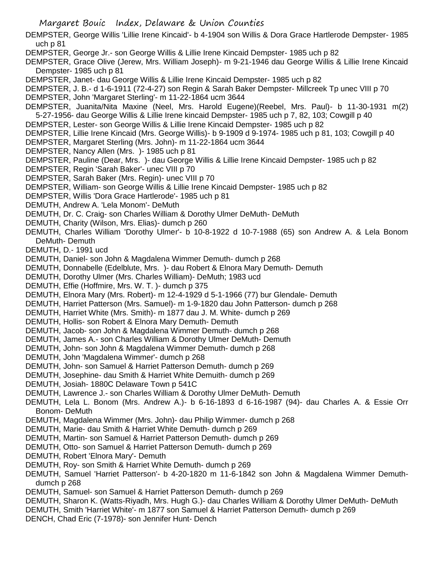DEMPSTER, George Willis 'Lillie Irene Kincaid'- b 4-1904 son Willis & Dora Grace Hartlerode Dempster- 1985 uch p 81 DEMPSTER, George Jr.- son George Willis & Lillie Irene Kincaid Dempster- 1985 uch p 82 DEMPSTER, Grace Olive (Jerew, Mrs. William Joseph)- m 9-21-1946 dau George Willis & Lillie Irene Kincaid Dempster- 1985 uch p 81 DEMPSTER, Janet- dau George Willis & Lillie Irene Kincaid Dempster- 1985 uch p 82 DEMPSTER, J. B.- d 1-6-1911 (72-4-27) son Regin & Sarah Baker Dempster- Millcreek Tp unec VIII p 70 DEMPSTER, John 'Margaret Sterling'- m 11-22-1864 ucm 3644 DEMPSTER, Juanita/Nita Maxine (Neel, Mrs. Harold Eugene)(Reebel, Mrs. Paul)- b 11-30-1931 m(2) 5-27-1956- dau George Willis & Lillie Irene kincaid Dempster- 1985 uch p 7, 82, 103; Cowgill p 40 DEMPSTER, Lester- son George Willis & Lillie Irene Kincaid Dempster- 1985 uch p 82 DEMPSTER, Lillie Irene Kincaid (Mrs. George Willis)- b 9-1909 d 9-1974- 1985 uch p 81, 103; Cowgill p 40 DEMPSTER, Margaret Sterling (Mrs. John)- m 11-22-1864 ucm 3644 DEMPSTER, Nancy Allen (Mrs. )- 1985 uch p 81 DEMPSTER, Pauline (Dear, Mrs. )- dau George Willis & Lillie Irene Kincaid Dempster- 1985 uch p 82 DEMPSTER, Regin 'Sarah Baker'- unec VIII p 70 DEMPSTER, Sarah Baker (Mrs. Regin)- unec VIII p 70 DEMPSTER, William- son George Willis & Lillie Irene Kincaid Dempster- 1985 uch p 82 DEMPSTER, Willis 'Dora Grace Hartlerode'- 1985 uch p 81 DEMUTH, Andrew A. 'Lela Monom'- DeMuth DEMUTH, Dr. C. Craig- son Charles William & Dorothy Ulmer DeMuth- DeMuth DEMUTH, Charity (Wilson, Mrs. Elias)- dumch p 260 DEMUTH, Charles William 'Dorothy Ulmer'- b 10-8-1922 d 10-7-1988 (65) son Andrew A. & Lela Bonom DeMuth- Demuth DEMUTH, D.- 1991 ucd DEMUTH, Daniel- son John & Magdalena Wimmer Demuth- dumch p 268 DEMUTH, Donnabelle (Edelblute, Mrs. )- dau Robert & Elnora Mary Demuth- Demuth DEMUTH, Dorothy Ulmer (Mrs. Charles William)- DeMuth; 1983 ucd DEMUTH, Effie (Hoffmire, Mrs. W. T. )- dumch p 375 DEMUTH, Elnora Mary (Mrs. Robert)- m 12-4-1929 d 5-1-1966 (77) bur Glendale- Demuth DEMUTH, Harriet Patterson (Mrs. Samuel)- m 1-9-1820 dau John Patterson- dumch p 268 DEMUTH, Harriet White (Mrs. Smith)- m 1877 dau J. M. White- dumch p 269 DEMUTH, Hollis- son Robert & Elnora Mary Demuth- Demuth DEMUTH, Jacob- son John & Magdalena Wimmer Demuth- dumch p 268 DEMUTH, James A.- son Charles William & Dorothy Ulmer DeMuth- Demuth DEMUTH, John- son John & Magdalena Wimmer Demuth- dumch p 268 DEMUTH, John 'Magdalena Wimmer'- dumch p 268 DEMUTH, John- son Samuel & Harriet Patterson Demuth- dumch p 269 DEMUTH, Josephine- dau Smith & Harriet White Demuith- dumch p 269 DEMUTH, Josiah- 1880C Delaware Town p 541C DEMUTH, Lawrence J.- son Charles William & Dorothy Ulmer DeMuth- Demuth DEMUTH, Lela L. Bonom (Mrs. Andrew A.)- b 6-16-1893 d 6-16-1987 (94)- dau Charles A. & Essie Orr Bonom- DeMuth DEMUTH, Magdalena Wimmer (Mrs. John)- dau Philip Wimmer- dumch p 268 DEMUTH, Marie- dau Smith & Harriet White Demuth- dumch p 269 DEMUTH, Martin- son Samuel & Harriet Patterson Demuth- dumch p 269 DEMUTH, Otto- son Samuel & Harriet Patterson Demuth- dumch p 269 DEMUTH, Robert 'Elnora Mary'- Demuth DEMUTH, Roy- son Smith & Harriet White Demuth- dumch p 269 DEMUTH, Samuel 'Harriet Patterson'- b 4-20-1820 m 11-6-1842 son John & Magdalena Wimmer Demuthdumch p 268 DEMUTH, Samuel- son Samuel & Harriet Patterson Demuth- dumch p 269

- DEMUTH, Sharon K. (Watts-Riyadh, Mrs. Hugh G.)- dau Charles William & Dorothy Ulmer DeMuth- DeMuth
- DEMUTH, Smith 'Harriet White'- m 1877 son Samuel & Harriet Patterson Demuth- dumch p 269
- DENCH, Chad Eric (7-1978)- son Jennifer Hunt- Dench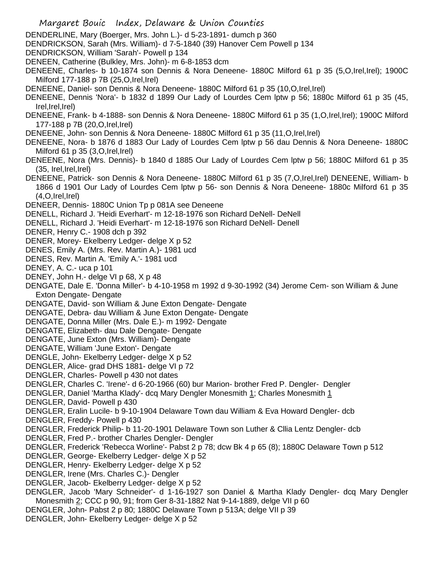- Margaret Bouic Index, Delaware & Union Counties DENDERLINE, Mary (Boerger, Mrs. John L.)- d 5-23-1891- dumch p 360 DENDRICKSON, Sarah (Mrs. William)- d 7-5-1840 (39) Hanover Cem Powell p 134 DENDRICKSON, William 'Sarah'- Powell p 134 DENEEN, Catherine (Bulkley, Mrs. John)- m 6-8-1853 dcm DENEENE, Charles- b 10-1874 son Dennis & Nora Deneene- 1880C Milford 61 p 35 (5,O,Irel,Irel); 1900C Milford 177-188 p 7B (25,O,Irel,Irel) DENEENE, Daniel- son Dennis & Nora Deneene- 1880C Milford 61 p 35 (10, O, Irel, Irel) DENEENE, Dennis 'Nora'- b 1832 d 1899 Our Lady of Lourdes Cem lptw p 56; 1880c Milford 61 p 35 (45, Irel,Irel,Irel) DENEENE, Frank- b 4-1888- son Dennis & Nora Deneene- 1880C Milford 61 p 35 (1,O,Irel,Irel); 1900C Milford 177-188 p 7B (20,O,Irel,Irel) DENEENE, John- son Dennis & Nora Deneene- 1880C Milford 61 p 35 (11,O,Irel,Irel) DENEENE, Nora- b 1876 d 1883 Our Lady of Lourdes Cem lptw p 56 dau Dennis & Nora Deneene- 1880C Milford 61 p 35 (3,O,Irel,Irel) DENEENE, Nora (Mrs. Dennis)- b 1840 d 1885 Our Lady of Lourdes Cem lptw p 56; 1880C Milford 61 p 35 (35, Irel,Irel,Irel) DENEENE, Patrick- son Dennis & Nora Deneene- 1880C Milford 61 p 35 (7,O,Irel,Irel) DENEENE, William- b 1866 d 1901 Our Lady of Lourdes Cem lptw p 56- son Dennis & Nora Deneene- 1880c Milford 61 p 35  $(4.0.1$ rel, $|rel\rangle$ DENEER, Dennis- 1880C Union Tp p 081A see Deneene DENELL, Richard J. 'Heidi Everhart'- m 12-18-1976 son Richard DeNell- DeNell DENELL, Richard J. 'Heidi Everhart'- m 12-18-1976 son Richard DeNell- Denell DENER, Henry C.- 1908 dch p 392 DENER, Morey- Ekelberry Ledger- delge X p 52 DENES, Emily A. (Mrs. Rev. Martin A.)- 1981 ucd DENES, Rev. Martin A. 'Emily A.'- 1981 ucd DENEY, A. C.- uca p 101 DENEY, John H.- delge VI p 68, X p 48 DENGATE, Dale E. 'Donna Miller'- b 4-10-1958 m 1992 d 9-30-1992 (34) Jerome Cem- son William & June Exton Dengate- Dengate DENGATE, David- son William & June Exton Dengate- Dengate DENGATE, Debra- dau William & June Exton Dengate- Dengate DENGATE, Donna Miller (Mrs. Dale E.)- m 1992- Dengate DENGATE, Elizabeth- dau Dale Dengate- Dengate DENGATE, June Exton (Mrs. William)- Dengate DENGATE, William 'June Exton'- Dengate DENGLE, John- Ekelberry Ledger- delge X p 52 DENGLER, Alice- grad DHS 1881- delge VI p 72 DENGLER, Charles- Powell p 430 not dates DENGLER, Charles C. 'Irene'- d 6-20-1966 (60) bur Marion- brother Fred P. Dengler- Dengler DENGLER, Daniel 'Martha Klady'- dcq Mary Dengler Monesmith 1; Charles Monesmith 1 DENGLER, David- Powell p 430 DENGLER, Eralin Lucile- b 9-10-1904 Delaware Town dau William & Eva Howard Dengler- dcb DENGLER, Freddy- Powell p 430 DENGLER, Frederick Philip- b 11-20-1901 Delaware Town son Luther & Cllia Lentz Dengler- dcb DENGLER, Fred P.- brother Charles Dengler- Dengler DENGLER, Frederick 'Rebecca Worline'- Pabst 2 p 78; dcw Bk 4 p 65 (8); 1880C Delaware Town p 512 DENGLER, George- Ekelberry Ledger- delge X p 52 DENGLER, Henry- Ekelberry Ledger- delge X p 52 DENGLER, Irene (Mrs. Charles C.)- Dengler DENGLER, Jacob- Ekelberry Ledger- delge X p 52 DENGLER, Jacob 'Mary Schneider'- d 1-16-1927 son Daniel & Martha Klady Dengler- dcq Mary Dengler Monesmith 2; CCC p 90, 91; from Ger 8-31-1882 Nat 9-14-1889, delge VII p 60 DENGLER, John- Pabst 2 p 80; 1880C Delaware Town p 513A; delge VII p 39
- DENGLER, John- Ekelberry Ledger- delge X p 52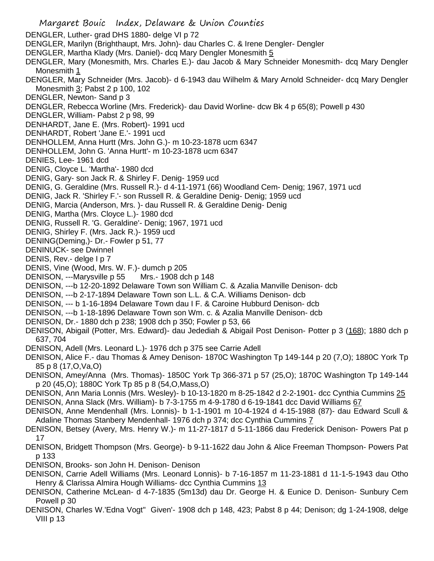- Margaret Bouic Index, Delaware & Union Counties DENGLER, Luther- grad DHS 1880- delge VI p 72 DENGLER, Marilyn (Brighthaupt, Mrs. John)- dau Charles C. & Irene Dengler- Dengler DENGLER, Martha Klady (Mrs. Daniel)- dcq Mary Dengler Monesmith 5 DENGLER, Mary (Monesmith, Mrs. Charles E.)- dau Jacob & Mary Schneider Monesmith- dcq Mary Dengler Monesmith 1 DENGLER, Mary Schneider (Mrs. Jacob)- d 6-1943 dau Wilhelm & Mary Arnold Schneider- dcq Mary Dengler Monesmith 3; Pabst 2 p 100, 102 DENGLER, Newton- Sand p 3 DENGLER, Rebecca Worline (Mrs. Frederick)- dau David Worline- dcw Bk 4 p 65(8); Powell p 430 DENGLER, William- Pabst 2 p 98, 99 DENHARDT, Jane E. (Mrs. Robert)- 1991 ucd DENHARDT, Robert 'Jane E.'- 1991 ucd DENHOLLEM, Anna Hurtt (Mrs. John G.)- m 10-23-1878 ucm 6347 DENHOLLEM, John G. 'Anna Hurtt'- m 10-23-1878 ucm 6347 DENIES, Lee- 1961 dcd DENIG, Cloyce L. 'Martha'- 1980 dcd DENIG, Gary- son Jack R. & Shirley F. Denig- 1959 ucd DENIG, G. Geraldine (Mrs. Russell R.)- d 4-11-1971 (66) Woodland Cem- Denig; 1967, 1971 ucd DENIG, Jack R. 'Shirley F.'- son Russell R. & Geraldine Denig- Denig; 1959 ucd DENIG, Marcia (Anderson, Mrs. )- dau Russell R. & Geraldine Denig- Denig DENIG, Martha (Mrs. Cloyce L.)- 1980 dcd DENIG, Russell R. 'G. Geraldine'- Denig; 1967, 1971 ucd DENIG, Shirley F. (Mrs. Jack R.)- 1959 ucd DENING(Deming,)- Dr.- Fowler p 51, 77 DENINUCK- see Dwinnel DENIS, Rev.- delge I p 7 DENIS, Vine (Wood, Mrs. W. F.)- dumch p 205 DENISON, ---Marysville p 55 Mrs.- 1908 dch p 148 DENISON, ---b 12-20-1892 Delaware Town son William C. & Azalia Manville Denison- dcb DENISON, ---b 2-17-1894 Delaware Town son L.L. & C.A. Williams Denison- dcb DENISON, --- b 1-16-1894 Delaware Town dau I F. & Caroine Hubburd Denison- dcb DENISON, ---b 1-18-1896 Delaware Town son Wm. c. & Azalia Manville Denison- dcb DENISON, Dr.- 1880 dch p 238; 1908 dch p 350; Fowler p 53, 66 DENISON, Abigail (Potter, Mrs. Edward)- dau Jedediah & Abigail Post Denison- Potter p 3 (168); 1880 dch p 637, 704 DENISON, Adell (Mrs. Leonard L.)- 1976 dch p 375 see Carrie Adell DENISON, Alice F.- dau Thomas & Amey Denison- 1870C Washington Tp 149-144 p 20 (7,O); 1880C York Tp 85 p 8 (17,O,Va,O) DENISON, Amey/Anna (Mrs. Thomas)- 1850C York Tp 366-371 p 57 (25,O); 1870C Washington Tp 149-144 p 20 (45,O); 1880C York Tp 85 p 8 (54,O,Mass,O) DENISON, Ann Maria Lonnis (Mrs. Wesley)- b 10-13-1820 m 8-25-1842 d 2-2-1901- dcc Cynthia Cummins 25 DENISON, Anna Slack (Mrs. William)- b 7-3-1755 m 4-9-1780 d 6-19-1841 dcc David Williams 67 DENISON, Anne Mendenhall (Mrs. Lonnis)- b 1-1-1901 m 10-4-1924 d 4-15-1988 (87)- dau Edward Scull & Adaline Thomas Stanbery Mendenhall- 1976 dch p 374; dcc Cynthia Cummins 7 DENISON, Betsey (Avery, Mrs. Henry W.)- m 11-27-1817 d 5-11-1866 dau Frederick Denison- Powers Pat p 17 DENISON, Bridgett Thompson (Mrs. George)- b 9-11-1622 dau John & Alice Freeman Thompson- Powers Pat p 133 DENISON, Brooks- son John H. Denison- Denison
- DENISON, Carrie Adell Williams (Mrs. Leonard Lonnis)- b 7-16-1857 m 11-23-1881 d 11-1-5-1943 dau Otho Henry & Clarissa Almira Hough Williams- dcc Cynthia Cummins 13
- DENISON, Catherine McLean- d 4-7-1835 (5m13d) dau Dr. George H. & Eunice D. Denison- Sunbury Cem Powell p 30
- DENISON, Charles W.'Edna Vogt'' Given'- 1908 dch p 148, 423; Pabst 8 p 44; Denison; dg 1-24-1908, delge VIII p 13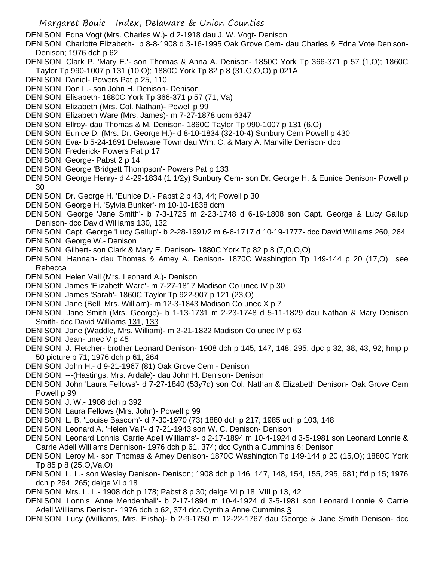DENISON, Edna Vogt (Mrs. Charles W.)- d 2-1918 dau J. W. Vogt- Denison

DENISON, Charlotte Elizabeth- b 8-8-1908 d 3-16-1995 Oak Grove Cem- dau Charles & Edna Vote Denison-Denison; 1976 dch p 62

- DENISON, Clark P. 'Mary E.'- son Thomas & Anna A. Denison- 1850C York Tp 366-371 p 57 (1,O); 1860C Taylor Tp 990-1007 p 131 (10,O); 1880C York Tp 82 p 8 (31,O,O,O) p 021A
- DENISON, Daniel- Powers Pat p 25, 110
- DENISON, Don L.- son John H. Denison- Denison
- DENISON, Elisabeth- 1880C York Tp 366-371 p 57 (71, Va)
- DENISON, Elizabeth (Mrs. Col. Nathan)- Powell p 99
- DENISON, Elizabeth Ware (Mrs. James)- m 7-27-1878 ucm 6347
- DENISON, Ellroy- dau Thomas & M. Denison- 1860C Taylor Tp 990-1007 p 131 (6,O)
- DENISON, Eunice D. (Mrs. Dr. George H.)- d 8-10-1834 (32-10-4) Sunbury Cem Powell p 430
- DENISON, Eva- b 5-24-1891 Delaware Town dau Wm. C. & Mary A. Manville Denison- dcb
- DENISON, Frederick- Powers Pat p 17
- DENISON, George- Pabst 2 p 14
- DENISON, George 'Bridgett Thompson'- Powers Pat p 133
- DENISON, George Henry- d 4-29-1834 (1 1/2y) Sunbury Cem- son Dr. George H. & Eunice Denison- Powell p 30
- DENISON, Dr. George H. 'Eunice D.'- Pabst 2 p 43, 44; Powell p 30
- DENISON, George H. 'Sylvia Bunker'- m 10-10-1838 dcm
- DENISON, George 'Jane Smith'- b 7-3-1725 m 2-23-1748 d 6-19-1808 son Capt. George & Lucy Gallup Denison- dcc David Williams 130, 132
- DENISON, Capt. George 'Lucy Gallup'- b 2-28-1691/2 m 6-6-1717 d 10-19-1777- dcc David Williams 260, 264
- DENISON, George W.- Denison
- DENISON, Gilbert- son Clark & Mary E. Denison- 1880C York Tp 82 p 8 (7,O,O,O)
- DENISON, Hannah- dau Thomas & Amey A. Denison- 1870C Washington Tp 149-144 p 20 (17,O) see Rebecca
- DENISON, Helen Vail (Mrs. Leonard A.)- Denison
- DENISON, James 'Elizabeth Ware'- m 7-27-1817 Madison Co unec IV p 30
- DENISON, James 'Sarah'- 1860C Taylor Tp 922-907 p 121 (23,O)
- DENISON, Jane (Bell, Mrs. William)- m 12-3-1843 Madison Co unec X p 7
- DENISON, Jane Smith (Mrs. George)- b 1-13-1731 m 2-23-1748 d 5-11-1829 dau Nathan & Mary Denison Smith- dcc David Williams 131, 133
- DENISON, Jane (Waddle, Mrs. William)- m 2-21-1822 Madison Co unec IV p 63
- DENISON, Jean- unec V p 45
- DENISON, J. Fletcher- brother Leonard Denison- 1908 dch p 145, 147, 148, 295; dpc p 32, 38, 43, 92; hmp p 50 picture p 71; 1976 dch p 61, 264
- DENISON, John H.- d 9-21-1967 (81) Oak Grove Cem Denison
- DENISON, ---(Hastings, Mrs. Ardale)- dau John H. Denison- Denison
- DENISON, John 'Laura Fellows'- d 7-27-1840 (53y7d) son Col. Nathan & Elizabeth Denison- Oak Grove Cem Powell p 99
- DENISON, J. W.- 1908 dch p 392
- DENISON, Laura Fellows (Mrs. John)- Powell p 99
- DENISON, L. B. 'Louise Bascom'- d 7-30-1970 (73) 1880 dch p 217; 1985 uch p 103, 148
- DENISON, Leonard A. 'Helen Vail'- d 7-21-1943 son W. C. Denison- Denison
- DENISON, Leonard Lonnis 'Carrie Adell Williams'- b 2-17-1894 m 10-4-1924 d 3-5-1981 son Leonard Lonnie & Carrie Adell Williams Dennison- 1976 dch p 61, 374; dcc Cynthia Cummins 6; Denison
- DENISON, Leroy M.- son Thomas & Amey Denison- 1870C Washington Tp 149-144 p 20 (15,O); 1880C York Tp 85 p 8 (25,O,Va,O)
- DENISON, L. L.- son Wesley Denison- Denison; 1908 dch p 146, 147, 148, 154, 155, 295, 681; ffd p 15; 1976 dch p 264, 265; delge VI p 18
- DENISON, Mrs. L. L.- 1908 dch p 178; Pabst 8 p 30; delge VI p 18, VIII p 13, 42
- DENISON, Lonnis 'Anne Mendenhall'- b 2-17-1894 m 10-4-1924 d 3-5-1981 son Leonard Lonnie & Carrie Adell Williams Denison- 1976 dch p 62, 374 dcc Cynthia Anne Cummins 3
- DENISON, Lucy (Williams, Mrs. Elisha)- b 2-9-1750 m 12-22-1767 dau George & Jane Smith Denison- dcc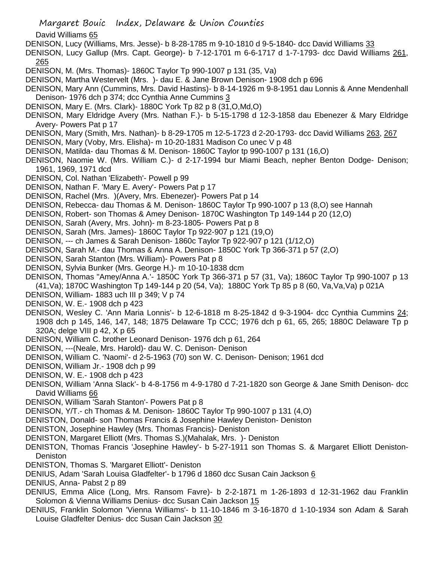David Williams 65

DENISON, Lucy (Williams, Mrs. Jesse)- b 8-28-1785 m 9-10-1810 d 9-5-1840- dcc David Williams 33

DENISON, Lucy Gallup (Mrs. Capt. George)- b 7-12-1701 m 6-6-1717 d 1-7-1793- dcc David Williams 261, 265

- DENISON, M. (Mrs. Thomas)- 1860C Taylor Tp 990-1007 p 131 (35, Va)
- DENISON, Martha Westervelt (Mrs. )- dau E. & Jane Brown Denison- 1908 dch p 696
- DENISON, Mary Ann (Cummins, Mrs. David Hastins)- b 8-14-1926 m 9-8-1951 dau Lonnis & Anne Mendenhall Denison- 1976 dch p 374; dcc Cynthia Anne Cummins 3
- DENISON, Mary E. (Mrs. Clark)- 1880C York Tp 82 p 8 (31,O,Md,O)
- DENISON, Mary Eldridge Avery (Mrs. Nathan F.)- b 5-15-1798 d 12-3-1858 dau Ebenezer & Mary Eldridge Avery- Powers Pat p 17
- DENISON, Mary (Smith, Mrs. Nathan)- b 8-29-1705 m 12-5-1723 d 2-20-1793- dcc David Williams 263, 267
- DENISON, Mary (Voby, Mrs. Elisha)- m 10-20-1831 Madison Co unec V p 48
- DENISON, Matilda- dau Thomas & M. Denison- 1860C Taylor tp 990-1007 p 131 (16,O)
- DENISON, Naomie W. (Mrs. William C.)- d 2-17-1994 bur Miami Beach, nepher Benton Dodge- Denison; 1961, 1969, 1971 dcd
- DENISON, Col. Nathan 'Elizabeth'- Powell p 99
- DENISON, Nathan F. 'Mary E. Avery'- Powers Pat p 17
- DENISON, Rachel (Mrs. )(Avery, Mrs. Ebenezer)- Powers Pat p 14
- DENISON, Rebecca- dau Thomas & M. Denison- 1860C Taylor Tp 990-1007 p 13 (8,O) see Hannah
- DENISON, Robert- son Thomas & Amey Denison- 1870C Washington Tp 149-144 p 20 (12,O)
- DENISON, Sarah (Avery, Mrs. John)- m 8-23-1805- Powers Pat p 8
- DENISON, Sarah (Mrs. James)- 1860C Taylor Tp 922-907 p 121 (19,O)
- DENISON, --- ch James & Sarah Denison- 1860c Taylor Tp 922-907 p 121 (1/12,O)
- DENISON, Sarah M.- dau Thomas & Anna A. Denison- 1850C York Tp 366-371 p 57 (2,O)
- DENISON, Sarah Stanton (Mrs. William)- Powers Pat p 8
- DENISON, Sylvia Bunker (Mrs. George H.)- m 10-10-1838 dcm
- DENISON, Thomas "Amey/Anna A.'- 1850C York Tp 366-371 p 57 (31, Va); 1860C Taylor Tp 990-1007 p 13
- (41,Va); 1870C Washington Tp 149-144 p 20 (54, Va); 1880C York Tp 85 p 8 (60, Va,Va,Va) p 021A
- DENISON, William- 1883 uch III p 349; V p 74
- DENISON, W. E.- 1908 dch p 423
- DENISON, Wesley C. 'Ann Maria Lonnis'- b 12-6-1818 m 8-25-1842 d 9-3-1904- dcc Cynthia Cummins 24; 1908 dch p 145, 146, 147, 148; 1875 Delaware Tp CCC; 1976 dch p 61, 65, 265; 1880C Delaware Tp p 320A; delge VIII p 42, X p 65
- DENISON, William C. brother Leonard Denison- 1976 dch p 61, 264
- DENISON, ---(Neale, Mrs. Harold)- dau W. C. Denison- Denison
- DENISON, William C. 'Naomi'- d 2-5-1963 (70) son W. C. Denison- Denison; 1961 dcd
- DENISON, William Jr.- 1908 dch p 99
- DENISON, W. E.- 1908 dch p 423
- DENISON, William 'Anna Slack'- b 4-8-1756 m 4-9-1780 d 7-21-1820 son George & Jane Smith Denison- dcc David Williams 66
- DENISON, William 'Sarah Stanton'- Powers Pat p 8
- DENISON, Y/T.- ch Thomas & M. Denison- 1860C Taylor Tp 990-1007 p 131 (4,O)
- DENISTON, Donald- son Thomas Francis & Josephine Hawley Deniston- Deniston
- DENISTON, Josephine Hawley (Mrs. Thomas Francis)- Deniston
- DENISTON, Margaret Elliott (Mrs. Thomas S.)(Mahalak, Mrs. )- Deniston
- DENISTON, Thomas Francis 'Josephine Hawley'- b 5-27-1911 son Thomas S. & Margaret Elliott Deniston-**Deniston**
- DENISTON, Thomas S. 'Margaret Elliott'- Deniston
- DENIUS, Adam 'Sarah Louisa Gladfelter'- b 1796 d 1860 dcc Susan Cain Jackson 6
- DENIUS, Anna- Pabst 2 p 89
- DENIUS, Emma Alice (Long, Mrs. Ransom Favre)- b 2-2-1871 m 1-26-1893 d 12-31-1962 dau Franklin Solomon & Vienna Williams Denius- dcc Susan Cain Jackson 15
- DENIUS, Franklin Solomon 'Vienna Williams'- b 11-10-1846 m 3-16-1870 d 1-10-1934 son Adam & Sarah Louise Gladfelter Denius- dcc Susan Cain Jackson 30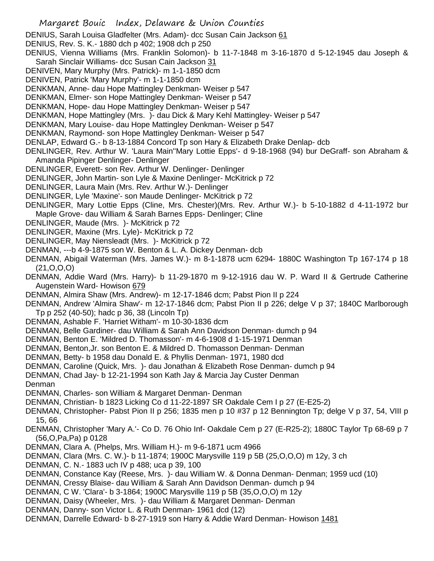- Margaret Bouic Index, Delaware & Union Counties DENIUS, Sarah Louisa Gladfelter (Mrs. Adam)- dcc Susan Cain Jackson 61 DENIUS, Rev. S. K.- 1880 dch p 402; 1908 dch p 250 DENIUS, Vienna Williams (Mrs. Franklin Solomon)- b 11-7-1848 m 3-16-1870 d 5-12-1945 dau Joseph & Sarah Sinclair Williams- dcc Susan Cain Jackson 31 DENIVEN, Mary Murphy (Mrs. Patrick)- m 1-1-1850 dcm DENIVEN, Patrick 'Mary Murphy'- m 1-1-1850 dcm DENKMAN, Anne- dau Hope Mattingley Denkman- Weiser p 547 DENKMAN, Elmer- son Hope Mattingley Denkman- Weiser p 547 DENKMAN, Hope- dau Hope Mattingley Denkman- Weiser p 547 DENKMAN, Hope Mattingley (Mrs. )- dau Dick & Mary Kehl Mattingley- Weiser p 547 DENKMAN, Mary Louise- dau Hope Mattingley Denkman- Weiser p 547 DENKMAN, Raymond- son Hope Mattingley Denkman- Weiser p 547 DENLAP, Edward G.- b 8-13-1884 Concord Tp son Hary & Elizabeth Drake Denlap- dcb DENLINGER, Rev. Arthur W. 'Laura Main''Mary Lottie Epps'- d 9-18-1968 (94) bur DeGraff- son Abraham & Amanda Pipinger Denlinger- Denlinger DENLINGER, Everett- son Rev. Arthur W. Denlinger- Denlinger DENLINGER, John Martin- son Lyle & Maxine Denlinger- McKitrick p 72 DENLINGER, Laura Main (Mrs. Rev. Arthur W.)- Denlinger DENLINGER, Lyle 'Maxine'- son Maude Denlinger- McKitrick p 72 DENLINGER, Mary Lottie Epps (Cline, Mrs. Chester)(Mrs. Rev. Arthur W.)- b 5-10-1882 d 4-11-1972 bur Maple Grove- dau William & Sarah Barnes Epps- Denlinger; Cline DENLINGER, Maude (Mrs. )- McKitrick p 72 DENLINGER, Maxine (Mrs. Lyle)- McKitrick p 72 DENLINGER, May Niensleadt (Mrs. )- McKitrick p 72 DENMAN, ---b 4-9-1875 son W. Benton & L. A. Dickey Denman- dcb DENMAN, Abigail Waterman (Mrs. James W.)- m 8-1-1878 ucm 6294- 1880C Washington Tp 167-174 p 18 (21,O,O,O) DENMAN, Addie Ward (Mrs. Harry)- b 11-29-1870 m 9-12-1916 dau W. P. Ward II & Gertrude Catherine Augenstein Ward- Howison 679 DENMAN, Almira Shaw (Mrs. Andrew)- m 12-17-1846 dcm; Pabst Pion II p 224 DENMAN, Andrew 'Almira Shaw'- m 12-17-1846 dcm; Pabst Pion II p 226; delge V p 37; 1840C Marlborough Tp p 252 (40-50); hadc p 36, 38 (Lincoln Tp) DENMAN, Ashable F. 'Harriet Witham'- m 10-30-1836 dcm DENMAN, Belle Gardiner- dau William & Sarah Ann Davidson Denman- dumch p 94 DENMAN, Benton E. 'Mildred D. Thomasson'- m 4-6-1908 d 1-15-1971 Denman DENMAN, Benton,Jr. son Benton E. & Mildred D. Thomasson Denman- Denman DENMAN, Betty- b 1958 dau Donald E. & Phyllis Denman- 1971, 1980 dcd DENMAN, Caroline (Quick, Mrs. )- dau Jonathan & Elizabeth Rose Denman- dumch p 94 DENMAN, Chad Jay- b 12-21-1994 son Kath Jay & Marcia Jay Custer Denman Denman DENMAN, Charles- son William & Margaret Denman- Denman DENMAN, Christian- b 1823 Licking Co d 11-22-1897 SR Oakdale Cem I p 27 (E-E25-2) DENMAN, Christopher- Pabst Pion II p 256; 1835 men p 10 #37 p 12 Bennington Tp; delge V p 37, 54, VIII p 15, 66 DENMAN, Christopher 'Mary A.'- Co D. 76 Ohio Inf- Oakdale Cem p 27 (E-R25-2); 1880C Taylor Tp 68-69 p 7 (56,O,Pa,Pa) p 0128 DENMAN, Clara A. (Phelps, Mrs. William H.)- m 9-6-1871 ucm 4966 DENMAN, Clara (Mrs. C. W.)- b 11-1874; 1900C Marysville 119 p 5B (25,O,O,O) m 12y, 3 ch DENMAN, C. N.- 1883 uch IV p 488; uca p 39, 100 DENMAN, Constance Kay (Reese, Mrs. )- dau William W. & Donna Denman- Denman; 1959 ucd (10) DENMAN, Cressy Blaise- dau William & Sarah Ann Davidson Denman- dumch p 94 DENMAN, C W. 'Clara'- b 3-1864; 1900C Marysville 119 p 5B (35,O,O,O) m 12y
- DENMAN, Daisy (Wheeler, Mrs. )- dau William & Margaret Denman- Denman
- DENMAN, Danny- son Victor L. & Ruth Denman- 1961 dcd (12)
- DENMAN, Darrelle Edward- b 8-27-1919 son Harry & Addie Ward Denman- Howison 1481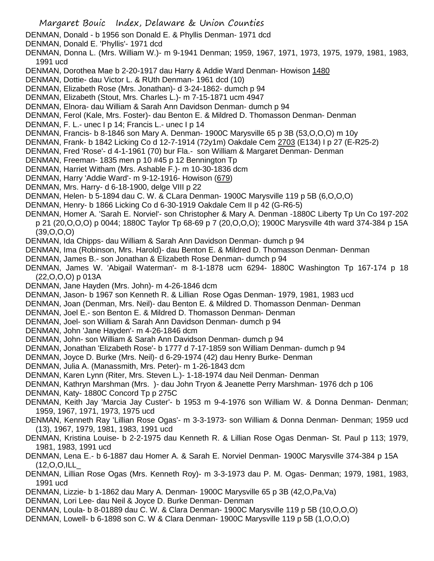- DENMAN, Donald b 1956 son Donald E. & Phyllis Denman- 1971 dcd
- DENMAN, Donald E. 'Phyllis'- 1971 dcd
- DENMAN, Donna L. (Mrs. William W.)- m 9-1941 Denman; 1959, 1967, 1971, 1973, 1975, 1979, 1981, 1983, 1991 ucd
- DENMAN, Dorothea Mae b 2-20-1917 dau Harry & Addie Ward Denman- Howison 1480
- DENMAN, Dottie- dau Victor L. & RUth Denman- 1961 dcd (10)
- DENMAN, Elizabeth Rose (Mrs. Jonathan)- d 3-24-1862- dumch p 94
- DENMAN, Elizabeth (Stout, Mrs. Charles L.)- m 7-15-1871 ucm 4947
- DENMAN, Elnora- dau William & Sarah Ann Davidson Denman- dumch p 94
- DENMAN, Ferol (Kale, Mrs. Foster)- dau Benton E. & Mildred D. Thomasson Denman- Denman
- DENMAN, F. L.- unec I p 14; Francis L.- unec I p 14
- DENMAN, Francis- b 8-1846 son Mary A. Denman- 1900C Marysville 65 p 3B (53,O,O,O) m 10y
- DENMAN, Frank- b 1842 Licking Co d 12-7-1914 (72y1m) Oakdale Cem 2703 (E134) I p 27 (E-R25-2)
- DENMAN, Fred 'Rose'- d 4-1-1961 (70) bur Fla.- son William & Margaret Denman- Denman
- DENMAN, Freeman- 1835 men p 10 #45 p 12 Bennington Tp
- DENMAN, Harriet Witham (Mrs. Ashable F.)- m 10-30-1836 dcm
- DENMAN, Harry 'Addie Ward'- m 9-12-1916- Howison (679)
- DENMAN, Mrs. Harry- d 6-18-1900, delge VIII p 22
- DENMAN, Helen- b 5-1894 dau C. W. & CLara Denman- 1900C Marysville 119 p 5B (6,O,O,O)
- DENMAN, Henry- b 1866 Licking Co d 6-30-1919 Oakdale Cem II p 42 (G-R6-5)
- DENMAN, Homer A. 'Sarah E. Norviel'- son Christopher & Mary A. Denman -1880C Liberty Tp Un Co 197-202 p 21 (20,O,O,O) p 0044; 1880C Taylor Tp 68-69 p 7 (20,O,O,O); 1900C Marysville 4th ward 374-384 p 15A (39,O,O,O)
- DENMAN, Ida Chipps- dau William & Sarah Ann Davidson Denman- dumch p 94
- DENMAN, Ima (Robinson, Mrs. Harold)- dau Benton E. & Mildred D. Thomasson Denman- Denman
- DENMAN, James B.- son Jonathan & Elizabeth Rose Denman- dumch p 94
- DENMAN, James W. 'Abigail Waterman'- m 8-1-1878 ucm 6294- 1880C Washington Tp 167-174 p 18 (22,O,O,O) p 013A
- DENMAN, Jane Hayden (Mrs. John)- m 4-26-1846 dcm
- DENMAN, Jason- b 1967 son Kenneth R. & Lillian Rose Ogas Denman- 1979, 1981, 1983 ucd
- DENMAN, Joan (Denman, Mrs. Neil)- dau Benton E. & Mildred D. Thomasson Denman- Denman
- DENMAN, Joel E.- son Benton E. & Mildred D. Thomasson Denman- Denman
- DENMAN, Joel- son William & Sarah Ann Davidson Denman- dumch p 94
- DENMAN, John 'Jane Hayden'- m 4-26-1846 dcm
- DENMAN, John- son William & Sarah Ann Davidson Denman- dumch p 94
- DENMAN, Jonathan 'Elizabeth Rose'- b 1777 d 7-17-1859 son William Denman- dumch p 94
- DENMAN, Joyce D. Burke (Mrs. Neil)- d 6-29-1974 (42) dau Henry Burke- Denman
- DENMAN, Julia A. (Manassmith, Mrs. Peter)- m 1-26-1843 dcm
- DENMAN, Karen Lynn (Riter, Mrs. Steven L.)- 1-18-1974 dau Neil Denman- Denman
- DENMAN, Kathryn Marshman (Mrs. )- dau John Tryon & Jeanette Perry Marshman- 1976 dch p 106
- DENMAN, Katy- 1880C Concord Tp p 275C
- DENMAN, Keith Jay 'Marcia Jay Custer'- b 1953 m 9-4-1976 son William W. & Donna Denman- Denman; 1959, 1967, 1971, 1973, 1975 ucd
- DENMAN, Kenneth Ray 'Lillian Rose Ogas'- m 3-3-1973- son William & Donna Denman- Denman; 1959 ucd (13), 1967, 1979, 1981, 1983, 1991 ucd
- DENMAN, Kristina Louise- b 2-2-1975 dau Kenneth R. & Lillian Rose Ogas Denman- St. Paul p 113; 1979, 1981, 1983, 1991 ucd
- DENMAN, Lena E.- b 6-1887 dau Homer A. & Sarah E. Norviel Denman- 1900C Marysville 374-384 p 15A (12,O,O,ILL\_
- DENMAN, Lillian Rose Ogas (Mrs. Kenneth Roy)- m 3-3-1973 dau P. M. Ogas- Denman; 1979, 1981, 1983, 1991 ucd
- DENMAN, Lizzie- b 1-1862 dau Mary A. Denman- 1900C Marysville 65 p 3B (42,O,Pa,Va)
- DENMAN, Lori Lee- dau Neil & Joyce D. Burke Denman- Denman
- DENMAN, Loula- b 8-01889 dau C. W. & Clara Denman- 1900C Marysville 119 p 5B (10,O,O,O)
- DENMAN, Lowell- b 6-1898 son C. W & Clara Denman- 1900C Marysville 119 p 5B (1,O,O,O)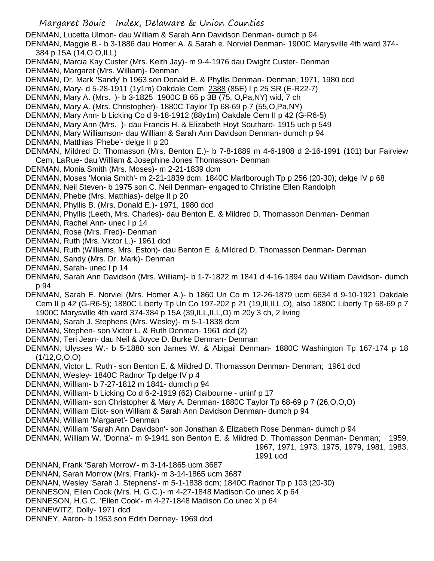DENMAN, Lucetta Ulmon- dau William & Sarah Ann Davidson Denman- dumch p 94

DENMAN, Maggie B.- b 3-1886 dau Homer A. & Sarah e. Norviel Denman- 1900C Marysville 4th ward 374- 384 p 15A (14,O,O,ILL)

- DENMAN, Marcia Kay Custer (Mrs. Keith Jay)- m 9-4-1976 dau Dwight Custer- Denman
- DENMAN, Margaret (Mrs. William)- Denman
- DENMAN, Dr. Mark 'Sandy' b 1963 son Donald E. & Phyllis Denman- Denman; 1971, 1980 dcd
- DENMAN, Mary- d 5-28-1911 (1y1m) Oakdale Cem 2388 (85E) I p 25 SR (E-R22-7)
- DENMAN, Mary A. (Mrs. )- b 3-1825 1900C B 65 p 3B (75, O,Pa,NY) wid, 7 ch
- DENMAN, Mary A. (Mrs. Christopher)- 1880C Taylor Tp 68-69 p 7 (55,O,Pa,NY)
- DENMAN, Mary Ann- b Licking Co d 9-18-1912 (88y1m) Oakdale Cem II p 42 (G-R6-5)
- DENMAN, Mary Ann (Mrs. )- dau Francis H. & Elizabeth Hoyt Southard- 1915 uch p 549
- DENMAN, Mary Williamson- dau William & Sarah Ann Davidson Denman- dumch p 94
- DENMAN, Matthias 'Phebe'- delge II p 20
- DENMAN, Mildred D. Thomasson (Mrs. Benton E.)- b 7-8-1889 m 4-6-1908 d 2-16-1991 (101) bur Fairview Cem, LaRue- dau William & Josephine Jones Thomasson- Denman
- DENMAN, Monia Smith (Mrs. Moses)- m 2-21-1839 dcm
- DENMAN, Moses 'Monia Smith'- m 2-21-1839 dcm; 1840C Marlborough Tp p 256 (20-30); delge IV p 68
- DENMAN, Neil Steven- b 1975 son C. Neil Denman- engaged to Christine Ellen Randolph
- DENMAN, Phebe (Mrs. Matthias)- delge II p 20
- DENMAN, Phyllis B. (Mrs. Donald E.)- 1971, 1980 dcd
- DENMAN, Phyllis (Leeth, Mrs. Charles)- dau Benton E. & Mildred D. Thomasson Denman- Denman
- DENMAN, Rachel Ann- unec I p 14
- DENMAN, Rose (Mrs. Fred)- Denman
- DENMAN, Ruth (Mrs. Victor L.)- 1961 dcd
- DENMAN, Ruth (Williams, Mrs. Eston)- dau Benton E. & Mildred D. Thomasson Denman- Denman
- DENMAN, Sandy (Mrs. Dr. Mark)- Denman
- DENMAN, Sarah- unec I p 14
- DENMAN, Sarah Ann Davidson (Mrs. William)- b 1-7-1822 m 1841 d 4-16-1894 dau William Davidson- dumch p 94
- DENMAN, Sarah E. Norviel (Mrs. Homer A.)- b 1860 Un Co m 12-26-1879 ucm 6634 d 9-10-1921 Oakdale Cem II p 42 (G-R6-5); 1880C Liberty Tp Un Co 197-202 p 21 (19,Ill,ILL,O), also 1880C Liberty Tp 68-69 p 7 1900C Marysville 4th ward 374-384 p 15A (39,ILL,ILL,O) m 20y 3 ch, 2 living
- DENMAN, Sarah J. Stephens (Mrs. Wesley)- m 5-1-1838 dcm
- DENMAN, Stephen- son Victor L. & Ruth Denman- 1961 dcd (2)
- DENMAN, Teri Jean- dau Neil & Joyce D. Burke Denman- Denman
- DENMAN, Ulysses W.- b 5-1880 son James W. & Abigail Denman- 1880C Washington Tp 167-174 p 18  $(1/12, 0, 0, 0)$
- DENMAN, Victor L. 'Ruth'- son Benton E. & Mildred D. Thomasson Denman- Denman; 1961 dcd
- DENMAN, Wesley- 1840C Radnor Tp delge IV p 4
- DENMAN, William- b 7-27-1812 m 1841- dumch p 94
- DENMAN, William- b Licking Co d 6-2-1919 (62) Claibourne uninf p 17
- DENMAN, William- son Christopher & Mary A. Denman- 1880C Taylor Tp 68-69 p 7 (26,O,O,O)
- DENMAN, William Eliot- son William & Sarah Ann Davidson Denman- dumch p 94
- DENMAN, William 'Margaret'- Denman
- DENMAN, William 'Sarah Ann Davidson'- son Jonathan & Elizabeth Rose Denman- dumch p 94
- DENMAN, William W. 'Donna'- m 9-1941 son Benton E. & Mildred D. Thomasson Denman- Denman; 1959,

1991 ucd

1967, 1971, 1973, 1975, 1979, 1981, 1983,

DENNAN, Frank 'Sarah Morrow'- m 3-14-1865 ucm 3687

- DENNAN, Sarah Morrow (Mrs. Frank)- m 3-14-1865 ucm 3687
- DENNAN, Wesley 'Sarah J. Stephens'- m 5-1-1838 dcm; 1840C Radnor Tp p 103 (20-30)
- DENNESON, Ellen Cook (Mrs. H. G.C.)- m 4-27-1848 Madison Co unec X p 64
- DENNESON, H.G.C. 'Ellen Cook'- m 4-27-1848 Madison Co unec X p 64
- DENNEWITZ, Dolly- 1971 dcd
- DENNEY, Aaron- b 1953 son Edith Denney- 1969 dcd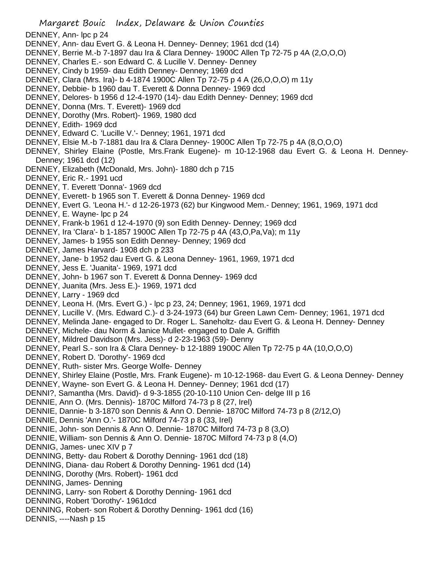Margaret Bouic Index, Delaware & Union Counties DENNEY, Ann- lpc p 24 DENNEY, Ann- dau Evert G. & Leona H. Denney- Denney; 1961 dcd (14) DENNEY, Berrie M.-b 7-1897 dau Ira & Clara Denney- 1900C Allen Tp 72-75 p 4A (2,O,O,O) DENNEY, Charles E.- son Edward C. & Lucille V. Denney- Denney DENNEY, Cindy b 1959- dau Edith Denney- Denney; 1969 dcd DENNEY, Clara (Mrs. Ira)- b 4-1874 1900C Allen Tp 72-75 p 4 A (26,O,O,O) m 11y DENNEY, Debbie- b 1960 dau T. Everett & Donna Denney- 1969 dcd DENNEY, Delores- b 1956 d 12-4-1970 (14)- dau Edith Denney- Denney; 1969 dcd DENNEY, Donna (Mrs. T. Everett)- 1969 dcd DENNEY, Dorothy (Mrs. Robert)- 1969, 1980 dcd DENNEY, Edith- 1969 dcd DENNEY, Edward C. 'Lucille V.'- Denney; 1961, 1971 dcd DENNEY, Elsie M.-b 7-1881 dau Ira & Clara Denney- 1900C Allen Tp 72-75 p 4A (8,O,O,O) DENNEY, Shirley Elaine (Postle, Mrs.Frank Eugene)- m 10-12-1968 dau Evert G. & Leona H. Denney-Denney; 1961 dcd (12) DENNEY, Elizabeth (McDonald, Mrs. John)- 1880 dch p 715 DENNEY, Eric R.- 1991 ucd DENNEY, T. Everett 'Donna'- 1969 dcd DENNEY, Everett- b 1965 son T. Everett & Donna Denney- 1969 dcd DENNEY, Evert G. 'Leona H.'- d 12-26-1973 (62) bur Kingwood Mem.- Denney; 1961, 1969, 1971 dcd DENNEY, E. Wayne- lpc p 24 DENNEY, Frank-b 1961 d 12-4-1970 (9) son Edith Denney- Denney; 1969 dcd DENNEY, Ira 'Clara'- b 1-1857 1900C Allen Tp 72-75 p 4A (43,O,Pa,Va); m 11y DENNEY, James- b 1955 son Edith Denney- Denney; 1969 dcd DENNEY, James Harvard- 1908 dch p 233 DENNEY, Jane- b 1952 dau Evert G. & Leona Denney- 1961, 1969, 1971 dcd DENNEY, Jess E. 'Juanita'- 1969, 1971 dcd DENNEY, John- b 1967 son T. Everett & Donna Denney- 1969 dcd DENNEY, Juanita (Mrs. Jess E.)- 1969, 1971 dcd DENNEY, Larry - 1969 dcd DENNEY, Leona H. (Mrs. Evert G.) - lpc p 23, 24; Denney; 1961, 1969, 1971 dcd DENNEY, Lucille V. (Mrs. Edward C.)- d 3-24-1973 (64) bur Green Lawn Cem- Denney; 1961, 1971 dcd DENNEY, Melinda Jane- engaged to Dr. Roger L. Saneholtz- dau Evert G. & Leona H. Denney- Denney DENNEY, Michele- dau Norm & Janice Mullet- engaged to Dale A. Griffith DENNEY, Mildred Davidson (Mrs. Jess)- d 2-23-1963 (59)- Denny DENNEY, Pearl S.- son Ira & Clara Denney- b 12-1889 1900C Allen Tp 72-75 p 4A (10,O,O,O) DENNEY, Robert D. 'Dorothy'- 1969 dcd DENNEY, Ruth- sister Mrs. George Wolfe- Denney DENNEY, Shirley Elaine (Postle, Mrs. Frank Eugene)- m 10-12-1968- dau Evert G. & Leona Denney- Denney DENNEY, Wayne- son Evert G. & Leona H. Denney- Denney; 1961 dcd (17) DENNI?, Samantha (Mrs. David)- d 9-3-1855 (20-10-110 Union Cen- delge III p 16 DENNIE, Ann O. (Mrs. Dennis)- 1870C Milford 74-73 p 8 (27, Irel) DENNIE, Dannie- b 3-1870 son Dennis & Ann O. Dennie- 1870C Milford 74-73 p 8 (2/12,O) DENNIE, Dennis 'Ann O.'- 1870C Milford 74-73 p 8 (33, Irel) DENNIE, John- son Dennis & Ann O. Dennie- 1870C Milford 74-73 p 8 (3,O) DENNIE, William- son Dennis & Ann O. Dennie- 1870C Milford 74-73 p 8 (4,O) DENNIG, James- unec XIV p 7 DENNING, Betty- dau Robert & Dorothy Denning- 1961 dcd (18) DENNING, Diana- dau Robert & Dorothy Denning- 1961 dcd (14) DENNING, Dorothy (Mrs. Robert)- 1961 dcd DENNING, James- Denning DENNING, Larry- son Robert & Dorothy Denning- 1961 dcd DENNING, Robert 'Dorothy'- 1961dcd DENNING, Robert- son Robert & Dorothy Denning- 1961 dcd (16) DENNIS, ----Nash p 15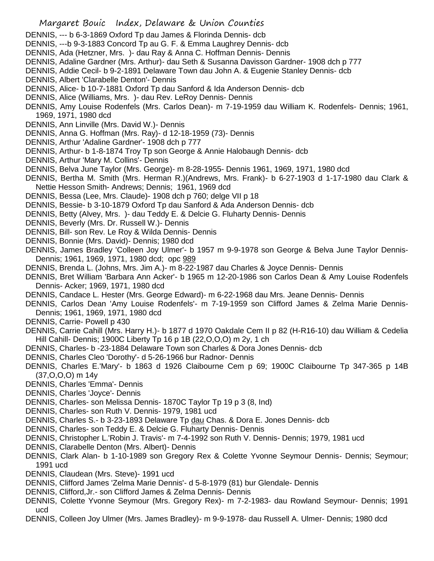- DENNIS, --- b 6-3-1869 Oxford Tp dau James & Florinda Dennis- dcb
- DENNIS, ---b 9-3-1883 Concord Tp au G. F. & Emma Laughrey Dennis- dcb
- DENNIS, Ada (Hetzner, Mrs. )- dau Ray & Anna C. Hoffman Dennis- Dennis
- DENNIS, Adaline Gardner (Mrs. Arthur)- dau Seth & Susanna Davisson Gardner- 1908 dch p 777
- DENNIS, Addie Cecil- b 9-2-1891 Delaware Town dau John A. & Eugenie Stanley Dennis- dcb
- DENNIS, Albert 'Clarabelle Denton'- Dennis
- DENNIS, Alice- b 10-7-1881 Oxford Tp dau Sanford & Ida Anderson Dennis- dcb
- DENNIS, Alice (Williams, Mrs. )- dau Rev. LeRoy Dennis- Dennis
- DENNIS, Amy Louise Rodenfels (Mrs. Carlos Dean)- m 7-19-1959 dau William K. Rodenfels- Dennis; 1961, 1969, 1971, 1980 dcd
- DENNIS, Ann Linville (Mrs. David W.)- Dennis
- DENNIS, Anna G. Hoffman (Mrs. Ray)- d 12-18-1959 (73)- Dennis
- DENNIS, Arthur 'Adaline Gardner'- 1908 dch p 777
- DENNIS, Arthur- b 1-8-1874 Troy Tp son George & Annie Halobaugh Dennis- dcb
- DENNIS, Arthur 'Mary M. Collins'- Dennis
- DENNIS, Belva June Taylor (Mrs. George)- m 8-28-1955- Dennis 1961, 1969, 1971, 1980 dcd
- DENNIS, Bertha M. Smith (Mrs. Herman R.)(Andrews, Mrs. Frank)- b 6-27-1903 d 1-17-1980 dau Clark & Nettie Hesson Smith- Andrews; Dennis; 1961, 1969 dcd
- DENNIS, Bessa (Lee, Mrs. Claude)- 1908 dch p 760; delge VII p 18
- DENNIS, Bessie- b 3-10-1879 Oxford Tp dau Sanford & Ada Anderson Dennis- dcb
- DENNIS, Betty (Alvey, Mrs. )- dau Teddy E. & Delcie G. Fluharty Dennis- Dennis
- DENNIS, Beverly (Mrs. Dr. Russell W.)- Dennis
- DENNIS, Bill- son Rev. Le Roy & Wilda Dennis- Dennis
- DENNIS, Bonnie (Mrs. David)- Dennis; 1980 dcd
- DENNIS, James Bradley 'Colleen Joy Ulmer'- b 1957 m 9-9-1978 son George & Belva June Taylor Dennis-Dennis; 1961, 1969, 1971, 1980 dcd; opc 989
- DENNIS, Brenda L. (Johns, Mrs. Jim A.)- m 8-22-1987 dau Charles & Joyce Dennis- Dennis
- DENNIS, Bret William 'Barbara Ann Acker'- b 1965 m 12-20-1986 son Carlos Dean & Amy Louise Rodenfels Dennis- Acker; 1969, 1971, 1980 dcd
- DENNIS, Candace L. Hester (Mrs. George Edward)- m 6-22-1968 dau Mrs. Jeane Dennis- Dennis
- DENNIS, Carlos Dean 'Amy Louise Rodenfels'- m 7-19-1959 son Clifford James & Zelma Marie Dennis-Dennis; 1961, 1969, 1971, 1980 dcd
- DENNIS, Carrie- Powell p 430
- DENNIS, Carrie Cahill (Mrs. Harry H.)- b 1877 d 1970 Oakdale Cem II p 82 (H-R16-10) dau William & Cedelia Hill Cahill- Dennis; 1900C Liberty Tp 16 p 1B (22,O,O,O) m 2y, 1 ch
- DENNIS, Charles- b -23-1884 Delaware Town son Charles & Dora Jones Dennis- dcb
- DENNIS, Charles Cleo 'Dorothy'- d 5-26-1966 bur Radnor- Dennis
- DENNIS, Charles E.'Mary'- b 1863 d 1926 Claibourne Cem p 69; 1900C Claibourne Tp 347-365 p 14B (37,O,O,O) m 14y
- DENNIS, Charles 'Emma'- Dennis
- DENNIS, Charles 'Joyce'- Dennis
- DENNIS, Charles- son Melissa Dennis- 1870C Taylor Tp 19 p 3 (8, Ind)
- DENNIS, Charles- son Ruth V. Dennis- 1979, 1981 ucd
- DENNIS, Charles S.- b 3-23-1893 Delaware Tp dau Chas. & Dora E. Jones Dennis- dcb
- DENNIS, Charles- son Teddy E. & Delcie G. Fluharty Dennis- Dennis
- DENNIS, Christopher L.'Robin J. Travis'- m 7-4-1992 son Ruth V. Dennis- Dennis; 1979, 1981 ucd
- DENNIS, Clarabelle Denton (Mrs. Albert)- Dennis
- DENNIS, Clark Alan- b 1-10-1989 son Gregory Rex & Colette Yvonne Seymour Dennis- Dennis; Seymour; 1991 ucd
- DENNIS, Claudean (Mrs. Steve)- 1991 ucd
- DENNIS, Clifford James 'Zelma Marie Dennis'- d 5-8-1979 (81) bur Glendale- Dennis
- DENNIS, Clifford,Jr.- son Clifford James & Zelma Dennis- Dennis
- DENNIS, Colette Yvonne Seymour (Mrs. Gregory Rex)- m 7-2-1983- dau Rowland Seymour- Dennis; 1991 ucd
- DENNIS, Colleen Joy Ulmer (Mrs. James Bradley)- m 9-9-1978- dau Russell A. Ulmer- Dennis; 1980 dcd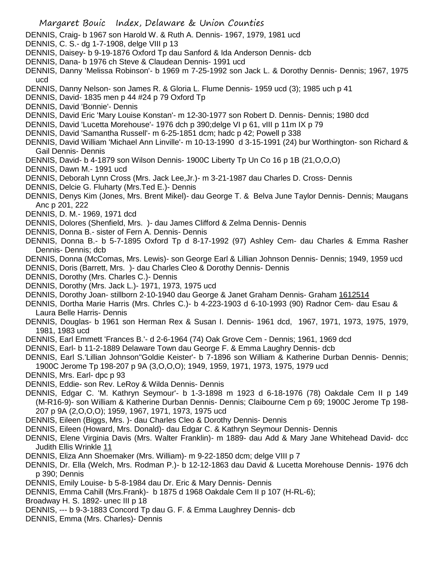- DENNIS, Craig- b 1967 son Harold W. & Ruth A. Dennis- 1967, 1979, 1981 ucd
- DENNIS, C. S.- dg 1-7-1908, delge VIII p 13
- DENNIS, Daisey- b 9-19-1876 Oxford Tp dau Sanford & Ida Anderson Dennis- dcb
- DENNIS, Dana- b 1976 ch Steve & Claudean Dennis- 1991 ucd
- DENNIS, Danny 'Melissa Robinson'- b 1969 m 7-25-1992 son Jack L. & Dorothy Dennis- Dennis; 1967, 1975 ucd
- DENNIS, Danny Nelson- son James R. & Gloria L. Flume Dennis- 1959 ucd (3); 1985 uch p 41
- DENNIS, David- 1835 men p 44 #24 p 79 Oxford Tp
- DENNIS, David 'Bonnie'- Dennis
- DENNIS, David Eric 'Mary Louise Konstan'- m 12-30-1977 son Robert D. Dennis- Dennis; 1980 dcd
- DENNIS, David 'Lucetta Morehouse'- 1976 dch p 390;delge VI p 61, vIII p 11m IX p 79
- DENNIS, David 'Samantha Russell'- m 6-25-1851 dcm; hadc p 42; Powell p 338
- DENNIS, David William 'Michael Ann Linville'- m 10-13-1990 d 3-15-1991 (24) bur Worthington- son Richard & Gail Dennis- Dennis
- DENNIS, David- b 4-1879 son Wilson Dennis- 1900C Liberty Tp Un Co 16 p 1B (21,O,O,O)
- DENNIS, Dawn M.- 1991 ucd
- DENNIS, Deborah Lynn Cross (Mrs. Jack Lee,Jr.)- m 3-21-1987 dau Charles D. Cross- Dennis
- DENNIS, Delcie G. Fluharty (Mrs.Ted E.)- Dennis
- DENNIS, Denys Kim (Jones, Mrs. Brent Mikel)- dau George T. & Belva June Taylor Dennis- Dennis; Maugans Anc p 201, 222
- DENNIS, D. M.- 1969, 1971 dcd
- DENNIS, Dolores (Shenfield, Mrs. )- dau James Clifford & Zelma Dennis- Dennis
- DENNIS, Donna B.- sister of Fern A. Dennis- Dennis
- DENNIS, Donna B.- b 5-7-1895 Oxford Tp d 8-17-1992 (97) Ashley Cem- dau Charles & Emma Rasher Dennis- Dennis; dcb
- DENNIS, Donna (McComas, Mrs. Lewis)- son George Earl & Lillian Johnson Dennis- Dennis; 1949, 1959 ucd
- DENNIS, Doris (Barrett, Mrs. )- dau Charles Cleo & Dorothy Dennis- Dennis
- DENNIS, Dorothy (Mrs. Charles C.)- Dennis
- DENNIS, Dorothy (Mrs. Jack L.)- 1971, 1973, 1975 ucd
- DENNIS, Dorothy Joan- stillborn 2-10-1940 dau George & Janet Graham Dennis- Graham 1612514
- DENNIS, Dortha Marie Harris (Mrs. Chrles C.)- b 4-223-1903 d 6-10-1993 (90) Radnor Cem- dau Esau & Laura Belle Harris- Dennis
- DENNIS, Douglas- b 1961 son Herman Rex & Susan I. Dennis- 1961 dcd, 1967, 1971, 1973, 1975, 1979, 1981, 1983 ucd
- DENNIS, Earl Emmett 'Frances B.'- d 2-6-1964 (74) Oak Grove Cem Dennis; 1961, 1969 dcd
- DENNIS, Earl- b 11-2-1889 Delaware Town dau George F. & Emma Laughry Dennis- dcb
- DENNIS, Earl S.'Lillian Johnson''Goldie Keister'- b 7-1896 son William & Katherine Durban Dennis- Dennis; 1900C Jerome Tp 198-207 p 9A (3,O,O,O); 1949, 1959, 1971, 1973, 1975, 1979 ucd
- DENNIS, Mrs. Earl- dpc p 93
- DENNIS, Eddie- son Rev. LeRoy & Wilda Dennis- Dennis
- DENNIS, Edgar C. 'M. Kathryn Seymour'- b 1-3-1898 m 1923 d 6-18-1976 (78) Oakdale Cem II p 149 (M-R16-9)- son William & Katherine Durban Dennis- Dennis; Claibourne Cem p 69; 1900C Jerome Tp 198- 207 p 9A (2,O,O,O); 1959, 1967, 1971, 1973, 1975 ucd
- DENNIS, Eileen (Biggs, Mrs. )- dau Charles Cleo & Dorothy Dennis- Dennis
- DENNIS, Eileen (Howard, Mrs. Donald)- dau Edgar C. & Kathryn Seymour Dennis- Dennis
- DENNIS, Elene Virginia Davis (Mrs. Walter Franklin)- m 1889- dau Add & Mary Jane Whitehead David- dcc Judith Ellis Wrinkle 11
- DENNIS, Eliza Ann Shoemaker (Mrs. William)- m 9-22-1850 dcm; delge VIII p 7
- DENNIS, Dr. Ella (Welch, Mrs. Rodman P.)- b 12-12-1863 dau David & Lucetta Morehouse Dennis- 1976 dch p 390; Dennis
- DENNIS, Emily Louise- b 5-8-1984 dau Dr. Eric & Mary Dennis- Dennis
- DENNIS, Emma Cahill (Mrs.Frank)- b 1875 d 1968 Oakdale Cem II p 107 (H-RL-6);
- Broadway H. S. 1892- unec III p 18
- DENNIS, --- b 9-3-1883 Concord Tp dau G. F. & Emma Laughrey Dennis- dcb
- DENNIS, Emma (Mrs. Charles)- Dennis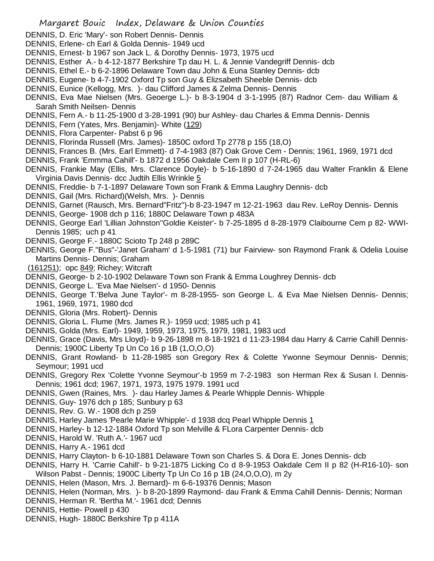- DENNIS, D. Eric 'Mary'- son Robert Dennis- Dennis
- DENNIS, Erlene- ch Earl & Golda Dennis- 1949 ucd
- DENNIS, Ernest- b 1967 son Jack L. & Dorothy Dennis- 1973, 1975 ucd
- DENNIS, Esther A.- b 4-12-1877 Berkshire Tp dau H. L. & Jennie Vandegriff Dennis- dcb
- DENNIS, Ethel E.- b 6-2-1896 Delaware Town dau John & Euna Stanley Dennis- dcb
- DENNIS, Eugene- b 4-7-1902 Oxford Tp son Guy & Elizsabeth Sheeble Dennis- dcb
- DENNIS, Eunice (Kellogg, Mrs. )- dau Clifford James & Zelma Dennis- Dennis
- DENNIS, Eva Mae Nielsen (Mrs. Geoerge L.)- b 8-3-1904 d 3-1-1995 (87) Radnor Cem- dau William & Sarah Smith Neilsen- Dennis
- DENNIS, Fern A.- b 11-25-1900 d 3-28-1991 (90) bur Ashley- dau Charles & Emma Dennis- Dennis
- DENNIS, Fern (Yates, Mrs. Benjamin)- White (129)
- DENNIS, Flora Carpenter- Pabst 6 p 96
- DENNIS, Florinda Russell (Mrs. James)- 1850C oxford Tp 2778 p 155 (18,O)
- DENNIS, Frances B. (Mrs. Earl Emmett)- d 7-4-1983 (87) Oak Grove Cem Dennis; 1961, 1969, 1971 dcd
- DENNIS, Frank 'Emmma Cahill'- b 1872 d 1956 Oakdale Cem II p 107 (H-RL-6)
- DENNIS, Frankie May (Ellis, Mrs. Clarence Doyle)- b 5-16-1890 d 7-24-1965 dau Walter Franklin & Elene Virginia Davis Dennis- dcc Judtih Ellis Wrinkle 5
- DENNIS, Freddie- b 7-1-1897 Delaware Town son Frank & Emma Laughry Dennis- dcb
- DENNIS, Gail (Mrs. Richard)(Welsh, Mrs. )- Dennis
- DENNIS, Garnet (Rausch, Mrs. Bernard"Fritz")-b 8-23-1947 m 12-21-1963 dau Rev. LeRoy Dennis- Dennis
- DENNIS, George- 1908 dch p 116; 1880C Delaware Town p 483A
- DENNIS, George Earl 'Lillian Johnston''Goldie Keister'- b 7-25-1895 d 8-28-1979 Claibourne Cem p 82- WWI-Dennis 1985; uch p 41
- DENNIS, George F.- 1880C Scioto Tp 248 p 289C
- DENNIS, George F."Bus"-'Janet Graham' d 1-5-1981 (71) bur Fairview- son Raymond Frank & Odelia Louise Martins Dennis- Dennis; Graham
- (161251); opc 849; Richey; Witcraft
- DENNIS, George- b 2-10-1902 Delaware Town son Frank & Emma Loughrey Dennis- dcb
- DENNIS, George L. 'Eva Mae Nielsen'- d 1950- Dennis
- DENNIS, George T.'Belva June Taylor'- m 8-28-1955- son George L. & Eva Mae Nielsen Dennis- Dennis; 1961, 1969, 1971, 1980 dcd
- DENNIS, Gloria (Mrs. Robert)- Dennis
- DENNIS, Gloria L. Flume (Mrs. James R.)- 1959 ucd; 1985 uch p 41
- DENNIS, Golda (Mrs. Earl)- 1949, 1959, 1973, 1975, 1979, 1981, 1983 ucd
- DENNIS, Grace (Davis, Mrs Lloyd)- b 9-26-1898 m 8-18-1921 d 11-23-1984 dau Harry & Carrie Cahill Dennis-Dennis; 1900C Liberty Tp Un Co 16 p 1B (1,O,O,O)
- DENNIS, Grant Rowland- b 11-28-1985 son Gregory Rex & Colette Ywonne Seymour Dennis- Dennis; Seymour; 1991 ucd
- DENNIS, Gregory Rex 'Colette Yvonne Seymour'-b 1959 m 7-2-1983 son Herman Rex & Susan I. Dennis-Dennis; 1961 dcd; 1967, 1971, 1973, 1975 1979. 1991 ucd
- DENNIS, Gwen (Raines, Mrs. )- dau Harley James & Pearle Whipple Dennis- Whipple
- DENNIS, Guy- 1976 dch p 185; Sunbury p 63
- DENNIS, Rev. G. W.- 1908 dch p 259
- DENNIS, Harley James 'Pearle Marie Whipple'- d 1938 dcq Pearl Whipple Dennis 1
- DENNIS, Harley- b 12-12-1884 Oxford Tp son Melville & FLora Carpenter Dennis- dcb
- DENNIS, Harold W. 'Ruth A.'- 1967 ucd
- DENNIS, Harry A.- 1961 dcd
- DENNIS, Harry Clayton- b 6-10-1881 Delaware Town son Charles S. & Dora E. Jones Dennis- dcb
- DENNIS, Harry H. 'Carrie Cahill'- b 9-21-1875 Licking Co d 8-9-1953 Oakdale Cem II p 82 (H-R16-10)- son Wilson Pabst - Dennis; 1900C Liberty Tp Un Co 16 p 1B (24,O,O,O), m 2y
- DENNIS, Helen (Mason, Mrs. J. Bernard)- m 6-6-19376 Dennis; Mason
- DENNIS, Helen (Norman, Mrs. )- b 8-20-1899 Raymond- dau Frank & Emma Cahill Dennis- Dennis; Norman
- DENNIS, Herman R. 'Bertha M.'- 1961 dcd; Dennis
- DENNIS, Hettie- Powell p 430
- DENNIS, Hugh- 1880C Berkshire Tp p 411A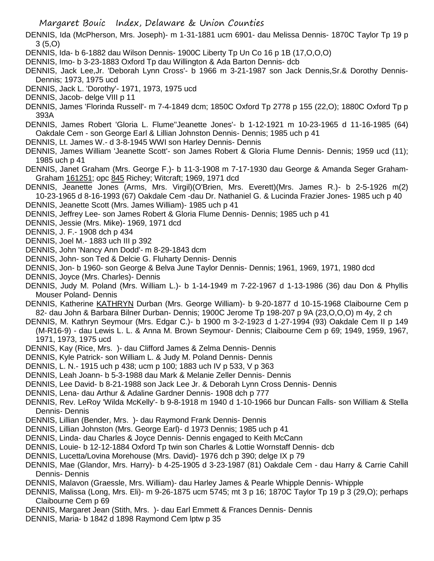DENNIS, Ida (McPherson, Mrs. Joseph)- m 1-31-1881 ucm 6901- dau Melissa Dennis- 1870C Taylor Tp 19 p 3 (5,O)

- DENNIS, Ida- b 6-1882 dau Wilson Dennis- 1900C Liberty Tp Un Co 16 p 1B (17,O,O,O)
- DENNIS, Imo- b 3-23-1883 Oxford Tp dau Willington & Ada Barton Dennis- dcb
- DENNIS, Jack Lee,Jr. 'Deborah Lynn Cross'- b 1966 m 3-21-1987 son Jack Dennis,Sr.& Dorothy Dennis-Dennis; 1973, 1975 ucd
- DENNIS, Jack L. 'Dorothy'- 1971, 1973, 1975 ucd
- DENNIS, Jacob- delge VIII p 11
- DENNIS, James 'Florinda Russell'- m 7-4-1849 dcm; 1850C Oxford Tp 2778 p 155 (22,O); 1880C Oxford Tp p 393A
- DENNIS, James Robert 'Gloria L. Flume''Jeanette Jones'- b 1-12-1921 m 10-23-1965 d 11-16-1985 (64) Oakdale Cem - son George Earl & Lillian Johnston Dennis- Dennis; 1985 uch p 41
- DENNIS, Lt. James W.- d 3-8-1945 WWI son Harley Dennis- Dennis
- DENNIS, James William 'Jeanette Scott'- son James Robert & Gloria Flume Dennis- Dennis; 1959 ucd (11); 1985 uch p 41
- DENNIS, Janet Graham (Mrs. George F.)- b 11-3-1908 m 7-17-1930 dau George & Amanda Seger Graham-Graham 161251; opc 845 Richey; Witcraft; 1969, 1971 dcd
- DENNIS, Jeanette Jones (Arms, Mrs. Virgil)(O'Brien, Mrs. Everett)(Mrs. James R.)- b 2-5-1926 m(2) 10-23-1965 d 8-16-1993 (67) Oakdale Cem -dau Dr. Nathaniel G. & Lucinda Frazier Jones- 1985 uch p 40
- DENNIS, Jeanette Scott (Mrs. James William)- 1985 uch p 41
- DENNIS, Jeffrey Lee- son James Robert & Gloria Flume Dennis- Dennis; 1985 uch p 41
- DENNIS, Jessie (Mrs. Mike)- 1969, 1971 dcd
- DENNIS, J. F.- 1908 dch p 434
- DENNIS, Joel M.- 1883 uch III p 392
- DENNIS, John 'Nancy Ann Dodd'- m 8-29-1843 dcm
- DENNIS, John- son Ted & Delcie G. Fluharty Dennis- Dennis
- DENNIS, Jon- b 1960- son George & Belva June Taylor Dennis- Dennis; 1961, 1969, 1971, 1980 dcd
- DENNIS, Joyce (Mrs. Charles)- Dennis
- DENNIS, Judy M. Poland (Mrs. William L.)- b 1-14-1949 m 7-22-1967 d 1-13-1986 (36) dau Don & Phyllis Mouser Poland- Dennis
- DENNIS, Katherine KATHRYN Durban (Mrs. George William)- b 9-20-1877 d 10-15-1968 Claibourne Cem p 82- dau John & Barbara Bilner Durban- Dennis; 1900C Jerome Tp 198-207 p 9A (23,O,O,O) m 4y, 2 ch
- DENNIS, M. Kathryn Seymour (Mrs. Edgar C.)- b 1900 m 3-2-1923 d 1-27-1994 (93) Oakdale Cem II p 149 (M-R16-9) - dau Lewis L. L. & Anna M. Brown Seymour- Dennis; Claibourne Cem p 69; 1949, 1959, 1967, 1971, 1973, 1975 ucd
- DENNIS, Kay (Rice, Mrs. )- dau Clifford James & Zelma Dennis- Dennis
- DENNIS, Kyle Patrick- son William L. & Judy M. Poland Dennis- Dennis
- DENNIS, L. N.- 1915 uch p 438; ucm p 100; 1883 uch IV p 533, V p 363
- DENNIS, Leah Joann- b 5-3-1988 dau Mark & Melanie Zeller Dennis- Dennis
- DENNIS, Lee David- b 8-21-1988 son Jack Lee Jr. & Deborah Lynn Cross Dennis- Dennis
- DENNIS, Lena- dau Arthur & Adaline Gardner Dennis- 1908 dch p 777
- DENNIS, Rev. LeRoy 'Wilda McKelly'- b 9-8-1918 m 1940 d 1-10-1966 bur Duncan Falls- son William & Stella Dennis- Dennis
- DENNIS, Lillian (Bender, Mrs. )- dau Raymond Frank Dennis- Dennis
- DENNIS, Lillian Johnston (Mrs. George Earl)- d 1973 Dennis; 1985 uch p 41
- DENNIS, Linda- dau Charles & Joyce Dennis- Dennis engaged to Keith McCann
- DENNIS, Louie- b 12-12-1884 Oxford Tp twin son Charles & Lottie Wornstaff Dennis- dcb
- DENNIS, Lucetta/Lovina Morehouse (Mrs. David)- 1976 dch p 390; delge IX p 79
- DENNIS, Mae (Glandor, Mrs. Harry)- b 4-25-1905 d 3-23-1987 (81) Oakdale Cem dau Harry & Carrie Cahill Dennis- Dennis
- DENNIS, Malavon (Graessle, Mrs. William)- dau Harley James & Pearle Whipple Dennis- Whipple
- DENNIS, Malissa (Long, Mrs. Eli)- m 9-26-1875 ucm 5745; mt 3 p 16; 1870C Taylor Tp 19 p 3 (29,O); perhaps Claibourne Cem p 69
- DENNIS, Margaret Jean (Stith, Mrs. )- dau Earl Emmett & Frances Dennis- Dennis
- DENNIS, Maria- b 1842 d 1898 Raymond Cem lptw p 35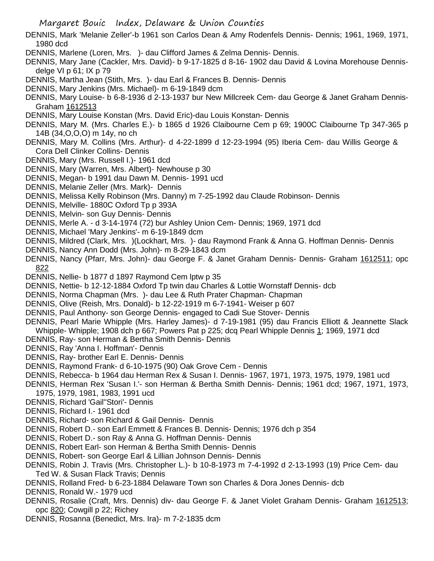- DENNIS, Mark 'Melanie Zeller'-b 1961 son Carlos Dean & Amy Rodenfels Dennis- Dennis; 1961, 1969, 1971, 1980 dcd
- DENNIS, Marlene (Loren, Mrs. )- dau Clifford James & Zelma Dennis- Dennis.
- DENNIS, Mary Jane (Cackler, Mrs. David)- b 9-17-1825 d 8-16- 1902 dau David & Lovina Morehouse Dennisdelge VI p 61; IX p 79
- DENNIS, Martha Jean (Stith, Mrs. )- dau Earl & Frances B. Dennis- Dennis
- DENNIS, Mary Jenkins (Mrs. Michael)- m 6-19-1849 dcm
- DENNIS, Mary Louise- b 6-8-1936 d 2-13-1937 bur New Millcreek Cem- dau George & Janet Graham Dennis-Graham 1612513
- DENNIS, Mary Louise Konstan (Mrs. David Eric)-dau Louis Konstan- Dennis
- DENNIS, Mary M. (Mrs. Charles E.)- b 1865 d 1926 Claibourne Cem p 69; 1900C Claibourne Tp 347-365 p 14B (34,O,O,O) m 14y, no ch
- DENNIS, Mary M. Collins (Mrs. Arthur)- d 4-22-1899 d 12-23-1994 (95) Iberia Cem- dau Willis George & Cora Dell Clinker Collins- Dennis
- DENNIS, Mary (Mrs. Russell I.)- 1961 dcd
- DENNIS, Mary (Warren, Mrs. Albert)- Newhouse p 30
- DENNIS, Megan- b 1991 dau Dawn M. Dennis- 1991 ucd
- DENNIS, Melanie Zeller (Mrs. Mark)- Dennis
- DENNIS, Melissa Kelly Robinson (Mrs. Danny) m 7-25-1992 dau Claude Robinson- Dennis
- DENNIS, Melville- 1880C Oxford Tp p 393A
- DENNIS, Melvin- son Guy Dennis- Dennis
- DENNIS, Merle A. d 3-14-1974 (72) bur Ashley Union Cem- Dennis; 1969, 1971 dcd
- DENNIS, Michael 'Mary Jenkins'- m 6-19-1849 dcm
- DENNIS, Mildred (Clark, Mrs. )(Lockhart, Mrs. )- dau Raymond Frank & Anna G. Hoffman Dennis- Dennis
- DENNIS, Nancy Ann Dodd (Mrs. John)- m 8-29-1843 dcm
- DENNIS, Nancy (Pfarr, Mrs. John)- dau George F. & Janet Graham Dennis- Dennis- Graham 1612511; opc 822
- DENNIS, Nellie- b 1877 d 1897 Raymond Cem lptw p 35
- DENNIS, Nettie- b 12-12-1884 Oxford Tp twin dau Charles & Lottie Wornstaff Dennis- dcb
- DENNIS, Norma Chapman (Mrs. )- dau Lee & Ruth Prater Chapman- Chapman
- DENNIS, Olive (Reish, Mrs. Donald)- b 12-22-1919 m 6-7-1941- Weiser p 607
- DENNIS, Paul Anthony- son George Dennis- engaged to Cadi Sue Stover- Dennis
- DENNIS, Pearl Marie Whipple (Mrs. Harley James)- d 7-19-1981 (95) dau Francis Elliott & Jeannette Slack Whipple- Whipple; 1908 dch p 667; Powers Pat p 225; dcq Pearl Whipple Dennis 1; 1969, 1971 dcd
- DENNIS, Ray- son Herman & Bertha Smith Dennis- Dennis
- DENNIS, Ray 'Anna I. Hoffman'- Dennis
- DENNIS, Ray- brother Earl E. Dennis- Dennis
- DENNIS, Raymond Frank- d 6-10-1975 (90) Oak Grove Cem Dennis
- DENNIS, Rebecca- b 1964 dau Herman Rex & Susan I. Dennis- 1967, 1971, 1973, 1975, 1979, 1981 ucd
- DENNIS, Herman Rex 'Susan I.'- son Herman & Bertha Smith Dennis- Dennis; 1961 dcd; 1967, 1971, 1973, 1975, 1979, 1981, 1983, 1991 ucd
- DENNIS, Richard 'Gail''Stori'- Dennis
- DENNIS, Richard I.- 1961 dcd
- DENNIS, Richard- son Richard & Gail Dennis- Dennis
- DENNIS, Robert D.- son Earl Emmett & Frances B. Dennis- Dennis; 1976 dch p 354
- DENNIS, Robert D.- son Ray & Anna G. Hoffman Dennis- Dennis
- DENNIS, Robert Earl- son Herman & Bertha Smith Dennis- Dennis
- DENNIS, Robert- son George Earl & Lillian Johnson Dennis- Dennis
- DENNIS, Robin J. Travis (Mrs. Christopher L.)- b 10-8-1973 m 7-4-1992 d 2-13-1993 (19) Price Cem- dau Ted W. & Susan Flack Travis; Dennis
- DENNIS, Rolland Fred- b 6-23-1884 Delaware Town son Charles & Dora Jones Dennis- dcb
- DENNIS, Ronald W.- 1979 ucd
- DENNIS, Rosalie (Craft, Mrs. Dennis) div- dau George F. & Janet Violet Graham Dennis- Graham 1612513; opc 820; Cowgill p 22; Richey
- DENNIS, Rosanna (Benedict, Mrs. Ira)- m 7-2-1835 dcm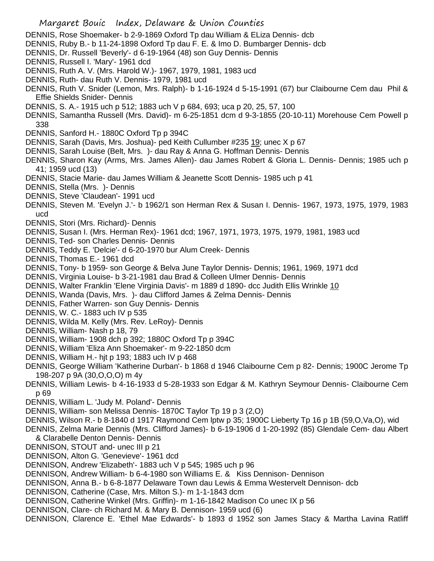- DENNIS, Rose Shoemaker- b 2-9-1869 Oxford Tp dau William & ELiza Dennis- dcb
- DENNIS, Ruby B.- b 11-24-1898 Oxford Tp dau F. E. & Imo D. Bumbarger Dennis- dcb
- DENNIS, Dr. Russell 'Beverly'- d 6-19-1964 (48) son Guy Dennis- Dennis
- DENNIS, Russell I. 'Mary'- 1961 dcd
- DENNIS, Ruth A. V. (Mrs. Harold W.)- 1967, 1979, 1981, 1983 ucd
- DENNIS, Ruth- dau Ruth V. Dennis- 1979, 1981 ucd
- DENNIS, Ruth V. Snider (Lemon, Mrs. Ralph)- b 1-16-1924 d 5-15-1991 (67) bur Claibourne Cem dau Phil & Effie Shields Snider- Dennis
- DENNIS, S. A.- 1915 uch p 512; 1883 uch V p 684, 693; uca p 20, 25, 57, 100
- DENNIS, Samantha Russell (Mrs. David)- m 6-25-1851 dcm d 9-3-1855 (20-10-11) Morehouse Cem Powell p 338
- DENNIS, Sanford H.- 1880C Oxford Tp p 394C
- DENNIS, Sarah (Davis, Mrs. Joshua)- ped Keith Cullumber #235 19; unec X p 67
- DENNIS, Sarah Louise (Belt, Mrs. )- dau Ray & Anna G. Hoffman Dennis- Dennis
- DENNIS, Sharon Kay (Arms, Mrs. James Allen)- dau James Robert & Gloria L. Dennis- Dennis; 1985 uch p 41; 1959 ucd (13)
- DENNIS, Stacie Marie- dau James William & Jeanette Scott Dennis- 1985 uch p 41
- DENNIS, Stella (Mrs. )- Dennis
- DENNIS, Steve 'Claudean'- 1991 ucd
- DENNIS, Steven M. 'Evelyn J.'- b 1962/1 son Herman Rex & Susan I. Dennis- 1967, 1973, 1975, 1979, 1983 ucd
- DENNIS, Stori (Mrs. Richard)- Dennis
- DENNIS, Susan I. (Mrs. Herman Rex)- 1961 dcd; 1967, 1971, 1973, 1975, 1979, 1981, 1983 ucd
- DENNIS, Ted- son Charles Dennis- Dennis
- DENNIS, Teddy E. 'Delcie'- d 6-20-1970 bur Alum Creek- Dennis
- DENNIS, Thomas E.- 1961 dcd
- DENNIS, Tony- b 1959- son George & Belva June Taylor Dennis- Dennis; 1961, 1969, 1971 dcd
- DENNIS, Virginia Louise- b 3-21-1981 dau Brad & Colleen Ulmer Dennis- Dennis
- DENNIS, Walter Franklin 'Elene Virginia Davis'- m 1889 d 1890- dcc Judith Ellis Wrinkle 10
- DENNIS, Wanda (Davis, Mrs. )- dau Clifford James & Zelma Dennis- Dennis
- DENNIS, Father Warren- son Guy Dennis- Dennis
- DENNIS, W. C.- 1883 uch IV p 535
- DENNIS, Wilda M. Kelly (Mrs. Rev. LeRoy)- Dennis
- DENNIS, William- Nash p 18, 79
- DENNIS, William- 1908 dch p 392; 1880C Oxford Tp p 394C
- DENNIS, William 'Eliza Ann Shoemaker'- m 9-22-1850 dcm
- DENNIS, William H.- hjt p 193; 1883 uch IV p 468
- DENNIS, George William 'Katherine Durban'- b 1868 d 1946 Claibourne Cem p 82- Dennis; 1900C Jerome Tp 198-207 p 9A (30,O,O,O) m 4y
- DENNIS, William Lewis- b 4-16-1933 d 5-28-1933 son Edgar & M. Kathryn Seymour Dennis- Claibourne Cem p 69
- DENNIS, William L. 'Judy M. Poland'- Dennis
- DENNIS, William- son Melissa Dennis- 1870C Taylor Tp 19 p 3 (2,O)
- DENNIS, Wilson R.- b 8-1840 d 1917 Raymond Cem lptw p 35; 1900C Lieberty Tp 16 p 1B (59,O,Va,O), wid
- DENNIS, Zelma Marie Dennis (Mrs. Clifford James)- b 6-19-1906 d 1-20-1992 (85) Glendale Cem- dau Albert & Clarabelle Denton Dennis- Dennis
- DENNISON, STOUT and- unec III p 21
- DENNISON, Alton G. 'Genevieve'- 1961 dcd
- DENNISON, Andrew 'Elizabeth'- 1883 uch V p 545; 1985 uch p 96
- DENNISON, Andrew William- b 6-4-1980 son Williams E. & Kiss Dennison- Dennison
- DENNISON, Anna B.- b 6-8-1877 Delaware Town dau Lewis & Emma Westervelt Dennison- dcb
- DENNISON, Catherine (Case, Mrs. Milton S.)- m 1-1-1843 dcm
- DENNISON, Catherine Winkel (Mrs. Griffin)- m 1-16-1842 Madison Co unec IX p 56
- DENNISON, Clare- ch Richard M. & Mary B. Dennison- 1959 ucd (6)
- DENNISON, Clarence E. 'Ethel Mae Edwards'- b 1893 d 1952 son James Stacy & Martha Lavina Ratliff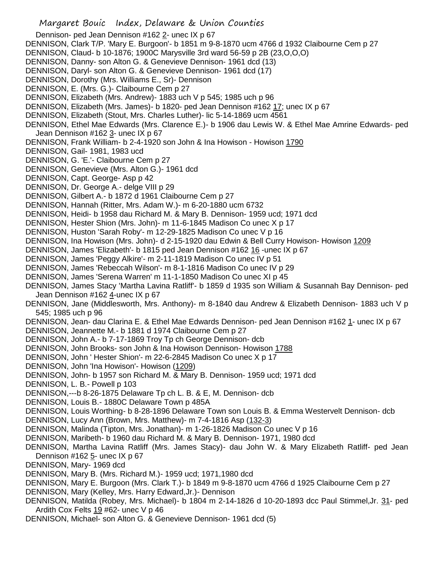Dennison- ped Jean Dennison #162 2- unec IX p 67 DENNISON, Clark T/P. 'Mary E. Burgoon'- b 1851 m 9-8-1870 ucm 4766 d 1932 Claibourne Cem p 27 DENNISON, Claud- b 10-1876; 1900C Marysville 3rd ward 56-59 p 2B (23,O,O,O) DENNISON, Danny- son Alton G. & Genevieve Dennison- 1961 dcd (13) DENNISON, Daryl- son Alton G. & Genevieve Dennison- 1961 dcd (17) DENNISON, Dorothy (Mrs. Williams E., Sr)- Dennison DENNISON, E. (Mrs. G.)- Claibourne Cem p 27 DENNISON, Elizabeth (Mrs. Andrew)- 1883 uch V p 545; 1985 uch p 96 DENNISON, Elizabeth (Mrs. James)- b 1820- ped Jean Dennison #162 17; unec IX p 67 DENNISON, Elizabeth (Stout, Mrs. Charles Luther)- lic 5-14-1869 ucm 4561 DENNISON, Ethel Mae Edwards (Mrs. Clarence E.)- b 1906 dau Lewis W. & Ethel Mae Amrine Edwards- ped Jean Dennison #162 3- unec IX p 67 DENNISON, Frank William- b 2-4-1920 son John & Ina Howison - Howison 1790 DENNISON, Gail- 1981, 1983 ucd DENNISON, G. 'E.'- Claibourne Cem p 27 DENNISON, Genevieve (Mrs. Alton G.)- 1961 dcd DENNISON, Capt. George- Asp p 42 DENNISON, Dr. George A.- delge VIII p 29 DENNISON, Gilbert A.- b 1872 d 1961 Claibourne Cem p 27 DENNISON, Hannah (Ritter, Mrs. Adam W.)- m 6-20-1880 ucm 6732 DENNISON, Heidi- b 1958 dau Richard M. & Mary B. Dennison- 1959 ucd; 1971 dcd DENNISON, Hester Shion (Mrs. John)- m 11-6-1845 Madison Co unec X p 17 DENNISON, Huston 'Sarah Roby'- m 12-29-1825 Madison Co unec V p 16 DENNISON, Ina Howison (Mrs. John)- d 2-15-1920 dau Edwin & Bell Curry Howison- Howison 1209 DENNISON, James 'Elizabeth'- b 1815 ped Jean Dennison #162 16 -unec IX p 67 DENNISON, James 'Peggy Alkire'- m 2-11-1819 Madison Co unec IV p 51 DENNISON, James 'Rebeccah Wilson'- m 8-1-1816 Madison Co unec IV p 29 DENNISON, James 'Serena Warren' m 11-1-1850 Madison Co unec XI p 45 DENNISON, James Stacy 'Martha Lavina Ratliff'- b 1859 d 1935 son William & Susannah Bay Dennison- ped Jean Dennison #162 4-unec IX p 67 DENNISON, Jane (Middlesworth, Mrs. Anthony)- m 8-1840 dau Andrew & Elizabeth Dennison- 1883 uch V p 545; 1985 uch p 96 DENNISON, Jean- dau Clarina E. & Ethel Mae Edwards Dennison- ped Jean Dennison #162 1- unec IX p 67 DENNISON, Jeannette M.- b 1881 d 1974 Claibourne Cem p 27 DENNISON, John A.- b 7-17-1869 Troy Tp ch George Dennison- dcb DENNISON, John Brooks- son John & Ina Howison Dennison- Howison 1788 DENNISON, John ' Hester Shion'- m 22-6-2845 Madison Co unec X p 17 DENNISON, John 'Ina Howison'- Howison (1209) DENNISON, John- b 1957 son Richard M. & Mary B. Dennison- 1959 ucd; 1971 dcd DENNISON, L. B.- Powell p 103 DENNISON,---b 8-26-1875 Delaware Tp ch L. B. & E, M. Dennison- dcb DENNISON, Louis B.- 1880C Delaware Town p 485A DENNISON, Louis Worthing- b 8-28-1896 Delaware Town son Louis B. & Emma Westervelt Dennison- dcb DENNISON, Lucy Ann (Brown, Mrs. Matthew)- m 7-4-1816 Asp (132-3) DENNISON, Malinda (Tipton, Mrs. Jonathan)- m 1-26-1826 Madison Co unec V p 16 DENNISON, Maribeth- b 1960 dau Richard M. & Mary B. Dennison- 1971, 1980 dcd DENNISON, Martha Lavina Ratliff (Mrs. James Stacy)- dau John W. & Mary Elizabeth Ratliff- ped Jean Dennison #162 5- unec IX p 67 DENNISON, Mary- 1969 dcd DENNISON, Mary B. (Mrs. Richard M.)- 1959 ucd; 1971,1980 dcd

- DENNISON, Mary E. Burgoon (Mrs. Clark T.)- b 1849 m 9-8-1870 ucm 4766 d 1925 Claibourne Cem p 27
- DENNISON, Mary (Kelley, Mrs. Harry Edward,Jr.)- Dennison
- DENNISON, Matilda (Robey, Mrs. Michael)- b 1804 m 2-14-1826 d 10-20-1893 dcc Paul Stimmel,Jr. 31- ped Ardith Cox Felts 19 #62- unec V p 46
- DENNISON, Michael- son Alton G. & Genevieve Dennison- 1961 dcd (5)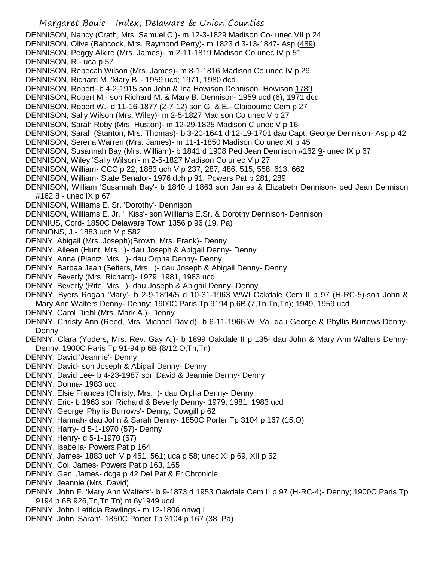Margaret Bouic Index, Delaware & Union Counties DENNISON, Nancy (Crath, Mrs. Samuel C.)- m 12-3-1829 Madison Co- unec VII p 24 DENNISON, Olive (Babcock, Mrs. Raymond Perry)- m 1823 d 3-13-1847- Asp (489) DENNISON, Peggy Alkire (Mrs. James)- m 2-11-1819 Madison Co unec IV p 51 DENNISON, R.- uca p 57 DENNISON, Rebecah Wilson (Mrs. James)- m 8-1-1816 Madison Co unec IV p 29 DENNISON, Richard M. 'Mary B.'- 1959 ucd; 1971, 1980 dcd DENNISON, Robert- b 4-2-1915 son John & Ina Howison Dennison- Howison 1789 DENNISON, Robert M.- son Richard M. & Mary B. Dennison- 1959 ucd (6), 1971 dcd DENNISON, Robert W.- d 11-16-1877 (2-7-12) son G. & E.- Claibourne Cem p 27 DENNISON, Sally Wilson (Mrs. Wiley)- m 2-5-1827 Madison Co unec V p 27 DENNISON, Sarah Roby (Mrs. Huston)- m 12-29-1825 Madison C unec V p 16 DENNISON, Sarah (Stanton, Mrs. Thomas)- b 3-20-1641 d 12-19-1701 dau Capt. George Dennison- Asp p 42 DENNISON, Serena Warren (Mrs. James)- m 11-1-1850 Madison Co unec XI p 45 DENNISON, Susannah Bay (Mrs. William)- b 1841 d 1908 Ped Jean Dennison #162 9- unec IX p 67 DENNISON, Wiley 'Sally Wilson'- m 2-5-1827 Madison Co unec V p 27 DENNISON, William- CCC p 22; 1883 uch V p 237, 287, 486, 515, 558, 613, 662 DENNISON, William- State Senator- 1976 dch p 91; Powers Pat p 281, 289 DENNISON, William 'Susannah Bay'- b 1840 d 1863 son James & Elizabeth Dennison- ped Jean Dennison #162 8 - unec IX p 67 DENNISON, Williams E. Sr. 'Dorothy'- Dennison DENNISON, Williams E. Jr. ' Kiss'- son Williams E.Sr. & Dorothy Dennison- Dennison DENNIUS, Cord- 1850C Delaware Town 1356 p 96 (19, Pa) DENNONS, J.- 1883 uch V p 582 DENNY, Abigail (Mrs. Joseph)(Brown, Mrs. Frank)- Denny DENNY, Aileen (Hunt, Mrs. )- dau Joseph & Abigail Denny- Denny DENNY, Anna (Plantz, Mrs. )- dau Orpha Denny- Denny DENNY, Barbaa Jean (Seiters, Mrs. )- dau Joseph & Abigail Denny- Denny DENNY, Beverly (Mrs. Richard)- 1979, 1981, 1983 ucd DENNY, Beverly (Rife, Mrs. )- dau Joseph & Abigail Denny- Denny DENNY, Byers Rogan 'Mary'- b 2-9-1894/5 d 10-31-1963 WWI Oakdale Cem II p 97 (H-RC-5)-son John & Mary Ann Walters Denny- Denny; 1900C Paris Tp 9194 p 6B (7,Tn.Tn,Tn); 1949, 1959 ucd DENNY, Carol Diehl (Mrs. Mark A.)- Denny DENNY, Christy Ann (Reed, Mrs. Michael David)- b 6-11-1966 W. Va dau George & Phyllis Burrows Denny-Denny DENNY, Clara (Yoders, Mrs. Rev. Gay A.)- b 1899 Oakdale II p 135- dau John & Mary Ann Walters Denny-Denny; 1900C Paris Tp 91-94 p 6B (8/12,O,Tn,Tn) DENNY, David 'Jeannie'- Denny DENNY, David- son Joseph & Abigail Denny- Denny DENNY, David Lee- b 4-23-1987 son David & Jeannie Denny- Denny DENNY, Donna- 1983 ucd DENNY, Elsie Frances (Christy, Mrs. )- dau Orpha Denny- Denny DENNY, Eric- b 1963 son Richard & Beverly Denny- 1979, 1981, 1983 ucd DENNY, George 'Phyllis Burrows'- Denny; Cowgill p 62 DENNY, Hannah- dau John & Sarah Denny- 1850C Porter Tp 3104 p 167 (15,O) DENNY, Harry- d 5-1-1970 (57)- Denny DENNY, Henry- d 5-1-1970 (57) DENNY, Isabella- Powers Pat p 164 DENNY, James- 1883 uch V p 451, 561; uca p 58; unec XI p 69, XII p 52 DENNY, Col. James- Powers Pat p 163, 165

- DENNY, Gen. James- dcga p 42 Del Pat & Fr Chronicle
- DENNY, Jeannie (Mrs. David)
- DENNY, John F. 'Mary Ann Walters'- b 9-1873 d 1953 Oakdale Cem II p 97 (H-RC-4)- Denny; 1900C Paris Tp 9194 p 6B 926,Tn,Tn,Tn) m 6y1949 ucd
- DENNY, John 'Letticia Rawlings'- m 12-1806 onwq I
- DENNY, John 'Sarah'- 1850C Porter Tp 3104 p 167 (38, Pa)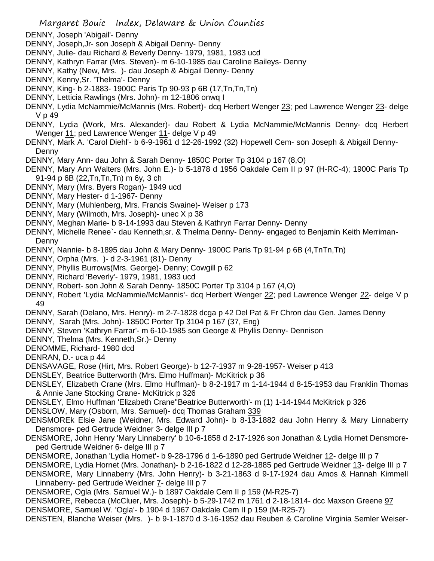- DENNY, Joseph 'Abigail'- Denny
- DENNY, Joseph,Jr- son Joseph & Abigail Denny- Denny
- DENNY, Julie- dau Richard & Beverly Denny- 1979, 1981, 1983 ucd
- DENNY, Kathryn Farrar (Mrs. Steven)- m 6-10-1985 dau Caroline Baileys- Denny
- DENNY, Kathy (New, Mrs. )- dau Joseph & Abigail Denny- Denny
- DENNY, Kenny,Sr. 'Thelma'- Denny
- DENNY, King- b 2-1883- 1900C Paris Tp 90-93 p 6B (17,Tn,Tn,Tn)
- DENNY, Letticia Rawlings (Mrs. John)- m 12-1806 onwq I
- DENNY, Lydia McNammie/McMannis (Mrs. Robert)- dcq Herbert Wenger 23; ped Lawrence Wenger 23- delge V p 49
- DENNY, Lydia (Work, Mrs. Alexander)- dau Robert & Lydia McNammie/McMannis Denny- dcq Herbert Wenger 11; ped Lawrence Wenger 11- delge V p 49
- DENNY, Mark A. 'Carol Diehl'- b 6-9-1961 d 12-26-1992 (32) Hopewell Cem- son Joseph & Abigail Denny-Denny
- DENNY, Mary Ann- dau John & Sarah Denny- 1850C Porter Tp 3104 p 167 (8,O)
- DENNY, Mary Ann Walters (Mrs. John E.)- b 5-1878 d 1956 Oakdale Cem II p 97 (H-RC-4); 1900C Paris Tp 91-94 p 6B (22,Tn,Tn,Tn) m 6y, 3 ch
- DENNY, Mary (Mrs. Byers Rogan)- 1949 ucd
- DENNY, Mary Hester- d 1-1967- Denny
- DENNY, Mary (Muhlenberg, Mrs. Francis Swaine)- Weiser p 173
- DENNY, Mary (Wilmoth, Mrs. Joseph)- unec X p 38
- DENNY, Meghan Marie- b 9-14-1993 dau Steven & Kathryn Farrar Denny- Denny
- DENNY, Michelle Renee`- dau Kenneth,sr. & Thelma Denny- Denny- engaged to Benjamin Keith Merriman-Denny
- DENNY, Nannie- b 8-1895 dau John & Mary Denny- 1900C Paris Tp 91-94 p 6B (4,TnTn,Tn)
- DENNY, Orpha (Mrs. )- d 2-3-1961 (81)- Denny
- DENNY, Phyllis Burrows(Mrs. George)- Denny; Cowgill p 62
- DENNY, Richard 'Beverly'- 1979, 1981, 1983 ucd
- DENNY, Robert- son John & Sarah Denny- 1850C Porter Tp 3104 p 167 (4,O)
- DENNY, Robert 'Lydia McNammie/McMannis'- dcq Herbert Wenger 22; ped Lawrence Wenger 22- delge V p 49
- DENNY, Sarah (Delano, Mrs. Henry)- m 2-7-1828 dcga p 42 Del Pat & Fr Chron dau Gen. James Denny
- DENNY, Sarah (Mrs. John)- 1850C Porter Tp 3104 p 167 (37, Eng)
- DENNY, Steven 'Kathryn Farrar'- m 6-10-1985 son George & Phyllis Denny- Dennison
- DENNY, Thelma (Mrs. Kenneth,Sr.)- Denny
- DENOMME, Richard- 1980 dcd
- DENRAN, D.- uca p 44
- DENSAVAGE, Rose (Hirt, Mrs. Robert George)- b 12-7-1937 m 9-28-1957- Weiser p 413
- DENSLEY, Beatrice Butterworth (Mrs. Elmo Huffman)- McKitrick p 36
- DENSLEY, Elizabeth Crane (Mrs. Elmo Huffman)- b 8-2-1917 m 1-14-1944 d 8-15-1953 dau Franklin Thomas & Annie Jane Stocking Crane- McKitrick p 326
- DENSLEY, Elmo Huffman 'Elizabeth Crane''Beatrice Butterworth'- m (1) 1-14-1944 McKitrick p 326
- DENSLOW, Mary (Osborn, Mrs. Samuel)- dcq Thomas Graham 339
- DENSMOREk Elsie Jane (Weidner, Mrs. Edward John)- b 8-13-1882 dau John Henry & Mary Linnaberry Densmore- ped Gertrude Weidner 3- delge III p 7
- DENSMORE, John Henry 'Mary Linnaberry' b 10-6-1858 d 2-17-1926 son Jonathan & Lydia Hornet Densmoreped Gertrude Weidner 6- delge III p 7
- DENSMORE, Jonathan 'Lydia Hornet'- b 9-28-1796 d 1-6-1890 ped Gertrude Weidner 12- delge III p 7
- DENSMORE, Lydia Hornet (Mrs. Jonathan)- b 2-16-1822 d 12-28-1885 ped Gertrude Weidner 13- delge III p 7
- DENSMORE, Mary Linnaberry (Mrs. John Henry)- b 3-21-1863 d 9-17-1924 dau Amos & Hannah Kimmell Linnaberry- ped Gertrude Weidner 7- delge III p 7
- DENSMORE, Ogla (Mrs. Samuel W.)- b 1897 Oakdale Cem II p 159 (M-R25-7)
- DENSMORE, Rebecca (McCluer, Mrs. Joseph)- b 5-29-1742 m 1761 d 2-18-1814- dcc Maxson Greene 97 DENSMORE, Samuel W. 'Ogla'- b 1904 d 1967 Oakdale Cem II p 159 (M-R25-7)
- DENSTEN, Blanche Weiser (Mrs. )- b 9-1-1870 d 3-16-1952 dau Reuben & Caroline Virginia Semler Weiser-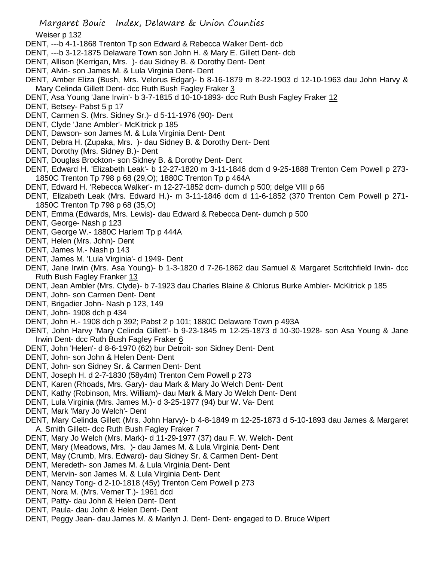Weiser p 132

- DENT, ---b 4-1-1868 Trenton Tp son Edward & Rebecca Walker Dent- dcb
- DENT, ---b 3-12-1875 Delaware Town son John H. & Mary E. Gillett Dent- dcb
- DENT, Allison (Kerrigan, Mrs. )- dau Sidney B. & Dorothy Dent- Dent
- DENT, Alvin- son James M. & Lula Virginia Dent- Dent
- DENT, Amber Eliza (Bush, Mrs. Velorus Edgar)- b 8-16-1879 m 8-22-1903 d 12-10-1963 dau John Harvy & Mary Celinda Gillett Dent- dcc Ruth Bush Fagley Fraker 3
- DENT, Asa Young 'Jane Irwin'- b 3-7-1815 d 10-10-1893- dcc Ruth Bush Fagley Fraker 12
- DENT, Betsey- Pabst 5 p 17
- DENT, Carmen S. (Mrs. Sidney Sr.)- d 5-11-1976 (90)- Dent
- DENT, Clyde 'Jane Ambler'- McKitrick p 185
- DENT, Dawson- son James M. & Lula Virginia Dent- Dent
- DENT, Debra H. (Zupaka, Mrs. )- dau Sidney B. & Dorothy Dent- Dent
- DENT, Dorothy (Mrs. Sidney B.)- Dent
- DENT, Douglas Brockton- son Sidney B. & Dorothy Dent- Dent
- DENT, Edward H. 'Elizabeth Leak'- b 12-27-1820 m 3-11-1846 dcm d 9-25-1888 Trenton Cem Powell p 273- 1850C Trenton Tp 798 p 68 (29,O); 1880C Trenton Tp p 464A
- DENT, Edward H. 'Rebecca Walker'- m 12-27-1852 dcm- dumch p 500; delge VIII p 66
- DENT, Elizabeth Leak (Mrs. Edward H.)- m 3-11-1846 dcm d 11-6-1852 (370 Trenton Cem Powell p 271- 1850C Trenton Tp 798 p 68 (35,O)
- DENT, Emma (Edwards, Mrs. Lewis)- dau Edward & Rebecca Dent- dumch p 500
- DENT, George- Nash p 123
- DENT, George W.- 1880C Harlem Tp p 444A
- DENT, Helen (Mrs. John)- Dent
- DENT, James M.- Nash p 143
- DENT, James M. 'Lula Virginia'- d 1949- Dent
- DENT, Jane Irwin (Mrs. Asa Young)- b 1-3-1820 d 7-26-1862 dau Samuel & Margaret Scritchfield Irwin- dcc Ruth Bush Fagley Franker 13
- DENT, Jean Ambler (Mrs. Clyde)- b 7-1923 dau Charles Blaine & Chlorus Burke Ambler- McKitrick p 185
- DENT, John- son Carmen Dent- Dent
- DENT, Brigadier John- Nash p 123, 149
- DENT, John- 1908 dch p 434
- DENT, John H.- 1908 dch p 392; Pabst 2 p 101; 1880C Delaware Town p 493A
- DENT, John Harvy 'Mary Celinda Gillett'- b 9-23-1845 m 12-25-1873 d 10-30-1928- son Asa Young & Jane Irwin Dent- dcc Ruth Bush Fagley Fraker 6
- DENT, John 'Helen'- d 8-6-1970 (62) bur Detroit- son Sidney Dent- Dent
- DENT, John- son John & Helen Dent- Dent
- DENT, John- son Sidney Sr. & Carmen Dent- Dent
- DENT, Joseph H. d 2-7-1830 (58y4m) Trenton Cem Powell p 273
- DENT, Karen (Rhoads, Mrs. Gary)- dau Mark & Mary Jo Welch Dent- Dent
- DENT, Kathy (Robinson, Mrs. William)- dau Mark & Mary Jo Welch Dent- Dent
- DENT, Lula Virginia (Mrs. James M.)- d 3-25-1977 (94) bur W. Va- Dent
- DENT, Mark 'Mary Jo Welch'- Dent
- DENT, Mary Celinda Gillett (Mrs. John Harvy)- b 4-8-1849 m 12-25-1873 d 5-10-1893 dau James & Margaret A. Smith Gillett- dcc Ruth Bush Fagley Fraker 7
- DENT, Mary Jo Welch (Mrs. Mark)- d 11-29-1977 (37) dau F. W. Welch- Dent
- DENT, Mary (Meadows, Mrs. )- dau James M. & Lula Virginia Dent- Dent
- DENT, May (Crumb, Mrs. Edward)- dau Sidney Sr. & Carmen Dent- Dent
- DENT, Meredeth- son James M. & Lula Virginia Dent- Dent
- DENT, Mervin- son James M. & Lula Virginia Dent- Dent
- DENT, Nancy Tong- d 2-10-1818 (45y) Trenton Cem Powell p 273
- DENT, Nora M. (Mrs. Verner T.)- 1961 dcd
- DENT, Patty- dau John & Helen Dent- Dent
- DENT, Paula- dau John & Helen Dent- Dent
- DENT, Peggy Jean- dau James M. & Marilyn J. Dent- Dent- engaged to D. Bruce Wipert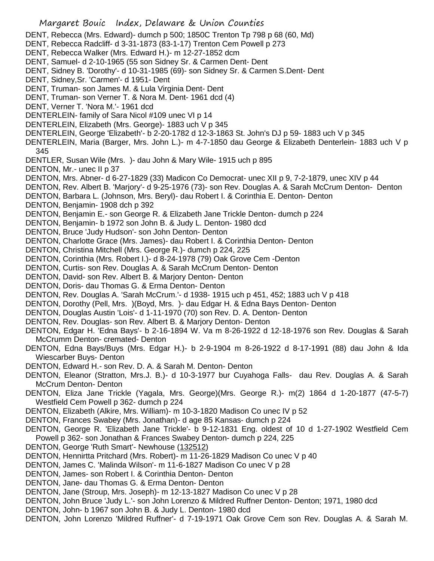- Margaret Bouic Index, Delaware & Union Counties DENT, Rebecca (Mrs. Edward)- dumch p 500; 1850C Trenton Tp 798 p 68 (60, Md) DENT, Rebecca Radcliff- d 3-31-1873 (83-1-17) Trenton Cem Powell p 273 DENT, Rebecca Walker (Mrs. Edward H.)- m 12-27-1852 dcm DENT, Samuel- d 2-10-1965 (55 son Sidney Sr. & Carmen Dent- Dent DENT, Sidney B. 'Dorothy'- d 10-31-1985 (69)- son Sidney Sr. & Carmen S.Dent- Dent DENT, Sidney,Sr. 'Carmen'- d 1951- Dent DENT, Truman- son James M. & Lula Virginia Dent- Dent DENT, Truman- son Verner T. & Nora M. Dent- 1961 dcd (4) DENT, Verner T. 'Nora M.'- 1961 dcd DENTERLEIN- family of Sara Nicol #109 unec VI p 14 DENTERLEIN, Elizabeth (Mrs. George)- 1883 uch V p 345 DENTERLEIN, George 'Elizabeth'- b 2-20-1782 d 12-3-1863 St. John's DJ p 59- 1883 uch V p 345 DENTERLEIN, Maria (Barger, Mrs. John L.)- m 4-7-1850 dau George & Elizabeth Denterlein- 1883 uch V p 345 DENTLER, Susan Wile (Mrs. )- dau John & Mary Wile- 1915 uch p 895 DENTON, Mr.- unec II p 37 DENTON, Mrs. Abner- d 6-27-1829 (33) Madicon Co Democrat- unec XII p 9, 7-2-1879, unec XIV p 44 DENTON, Rev. Albert B. 'Marjory'- d 9-25-1976 (73)- son Rev. Douglas A. & Sarah McCrum Denton- Denton DENTON, Barbara L. (Johnson, Mrs. Beryl)- dau Robert I. & Corinthia E. Denton- Denton DENTON, Benjamin- 1908 dch p 392 DENTON, Benjamin E.- son George R. & Elizabeth Jane Trickle Denton- dumch p 224 DENTON, Benjamin- b 1972 son John B. & Judy L. Denton- 1980 dcd DENTON, Bruce 'Judy Hudson'- son John Denton- Denton DENTON, Charlotte Grace (Mrs. James)- dau Robert I. & Corinthia Denton- Denton DENTON, Christina Mitchell (Mrs. George R.)- dumch p 224, 225 DENTON, Corinthia (Mrs. Robert I.)- d 8-24-1978 (79) Oak Grove Cem -Denton DENTON, Curtis- son Rev. Douglas A. & Sarah McCrum Denton- Denton DENTON, David- son Rev. Albert B. & Marjory Denton- Denton DENTON, Doris- dau Thomas G. & Erma Denton- Denton DENTON, Rev. Douglas A. 'Sarah McCrum.'- d 1938- 1915 uch p 451, 452; 1883 uch V p 418 DENTON, Dorothy (Pell, Mrs. )(Boyd, Mrs. )- dau Edgar H. & Edna Bays Denton- Denton DENTON, Douglas Austin 'Lois'- d 1-11-1970 (70) son Rev. D. A. Denton- Denton DENTON, Rev. Douglas- son Rev. Albert B. & Marjory Denton- Denton DENTON, Edgar H. 'Edna Bays'- b 2-16-1894 W. Va m 8-26-1922 d 12-18-1976 son Rev. Douglas & Sarah McCrumm Denton- cremated- Denton DENTON, Edna Bays/Buys (Mrs. Edgar H.)- b 2-9-1904 m 8-26-1922 d 8-17-1991 (88) dau John & Ida Wiescarber Buys- Denton DENTON, Edward H.- son Rev. D. A. & Sarah M. Denton- Denton DENTON, Eleanor (Stratton, Mrs.J. B.)- d 10-3-1977 bur Cuyahoga Falls- dau Rev. Douglas A. & Sarah McCrum Denton- Denton DENTON, Eliza Jane Trickle (Yagala, Mrs. George)(Mrs. George R.)- m(2) 1864 d 1-20-1877 (47-5-7) Westfield Cem Powell p 362- dumch p 224 DENTON, Elizabeth (Alkire, Mrs. William)- m 10-3-1820 Madison Co unec IV p 52 DENTON, Frances Swabey (Mrs. Jonathan)- d age 85 Kansas- dumch p 224 DENTON, George R. 'Elizabeth Jane Trickle'- b 9-12-1831 Eng. oldest of 10 d 1-27-1902 Westfield Cem Powell p 362- son Jonathan & Frances Swabey Denton- dumch p 224, 225 DENTON, George 'Ruth Smart'- Newhouse (132512) DENTON, Hennirtta Pritchard (Mrs. Robert)- m 11-26-1829 Madison Co unec V p 40 DENTON, James C. 'Malinda Wilson'- m 11-6-1827 Madison Co unec V p 28
- DENTON, James- son Robert I. & Corinthia Denton- Denton
- DENTON, Jane- dau Thomas G. & Erma Denton- Denton
- DENTON, Jane (Stroup, Mrs. Joseph)- m 12-13-1827 Madison Co unec V p 28
- DENTON, John Bruce 'Judy L.'- son John Lorenzo & Mildred Ruffner Denton- Denton; 1971, 1980 dcd
- DENTON, John- b 1967 son John B. & Judy L. Denton- 1980 dcd
- DENTON, John Lorenzo 'Mildred Ruffner'- d 7-19-1971 Oak Grove Cem son Rev. Douglas A. & Sarah M.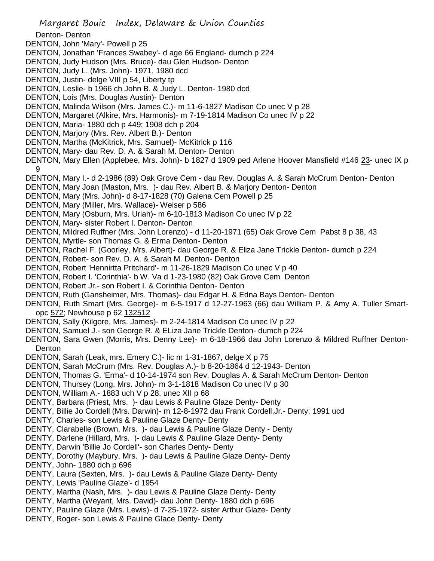Denton- Denton

- DENTON, John 'Mary'- Powell p 25
- DENTON, Jonathan 'Frances Swabey'- d age 66 England- dumch p 224
- DENTON, Judy Hudson (Mrs. Bruce)- dau Glen Hudson- Denton
- DENTON, Judy L. (Mrs. John)- 1971, 1980 dcd
- DENTON, Justin- delge VIII p 54, Liberty tp
- DENTON, Leslie- b 1966 ch John B. & Judy L. Denton- 1980 dcd
- DENTON, Lois (Mrs. Douglas Austin)- Denton
- DENTON, Malinda Wilson (Mrs. James C.)- m 11-6-1827 Madison Co unec V p 28
- DENTON, Margaret (Alkire, Mrs. Harmonis)- m 7-19-1814 Madison Co unec IV p 22
- DENTON, Maria- 1880 dch p 449; 1908 dch p 204
- DENTON, Marjory (Mrs. Rev. Albert B.)- Denton
- DENTON, Martha (McKitrick, Mrs. Samuel)- McKitrick p 116
- DENTON, Mary- dau Rev. D. A. & Sarah M. Denton- Denton
- DENTON, Mary Ellen (Applebee, Mrs. John)- b 1827 d 1909 ped Arlene Hoover Mansfield #146 23- unec IX p 9
- DENTON, Mary I.- d 2-1986 (89) Oak Grove Cem dau Rev. Douglas A. & Sarah McCrum Denton- Denton
- DENTON, Mary Joan (Maston, Mrs. )- dau Rev. Albert B. & Marjory Denton- Denton
- DENTON, Mary (Mrs. John)- d 8-17-1828 (70) Galena Cem Powell p 25
- DENTON, Mary (Miller, Mrs. Wallace)- Weiser p 586
- DENTON, Mary (Osburn, Mrs. Uriah)- m 6-10-1813 Madison Co unec IV p 22
- DENTON, Mary- sister Robert I. Denton- Denton
- DENTON, Mildred Ruffner (Mrs. John Lorenzo) d 11-20-1971 (65) Oak Grove Cem Pabst 8 p 38, 43
- DENTON, Myrtle- son Thomas G. & Erma Denton- Denton
- DENTON, Rachel F. (Goorley, Mrs. Albert)- dau George R. & Eliza Jane Trickle Denton- dumch p 224
- DENTON, Robert- son Rev. D. A. & Sarah M. Denton- Denton
- DENTON, Robert 'Hennirtta Pritchard'- m 11-26-1829 Madison Co unec V p 40
- DENTON, Robert I. 'Corinthia'- b W. Va d 1-23-1980 (82) Oak Grove Cem Denton
- DENTON, Robert Jr.- son Robert I. & Corinthia Denton- Denton
- DENTON, Ruth (Gansheimer, Mrs. Thomas)- dau Edgar H. & Edna Bays Denton- Denton
- DENTON, Ruth Smart (Mrs. George)- m 6-5-1917 d 12-27-1963 (66) dau William P. & Amy A. Tuller Smartopc 572; Newhouse p 62 132512
- DENTON, Sally (Kilgore, Mrs. James)- m 2-24-1814 Madison Co unec IV p 22
- DENTON, Samuel J.- son George R. & ELiza Jane Trickle Denton- dumch p 224
- DENTON, Sara Gwen (Morris, Mrs. Denny Lee)- m 6-18-1966 dau John Lorenzo & Mildred Ruffner Denton-Denton
- DENTON, Sarah (Leak, mrs. Emery C.)- lic m 1-31-1867, delge X p 75
- DENTON, Sarah McCrum (Mrs. Rev. Douglas A.)- b 8-20-1864 d 12-1943- Denton
- DENTON, Thomas G. 'Erma'- d 10-14-1974 son Rev. Douglas A. & Sarah McCrum Denton- Denton
- DENTON, Thursey (Long, Mrs. John)- m 3-1-1818 Madison Co unec IV p 30
- DENTON, William A.- 1883 uch V p 28; unec XII p 68
- DENTY, Barbara (Priest, Mrs. )- dau Lewis & Pauline Glaze Denty- Denty
- DENTY, Billie Jo Cordell (Mrs. Darwin)- m 12-8-1972 dau Frank Cordell,Jr.- Denty; 1991 ucd
- DENTY, Charles- son Lewis & Pauline Glaze Denty- Denty
- DENTY, Clarabelle (Brown, Mrs. )- dau Lewis & Pauline Glaze Denty Denty
- DENTY, Darlene (Hillard, Mrs. )- dau Lewis & Pauline Glaze Denty- Denty
- DENTY, Darwin 'Billie Jo Cordell'- son Charles Denty- Denty
- DENTY, Dorothy (Maybury, Mrs. )- dau Lewis & Pauline Glaze Denty- Denty
- DENTY, John- 1880 dch p 696
- DENTY, Laura (Sexten, Mrs. )- dau Lewis & Pauline Glaze Denty- Denty
- DENTY, Lewis 'Pauline Glaze'- d 1954
- DENTY, Martha (Nash, Mrs. )- dau Lewis & Pauline Glaze Denty- Denty
- DENTY, Martha (Weyant, Mrs. David)- dau John Denty- 1880 dch p 696
- DENTY, Pauline Glaze (Mrs. Lewis)- d 7-25-1972- sister Arthur Glaze- Denty
- DENTY, Roger- son Lewis & Pauline Glace Denty- Denty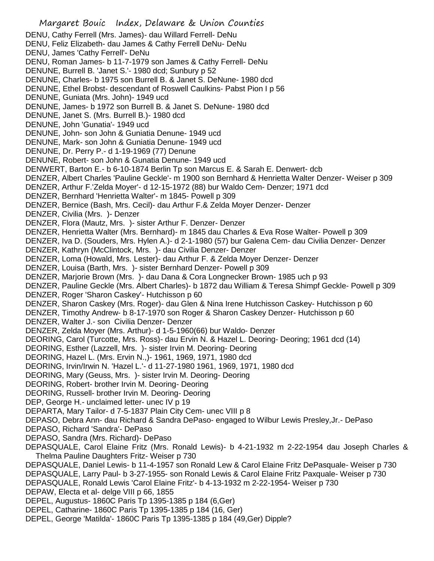- Margaret Bouic Index, Delaware & Union Counties DENU, Cathy Ferrell (Mrs. James)- dau Willard Ferrell- DeNu DENU, Feliz Elizabeth- dau James & Cathy Ferrell DeNu- DeNu DENU, James 'Cathy Ferrell'- DeNu DENU, Roman James- b 11-7-1979 son James & Cathy Ferrell- DeNu DENUNE, Burrell B. 'Janet S.'- 1980 dcd; Sunbury p 52 DENUNE, Charles- b 1975 son Burrell B. & Janet S. DeNune- 1980 dcd DENUNE, Ethel Brobst- descendant of Roswell Caulkins- Pabst Pion I p 56 DENUNE, Guniata (Mrs. John)- 1949 ucd DENUNE, James- b 1972 son Burrell B. & Janet S. DeNune- 1980 dcd DENUNE, Janet S. (Mrs. Burrell B.)- 1980 dcd DENUNE, John 'Gunatia'- 1949 ucd DENUNE, John- son John & Guniatia Denune- 1949 ucd DENUNE, Mark- son John & Guniatia Denune- 1949 ucd DENUNE, Dr. Perry P.- d 1-19-1969 (77) Denune DENUNE, Robert- son John & Gunatia Denune- 1949 ucd DENWERT, Barton E.- b 6-10-1874 Berlin Tp son Marcus E. & Sarah E. Denwert- dcb DENZER, Albert Charles 'Pauline Geckle'- m 1900 son Bernhard & Henrietta Walter Denzer- Weiser p 309 DENZER, Arthur F.'Zelda Moyer'- d 12-15-1972 (88) bur Waldo Cem- Denzer; 1971 dcd DENZER, Bernhard 'Henrietta Walter'- m 1845- Powell p 309 DENZER, Bernice (Bash, Mrs. Cecil)- dau Arthur F.& Zelda Moyer Denzer- Denzer DENZER, Civilia (Mrs. )- Denzer DENZER, Flora (Mautz, Mrs. )- sister Arthur F. Denzer- Denzer DENZER, Henrietta Walter (Mrs. Bernhard)- m 1845 dau Charles & Eva Rose Walter- Powell p 309 DENZER, Iva D. (Souders, Mrs. Hylen A.)- d 2-1-1980 (57) bur Galena Cem- dau Civilia Denzer- Denzer DENZER, Kathryn (McClintock, Mrs. )- dau Civilia Denzer- Denzer DENZER, Loma (Howald, Mrs. Lester)- dau Arthur F. & Zelda Moyer Denzer- Denzer DENZER, Louisa (Barth, Mrs. )- sister Bernhard Denzer- Powell p 309 DENZER, Marjorie Brown (Mrs. )- dau Dana & Cora Longnecker Brown- 1985 uch p 93 DENZER, Pauline Geckle (Mrs. Albert Charles)- b 1872 dau William & Teresa Shimpf Geckle- Powell p 309 DENZER, Roger 'Sharon Caskey'- Hutchisson p 60 DENZER, Sharon Caskey (Mrs. Roger)- dau Glen & Nina Irene Hutchisson Caskey- Hutchisson p 60 DENZER, Timothy Andrew- b 8-17-1970 son Roger & Sharon Caskey Denzer- Hutchisson p 60 DENZER, Walter J.- son Civilia Denzer- Denzer DENZER, Zelda Moyer (Mrs. Arthur)- d 1-5-1960(66) bur Waldo- Denzer DEORING, Carol (Turcotte, Mrs. Ross)- dau Ervin N. & Hazel L. Deoring- Deoring; 1961 dcd (14) DEORING, Esther (Lazzell, Mrs. )- sister Irvin M. Deoring- Deoring DEORING, Hazel L. (Mrs. Ervin N.,)- 1961, 1969, 1971, 1980 dcd DEORING, Irvin/Irwin N. 'Hazel L.'- d 11-27-1980 1961, 1969, 1971, 1980 dcd DEORING, Mary (Geuss, Mrs. )- sister Irvin M. Deoring- Deoring DEORING, Robert- brother Irvin M. Deoring- Deoring DEORING, Russell- brother Irvin M. Deoring- Deoring DEP, George H.- unclaimed letter- unec IV p 19 DEPARTA, Mary Tailor- d 7-5-1837 Plain City Cem- unec VIII p 8 DEPASO, Debra Ann- dau Richard & Sandra DePaso- engaged to Wilbur Lewis Presley,Jr.- DePaso DEPASO, Richard 'Sandra'- DePaso DEPASO, Sandra (Mrs. Richard)- DePaso DEPASQUALE, Carol Elaine Fritz (Mrs. Ronald Lewis)- b 4-21-1932 m 2-22-1954 dau Joseph Charles & Thelma Pauline Daughters Fritz- Weiser p 730 DEPASQUALE, Daniel Lewis- b 11-4-1957 son Ronald Lew & Carol Elaine Fritz DePasquale- Weiser p 730 DEPASQUALE, Larry Paul- b 3-27-1955- son Ronald Lewis & Carol Elaine Fritz Paxquale- Weiser p 730 DEPASQUALE, Ronald Lewis 'Carol Elaine Fritz'- b 4-13-1932 m 2-22-1954- Weiser p 730 DEPAW, Electa et al- delge VIII p 66, 1855 DEPEL, Augustus- 1860C Paris Tp 1395-1385 p 184 (6,Ger) DEPEL, Catharine- 1860C Paris Tp 1395-1385 p 184 (16, Ger)
- DEPEL, George 'Matilda'- 1860C Paris Tp 1395-1385 p 184 (49,Ger) Dipple?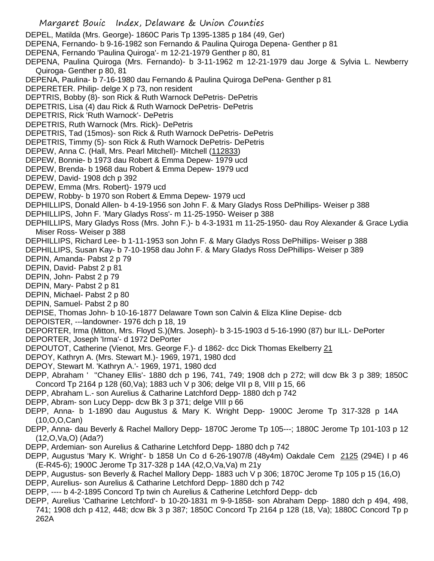Margaret Bouic Index, Delaware & Union Counties DEPEL, Matilda (Mrs. George)- 1860C Paris Tp 1395-1385 p 184 (49, Ger) DEPENA, Fernando- b 9-16-1982 son Fernando & Paulina Quiroga Depena- Genther p 81 DEPENA, Fernando 'Paulina Quiroga'- m 12-21-1979 Genther p 80, 81 DEPENA, Paulina Quiroga (Mrs. Fernando)- b 3-11-1962 m 12-21-1979 dau Jorge & Sylvia L. Newberry Quiroga- Genther p 80, 81 DEPENA, Paulina- b 7-16-1980 dau Fernando & Paulina Quiroga DePena- Genther p 81 DEPERETER. Philip- delge X p 73, non resident DEPTRIS, Bobby (8)- son Rick & Ruth Warnock DePetris- DePetris DEPETRIS, Lisa (4) dau Rick & Ruth Warnock DePetris- DePetris DEPETRIS, Rick 'Ruth Warnock'- DePetris DEPETRIS, Ruth Warnock (Mrs. Rick)- DePetris DEPETRIS, Tad (15mos)- son Rick & Ruth Warnock DePetris- DePetris DEPETRIS, Timmy (5)- son Rick & Ruth Warnock DePetris- DePetris DEPEW, Anna C. (Hall, Mrs. Pearl Mitchell)- Mitchell (112833) DEPEW, Bonnie- b 1973 dau Robert & Emma Depew- 1979 ucd DEPEW, Brenda- b 1968 dau Robert & Emma Depew- 1979 ucd DEPEW, David- 1908 dch p 392 DEPEW, Emma (Mrs. Robert)- 1979 ucd DEPEW, Robby- b 1970 son Robert & Emma Depew- 1979 ucd DEPHILLIPS, Donald Allen- b 4-19-1956 son John F. & Mary Gladys Ross DePhillips- Weiser p 388 DEPHILLIPS, John F. 'Mary Gladys Ross'- m 11-25-1950- Weiser p 388 DEPHILLIPS, Mary Gladys Ross (Mrs. John F.)- b 4-3-1931 m 11-25-1950- dau Roy Alexander & Grace Lydia Miser Ross- Weiser p 388 DEPHILLIPS, Richard Lee- b 1-11-1953 son John F. & Mary Gladys Ross DePhillips- Weiser p 388 DEPHILLIPS, Susan Kay- b 7-10-1958 dau John F. & Mary Gladys Ross DePhillips- Weiser p 389 DEPIN, Amanda- Pabst 2 p 79 DEPIN, David- Pabst 2 p 81 DEPIN, John- Pabst 2 p 79 DEPIN, Mary-Pabst 2 p 81 DEPIN, Michael- Pabst 2 p 80 DEPIN, Samuel- Pabst 2 p 80 DEPISE, Thomas John- b 10-16-1877 Delaware Town son Calvin & Eliza Kline Depise- dcb DEPOISTER, ---landowner- 1976 dch p 18, 19 DEPORTER, Irma (Mitton, Mrs. Floyd S.)(Mrs. Joseph)- b 3-15-1903 d 5-16-1990 (87) bur ILL- DePorter DEPORTER, Joseph 'Irma'- d 1972 DePorter DEPOUTOT, Catherine (Vienot, Mrs. George F.)- d 1862- dcc Dick Thomas Ekelberry 21 DEPOY, Kathryn A. (Mrs. Stewart M.)- 1969, 1971, 1980 dcd DEPOY, Stewart M. 'Kathryn A.'- 1969, 1971, 1980 dcd DEPP, Abraham ' ''Chaney Ellis'- 1880 dch p 196, 741, 749; 1908 dch p 272; will dcw Bk 3 p 389; 1850C Concord Tp 2164 p 128 (60,Va); 1883 uch V p 306; delge VII p 8, VIII p 15, 66 DEPP, Abraham L.- son Aurelius & Catharine Latchford Depp- 1880 dch p 742 DEPP, Abram- son Lucy Depp- dcw Bk 3 p 371; delge VIII p 66 DEPP, Anna- b 1-1890 dau Augustus & Mary K. Wright Depp- 1900C Jerome Tp 317-328 p 14A (10,O,O,Can) DEPP, Anna- dau Beverly & Rachel Mallory Depp- 1870C Jerome Tp 105---; 1880C Jerome Tp 101-103 p 12 (12,O,Va,O) (Ada?) DEPP, Ardemian- son Aurelius & Catharine Letchford Depp- 1880 dch p 742 DEPP, Augustus 'Mary K. Wright'- b 1858 Un Co d 6-26-1907/8 (48y4m) Oakdale Cem 2125 (294E) I p 46 (E-R45-6); 1900C Jerome Tp 317-328 p 14A (42,O,Va,Va) m 21y DEPP, Augustus- son Beverly & Rachel Mallory Depp- 1883 uch V p 306; 1870C Jerome Tp 105 p 15 (16,O) DEPP, Aurelius- son Aurelius & Catharine Letchford Depp- 1880 dch p 742 DEPP, ---- b 4-2-1895 Concord Tp twin ch Aurelius & Catherine Letchford Depp- dcb DEPP, Aurelius 'Catharine Letchford'- b 10-20-1831 m 9-9-1858- son Abraham Depp- 1880 dch p 494, 498, 741; 1908 dch p 412, 448; dcw Bk 3 p 387; 1850C Concord Tp 2164 p 128 (18, Va); 1880C Concord Tp p 262A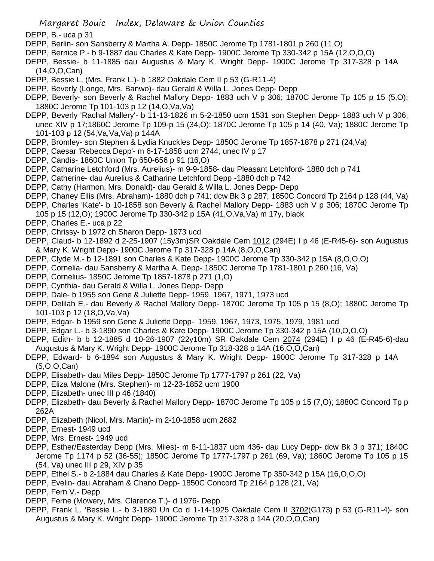DEPP, B.- uca p 31

- DEPP, Berlin- son Sansberry & Martha A. Depp- 1850C Jerome Tp 1781-1801 p 260 (11,O)
- DEPP, Bernice P.- b 9-1887 dau Charles & Kate Depp- 1900C Jerome Tp 330-342 p 15A (12,O,O,O)
- DEPP, Bessie- b 11-1885 dau Augustus & Mary K. Wright Depp- 1900C Jerome Tp 317-328 p 14A (14,O,O,Can)
- DEPP, Bessie L. (Mrs. Frank L.)- b 1882 Oakdale Cem II p 53 (G-R11-4)
- DEPP, Beverly (Longe, Mrs. Banwo)- dau Gerald & Willa L. Jones Depp- Depp
- DEPP, Beverly- son Beverly & Rachel Mallory Depp- 1883 uch V p 306; 1870C Jerome Tp 105 p 15 (5,O); 1880C Jerome Tp 101-103 p 12 (14,O,Va,Va)
- DEPP, Beverly 'Rachal Mallery'- b 11-13-1826 m 5-2-1850 ucm 1531 son Stephen Depp- 1883 uch V p 306; unec XIV p 17;1860C Jerome Tp 109-p 15 (34,O); 1870C Jerome Tp 105 p 14 (40, Va); 1880C Jerome Tp 101-103 p 12 (54,Va,Va,Va) p 144A
- DEPP, Bromley- son Stephen & Lydia Knuckles Depp- 1850C Jerome Tp 1857-1878 p 271 (24,Va)
- DEPP, Caesar 'Rebecca Depp'- m 6-17-1858 ucm 2744; unec IV p 17
- DEPP, Candis- 1860C Union Tp 650-656 p 91 (16,O)
- DEPP, Catharine Letchford (Mrs. Aurelius)- m 9-9-1858- dau Pleasant Letchford- 1880 dch p 741
- DEPP, Catherine- dau Aurelius & Catharine Letchford Depp -1880 dch p 742
- DEPP, Cathy (Harmon, Mrs. Donald)- dau Gerald & Willa L. Jones Depp- Depp
- DEPP, Chaney Ellis (Mrs. Abraham)- 1880 dch p 741; dcw Bk 3 p 287; 1850C Concord Tp 2164 p 128 (44, Va)
- DEPP, Charles 'Kate'- b 10-1858 son Beverly & Rachel Mallory Depp- 1883 uch V p 306; 1870C Jerome Tp 105 p 15 (12,O); 1900C Jerome Tp 330-342 p 15A (41,O,Va,Va) m 17y, black
- DEPP, Charles E.- uca p 22
- DEPP, Chrissy- b 1972 ch Sharon Depp- 1973 ucd
- DEPP, Claud- b 12-1892 d 2-25-1907 (15y3m)SR Oakdale Cem 1012 (294E) I p 46 (E-R45-6)- son Augustus & Mary K. Wright Depp- 1900C Jerome Tp 317-328 p 14A (8,O,O,Can)
- DEPP, Clyde M.- b 12-1891 son Charles & Kate Depp- 1900C Jerome Tp 330-342 p 15A (8,O,O,O)
- DEPP, Cornelia- dau Sansberry & Martha A. Depp- 1850C Jerome Tp 1781-1801 p 260 (16, Va)
- DEPP, Cornelius- 1850C Jerome Tp 1857-1878 p 271 (1,O)
- DEPP, Cynthia- dau Gerald & Willa L. Jones Depp- Depp
- DEPP, Dale- b 1955 son Gene & Juliette Depp- 1959, 1967, 1971, 1973 ucd
- DEPP, Delilah E.- dau Beverly & Rachel Mallory Depp- 1870C Jerome Tp 105 p 15 (8,O); 1880C Jerome Tp 101-103 p 12 (18,O,Va,Va)
- DEPP, Edgar- b 1959 son Gene & Juliette Depp- 1959, 1967, 1973, 1975, 1979, 1981 ucd
- DEPP, Edgar L.- b 3-1890 son Charles & Kate Depp- 1900C Jerome Tp 330-342 p 15A (10,O,O,O)
- DEPP, Edith- b b 12-1885 d 10-26-1907 (22y10m) SR Oakdale Cem 2074 (294E) I p 46 (E-R45-6)-dau Augustus & Mary K. Wright Depp- 1900C Jerome Tp 318-328 p 14A (16,O,O,Can)
- DEPP, Edward- b 6-1894 son Augustus & Mary K. Wright Depp- 1900C Jerome Tp 317-328 p 14A (5,O,O,Can)
- DEPP, Elisabeth- dau Miles Depp- 1850C Jerome Tp 1777-1797 p 261 (22, Va)
- DEPP, Eliza Malone (Mrs. Stephen)- m 12-23-1852 ucm 1900
- DEPP, Elizabeth- unec III p 46 (1840)
- DEPP, Elizabeth- dau Beverly & Rachel Mallory Depp- 1870C Jerome Tp 105 p 15 (7,O); 1880C Concord Tp p 262A
- DEPP, Elizabeth (Nicol, Mrs. Martin)- m 2-10-1858 ucm 2682
- DEPP, Ernest- 1949 ucd
- DEPP, Mrs. Ernest- 1949 ucd
- DEPP, Esther/Easterday Depp (Mrs. Miles)- m 8-11-1837 ucm 436- dau Lucy Depp- dcw Bk 3 p 371; 1840C Jerome Tp 1174 p 52 (36-55); 1850C Jerome Tp 1777-1797 p 261 (69, Va); 1860C Jerome Tp 105 p 15 (54, Va) unec III p 29, XIV p 35
- DEPP, Ethel S.- b 2-1884 dau Charles & Kate Depp- 1900C Jerome Tp 350-342 p 15A (16,O,O,O)
- DEPP, Evelin- dau Abraham & Chano Depp- 1850C Concord Tp 2164 p 128 (21, Va)
- DEPP, Fern V.- Depp
- DEPP, Ferne (Mowery, Mrs. Clarence T.)- d 1976- Depp
- DEPP, Frank L. 'Bessie L.- b 3-1880 Un Co d 1-14-1925 Oakdale Cem II 3702(G173) p 53 (G-R11-4)- son Augustus & Mary K. Wright Depp- 1900C Jerome Tp 317-328 p 14A (20,O,O,Can)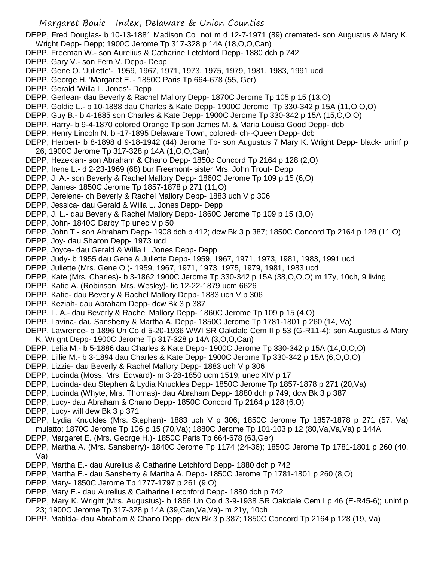DEPP, Fred Douglas- b 10-13-1881 Madison Co not m d 12-7-1971 (89) cremated- son Augustus & Mary K. Wright Depp- Depp; 1900C Jerome Tp 317-328 p 14A (18,O,O,Can)

- DEPP, Freeman W.- son Aurelius & Catharine Letchford Depp- 1880 dch p 742
- DEPP, Gary V.- son Fern V. Depp- Depp
- DEPP, Gene O. 'Juliette'- 1959, 1967, 1971, 1973, 1975, 1979, 1981, 1983, 1991 ucd
- DEPP, George H. 'Margaret E.'- 1850C Paris Tp 664-678 (55, Ger)
- DEPP, Gerald 'Willa L. Jones'- Depp
- DEPP, Gerlean- dau Beverly & Rachel Mallory Depp- 1870C Jerome Tp 105 p 15 (13,O)
- DEPP, Goldie L.- b 10-1888 dau Charles & Kate Depp- 1900C Jerome Tp 330-342 p 15A (11,O,O,O)
- DEPP, Guy B.- b 4-1885 son Charles & Kate Depp- 1900C Jerome Tp 330-342 p 15A (15,O,O,O)
- DEPP, Harry- b 9-4-1870 colored Orange Tp son James M. & Maria Louisa Good Depp- dcb
- DEPP, Henry Lincoln N. b -17-1895 Delaware Town, colored- ch--Queen Depp- dcb
- DEPP, Herbert- b 8-1898 d 9-18-1942 (44) Jerome Tp- son Augustus 7 Mary K. Wright Depp- black- uninf p 26; 1900C Jerome Tp 317-328 p 14A (1,O,O,Can)
- DEPP, Hezekiah- son Abraham & Chano Depp- 1850c Concord Tp 2164 p 128 (2,O)
- DEPP, Irene L.- d 2-23-1969 (68) bur Freemont- sister Mrs. John Trout- Depp
- DEPP, J. A.- son Beverly & Rachel Mallory Depp- 1860C Jerome Tp 109 p 15 (6,O)
- DEPP, James- 1850C Jerome Tp 1857-1878 p 271 (11,O)
- DEPP, Jerelene- ch Beverly & Rachel Mallory Depp- 1883 uch V p 306
- DEPP, Jessica- dau Gerald & Willa L. Jones Depp- Depp
- DEPP, J. L.- dau Beverly & Rachel Mallory Depp- 1860C Jerome Tp 109 p 15 (3,O)
- DEPP, John- 1840C Darby Tp unec V p 50
- DEPP, John T.- son Abraham Depp- 1908 dch p 412; dcw Bk 3 p 387; 1850C Concord Tp 2164 p 128 (11,O)
- DEPP, Joy- dau Sharon Depp- 1973 ucd
- DEPP, Joyce- dau Gerald & Willa L. Jones Depp- Depp
- DEPP, Judy- b 1955 dau Gene & Juliette Depp- 1959, 1967, 1971, 1973, 1981, 1983, 1991 ucd
- DEPP, Juliette (Mrs. Gene O.)- 1959, 1967, 1971, 1973, 1975, 1979, 1981, 1983 ucd
- DEPP, Kate (Mrs. Charles)- b 3-1862 1900C Jerome Tp 330-342 p 15A (38,O,O,O) m 17y, 10ch, 9 living
- DEPP, Katie A. (Robinson, Mrs. Wesley)- lic 12-22-1879 ucm 6626
- DEPP, Katie- dau Beverly & Rachel Mallory Depp- 1883 uch V p 306
- DEPP, Keziah- dau Abraham Depp- dcw Bk 3 p 387
- DEPP, L. A.- dau Beverly & Rachel Mallory Depp- 1860C Jerome Tp 109 p 15 (4,O)
- DEPP, Lavina- dau Sansberry & Martha A. Depp- 1850C Jerome Tp 1781-1801 p 260 (14, Va)
- DEPP, Lawrence- b 1896 Un Co d 5-20-1936 WWI SR Oakdale Cem II p 53 (G-R11-4); son Augustus & Mary K. Wright Depp- 1900C Jerome Tp 317-328 p 14A (3,O,O,Can)
- DEPP, Lelia M.- b 5-1886 dau Charles & Kate Depp- 1900C Jerome Tp 330-342 p 15A (14,O,O,O)
- DEPP, Lillie M.- b 3-1894 dau Charles & Kate Depp- 1900C Jerome Tp 330-342 p 15A (6,O,O,O)
- DEPP, Lizzie- dau Beverly & Rachel Mallory Depp- 1883 uch V p 306
- DEPP, Lucinda (Moss, Mrs. Edward)- m 3-28-1850 ucm 1519; unec XIV p 17
- DEPP, Lucinda- dau Stephen & Lydia Knuckles Depp- 1850C Jerome Tp 1857-1878 p 271 (20,Va)
- DEPP, Lucinda (Whyte, Mrs. Thomas)- dau Abraham Depp- 1880 dch p 749; dcw Bk 3 p 387
- DEPP, Lucy- dau Abraham & Chano Depp- 1850C Concord Tp 2164 p 128 (6,O)
- DEPP, Lucy- will dew Bk 3 p 371
- DEPP, Lydia Knuckles (Mrs. Stephen)- 1883 uch V p 306; 1850C Jerome Tp 1857-1878 p 271 (57, Va) mulatto; 1870C Jerome Tp 106 p 15 (70,Va); 1880C Jerome Tp 101-103 p 12 (80,Va,Va,Va) p 144A
- DEPP, Margaret E. (Mrs. George H.)- 1850C Paris Tp 664-678 (63,Ger)
- DEPP, Martha A. (Mrs. Sansberry)- 1840C Jerome Tp 1174 (24-36); 1850C Jerome Tp 1781-1801 p 260 (40, Va)
- DEPP, Martha E.- dau Aurelius & Catharine Letchford Depp- 1880 dch p 742
- DEPP, Martha E.- dau Sansberry & Martha A. Depp- 1850C Jerome Tp 1781-1801 p 260 (8,O)
- DEPP, Mary- 1850C Jerome Tp 1777-1797 p 261 (9,O)
- DEPP, Mary E.- dau Aurelius & Catharine Letchford Depp- 1880 dch p 742
- DEPP, Mary K. Wright (Mrs. Augustus)- b 1866 Un Co d 3-9-1938 SR Oakdale Cem I p 46 (E-R45-6); uninf p 23; 1900C Jerome Tp 317-328 p 14A (39,Can,Va,Va)- m 21y, 10ch
- DEPP, Matilda- dau Abraham & Chano Depp- dcw Bk 3 p 387; 1850C Concord Tp 2164 p 128 (19, Va)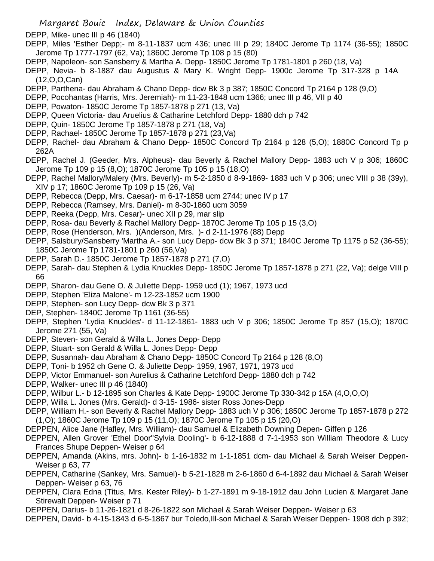DEPP, Mike- unec III p 46 (1840)

DEPP, Miles 'Esther Depp;- m 8-11-1837 ucm 436; unec III p 29; 1840C Jerome Tp 1174 (36-55); 1850C Jerome Tp 1777-1797 (62, Va); 1860C Jerome Tp 108 p 15 (80)

- DEPP, Napoleon- son Sansberry & Martha A. Depp- 1850C Jerome Tp 1781-1801 p 260 (18, Va)
- DEPP, Nevia- b 8-1887 dau Augustus & Mary K. Wright Depp- 1900c Jerome Tp 317-328 p 14A (12,O,O,Can)
- DEPP, Parthena- dau Abraham & Chano Depp- dcw Bk 3 p 387; 1850C Concord Tp 2164 p 128 (9,O)
- DEPP, Pocohantas (Harris, Mrs. Jeremiah)- m 11-23-1848 ucm 1366; unec III p 46, VII p 40
- DEPP, Powaton- 1850C Jerome Tp 1857-1878 p 271 (13, Va)
- DEPP, Queen Victoria- dau Aruelius & Catharine Letchford Depp- 1880 dch p 742
- DEPP, Quin- 1850C Jerome Tp 1857-1878 p 271 (18, Va)
- DEPP, Rachael- 1850C Jerome Tp 1857-1878 p 271 (23,Va)
- DEPP, Rachel- dau Abraham & Chano Depp- 1850C Concord Tp 2164 p 128 (5,O); 1880C Concord Tp p 262A
- DEPP, Rachel J. (Geeder, Mrs. Alpheus)- dau Beverly & Rachel Mallory Depp- 1883 uch V p 306; 1860C Jerome Tp 109 p 15 (8,O); 1870C Jerome Tp 105 p 15 (18,O)
- DEPP, Rachel Mallory/Malery (Mrs. Beverly)- m 5-2-1850 d 8-9-1869- 1883 uch V p 306; unec VIII p 38 (39y), XIV p 17; 1860C Jerome Tp 109 p 15 (26, Va)
- DEPP, Rebecca (Depp, Mrs. Caesar)- m 6-17-1858 ucm 2744; unec IV p 17
- DEPP, Rebecca (Ramsey, Mrs. Daniel)- m 8-30-1860 ucm 3059
- DEPP, Reeka (Depp, Mrs. Cesar)- unec XII p 29, mar slip
- DEPP, Rosa- dau Beverly & Rachel Mallory Depp- 1870C Jerome Tp 105 p 15 (3,0)
- DEPP, Rose (Henderson, Mrs. )(Anderson, Mrs. )- d 2-11-1976 (88) Depp
- DEPP, Salsbury/Sansberry 'Martha A.- son Lucy Depp- dcw Bk 3 p 371; 1840C Jerome Tp 1175 p 52 (36-55); 1850C Jerome Tp 1781-1801 p 260 (56,Va)
- DEPP, Sarah D.- 1850C Jerome Tp 1857-1878 p 271 (7,O)
- DEPP, Sarah- dau Stephen & Lydia Knuckles Depp- 1850C Jerome Tp 1857-1878 p 271 (22, Va); delge VIII p 66
- DEPP, Sharon- dau Gene O. & Juliette Depp- 1959 ucd (1); 1967, 1973 ucd
- DEPP, Stephen 'Eliza Malone'- m 12-23-1852 ucm 1900
- DEPP, Stephen- son Lucy Depp- dcw Bk 3 p 371
- DEP, Stephen- 1840C Jerome Tp 1161 (36-55)
- DEPP, Stephen 'Lydia Knuckles'- d 11-12-1861- 1883 uch V p 306; 1850C Jerome Tp 857 (15,O); 1870C Jerome 271 (55, Va)
- DEPP, Steven- son Gerald & Willa L. Jones Depp- Depp
- DEPP, Stuart- son Gerald & Willa L. Jones Depp- Depp
- DEPP, Susannah- dau Abraham & Chano Depp- 1850C Concord Tp 2164 p 128 (8,O)
- DEPP, Toni- b 1952 ch Gene O. & Juliette Depp- 1959, 1967, 1971, 1973 ucd
- DEPP, Victor Emmanuel- son Aurelius & Catharine Letchford Depp- 1880 dch p 742
- DEPP, Walker- unec III p 46 (1840)
- DEPP, Wilbur L.- b 12-1895 son Charles & Kate Depp- 1900C Jerome Tp 330-342 p 15A (4,O,O,O)
- DEPP, Willa L. Jones (Mrs. Gerald)- d 3-15- 1986- sister Ross Jones-Depp
- DEPP, William H.- son Beverly & Rachel Mallory Depp- 1883 uch V p 306; 1850C Jerome Tp 1857-1878 p 272 (1,O); 1860C Jerome Tp 109 p 15 (11,O); 1870C Jerome Tp 105 p 15 (20,O)
- DEPPEN, Alice Jane (Hafley, Mrs. William)- dau Samuel & Elizabeth Downing Depen- Giffen p 126
- DEPPEN, Allen Grover 'Ethel Door''Sylvia Dooling'- b 6-12-1888 d 7-1-1953 son William Theodore & Lucy Frances Shupe Deppen- Weiser p 64
- DEPPEN, Amanda (Akins, mrs. John)- b 1-16-1832 m 1-1-1851 dcm- dau Michael & Sarah Weiser Deppen-Weiser p 63, 77
- DEPPEN, Catharine (Sankey, Mrs. Samuel)- b 5-21-1828 m 2-6-1860 d 6-4-1892 dau Michael & Sarah Weiser Deppen- Weiser p 63, 76
- DEPPEN, Clara Edna (Titus, Mrs. Kester Riley)- b 1-27-1891 m 9-18-1912 dau John Lucien & Margaret Jane Stirewalt Deppen- Weiser p 71
- DEPPEN, Darius- b 11-26-1821 d 8-26-1822 son Michael & Sarah Weiser Deppen- Weiser p 63
- DEPPEN, David- b 4-15-1843 d 6-5-1867 bur Toledo,Ill-son Michael & Sarah Weiser Deppen- 1908 dch p 392;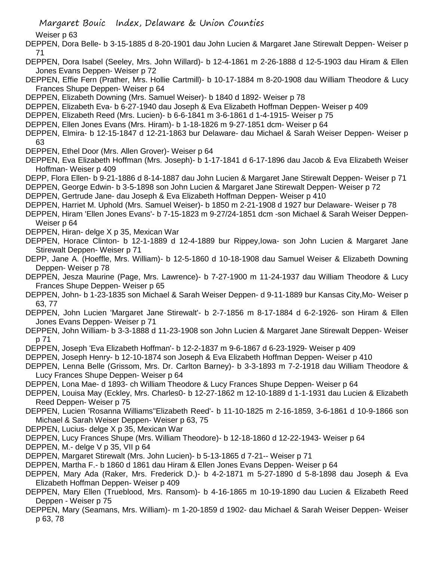Weiser p 63

DEPPEN, Dora Belle- b 3-15-1885 d 8-20-1901 dau John Lucien & Margaret Jane Stirewalt Deppen- Weiser p 71

- DEPPEN, Dora Isabel (Seeley, Mrs. John Willard)- b 12-4-1861 m 2-26-1888 d 12-5-1903 dau Hiram & Ellen Jones Evans Deppen- Weiser p 72
- DEPPEN, Effie Fern (Prather, Mrs. Hollie Cartmill)- b 10-17-1884 m 8-20-1908 dau William Theodore & Lucy Frances Shupe Deppen- Weiser p 64
- DEPPEN, Elizabeth Downing (Mrs. Samuel Weiser)- b 1840 d 1892- Weiser p 78
- DEPPEN, Elizabeth Eva- b 6-27-1940 dau Joseph & Eva Elizabeth Hoffman Deppen- Weiser p 409
- DEPPEN, Elizabeth Reed (Mrs. Lucien)- b 6-6-1841 m 3-6-1861 d 1-4-1915- Weiser p 75
- DEPPEN, Ellen Jones Evans (Mrs. Hiram)- b 1-18-1826 m 9-27-1851 dcm- Weiser p 64
- DEPPEN, Elmira- b 12-15-1847 d 12-21-1863 bur Delaware- dau Michael & Sarah Weiser Deppen- Weiser p 63
- DEPPEN, Ethel Door (Mrs. Allen Grover)- Weiser p 64
- DEPPEN, Eva Elizabeth Hoffman (Mrs. Joseph)- b 1-17-1841 d 6-17-1896 dau Jacob & Eva Elizabeth Weiser Hoffman- Weiser p 409
- DEPP, Flora Ellen- b 9-21-1886 d 8-14-1887 dau John Lucien & Margaret Jane Stirewalt Deppen- Weiser p 71
- DEPPEN, George Edwin- b 3-5-1898 son John Lucien & Margaret Jane Stirewalt Deppen- Weiser p 72
- DEPPEN, Gertrude Jane- dau Joseph & Eva Elizabeth Hoffman Deppen- Weiser p 410
- DEPPEN, Harriet M. Uphold (Mrs. Samuel Weiser)- b 1850 m 2-21-1908 d 1927 bur Delaware- Weiser p 78
- DEPPEN, Hiram 'Ellen Jones Evans'- b 7-15-1823 m 9-27/24-1851 dcm -son Michael & Sarah Weiser Deppen-Weiser p 64
- DEPPEN, Hiran- delge X p 35, Mexican War
- DEPPEN, Horace Clinton- b 12-1-1889 d 12-4-1889 bur Rippey,Iowa- son John Lucien & Margaret Jane Stirewalt Deppen- Weiser p 71
- DEPP, Jane A. (Hoeffle, Mrs. William)- b 12-5-1860 d 10-18-1908 dau Samuel Weiser & Elizabeth Downing Deppen- Weiser p 78
- DEPPEN, Jesza Maurine (Page, Mrs. Lawrence)- b 7-27-1900 m 11-24-1937 dau William Theodore & Lucy Frances Shupe Deppen- Weiser p 65
- DEPPEN, John- b 1-23-1835 son Michael & Sarah Weiser Deppen- d 9-11-1889 bur Kansas City,Mo- Weiser p 63, 77
- DEPPEN, John Lucien 'Margaret Jane Stirewalt'- b 2-7-1856 m 8-17-1884 d 6-2-1926- son Hiram & Ellen Jones Evans Deppen- Weiser p 71
- DEPPEN, John William- b 3-3-1888 d 11-23-1908 son John Lucien & Margaret Jane Stirewalt Deppen- Weiser p 71
- DEPPEN, Joseph 'Eva Elizabeth Hoffman'- b 12-2-1837 m 9-6-1867 d 6-23-1929- Weiser p 409
- DEPPEN, Joseph Henry- b 12-10-1874 son Joseph & Eva Elizabeth Hoffman Deppen- Weiser p 410
- DEPPEN, Lenna Belle (Grissom, Mrs. Dr. Carlton Barney)- b 3-3-1893 m 7-2-1918 dau William Theodore & Lucy Frances Shupe Deppen- Weiser p 64
- DEPPEN, Lona Mae- d 1893- ch William Theodore & Lucy Frances Shupe Deppen- Weiser p 64
- DEPPEN, Louisa May (Eckley, Mrs. Charles0- b 12-27-1862 m 12-10-1889 d 1-1-1931 dau Lucien & Elizabeth Reed Deppen- Weiser p 75
- DEPPEN, Lucien 'Rosanna Williams''Elizabeth Reed'- b 11-10-1825 m 2-16-1859, 3-6-1861 d 10-9-1866 son Michael & Sarah Weiser Deppen- Weiser p 63, 75
- DEPPEN, Lucius- delge X p 35, Mexican War
- DEPPEN, Lucy Frances Shupe (Mrs. William Theodore)- b 12-18-1860 d 12-22-1943- Weiser p 64
- DEPPEN, M.- delge V p 35, VII p 64
- DEPPEN, Margaret Stirewalt (Mrs. John Lucien)- b 5-13-1865 d 7-21-- Weiser p 71
- DEPPEN, Martha F.- b 1860 d 1861 dau Hiram & Ellen Jones Evans Deppen- Weiser p 64
- DEPPEN, Mary Ada (Raker, Mrs. Frederick D.)- b 4-2-1871 m 5-27-1890 d 5-8-1898 dau Joseph & Eva Elizabeth Hoffman Deppen- Weiser p 409
- DEPPEN, Mary Ellen (Trueblood, Mrs. Ransom)- b 4-16-1865 m 10-19-1890 dau Lucien & Elizabeth Reed Deppen - Weiser p 75
- DEPPEN, Mary (Seamans, Mrs. William)- m 1-20-1859 d 1902- dau Michael & Sarah Weiser Deppen- Weiser p 63, 78

Margaret Bouic Index, Delaware & Union Counties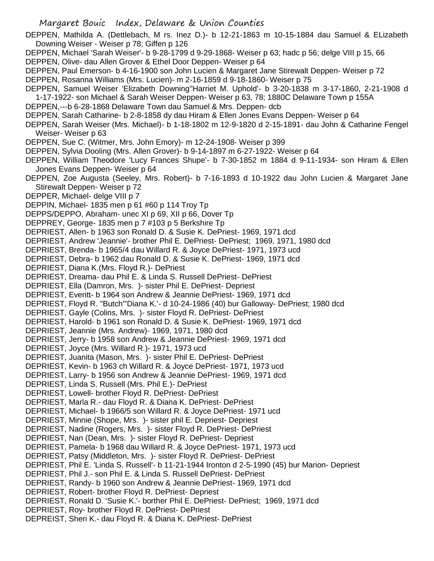DEPPEN, Mathilda A. (Dettlebach, M rs. Inez D.)- b 12-21-1863 m 10-15-1884 dau Samuel & ELizabeth Downing Weiser - Weiser p 78; Giffen p 126

- DEPPEN, Michael 'Sarah Weiser'- b 9-28-1799 d 9-29-1868- Weiser p 63; hadc p 56; delge VIII p 15, 66
- DEPPEN, Olive- dau Allen Grover & Ethel Door Deppen- Weiser p 64
- DEPPEN, Paul Emerson- b 4-16-1900 son John Lucien & Margaret Jane Stirewalt Deppen- Weiser p 72
- DEPPEN, Rosanna Williams (Mrs. Lucien)- m 2-16-1859 d 9-18-1860- Weiser p 75
- DEPPEN, Samuel Weiser 'Elizabeth Downing''Harriet M. Uphold'- b 3-20-1838 m 3-17-1860, 2-21-1908 d
- 1-17-1922- son Michael & Sarah Weiser Deppen- Weiser p 63, 78; 1880C Delaware Town p 155A
- DEPPEN,---b 6-28-1868 Delaware Town dau Samuel & Mrs. Deppen- dcb
- DEPPEN, Sarah Catharine- b 2-8-1858 dy dau Hiram & Ellen Jones Evans Deppen- Weiser p 64
- DEPPEN, Sarah Weiser (Mrs. Michael)- b 1-18-1802 m 12-9-1820 d 2-15-1891- dau John & Catharine Fengel Weiser- Weiser p 63
- DEPPEN, Sue C. (Witmer, Mrs. John Emory)- m 12-24-1908- Weiser p 399
- DEPPEN, Sylvia Dooling (Mrs. Allen Grover)- b 9-14-1897 m 6-27-1922- Weiser p 64
- DEPPEN, William Theodore 'Lucy Frances Shupe'- b 7-30-1852 m 1884 d 9-11-1934- son Hiram & Ellen Jones Evans Deppen- Weiser p 64
- DEPPEN, Zoe Augusta (Seeley, Mrs. Robert)- b 7-16-1893 d 10-1922 dau John Lucien & Margaret Jane Stirewalt Deppen- Weiser p 72
- DEPPER, Michael- delge VIII p 7
- DEPPIN, Michael- 1835 men p 61 #60 p 114 Troy Tp
- DEPPS/DEPPO, Abraham- unec XI p 69, XII p 66, Dover Tp
- DEPPREY, George- 1835 men p 7 #103 p 5 Berkshire Tp
- DEPRIEST, Allen- b 1963 son Ronald D. & Susie K. DePriest- 1969, 1971 dcd
- DEPRIEST, Andrew 'Jeannie'- brother Phil E. DePriest- DePriest; 1969, 1971, 1980 dcd
- DEPRIEST, Brenda- b 1965/4 dau Willard R. & Joyce DePriest- 1971, 1973 ucd
- DEPRIEST, Debra- b 1962 dau Ronald D. & Susie K. DePriest- 1969, 1971 dcd
- DEPRIEST, Diana K.(Mrs. Floyd R.)- DePriest
- DEPRIEST, Dreama- dau Phil E. & Linda S. Russell DePriest- DePriest
- DEPRIEST, Ella (Damron, Mrs. )- sister Phil E. DePriest- Depriest
- DEPRIEST, Everitt- b 1964 son Andrew & Jeannie DePriest- 1969, 1971 dcd
- DEPRIEST, Floyd R. "Butch"'Diana K.'- d 10-24-1986 (40) bur Galloway- DePriest; 1980 dcd
- DEPRIEST, Gayle (Colins, Mrs. )- sister Floyd R. DePriest- DePriest
- DEPRIEST, Harold- b 1961 son Ronald D. & Susie K. DePriest- 1969, 1971 dcd
- DEPRIEST, Jeannie (Mrs. Andrew)- 1969, 1971, 1980 dcd
- DEPRIEST, Jerry- b 1958 son Andrew & Jeannie DePriest- 1969, 1971 dcd
- DEPRIEST, Joyce (Mrs. Willard R.)- 1971, 1973 ucd
- DEPRIEST, Juanita (Mason, Mrs. )- sister Phil E. DePriest- DePriest
- DEPRIEST, Kevin- b 1963 ch Willard R. & Joyce DePriest- 1971, 1973 ucd
- DEPRIEST, Larry- b 1956 son Andrew & Jeannie DePriest- 1969, 1971 dcd
- DEPRIEST, Linda S. Russell (Mrs. Phil E.)- DePriest
- DEPRIEST, Lowell- brother Floyd R. DePriest- DePriest
- DEPRIEST, Marla R.- dau Floyd R. & Diana K. DePriest- DePriest
- DEPRIEST, Michael- b 1966/5 son Willard R. & Joyce DePriest- 1971 ucd
- DEPRIEST, Minnie (Shope, Mrs. )- sister phil E. Depriest- Depriest
- DEPRIEST, Nadine (Rogers, Mrs. )- sister Floyd R. DePriest- DePriest
- DEPRIEST, Nan (Dean, Mrs. )- sister Floyd R. DePriest- Depriest
- DEPRIEST, Pamela- b 1968 dau Willard R. & Joyce DePriest- 1971, 1973 ucd
- DEPRIEST, Patsy (Middleton, Mrs. )- sister Floyd R. DePriest- DePriest
- DEPRIEST, Phil E. 'Linda S. Russell'- b 11-21-1944 Ironton d 2-5-1990 (45) bur Marion- Depriest
- DEPRIEST, Phil J.- son Phil E. & Linda S. Russell DePriest- DePriest
- DEPRIEST, Randy- b 1960 son Andrew & Jeannie DePriest- 1969, 1971 dcd
- DEPRIEST, Robert- brother Floyd R. DePriest- Depriest
- DEPRIEST, Ronald D. 'Susie K.'- borther Phil E. DePriest- DePriest; 1969, 1971 dcd
- DEPRIEST, Roy- brother Floyd R. DePriest- DePriest
- DEPREIST, Sheri K.- dau Floyd R. & Diana K. DePriest- DePriest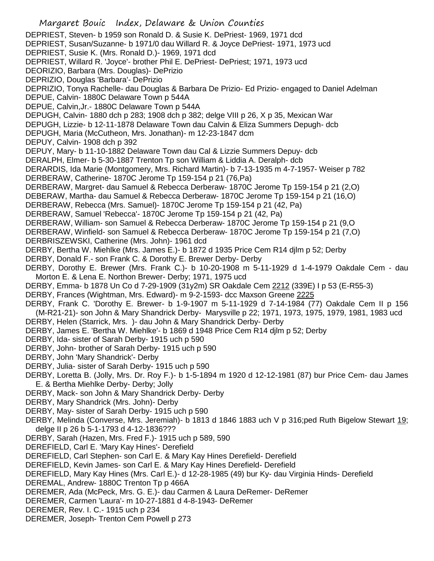Margaret Bouic Index, Delaware & Union Counties DEPRIEST, Steven- b 1959 son Ronald D. & Susie K. DePriest- 1969, 1971 dcd DEPRIEST, Susan/Suzanne- b 1971/0 dau Willard R. & Joyce DePriest- 1971, 1973 ucd DEPRIEST, Susie K. (Mrs. Ronald D.)- 1969, 1971 dcd DEPRIEST, Willard R. 'Joyce'- brother Phil E. DePriest- DePriest; 1971, 1973 ucd DEORIZIO, Barbara (Mrs. Douglas)- DePrizio DEPRIZIO, Douglas 'Barbara'- DePrizio DEPRIZIO, Tonya Rachelle- dau Douglas & Barbara De Prizio- Ed Prizio- engaged to Daniel Adelman DEPUE, Calvin- 1880C Delaware Town p 544A DEPUE, Calvin,Jr.- 1880C Delaware Town p 544A DEPUGH, Calvin- 1880 dch p 283; 1908 dch p 382; delge VIII p 26, X p 35, Mexican War DEPUGH, Lizzie- b 12-11-1878 Delaware Town dau Calvin & Eliza Summers Depugh- dcb DEPUGH, Maria (McCutheon, Mrs. Jonathan)- m 12-23-1847 dcm DEPUY, Calvin- 1908 dch p 392 DEPUY, Mary- b 11-10-1882 Delaware Town dau Cal & Lizzie Summers Depuy- dcb DERALPH, Elmer- b 5-30-1887 Trenton Tp son William & Liddia A. Deralph- dcb DERARDIS, Ida Marie (Montgomery, Mrs. Richard Martin)- b 7-13-1935 m 4-7-1957- Weiser p 782 DERBERAW, Catherine- 1870C Jerome Tp 159-154 p 21 (76,Pa) DERBERAW, Margret- dau Samuel & Rebecca Derberaw- 1870C Jerome Tp 159-154 p 21 (2,O) DEBERAW, Martha- dau Samuel & Rebecca Derberaw- 1870C Jerome Tp 159-154 p 21 (16,O) DERBERAW, Rebecca (Mrs. Samuel)- 1870C Jerome Tp 159-154 p 21 (42, Pa) DERBERAW, Samuel 'Rebecca'- 1870C Jerome Tp 159-154 p 21 (42, Pa) DERBERAW, William- son Samuel & Rebecca Derberaw- 1870C Jerome Tp 159-154 p 21 (9,O DERBERAW, Winfield- son Samuel & Rebecca Derberaw- 1870C Jerome Tp 159-154 p 21 (7,O) DERBRISZEWSKI, Catherine (Mrs. John)- 1961 dcd DERBY, Bertha W. Miehlke (Mrs. James E.)- b 1872 d 1935 Price Cem R14 djlm p 52; Derby DERBY, Donald F.- son Frank C. & Dorothy E. Brewer Derby- Derby DERBY, Dorothy E. Brewer (Mrs. Frank C.)- b 10-20-1908 m 5-11-1929 d 1-4-1979 Oakdale Cem - dau Morton E. & Lena E. Northon Brewer- Derby; 1971, 1975 ucd DERBY, Emma- b 1878 Un Co d 7-29-1909 (31y2m) SR Oakdale Cem 2212 (339E) I p 53 (E-R55-3) DERBY, Frances (Wightman, Mrs. Edward)- m 9-2-1593- dcc Maxson Greene 2225 DERBY, Frank C. 'Dorothy E. Brewer- b 1-9-1907 m 5-11-1929 d 7-14-1984 (77) Oakdale Cem II p 156 (M-R21-21)- son John & Mary Shandrick Derby- Marysville p 22; 1971, 1973, 1975, 1979, 1981, 1983 ucd DERBY, Helen (Starrick, Mrs. )- dau John & Mary Shandrick Derby- Derby DERBY, James E. 'Bertha W. Miehlke'- b 1869 d 1948 Price Cem R14 djlm p 52; Derby DERBY, Ida- sister of Sarah Derby- 1915 uch p 590 DERBY, John- brother of Sarah Derby- 1915 uch p 590 DERBY, John 'Mary Shandrick'- Derby DERBY, Julia- sister of Sarah Derby- 1915 uch p 590 DERBY, Loretta B. (Jolly, Mrs. Dr. Roy F.)- b 1-5-1894 m 1920 d 12-12-1981 (87) bur Price Cem- dau James E. & Bertha Miehlke Derby- Derby; Jolly DERBY, Mack- son John & Mary Shandrick Derby- Derby DERBY, Mary Shandrick (Mrs. John)- Derby DERBY, May- sister of Sarah Derby- 1915 uch p 590 DERBY, Melinda (Converse, Mrs. Jeremiah)- b 1813 d 1846 1883 uch V p 316;ped Ruth Bigelow Stewart 19; delge II p 26 b 5-1-1793 d 4-12-1836??? DERBY, Sarah (Hazen, Mrs. Fred F.)- 1915 uch p 589, 590 DEREFIELD, Carl E. 'Mary Kay Hines'- Derefield DEREFIELD, Carl Stephen- son Carl E. & Mary Kay Hines Derefield- Derefield DEREFIELD, Kevin James- son Carl E. & Mary Kay Hines Derefield- Derefield DEREFIELD, Mary Kay Hines (Mrs. Carl E.)- d 12-28-1985 (49) bur Ky- dau Virginia Hinds- Derefield DEREMAL, Andrew- 1880C Trenton Tp p 466A DEREMER, Ada (McPeck, Mrs. G. E.)- dau Carmen & Laura DeRemer- DeRemer DEREMER, Carmen 'Laura'- m 10-27-1881 d 4-8-1943- DeRemer DEREMER, Rev. I. C.- 1915 uch p 234 DEREMER, Joseph- Trenton Cem Powell p 273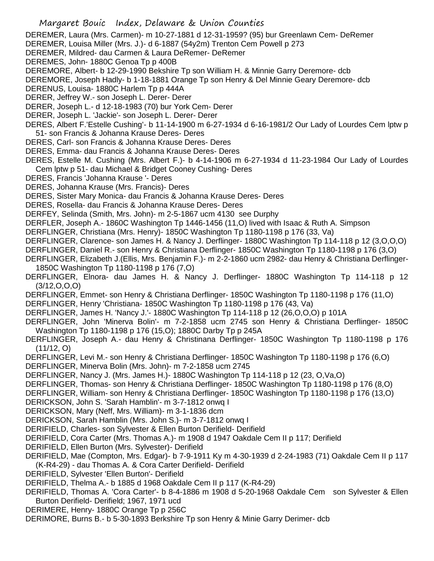DEREMER, Laura (Mrs. Carmen)- m 10-27-1881 d 12-31-1959? (95) bur Greenlawn Cem- DeRemer

- DEREMER, Louisa Miller (Mrs. J.)- d 6-1887 (54y2m) Trenton Cem Powell p 273
- DEREMER, Mildred- dau Carmen & Laura DeRemer- DeRemer
- DEREMES, John- 1880C Genoa Tp p 400B
- DEREMORE, Albert- b 12-29-1990 Bekshire Tp son William H. & Minnie Garry Deremore- dcb

DEREMORE, Joseph Hadly- b 1-18-1881 Orange Tp son Henry & Del Minnie Geary Deremore- dcb

- DERENUS, Louisa- 1880C Harlem Tp p 444A
- DERER, Jeffrey W.- son Joseph L. Derer- Derer
- DERER, Joseph L.- d 12-18-1983 (70) bur York Cem- Derer
- DERER, Joseph L. 'Jackie'- son Joseph L. Derer- Derer
- DERES, Albert F.'Estelle Cushing'- b 11-14-1900 m 6-27-1934 d 6-16-1981/2 Our Lady of Lourdes Cem lptw p 51- son Francis & Johanna Krause Deres- Deres
- DERES, Carl- son Francis & Johanna Krause Deres- Deres
- DERES, Emma- dau Francis & Johanna Krause Deres- Deres
- DERES, Estelle M. Cushing (Mrs. Albert F.)- b 4-14-1906 m 6-27-1934 d 11-23-1984 Our Lady of Lourdes Cem lptw p 51- dau Michael & Bridget Cooney Cushing- Deres
- DERES, Francis 'Johanna Krause '- Deres
- DERES, Johanna Krause (Mrs. Francis)- Deres
- DERES, Sister Mary Monica- dau Francis & Johanna Krause Deres- Deres
- DERES, Rosella- dau Francis & Johanna Krause Deres- Deres
- DERFEY, Selinda (Smith, Mrs. John)- m 2-5-1867 ucm 4130 see Durphy
- DERFLER, Joseph A.- 1860C Washington Tp 1446-1456 (11,O) lived with Isaac & Ruth A. Simpson
- DERFLINGER, Christiana (Mrs. Henry)- 1850C Washington Tp 1180-1198 p 176 (33, Va)
- DERFLINGER, Clarence- son James H. & Nancy J. Derflinger- 1880C Washington Tp 114-118 p 12 (3,O,O,O)
- DERFLINGER, Daniel R.- son Henry & Christiana Derflinger- 1850C Washington Tp 1180-1198 p 176 (3,O)
- DERFLINGER, Elizabeth J.(Ellis, Mrs. Benjamin F.)- m 2-2-1860 ucm 2982- dau Henry & Christiana Derflinger-1850C Washington Tp 1180-1198 p 176 (7,O)
- DERFLINGER, Elnora- dau James H. & Nancy J. Derflinger- 1880C Washington Tp 114-118 p 12 (3/12,O,O,O)
- DERFLINGER, Emmet- son Henry & Christiana Derflinger- 1850C Washington Tp 1180-1198 p 176 (11,O)
- DERFLINGER, Henry 'Christiana- 1850C Washington Tp 1180-1198 p 176 (43, Va)
- DERFLINGER, James H. 'Nancy J.'- 1880C Washington Tp 114-118 p 12 (26,O,O,O) p 101A
- DERFLINGER, John 'Minerva Bolin'- m 7-2-1858 ucm 2745 son Henry & Christiana Derflinger- 1850C Washington Tp 1180-1198 p 176 (15,O); 1880C Darby Tp p 245A
- DERFLINGER, Joseph A.- dau Henry & Christinana Derflinger- 1850C Washington Tp 1180-1198 p 176 (11/12, O)
- DERFLINGER, Levi M.- son Henry & Christiana Derflinger- 1850C Washington Tp 1180-1198 p 176 (6,O)
- DERFLINGER, Minerva Bolin (Mrs. John)- m 7-2-1858 ucm 2745
- DERFLINGER, Nancy J. (Mrs. James H.)- 1880C Washington Tp 114-118 p 12 (23, O,Va,O)
- DERFLINGER, Thomas- son Henry & Christiana Derflinger- 1850C Washington Tp 1180-1198 p 176 (8,O)
- DERFLINGER, William- son Henry & Christiana Derflinger- 1850C Washington Tp 1180-1198 p 176 (13,O)
- DERICKSON, John S. 'Sarah Hamblin'- m 3-7-1812 onwq I
- DERICKSON, Mary (Neff, Mrs. William)- m 3-1-1836 dcm
- DERICKSON, Sarah Hamblin (Mrs. John S.)- m 3-7-1812 onwq I
- DERIFIELD, Charles- son Sylvester & Ellen Burton Derifield- Derifield
- DERIFIELD, Cora Carter (Mrs. Thomas A.)- m 1908 d 1947 Oakdale Cem II p 117; Derifield
- DERIFIELD, Ellen Burton (Mrs. Sylvester)- Derifield
- DERIFIELD, Mae (Compton, Mrs. Edgar)- b 7-9-1911 Ky m 4-30-1939 d 2-24-1983 (71) Oakdale Cem II p 117 (K-R4-29) - dau Thomas A. & Cora Carter Derifield- Derifield
- DERIFIELD, Sylvester 'Ellen Burton'- Derifield
- DERIFIELD, Thelma A.- b 1885 d 1968 Oakdale Cem II p 117 (K-R4-29)
- DERIFIELD, Thomas A. 'Cora Carter'- b 8-4-1886 m 1908 d 5-20-1968 Oakdale Cem son Sylvester & Ellen Burton Derifield- Derifield; 1967, 1971 ucd
- DERIMERE, Henry- 1880C Orange Tp p 256C
- DERIMORE, Burns B.- b 5-30-1893 Berkshire Tp son Henry & Minie Garry Derimer- dcb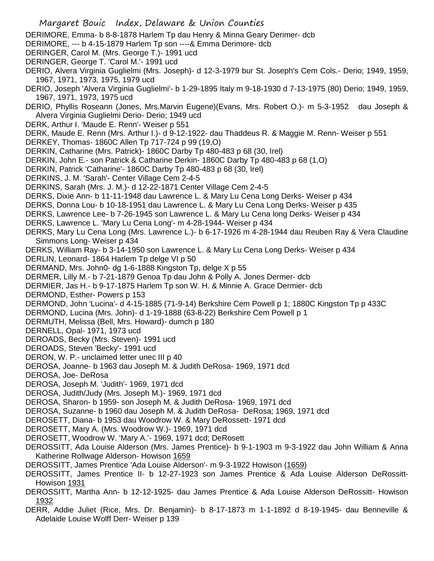Margaret Bouic Index, Delaware & Union Counties DERIMORE, Emma- b 8-8-1878 Harlem Tp dau Henry & Minna Geary Derimer- dcb DERIMORE, --- b 4-15-1879 Harlem Tp son ----& Emma Derimore- dcb DERINGER, Carol M. (Mrs. George T.)- 1991 ucd DERINGER, George T. 'Carol M.'- 1991 ucd DERIO, Alvera Virginia Guglielmi (Mrs. Joseph)- d 12-3-1979 bur St. Joseph's Cem Cols.- Derio; 1949, 1959, 1967, 1971, 1973, 1975, 1979 ucd DERIO, Joseph 'Alvera Virginia Guglielmi'- b 1-29-1895 Italy m 9-18-1930 d 7-13-1975 (80) Derio; 1949, 1959, 1967, 1971, 1973, 1975 ucd DERIO, Phyllis Roseann (Jones, Mrs.Marvin Eugene)(Evans, Mrs. Robert O.)- m 5-3-1952 dau Joseph & Alvera Virginia Guglielmi Derio- Derio; 1949 ucd DERK, Arthur I. 'Maude E. Renn'- Weiser p 551 DERK, Maude E. Renn (Mrs. Arthur I.)- d 9-12-1922- dau Thaddeus R. & Maggie M. Renn- Weiser p 551 DERKEY, Thomas- 1860C Allen Tp 717-724 p 99 (19,O) DERKIN, Catharine (Mrs. Patrick)- 1860C Darby Tp 480-483 p 68 (30, Irel) DERKIN, John E.- son Patrick & Catharine Derkin- 1860C Darby Tp 480-483 p 68 (1,O) DERKIN, Patrick 'Catharine'- 1860C Darby Tp 480-483 p 68 (30, Irel) DERKINS, J. M. 'Sarah'- Center Village Cem 2-4-5 DERKINS, Sarah (Mrs. J. M.)- d 12-22-1871 Center Village Cem 2-4-5 DERKS, Dixie Ann- b 11-11-1948 dau Lawrence L. & Mary Lu Cena Long Derks- Weiser p 434 DERKS, Donna Lou- b 10-18-1951 dau Lawrence L. & Mary Lu Cena Long Derks- Weiser p 435 DERKS, Lawrence Lee- b 7-26-1945 son Lawrence L. & Mary Lu Cena long Derks- Weiser p 434 DERKS, Lawrence L. 'Mary Lu Cena Long'- m 4-28-1944- Weiser p 434 DERKS, Mary Lu Cena Long (Mrs. Lawrence L.)- b 6-17-1926 m 4-28-1944 dau Reuben Ray & Vera Claudine Simmons Long- Weiser p 434 DERKS, William Ray- b 3-14-1950 son Lawrence L. & Mary Lu Cena Long Derks- Weiser p 434 DERLIN, Leonard- 1864 Harlem Tp delge VI p 50 DERMAND, Mrs. John0- dg 1-6-1888 Kingston Tp, delge X p 55 DERMER, Lilly M.- b 7-21-1879 Genoa Tp dau John & Polly A. Jones Dermer- dcb DERMIER, Jas H.- b 9-17-1875 Harlem Tp son W. H. & Minnie A. Grace Dermier- dcb DERMOND, Esther- Powers p 153 DERMOND, John 'Lucina'- d 4-15-1885 (71-9-14) Berkshire Cem Powell p 1; 1880C Kingston Tp p 433C DERMOND, Lucina (Mrs. John)- d 1-19-1888 (63-8-22) Berkshire Cem Powell p 1 DERMUTH, Melissa (Bell, Mrs. Howard)- dumch p 180 DERNELL, Opal- 1971, 1973 ucd DEROADS, Becky (Mrs. Steven)- 1991 ucd DEROADS, Steven 'Becky'- 1991 ucd DERON, W. P.- unclaimed letter unec III p 40 DEROSA, Joanne- b 1963 dau Joseph M. & Judith DeRosa- 1969, 1971 dcd DEROSA, Joe- DeRosa DEROSA, Joseph M. 'Judith'- 1969, 1971 dcd DEROSA, Judith/Judy (Mrs. Joseph M.)- 1969, 1971 dcd DEROSA, Sharon- b 1959- son Joseph M. & Judith DeRosa- 1969, 1971 dcd DEROSA, Suzanne- b 1960 dau Joseph M. & Judith DeRosa- DeRosa; 1969, 1971 dcd DEROSETT, Diana- b 1953 dau Woodrow W. & Mary DeRossett- 1971 dcd DEROSETT, Mary A. (Mrs. Woodrow W.)- 1969, 1971 dcd DEROSETT, Woodrow W. 'Mary A.'- 1969, 1971 dcd; DeRosett DEROSSITT, Ada Louise Alderson (Mrs. James Prentice)- b 9-1-1903 m 9-3-1922 dau John William & Anna Katherine Rollwage Alderson- Howison 1659 DEROSSITT, James Prentice 'Ada Louise Alderson'- m 9-3-1922 Howison (1659) DEROSSITT, James Prentice II- b 12-27-1923 son James Prentice & Ada Louise Alderson DeRossitt-Howison 1931 DEROSSITT, Martha Ann- b 12-12-1925- dau James Prentice & Ada Louise Alderson DeRossitt- Howison 1932 DERR, Addie Juliet (Rice, Mrs. Dr. Benjamin)- b 8-17-1873 m 1-1-1892 d 8-19-1945- dau Benneville & Adelaide Louise Wolff Derr- Weiser p 139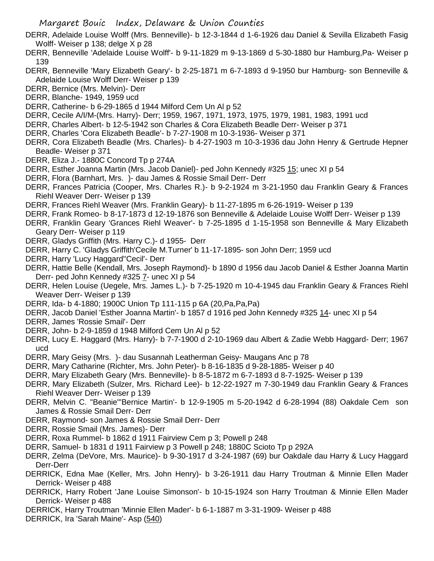- DERR, Adelaide Louise Wolff (Mrs. Benneville)- b 12-3-1844 d 1-6-1926 dau Daniel & Sevilla Elizabeth Fasig Wolff- Weiser p 138; delge X p 28
- DERR, Benneville 'Adelaide Louise Wolff'- b 9-11-1829 m 9-13-1869 d 5-30-1880 bur Hamburg,Pa- Weiser p 139
- DERR, Benneville 'Mary Elizabeth Geary'- b 2-25-1871 m 6-7-1893 d 9-1950 bur Hamburg- son Benneville & Adelaide Louise Wolff Derr- Weiser p 139
- DERR, Bernice (Mrs. Melvin)- Derr
- DERR, Blanche- 1949, 1959 ucd
- DERR, Catherine- b 6-29-1865 d 1944 Milford Cem Un Al p 52
- DERR, Cecile A/I/M-(Mrs. Harry)- Derr; 1959, 1967, 1971, 1973, 1975, 1979, 1981, 1983, 1991 ucd
- DERR, Charles Albert- b 12-5-1942 son Charles & Cora Elizabeth Beadle Derr- Weiser p 371
- DERR, Charles 'Cora Elizabeth Beadle'- b 7-27-1908 m 10-3-1936- Weiser p 371
- DERR, Cora Elizabeth Beadle (Mrs. Charles)- b 4-27-1903 m 10-3-1936 dau John Henry & Gertrude Hepner Beadle- Weiser p 371
- DERR, Eliza J.- 1880C Concord Tp p 274A
- DERR, Esther Joanna Martin (Mrs. Jacob Daniel)- ped John Kennedy #325 15; unec XI p 54
- DERR, Flora (Barnhart, Mrs. )- dau James & Rossie Smail Derr- Derr
- DERR, Frances Patricia (Cooper, Mrs. Charles R.)- b 9-2-1924 m 3-21-1950 dau Franklin Geary & Frances Riehl Weaver Derr- Weiser p 139
- DERR, Frances Riehl Weaver (Mrs. Franklin Geary)- b 11-27-1895 m 6-26-1919- Weiser p 139
- DERR, Frank Romeo- b 8-17-1873 d 12-19-1876 son Benneville & Adelaide Louise Wolff Derr- Weiser p 139
- DERR, Franklin Geary 'Grances Riehl Weaver'- b 7-25-1895 d 1-15-1958 son Benneville & Mary Elizabeth Geary Derr- Weiser p 119
- DERR, Gladys Griffith (Mrs. Harry C.)- d 1955- Derr
- DERR, Harry C. 'Gladys Griffith'Cecile M.Turner' b 11-17-1895- son John Derr; 1959 ucd
- DERR, Harry 'Lucy Haggard''Cecil'- Derr
- DERR, Hattie Belle (Kendall, Mrs. Joseph Raymond)- b 1890 d 1956 dau Jacob Daniel & Esther Joanna Martin Derr- ped John Kennedy #325 7- unec XI p 54
- DERR, Helen Louise (Uegele, Mrs. James L.)- b 7-25-1920 m 10-4-1945 dau Franklin Geary & Frances Riehl Weaver Derr- Weiser p 139
- DERR, Ida- b 4-1880; 1900C Union Tp 111-115 p 6A (20,Pa,Pa,Pa)
- DERR, Jacob Daniel 'Esther Joanna Martin'- b 1857 d 1916 ped John Kennedy #325 14- unec XI p 54
- DERR, James 'Rossie Smail'- Derr
- DERR, John- b 2-9-1859 d 1948 Milford Cem Un Al p 52
- DERR, Lucy E. Haggard (Mrs. Harry)- b 7-7-1900 d 2-10-1969 dau Albert & Zadie Webb Haggard- Derr; 1967 ucd
- DERR, Mary Geisy (Mrs. )- dau Susannah Leatherman Geisy- Maugans Anc p 78
- DERR, Mary Catharine (Richter, Mrs. John Peter)- b 8-16-1835 d 9-28-1885- Weiser p 40
- DERR, Mary Elizabeth Geary (Mrs. Benneville)- b 8-5-1872 m 6-7-1893 d 8-7-1925- Weiser p 139
- DERR, Mary Elizabeth (Sulzer, Mrs. Richard Lee)- b 12-22-1927 m 7-30-1949 dau Franklin Geary & Frances Riehl Weaver Derr- Weiser p 139
- DERR, Melvin C. "Beanie"'Bernice Martin'- b 12-9-1905 m 5-20-1942 d 6-28-1994 (88) Oakdale Cem son James & Rossie Smail Derr- Derr
- DERR, Raymond- son James & Rossie Smail Derr- Derr
- DERR, Rossie Smail (Mrs. James)- Derr
- DERR, Roxa Rummel- b 1862 d 1911 Fairview Cem p 3; Powell p 248
- DERR, Samuel- b 1831 d 1911 Fairview p 3 Powell p 248; 1880C Scioto Tp p 292A
- DERR, Zelma (DeVore, Mrs. Maurice)- b 9-30-1917 d 3-24-1987 (69) bur Oakdale dau Harry & Lucy Haggard Derr-Derr
- DERRICK, Edna Mae (Keller, Mrs. John Henry)- b 3-26-1911 dau Harry Troutman & Minnie Ellen Mader Derrick- Weiser p 488
- DERRICK, Harry Robert 'Jane Louise Simonson'- b 10-15-1924 son Harry Troutman & Minnie Ellen Mader Derrick- Weiser p 488
- DERRICK, Harry Troutman 'Minnie Ellen Mader'- b 6-1-1887 m 3-31-1909- Weiser p 488
- DERRICK, Ira 'Sarah Maine'- Asp (540)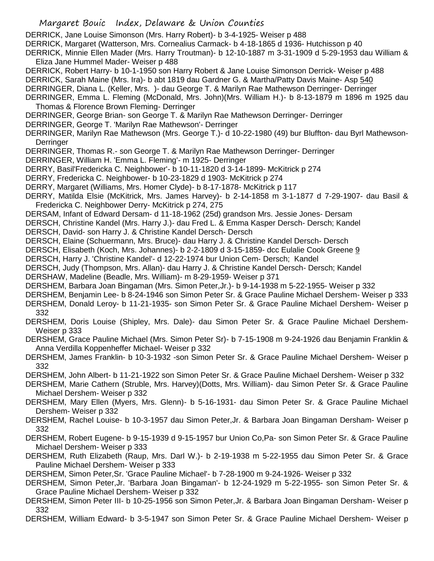DERRICK, Jane Louise Simonson (Mrs. Harry Robert)- b 3-4-1925- Weiser p 488

DERRICK, Margaret (Watterson, Mrs. Cornealius Carmack- b 4-18-1865 d 1936- Hutchisson p 40

DERRICK, Minnie Ellen Mader (Mrs. Harry Troutman)- b 12-10-1887 m 3-31-1909 d 5-29-1953 dau William & Eliza Jane Hummel Mader- Weiser p 488

DERRICK, Robert Harry- b 10-1-1950 son Harry Robert & Jane Louise Simonson Derrick- Weiser p 488 DERRICK, Sarah Maine (Mrs. Ira)- b abt 1819 dau Gardner G. & Martha/Patty Davis Maine- Asp 540

DERRINGER, Diana L. (Keller, Mrs. )- dau George T. & Marilyn Rae Mathewson Derringer- Derringer

DERRINGER, Emma L. Fleming (McDonald, Mrs. John)(Mrs. William H.)- b 8-13-1879 m 1896 m 1925 dau Thomas & Florence Brown Fleming- Derringer

DERRINGER, George Brian- son George T. & Marilyn Rae Mathewson Derringer- Derringer

DERRINGER, George T. 'Marilyn Rae Mathewson'- Derringer

DERRINGER, Marilyn Rae Mathewson (Mrs. George T.)- d 10-22-1980 (49) bur Bluffton- dau Byrl Mathewson-**Derringer** 

DERRINGER, Thomas R.- son George T. & Marilyn Rae Mathewson Derringer- Derringer

DERRINGER, William H. 'Emma L. Fleming'- m 1925- Derringer

DERRY, Basil'Fredericka C. Neighbower'- b 10-11-1820 d 3-14-1899- McKitrick p 274

DERRY, Fredericka C. Neighbower- b 10-23-1829 d 1903- McKitrick p 274

DERRY, Margaret (Williams, Mrs. Homer Clyde)- b 8-17-1878- McKitrick p 117

DERRY, Matilda Elsie (McKitrick, Mrs. James Harvey)- b 2-14-1858 m 3-1-1877 d 7-29-1907- dau Basil & Fredericka C. Neighbower Derry- McKitrick p 274, 275

DERSAM, Infant of Edward Dersam- d 11-18-1962 (25d) grandson Mrs. Jessie Jones- Dersam

DERSCH, Christine Kandel (Mrs. Harry J.)- dau Fred L. & Emma Kasper Dersch- Dersch; Kandel

DERSCH, David- son Harry J. & Christine Kandel Dersch- Dersch

DERSCH, Elaine (Schuermann, Mrs. Bruce)- dau Harry J. & Christine Kandel Dersch- Dersch

DERSCH, Elisabeth (Koch, Mrs. Johannes)- b 2-2-1809 d 3-15-1859- dcc Eulalie Cook Greene 9

DERSCH, Harry J. 'Christine Kandel'- d 12-22-1974 bur Union Cem- Dersch; Kandel

DERSCH, Judy (Thompson, Mrs. Allan)- dau Harry J. & Christine Kandel Dersch- Dersch; Kandel

DERSHAW, Madeline (Beadle, Mrs. William)- m 8-29-1959- Weiser p 371

DERSHEM, Barbara Joan Bingaman (Mrs. Simon Peter,Jr.)- b 9-14-1938 m 5-22-1955- Weiser p 332

DERSHEM, Benjamin Lee- b 8-24-1946 son Simon Peter Sr. & Grace Pauline Michael Dershem- Weiser p 333

DERSHEM, Donald Leroy- b 11-21-1935- son Simon Peter Sr. & Grace Pauline Michael Dershem- Weiser p 332

DERSHEM, Doris Louise (Shipley, Mrs. Dale)- dau Simon Peter Sr. & Grace Pauline Michael Dershem-Weiser p 333

DERSHEM, Grace Pauline Michael (Mrs. Simon Peter Sr)- b 7-15-1908 m 9-24-1926 dau Benjamin Franklin & Anna Verdilla Koppenheffer Michael- Weiser p 332

DERSHEM, James Franklin- b 10-3-1932 -son Simon Peter Sr. & Grace Pauline Michael Dershem- Weiser p 332

DERSHEM, John Albert- b 11-21-1922 son Simon Peter Sr. & Grace Pauline Michael Dershem- Weiser p 332

DERSHEM, Marie Cathern (Struble, Mrs. Harvey)(Dotts, Mrs. William)- dau Simon Peter Sr. & Grace Pauline Michael Dershem- Weiser p 332

DERSHEM, Mary Ellen (Myers, Mrs. Glenn)- b 5-16-1931- dau Simon Peter Sr. & Grace Pauline Michael Dershem- Weiser p 332

DERSHEM, Rachel Louise- b 10-3-1957 dau Simon Peter,Jr. & Barbara Joan Bingaman Dersham- Weiser p 332

DERSHEM, Robert Eugene- b 9-15-1939 d 9-15-1957 bur Union Co,Pa- son Simon Peter Sr. & Grace Pauline Michael Dershem- Weiser p 333

DERSHEM, Ruth Elizabeth (Raup, Mrs. Darl W.)- b 2-19-1938 m 5-22-1955 dau Simon Peter Sr. & Grace Pauline Michael Dershem- Weiser p 333

DERSHEM, Simon Peter,Sr. 'Grace Pauline Michael'- b 7-28-1900 m 9-24-1926- Weiser p 332

DERSHEM, Simon Peter,Jr. 'Barbara Joan Bingaman'- b 12-24-1929 m 5-22-1955- son Simon Peter Sr. & Grace Pauline Michael Dershem- Weiser p 332

DERSHEM, Simon Peter III- b 10-25-1956 son Simon Peter,Jr. & Barbara Joan Bingaman Dersham- Weiser p 332

DERSHEM, William Edward- b 3-5-1947 son Simon Peter Sr. & Grace Pauline Michael Dershem- Weiser p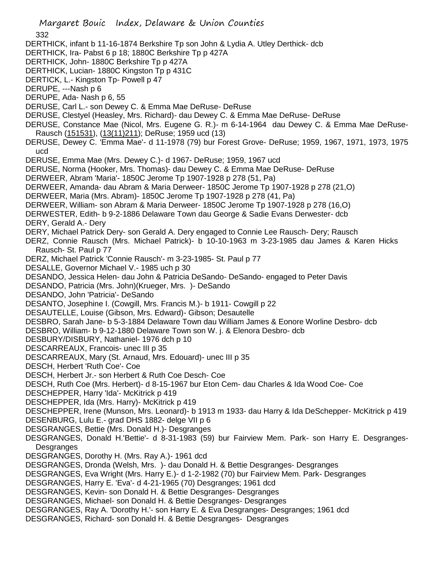DERTHICK, infant b 11-16-1874 Berkshire Tp son John & Lydia A. Utley Derthick- dcb

- DERTHICK, Ira- Pabst 6 p 18; 1880C Berkshire Tp p 427A
- DERTHICK, John- 1880C Berkshire Tp p 427A
- DERTHICK, Lucian- 1880C Kingston Tp p 431C
- DERTICK, L.- Kingston Tp- Powell p 47
- DERUPE, ---Nash p 6
- DERUPE, Ada- Nash p 6, 55
- DERUSE, Carl L.- son Dewey C. & Emma Mae DeRuse- DeRuse
- DERUSE, Clestyel (Heasley, Mrs. Richard)- dau Dewey C. & Emma Mae DeRuse- DeRuse
- DERUSE, Constance Mae (Nicol, Mrs. Eugene G. R.)- m 6-14-1964 dau Dewey C. & Emma Mae DeRuse-Rausch (151531), (13(11)211); DeRuse; 1959 ucd (13)
- DERUSE, Dewey C. 'Emma Mae'- d 11-1978 (79) bur Forest Grove- DeRuse; 1959, 1967, 1971, 1973, 1975 ucd
- DERUSE, Emma Mae (Mrs. Dewey C.)- d 1967- DeRuse; 1959, 1967 ucd
- DERUSE, Norma (Hooker, Mrs. Thomas)- dau Dewey C. & Emma Mae DeRuse- DeRuse
- DERWEER, Abram 'Maria'- 1850C Jerome Tp 1907-1928 p 278 (51, Pa)
- DERWEER, Amanda- dau Abram & Maria Derweer- 1850C Jerome Tp 1907-1928 p 278 (21,O)
- DERWEER, Maria (Mrs. Abram)- 1850C Jerome Tp 1907-1928 p 278 (41, Pa)
- DERWEER, William- son Abram & Maria Derweer- 1850C Jerome Tp 1907-1928 p 278 (16,O)
- DERWESTER, Edith- b 9-2-1886 Delaware Town dau George & Sadie Evans Derwester- dcb DERY, Gerald A.- Dery
- DERY, Michael Patrick Dery- son Gerald A. Dery engaged to Connie Lee Rausch- Dery; Rausch
- DERZ, Connie Rausch (Mrs. Michael Patrick)- b 10-10-1963 m 3-23-1985 dau James & Karen Hicks Rausch- St. Paul p 77
- DERZ, Michael Patrick 'Connie Rausch'- m 3-23-1985- St. Paul p 77
- DESALLE, Governor Michael V.- 1985 uch p 30
- DESANDO, Jessica Helen- dau John & Patricia DeSando- DeSando- engaged to Peter Davis
- DESANDO, Patricia (Mrs. John)(Krueger, Mrs. )- DeSando
- DESANDO, John 'Patricia'- DeSando
- DESANTO, Josephine I. (Cowgill, Mrs. Francis M.)- b 1911- Cowgill p 22
- DESAUTELLE, Louise (Gibson, Mrs. Edward)- Gibson; Desautelle
- DESBRO, Sarah Jane- b 5-3-1884 Delaware Town dau William James & Eonore Worline Desbro- dcb
- DESBRO, William- b 9-12-1880 Delaware Town son W. j. & Elenora Desbro- dcb
- DESBURY/DISBURY, Nathaniel- 1976 dch p 10
- DESCARREAUX, Francois- unec III p 35
- DESCARREAUX, Mary (St. Arnaud, Mrs. Edouard)- unec III p 35
- DESCH, Herbert 'Ruth Coe'- Coe
- DESCH, Herbert Jr.- son Herbert & Ruth Coe Desch- Coe
- DESCH, Ruth Coe (Mrs. Herbert)- d 8-15-1967 bur Eton Cem- dau Charles & Ida Wood Coe- Coe
- DESCHEPPER, Harry 'Ida'- McKitrick p 419
- DESCHEPPER, Ida (Mrs. Harry)- McKitrick p 419
- DESCHEPPER, Irene (Munson, Mrs. Leonard)- b 1913 m 1933- dau Harry & Ida DeSchepper- McKitrick p 419
- DESENBURG, Lulu E.- grad DHS 1882- delge VII p 6
- DESGRANGES, Bettie (Mrs. Donald H.)- Desgranges
- DESGRANGES, Donald H.'Bettie'- d 8-31-1983 (59) bur Fairview Mem. Park- son Harry E. Desgranges-Desgranges
- DESGRANGES, Dorothy H. (Mrs. Ray A.)- 1961 dcd
- DESGRANGES, Dronda (Welsh, Mrs. )- dau Donald H. & Bettie Desgranges- Desgranges
- DESGRANGES, Eva Wright (Mrs. Harry E.)- d 1-2-1982 (70) bur Fairview Mem. Park- Desgranges
- DESGRANGES, Harry E. 'Eva'- d 4-21-1965 (70) Desgranges; 1961 dcd
- DESGRANGES, Kevin- son Donald H. & Bettie Desgranges- Desgranges
- DESGRANGES, Michael- son Donald H. & Bettie Desgranges- Desgranges
- DESGRANGES, Ray A. 'Dorothy H.'- son Harry E. & Eva Desgranges- Desgranges; 1961 dcd
- DESGRANGES, Richard- son Donald H. & Bettie Desgranges- Desgranges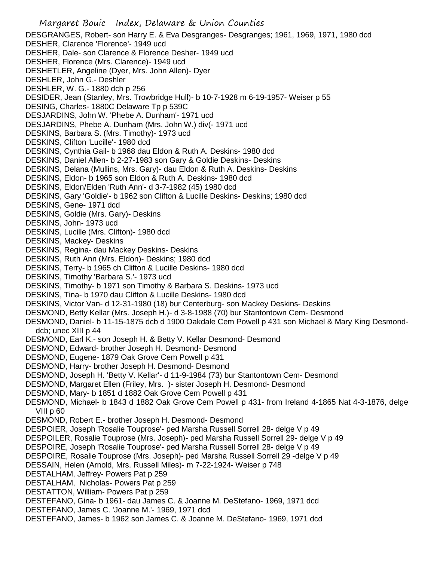Margaret Bouic Index, Delaware & Union Counties DESGRANGES, Robert- son Harry E. & Eva Desgranges- Desgranges; 1961, 1969, 1971, 1980 dcd DESHER, Clarence 'Florence'- 1949 ucd DESHER, Dale- son Clarence & Florence Desher- 1949 ucd DESHER, Florence (Mrs. Clarence)- 1949 ucd DESHETLER, Angeline (Dyer, Mrs. John Allen)- Dyer DESHLER, John G.- Deshler DESHLER, W. G.- 1880 dch p 256 DESIDER, Jean (Stanley, Mrs. Trowbridge Hull)- b 10-7-1928 m 6-19-1957- Weiser p 55 DESING, Charles- 1880C Delaware Tp p 539C DESJARDINS, John W. 'Phebe A. Dunham'- 1971 ucd DESJARDINS, Phebe A. Dunham (Mrs. John W.) div(- 1971 ucd DESKINS, Barbara S. (Mrs. Timothy)- 1973 ucd DESKINS, Clifton 'Lucille'- 1980 dcd DESKINS, Cynthia Gail- b 1968 dau Eldon & Ruth A. Deskins- 1980 dcd DESKINS, Daniel Allen- b 2-27-1983 son Gary & Goldie Deskins- Deskins DESKINS, Delana (Mullins, Mrs. Gary)- dau Eldon & Ruth A. Deskins- Deskins DESKINS, Eldon- b 1965 son Eldon & Ruth A. Deskins- 1980 dcd DESKINS, Eldon/Elden 'Ruth Ann'- d 3-7-1982 (45) 1980 dcd DESKINS, Gary 'Goldie'- b 1962 son Clifton & Lucille Deskins- Deskins; 1980 dcd DESKINS, Gene- 1971 dcd DESKINS, Goldie (Mrs. Gary)- Deskins DESKINS, John- 1973 ucd DESKINS, Lucille (Mrs. Clifton)- 1980 dcd DESKINS, Mackey- Deskins DESKINS, Regina- dau Mackey Deskins- Deskins DESKINS, Ruth Ann (Mrs. Eldon)- Deskins; 1980 dcd DESKINS, Terry- b 1965 ch Clifton & Lucille Deskins- 1980 dcd DESKINS, Timothy 'Barbara S.'- 1973 ucd DESKINS, Timothy- b 1971 son Timothy & Barbara S. Deskins- 1973 ucd DESKINS, Tina- b 1970 dau Clifton & Lucille Deskins- 1980 dcd DESKINS, Victor Van- d 12-31-1980 (18) bur Centerburg- son Mackey Deskins- Deskins DESMOND, Betty Kellar (Mrs. Joseph H.)- d 3-8-1988 (70) bur Stantontown Cem- Desmond DESMOND, Daniel- b 11-15-1875 dcb d 1900 Oakdale Cem Powell p 431 son Michael & Mary King Desmonddcb; unec XIII p 44 DESMOND, Earl K.- son Joseph H. & Betty V. Kellar Desmond- Desmond DESMOND, Edward- brother Joseph H. Desmond- Desmond DESMOND, Eugene- 1879 Oak Grove Cem Powell p 431 DESMOND, Harry- brother Joseph H. Desmond- Desmond DESMOND, Joseph H. 'Betty V. Kellar'- d 11-9-1984 (73) bur Stantontown Cem- Desmond DESMOND, Margaret Ellen (Friley, Mrs. )- sister Joseph H. Desmond- Desmond DESMOND, Mary- b 1851 d 1882 Oak Grove Cem Powell p 431 DESMOND, Michael- b 1843 d 1882 Oak Grove Cem Powell p 431- from Ireland 4-1865 Nat 4-3-1876, delge VIII p 60 DESMOND, Robert E.- brother Joseph H. Desmond- Desmond DESPOIER, Joseph 'Rosalie Touprose'- ped Marsha Russell Sorrell 28- delge V p 49 DESPOILER, Rosalie Touprose (Mrs. Joseph)- ped Marsha Russell Sorrell 29- delge V p 49 DESPOIRE, Joseph 'Rosalie Touprose'- ped Marsha Russell Sorrell 28- delge V p 49 DESPOIRE, Rosalie Touprose (Mrs. Joseph)- ped Marsha Russell Sorrell 29 -delge V p 49 DESSAIN, Helen (Arnold, Mrs. Russell Miles)- m 7-22-1924- Weiser p 748 DESTALHAM, Jeffrey- Powers Pat p 259 DESTALHAM, Nicholas- Powers Pat p 259 DESTATTON, William- Powers Pat p 259 DESTEFANO, Gina- b 1961- dau James C. & Joanne M. DeStefano- 1969, 1971 dcd DESTEFANO, James C. 'Joanne M.'- 1969, 1971 dcd DESTEFANO, James- b 1962 son James C. & Joanne M. DeStefano- 1969, 1971 dcd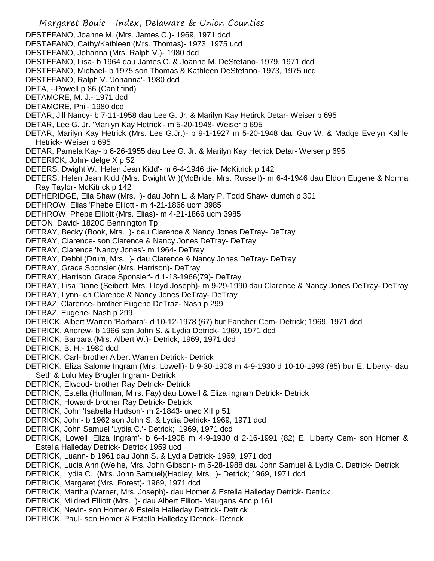Margaret Bouic Index, Delaware & Union Counties DESTEFANO, Joanne M. (Mrs. James C.)- 1969, 1971 dcd DESTAFANO, Cathy/Kathleen (Mrs. Thomas)- 1973, 1975 ucd DESTEFANO, Johanna (Mrs. Ralph V.)- 1980 dcd DESTEFANO, Lisa- b 1964 dau James C. & Joanne M. DeStefano- 1979, 1971 dcd DESTEFANO, Michael- b 1975 son Thomas & Kathleen DeStefano- 1973, 1975 ucd DESTEFANO, Ralph V. 'Johanna'- 1980 dcd DETA, --Powell p 86 (Can't find) DETAMORE, M. J.- 1971 dcd DETAMORE, Phil- 1980 dcd DETAR, Jill Nancy- b 7-11-1958 dau Lee G. Jr. & Marilyn Kay Hetirck Detar- Weiser p 695 DETAR, Lee G. Jr. 'Marilyn Kay Hetrick'- m 5-20-1948- Weiser p 695 DETAR, Marilyn Kay Hetrick (Mrs. Lee G.Jr.)- b 9-1-1927 m 5-20-1948 dau Guy W. & Madge Evelyn Kahle Hetrick- Weiser p 695 DETAR, Pamela Kay- b 6-26-1955 dau Lee G. Jr. & Marilyn Kay Hetrick Detar- Weiser p 695 DETERICK, John- delge X p 52 DETERS, Dwight W. 'Helen Jean Kidd'- m 6-4-1946 div- McKitrick p 142 DETERS, Helen Jean Kidd (Mrs. Dwight W.)(McBride, Mrs. Russell)- m 6-4-1946 dau Eldon Eugene & Norma Ray Taylor- McKitrick p 142 DETHERIDGE, Ella Shaw (Mrs. )- dau John L. & Mary P. Todd Shaw- dumch p 301 DETHROW, Elias 'Phebe Elliott'- m 4-21-1866 ucm 3985 DETHROW, Phebe Elliott (Mrs. Elias)- m 4-21-1866 ucm 3985 DETON, David- 1820C Bennington Tp DETRAY, Becky (Book, Mrs. )- dau Clarence & Nancy Jones DeTray- DeTray DETRAY, Clarence- son Clarence & Nancy Jones DeTray- DeTray DETRAY, Clarence 'Nancy Jones'- m 1964- DeTray DETRAY, Debbi (Drum, Mrs. )- dau Clarence & Nancy Jones DeTray- DeTray DETRAY, Grace Sponsler (Mrs. Harrison)- DeTray DETRAY, Harrison 'Grace Sponsler'- d 1-13-1966(79)- DeTray DETRAY, Lisa Diane (Seibert, Mrs. Lloyd Joseph)- m 9-29-1990 dau Clarence & Nancy Jones DeTray- DeTray DETRAY, Lynn- ch Clarence & Nancy Jones DeTray- DeTray DETRAZ, Clarence- brother Eugene DeTraz- Nash p 299 DETRAZ, Eugene- Nash p 299 DETRICK, Albert Warren 'Barbara'- d 10-12-1978 (67) bur Fancher Cem- Detrick; 1969, 1971 dcd DETRICK, Andrew- b 1966 son John S. & Lydia Detrick- 1969, 1971 dcd DETRICK, Barbara (Mrs. Albert W.)- Detrick; 1969, 1971 dcd DETRICK, B. H.- 1980 dcd DETRICK, Carl- brother Albert Warren Detrick- Detrick DETRICK, Eliza Salome Ingram (Mrs. Lowell)- b 9-30-1908 m 4-9-1930 d 10-10-1993 (85) bur E. Liberty- dau Seth & Lulu May Brugler Ingram- Detrick DETRICK, Elwood- brother Ray Detrick- Detrick DETRICK, Estella (Huffman, M rs. Fay) dau Lowell & Eliza Ingram Detrick- Detrick DETRICK, Howard- brother Ray Detrick- Detrick DETRICK, John 'Isabella Hudson'- m 2-1843- unec XII p 51 DETRICK, John- b 1962 son John S. & Lydia Detrick- 1969, 1971 dcd DETRICK, John Samuel 'Lydia C.'- Detrick; 1969, 1971 dcd DETRICK, Lowell 'Eliza Ingram'- b 6-4-1908 m 4-9-1930 d 2-16-1991 (82) E. Liberty Cem- son Homer & Estella Halleday Detrick- Detrick 1959 ucd DETRICK, Luann- b 1961 dau John S. & Lydia Detrick- 1969, 1971 dcd DETRICK, Lucia Ann (Weihe, Mrs. John Gibson)- m 5-28-1988 dau John Samuel & Lydia C. Detrick- Detrick DETRICK, Lydia C. (Mrs. John Samuel)(Hadley, Mrs. )- Detrick; 1969, 1971 dcd DETRICK, Margaret (Mrs. Forest)- 1969, 1971 dcd DETRICK, Martha (Varner, Mrs. Joseph)- dau Homer & Estella Halleday Detrick- Detrick DETRICK, Mildred Elliott (Mrs. )- dau Albert Elliott- Maugans Anc p 161 DETRICK, Nevin- son Homer & Estella Halleday Detrick- Detrick DETRICK, Paul- son Homer & Estella Halleday Detrick- Detrick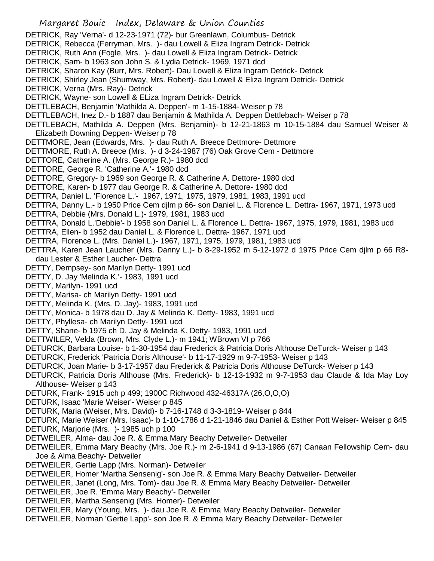Margaret Bouic Index, Delaware & Union Counties DETRICK, Ray 'Verna'- d 12-23-1971 (72)- bur Greenlawn, Columbus- Detrick DETRICK, Rebecca (Ferryman, Mrs. )- dau Lowell & Eliza Ingram Detrick- Detrick DETRICK, Ruth Ann (Fogle, Mrs. )- dau Lowell & Eliza Ingram Detrick- Detrick DETRICK, Sam- b 1963 son John S. & Lydia Detrick- 1969, 1971 dcd DETRICK, Sharon Kay (Burr, Mrs. Robert)- Dau Lowell & Eliza Ingram Detrick- Detrick DETRICK, Shirley Jean (Shumway, Mrs. Robert)- dau Lowell & Eliza Ingram Detrick- Detrick DETRICK, Verna (Mrs. Ray)- Detrick DETRICK, Wayne- son Lowell & ELiza Ingram Detrick- Detrick DETTLEBACH, Benjamin 'Mathilda A. Deppen'- m 1-15-1884- Weiser p 78 DETTLEBACH, Inez D.- b 1887 dau Benjamin & Mathilda A. Deppen Dettlebach- Weiser p 78 DETTLEBACH, Mathilda A. Deppen (Mrs. Benjamin)- b 12-21-1863 m 10-15-1884 dau Samuel Weiser & Elizabeth Downing Deppen- Weiser p 78 DETTMORE, Jean (Edwards, Mrs. )- dau Ruth A. Breece Dettmore- Dettmore DETTMORE, Ruth A. Breece (Mrs. )- d 3-24-1987 (76) Oak Grove Cem - Dettmore DETTORE, Catherine A. (Mrs. George R.)- 1980 dcd DETTORE, George R. 'Catherine A.'- 1980 dcd DETTORE, Gregory- b 1969 son George R. & Catherine A. Dettore- 1980 dcd DETTORE, Karen- b 1977 dau George R. & Catherine A. Dettore- 1980 dcd DETTRA, Daniel L. 'Florence L.'- 1967, 1971, 1975, 1979, 1981, 1983, 1991 ucd DETTRA, Danny L.- b 1950 Price Cem djlm p 66- son Daniel L. & Florence L. Dettra- 1967, 1971, 1973 ucd DETTRA, Debbie (Mrs. Donald L.)- 1979, 1981, 1983 ucd DETTRA, Donald L.'Debbie'- b 1958 son Daniel L. & Florence L. Dettra- 1967, 1975, 1979, 1981, 1983 ucd DETTRA, Ellen- b 1952 dau Daniel L. & Florence L. Dettra- 1967, 1971 ucd DETTRA, Florence L. (Mrs. Daniel L.)- 1967, 1971, 1975, 1979, 1981, 1983 ucd DETTRA, Karen Jean Laucher (Mrs. Danny L.)- b 8-29-1952 m 5-12-1972 d 1975 Price Cem djlm p 66 R8 dau Lester & Esther Laucher- Dettra DETTY, Dempsey- son Marilyn Detty- 1991 ucd DETTY, D. Jay 'Melinda K.'- 1983, 1991 ucd DETTY, Marilyn- 1991 ucd DETTY, Marisa- ch Marilyn Detty- 1991 ucd DETTY, Melinda K. (Mrs. D. Jay)- 1983, 1991 ucd DETTY, Monica- b 1978 dau D. Jay & Melinda K. Detty- 1983, 1991 ucd DETTY, Phyllesa- ch Marilyn Detty- 1991 ucd DETTY, Shane- b 1975 ch D. Jay & Melinda K. Detty- 1983, 1991 ucd DETTWILER, Velda (Brown, Mrs. Clyde L.)- m 1941; WBrown VI p 766 DETURCK, Barbara Louise- b 1-30-1954 dau Frederick & Patricia Doris Althouse DeTurck- Weiser p 143 DETURCK, Frederick 'Patricia Doris Althouse'- b 11-17-1929 m 9-7-1953- Weiser p 143 DETURCK, Joan Marie- b 3-17-1957 dau Frederick & Patricia Doris Althouse DeTurck- Weiser p 143 DETURCK, Patricia Doris Althouse (Mrs. Frederick)- b 12-13-1932 m 9-7-1953 dau Claude & Ida May Loy Althouse- Weiser p 143 DETURK, Frank- 1915 uch p 499; 1900C Richwood 432-46317A (26,O,O,O) DETURK, Isaac 'Marie Weiser'- Weiser p 845 DETURK, Maria (Weiser, Mrs. David)- b 7-16-1748 d 3-3-1819- Weiser p 844 DETURK, Marie Weiser (Mrs. Isaac)- b 1-10-1786 d 1-21-1846 dau Daniel & Esther Pott Weiser- Weiser p 845 DETURK, Marjorie (Mrs. )- 1985 uch p 100 DETWEILER, Alma- dau Joe R. & Emma Mary Beachy Detweiler- Detweiler DETWEILER, Emma Mary Beachy (Mrs. Joe R.)- m 2-6-1941 d 9-13-1986 (67) Canaan Fellowship Cem- dau Joe & Alma Beachy- Detweiler DETWEILER, Gertie Lapp (Mrs. Norman)- Detweiler DETWEILER, Homer 'Martha Sensenig'- son Joe R. & Emma Mary Beachy Detweiler- Detweiler DETWEILER, Janet (Long, Mrs. Tom)- dau Joe R. & Emma Mary Beachy Detweiler- Detweiler DETWEILER, Joe R. 'Emma Mary Beachy'- Detweiler DETWEILER, Martha Sensenig (Mrs. Homer)- Detweiler DETWEILER, Mary (Young, Mrs. )- dau Joe R. & Emma Mary Beachy Detweiler- Detweiler DETWEILER, Norman 'Gertie Lapp'- son Joe R. & Emma Mary Beachy Detweiler- Detweiler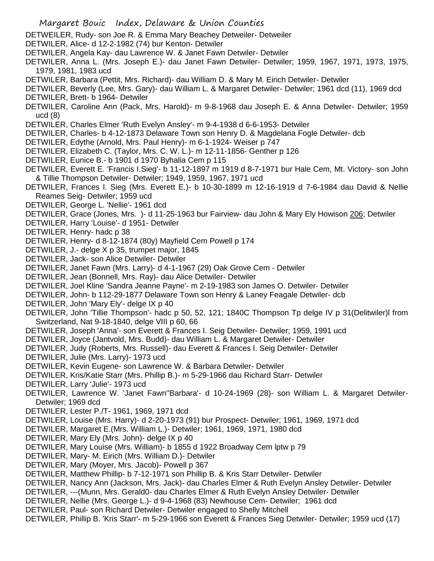- DETWEILER, Rudy- son Joe R. & Emma Mary Beachey Detweiler- Detweiler
- DETWILER, Alice- d 12-2-1982 (74) bur Kenton- Detwiler
- DETWILER, Angela Kay- dau Lawrence W. & Janet Fawn Detwiler- Detwiler
- DETWILER, Anna L. (Mrs. Joseph E.)- dau Janet Fawn Detwiler- Detwiler; 1959, 1967, 1971, 1973, 1975, 1979, 1981, 1983 ucd
- DETWILER, Barbara (Pettit, Mrs. Richard)- dau William D. & Mary M. Eirich Detwiler- Detwiler
- DETWILER, Beverly (Lee, Mrs. Gary)- dau William L. & Margaret Detwiler- Detwiler; 1961 dcd (11), 1969 dcd DETWILER, Brett- b 1964- Detwiler
- DETWILER, Caroline Ann (Pack, Mrs. Harold)- m 9-8-1968 dau Joseph E. & Anna Detwiler- Detwiler; 1959 ucd (8)
- DETWILER, Charles Elmer 'Ruth Evelyn Ansley'- m 9-4-1938 d 6-6-1953- Detwiler
- DETWILER, Charles- b 4-12-1873 Delaware Town son Henry D. & Magdelana Fogle Detwiler- dcb
- DETWILER, Edythe (Arnold, Mrs. Paul Henry)- m 6-1-1924- Weiser p 747
- DETWILER, Elizabeth C. (Taylor, Mrs. C. W. L.)- m 12-11-1856- Genther p 126
- DETWILER, Eunice B.- b 1901 d 1970 Byhalia Cem p 115
- DETWILER, Everett E. 'Francis I.Sieg'- b 11-12-1897 m 1919 d 8-7-1971 bur Hale Cem, Mt. Victory- son John & Tillie Thompson Detwiler- Detwiler; 1949, 1959, 1967, 1971 ucd
- DETWILER, Frances I. Sieg (Mrs. Everett E.)- b 10-30-1899 m 12-16-1919 d 7-6-1984 dau David & Nellie Reames Seig- Detwiler; 1959 ucd
- DETWILER, George L. 'Nellie'- 1961 dcd
- DETWILER, Grace (Jones, Mrs.) d 11-25-1963 bur Fairview- dau John & Mary Ely Howison 206; Detwiler
- DETWILER, Harry 'Louise'- d 1951- Detwiler
- DETWILER, Henry- hadc p 38
- DETWILER, Henry- d 8-12-1874 (80y) Mayfield Cem Powell p 174
- DETWILER, J.- delge X p 35, trumpet major, 1845
- DETWILER, Jack- son Alice Detwiler- Detwiler
- DETWILER, Janet Fawn (Mrs. Larry)- d 4-1-1967 (29) Oak Grove Cem Detwiler
- DETWILER, Jean (Bonnell, Mrs. Ray)- dau Alice Detwiler- Detwiler
- DETWILER, Joel Kline 'Sandra Jeanne Payne'- m 2-19-1983 son James O. Detwiler- Detwiler
- DETWILER, John- b 112-29-1877 Delaware Town son Henry & Laney Feagale Detwiler- dcb
- DETWILER, John 'Mary Ely'- delge IX p 40
- DETWILER, John 'Tillie Thompson'- hadc p 50, 52, 121; 1840C Thompson Tp delge IV p 31(Delitwiler)l from Switzerland, Nat 9-18-1840, delge VIII p 60, 66
- DETWILER, Joseph 'Anna'- son Everett & Frances I. Seig Detwiler- Detwiler; 1959, 1991 ucd
- DETWILER, Joyce (Jantvold, Mrs. Budd)- dau William L. & Margaret Detwiler- Detwiler
- DETWILER, Judy (Roberts, Mrs. Russell)- dau Everett & Frances I. Seig Detwiler- Detwiler
- DETWILER, Julie (Mrs. Larry)- 1973 ucd
- DETWILER, Kevin Eugene- son Lawrence W. & Barbara Detwiler- Detwiler
- DETWILER, Kris/Katie Starr (Mrs. Phillip B.)- m 5-29-1966 dau Richard Starr- Detwiler
- DETWILER, Larry 'Julie'- 1973 ucd
- DETWILER, Lawrence W. 'Janet Fawn''Barbara'- d 10-24-1969 (28)- son William L. & Margaret Detwiler-Detwiler; 1969 dcd
- DETWILER, Lester P./T- 1961, 1969, 1971 dcd
- DETWILER, Louise (Mrs. Harry)- d 2-20-1973 (91) bur Prospect- Detwiler; 1961, 1969, 1971 dcd
- DETWILER, Margaret E.(Mrs. William L.)- Detwiler; 1961, 1969, 1971, 1980 dcd
- DETWILER, Mary Ely (Mrs. John)- delge IX p 40
- DETWILER, Mary Louise (Mrs. William)- b 1855 d 1922 Broadway Cem lptw p 79
- DETWILER, Mary- M. Eirich (Mrs. William D.)- Detwiler
- DETWILER, Mary (Moyer, Mrs. Jacob)- Powell p 367
- DETWILER, Matthew Phillip- b 7-12-1971 son Phillip B. & Kris Starr Detwiler- Detwiler
- DETWILER, Nancy Ann (Jackson, Mrs. Jack)- dau Charles Elmer & Ruth Evelyn Ansley Detwiler- Detwiler
- DETWILER, ---(Munn, Mrs. Gerald0- dau Charles Elmer & Ruth Evelyn Ansley Detwiler- Detwiler
- DETWILER, Nellie (Mrs. George L.)- d 9-4-1968 (83) Newhouse Cem- Detwiler; 1961 dcd
- DETWILER, Paul- son Richard Detwiler- Detwiler engaged to Shelly Mitchell
- DETWILER, Phillip B. 'Kris Starr'- m 5-29-1966 son Everett & Frances Sieg Detwiler- Detwiler; 1959 ucd (17)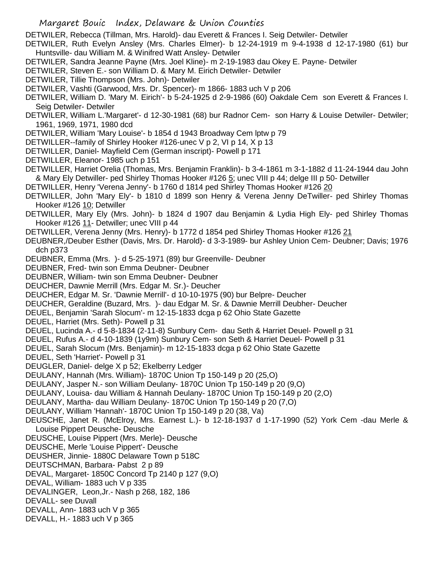DETWILER, Rebecca (Tillman, Mrs. Harold)- dau Everett & Frances I. Seig Detwiler- Detwiler

- DETWILER, Ruth Evelyn Ansley (Mrs. Charles Elmer)- b 12-24-1919 m 9-4-1938 d 12-17-1980 (61) bur Huntsville- dau William M. & Winifred Watt Ansley- Detwiler
- DETWILER, Sandra Jeanne Payne (Mrs. Joel Kline)- m 2-19-1983 dau Okey E. Payne- Detwiler
- DETWILER, Steven E.- son William D. & Mary M. Eirich Detwiler- Detwiler
- DETWILER, Tillie Thompson (Mrs. John)- Detwiler
- DETWILER, Vashti (Garwood, Mrs. Dr. Spencer)- m 1866- 1883 uch V p 206
- DETWILER, William D. 'Mary M. Eirich'- b 5-24-1925 d 2-9-1986 (60) Oakdale Cem son Everett & Frances I. Seig Detwiler- Detwiler
- DETWILER, William L.'Margaret'- d 12-30-1981 (68) bur Radnor Cem- son Harry & Louise Detwiler- Detwiler; 1961, 1969, 1971, 1980 dcd
- DETWILER, William 'Mary Louise'- b 1854 d 1943 Broadway Cem lptw p 79
- DETWILLER--family of Shirley Hooker #126-unec V p 2, VI p 14, X p 13
- DETWILLER, Daniel- Mayfield Cem (German inscript)- Powell p 171
- DETWILLER, Eleanor- 1985 uch p 151
- DETWILLER, Harriet Orelia (Thomas, Mrs. Benjamin Franklin)- b 3-4-1861 m 3-1-1882 d 11-24-1944 dau John & Mary Ely Detwiller- ped Shirley Thomas Hooker #126 5; unec VIII p 44; delge III p 50- Detwiller
- DETWILLER, Henry 'Verena Jenny'- b 1760 d 1814 ped Shirley Thomas Hooker #126 20
- DETWILLER, John 'Mary Ely'- b 1810 d 1899 son Henry & Verena Jenny DeTwiller- ped Shirley Thomas Hooker #126 10; Detwiller
- DETWILLER, Mary Ely (Mrs. John)- b 1824 d 1907 dau Benjamin & Lydia High Ely- ped Shirley Thomas Hooker #126 11- Detwiller; unec VIII p 44
- DETWILLER, Verena Jenny (Mrs. Henry)- b 1772 d 1854 ped Shirley Thomas Hooker #126 21
- DEUBNER,/Deuber Esther (Davis, Mrs. Dr. Harold)- d 3-3-1989- bur Ashley Union Cem- Deubner; Davis; 1976 dch p373
- DEUBNER, Emma (Mrs. )- d 5-25-1971 (89) bur Greenville- Deubner
- DEUBNER, Fred- twin son Emma Deubner- Deubner
- DEUBNER, William- twin son Emma Deubner- Deubner
- DEUCHER, Dawnie Merrill (Mrs. Edgar M. Sr.)- Deucher
- DEUCHER, Edgar M. Sr. 'Dawnie Merrill'- d 10-10-1975 (90) bur Belpre- Deucher
- DEUCHER, Geraldine (Buzard, Mrs. )- dau Edgar M. Sr. & Dawnie Merrill Deubher- Deucher
- DEUEL, Benjamin 'Sarah Slocum'- m 12-15-1833 dcga p 62 Ohio State Gazette
- DEUEL, Harriet (Mrs. Seth)- Powell p 31
- DEUEL, Lucinda A.- d 5-8-1834 (2-11-8) Sunbury Cem- dau Seth & Harriet Deuel- Powell p 31
- DEUEL, Rufus A.- d 4-10-1839 (1y9m) Sunbury Cem- son Seth & Harriet Deuel- Powell p 31
- DEUEL, Sarah Slocum (Mrs. Benjamin)- m 12-15-1833 dcga p 62 Ohio State Gazette
- DEUEL, Seth 'Harriet'- Powell p 31
- DEUGLER, Daniel- delge X p 52; Ekelberry Ledger
- DEULANY, Hannah (Mrs. William)- 1870C Union Tp 150-149 p 20 (25,O)
- DEULANY, Jasper N.- son William Deulany- 1870C Union Tp 150-149 p 20 (9,O)
- DEULANY, Louisa- dau William & Hannah Deulany- 1870C Union Tp 150-149 p 20 (2,O)
- DEULANY, Martha- dau William Deulany- 1870C Union Tp 150-149 p 20 (7,O)
- DEULANY, William 'Hannah'- 1870C Union Tp 150-149 p 20 (38, Va)
- DEUSCHE, Janet R. (McElroy, Mrs. Earnest L.)- b 12-18-1937 d 1-17-1990 (52) York Cem -dau Merle & Louise Pippert Deusche- Deusche
- DEUSCHE, Louise Pippert (Mrs. Merle)- Deusche
- DEUSCHE, Merle 'Louise Pippert'- Deusche
- DEUSHER, Jinnie- 1880C Delaware Town p 518C
- DEUTSCHMAN, Barbara- Pabst 2 p 89
- DEVAL, Margaret- 1850C Concord Tp 2140 p 127 (9,O)
- DEVAL, William- 1883 uch V p 335
- DEVALINGER, Leon,Jr.- Nash p 268, 182, 186
- DEVALL- see Duvall
- DEVALL, Ann- 1883 uch V p 365
- DEVALL, H.- 1883 uch V p 365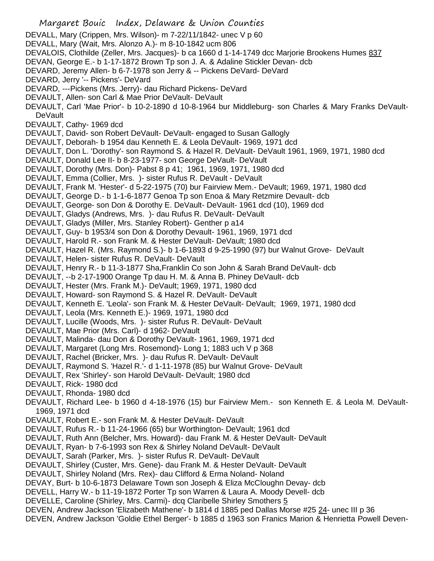- Margaret Bouic Index, Delaware & Union Counties DEVALL, Mary (Crippen, Mrs. Wilson)- m 7-22/11/1842- unec V p 60 DEVALL, Mary (Wait, Mrs. Alonzo A.)- m 8-10-1842 ucm 806 DEVALOIS, Clothilde (Zeller, Mrs. Jacques)- b ca 1660 d 1-14-1749 dcc Marjorie Brookens Humes 837 DEVAN, George E.- b 1-17-1872 Brown Tp son J. A. & Adaline Stickler Devan- dcb DEVARD, Jeremy Allen- b 6-7-1978 son Jerry & -- Pickens DeVard- DeVard DEVARD, Jerry '-- Pickens'- DeVard DEVARD, ---Pickens (Mrs. Jerry)- dau Richard Pickens- DeVard DEVAULT, Allen- son Carl & Mae Prior DeVault- DeVault DEVAULT, Carl 'Mae Prior'- b 10-2-1890 d 10-8-1964 bur Middleburg- son Charles & Mary Franks DeVault-**DeVault** DEVAULT, Cathy- 1969 dcd DEVAULT, David- son Robert DeVault- DeVault- engaged to Susan Gallogly DEVAULT, Deborah- b 1954 dau Kenneth E. & Leola DeVault- 1969, 1971 dcd DEVAULT, Don L. 'Dorothy'- son Raymond S. & Hazel R. DeVault- DeVault 1961, 1969, 1971, 1980 dcd DEVAULT, Donald Lee II- b 8-23-1977- son George DeVault- DeVault DEVAULT, Dorothy (Mrs. Don)- Pabst 8 p 41; 1961, 1969, 1971, 1980 dcd DEVAULT, Emma (Collier, Mrs. )- sister Rufus R. DeVault - DeVault DEVAULT, Frank M. 'Hester'- d 5-22-1975 (70) bur Fairview Mem.- DeVault; 1969, 1971, 1980 dcd DEVAULT, George D.- b 1-1-6-1877 Genoa Tp son Enoa & Mary Retzmire Devault- dcb DEVAULT, George- son Don & Dorothy E. DeVault- DeVault- 1961 dcd (10), 1969 dcd DEVAULT, Gladys (Andrews, Mrs. )- dau Rufus R. DeVault- DeVault DEVAULT, Gladys (Miller, Mrs. Stanley Robert)- Genther p a14 DEVAULT, Guy- b 1953/4 son Don & Dorothy Devault- 1961, 1969, 1971 dcd DEVAULT, Harold R.- son Frank M. & Hester DeVault- DeVault; 1980 dcd DEVAULT, Hazel R. (Mrs. Raymond S.)- b 1-6-1893 d 9-25-1990 (97) bur Walnut Grove- DeVault DEVAULT, Helen- sister Rufus R. DeVault- DeVault DEVAULT, Henry R.- b 11-3-1877 Sha,Franklin Co son John & Sarah Brand DeVault- dcb DEVAULT, --b 2-17-1900 Orange Tp dau H. M. & Anna B. Phiney DeVault- dcb DEVAULT, Hester (Mrs. Frank M.)- DeVault; 1969, 1971, 1980 dcd DEVAULT, Howard- son Raymond S. & Hazel R. DeVault- DeVault DEVAULT, Kenneth E. 'Leola'- son Frank M. & Hester DeVault- DeVault; 1969, 1971, 1980 dcd DEVAULT, Leola (Mrs. Kenneth E.)- 1969, 1971, 1980 dcd DEVAULT, Lucille (Woods, Mrs. )- sister Rufus R. DeVault- DeVault DEVAULT, Mae Prior (Mrs. Carl)- d 1962- DeVault DEVAULT, Malinda- dau Don & Dorothy DeVault- 1961, 1969, 1971 dcd DEVAULT, Margaret (Long Mrs. Rosemond)- Long 1; 1883 uch V p 368 DEVAULT, Rachel (Bricker, Mrs. )- dau Rufus R. DeVault- DeVault DEVAULT, Raymond S. 'Hazel R.'- d 1-11-1978 (85) bur Walnut Grove- DeVault DEVAULT, Rex 'Shirley'- son Harold DeVault- DeVault; 1980 dcd DEVAULT, Rick- 1980 dcd DEVAULT, Rhonda- 1980 dcd DEVAULT, Richard Lee- b 1960 d 4-18-1976 (15) bur Fairview Mem.- son Kenneth E. & Leola M. DeVault-1969, 1971 dcd DEVAULT, Robert E.- son Frank M. & Hester DeVault- DeVault DEVAULT, Rufus R.- b 11-24-1966 (65) bur Worthington- DeVault; 1961 dcd DEVAULT, Ruth Ann (Belcher, Mrs. Howard)- dau Frank M. & Hester DeVault- DeVault DEVAULT, Ryan- b 7-6-1993 son Rex & Shirley Noland DeVault- DeVault DEVAULT, Sarah (Parker, Mrs. )- sister Rufus R. DeVault- DeVault
- DEVAULT, Shirley (Custer, Mrs. Gene)- dau Frank M. & Hester DeVault- DeVault
- 
- DEVAULT, Shirley Noland (Mrs. Rex)- dau Clifford & Erma Noland- Noland
- DEVAY, Burt- b 10-6-1873 Delaware Town son Joseph & Eliza McCloughn Devay- dcb
- DEVELL, Harry W.- b 11-19-1872 Porter Tp son Warren & Laura A. Moody Devell- dcb
- DEVELLE, Caroline (Shirley, Mrs. Carmi)- dcq Claribelle Shirley Smothers 5
- DEVEN, Andrew Jackson 'Elizabeth Mathene'- b 1814 d 1885 ped Dallas Morse #25 24- unec III p 36
- DEVEN, Andrew Jackson 'Goldie Ethel Berger'- b 1885 d 1963 son Franics Marion & Henrietta Powell Deven-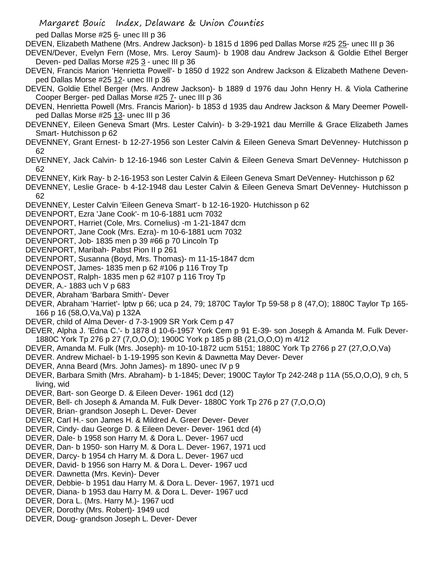ped Dallas Morse #25 6- unec III p 36

DEVEN, Elizabeth Mathene (Mrs. Andrew Jackson)- b 1815 d 1896 ped Dallas Morse #25 25- unec III p 36

DEVEN/Dever, Evelyn Fern (Mose, Mrs. Leroy Saum)- b 1908 dau Andrew Jackson & Goldie Ethel Berger Deven- ped Dallas Morse #25 3 - unec III p 36

- DEVEN, Francis Marion 'Henrietta Powell'- b 1850 d 1922 son Andrew Jackson & Elizabeth Mathene Devenped Dallas Morse #25 12- unec III p 36
- DEVEN, Goldie Ethel Berger (Mrs. Andrew Jackson)- b 1889 d 1976 dau John Henry H. & Viola Catherine Cooper Berger- ped Dallas Morse #25 7- unec III p 36
- DEVEN, Henrietta Powell (Mrs. Francis Marion)- b 1853 d 1935 dau Andrew Jackson & Mary Deemer Powellped Dallas Morse #25 13- unec III p 36
- DEVENNEY, Eileen Geneva Smart (Mrs. Lester Calvin)- b 3-29-1921 dau Merrille & Grace Elizabeth James Smart- Hutchisson p 62
- DEVENNEY, Grant Ernest- b 12-27-1956 son Lester Calvin & Eileen Geneva Smart DeVenney- Hutchisson p 62
- DEVENNEY, Jack Calvin- b 12-16-1946 son Lester Calvin & Eileen Geneva Smart DeVenney- Hutchisson p 62
- DEVENNEY, Kirk Ray- b 2-16-1953 son Lester Calvin & Eileen Geneva Smart DeVenney- Hutchisson p 62
- DEVENNEY, Leslie Grace- b 4-12-1948 dau Lester Calvin & Eileen Geneva Smart DeVenney- Hutchisson p 62
- DEVENNEY, Lester Calvin 'Eileen Geneva Smart'- b 12-16-1920- Hutchisson p 62
- DEVENPORT, Ezra 'Jane Cook'- m 10-6-1881 ucm 7032
- DEVENPORT, Harriet (Cole, Mrs. Cornelius) -m 1-21-1847 dcm
- DEVENPORT, Jane Cook (Mrs. Ezra)- m 10-6-1881 ucm 7032
- DEVENPORT, Job- 1835 men p 39 #66 p 70 Lincoln Tp
- DEVENPORT, Maribah- Pabst Pion II p 261
- DEVENPORT, Susanna (Boyd, Mrs. Thomas)- m 11-15-1847 dcm
- DEVENPOST, James- 1835 men p 62 #106 p 116 Troy Tp
- DEVENPOST, Ralph- 1835 men p 62 #107 p 116 Troy Tp
- DEVER, A.- 1883 uch V p 683
- DEVER, Abraham 'Barbara Smith'- Dever
- DEVER, Abraham 'Harriet'- lptw p 66; uca p 24, 79; 1870C Taylor Tp 59-58 p 8 (47,O); 1880C Taylor Tp 165- 166 p 16 (58,O,Va,Va) p 132A
- DEVER, child of Alma Dever- d 7-3-1909 SR York Cem p 47
- DEVER, Alpha J. 'Edna C.'- b 1878 d 10-6-1957 York Cem p 91 E-39- son Joseph & Amanda M. Fulk Dever-1880C York Tp 276 p 27 (7,O,O,O); 1900C York p 185 p 8B (21,O,O,O) m 4/12
- DEVER, Amanda M. Fulk (Mrs. Joseph)- m 10-10-1872 ucm 5151; 1880C York Tp 2766 p 27 (27,O,O,Va)
- DEVER. Andrew Michael- b 1-19-1995 son Kevin & Dawnetta May Dever- Dever
- DEVER, Anna Beard (Mrs. John James)- m 1890- unec IV p 9
- DEVER, Barbara Smith (Mrs. Abraham)- b 1-1845; Dever; 1900C Taylor Tp 242-248 p 11A (55,O,O,O), 9 ch, 5 living, wid
- DEVER, Bart- son George D. & Eileen Dever- 1961 dcd (12)
- DEVER, Bell- ch Joseph & Amanda M. Fulk Dever- 1880C York Tp 276 p 27 (7,O,O,O)
- DEVER, Brian- grandson Joseph L. Dever- Dever
- DEVER, Carl H.- son James H. & Mildred A. Greer Dever- Dever
- DEVER, Cindy- dau George D. & Eileen Dever- Dever- 1961 dcd (4)
- DEVER, Dale- b 1958 son Harry M. & Dora L. Dever- 1967 ucd
- DEVER, Dan- b 1950- son Harry M. & Dora L. Dever- 1967, 1971 ucd
- DEVER, Darcy- b 1954 ch Harry M. & Dora L. Dever- 1967 ucd
- DEVER, David- b 1956 son Harry M. & Dora L. Dever- 1967 ucd
- DEVER. Dawnetta (Mrs. Kevin)- Dever
- DEVER, Debbie- b 1951 dau Harry M. & Dora L. Dever- 1967, 1971 ucd
- DEVER, Diana- b 1953 dau Harry M. & Dora L. Dever- 1967 ucd
- DEVER, Dora L. (Mrs. Harry M.)- 1967 ucd
- DEVER, Dorothy (Mrs. Robert)- 1949 ucd
- DEVER, Doug- grandson Joseph L. Dever- Dever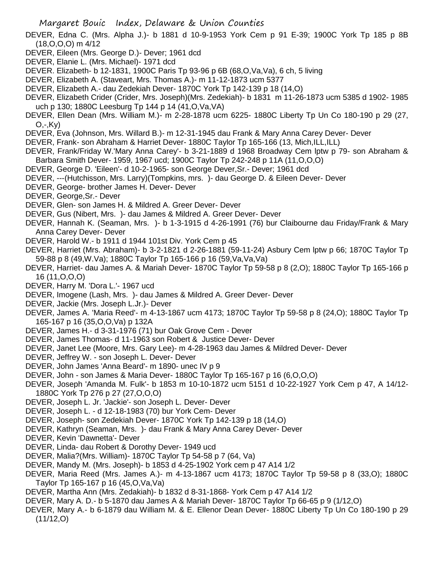- DEVER, Edna C. (Mrs. Alpha J.)- b 1881 d 10-9-1953 York Cem p 91 E-39; 1900C York Tp 185 p 8B (18,O,O,O) m 4/12
- DEVER, Eileen (Mrs. George D.)- Dever; 1961 dcd
- DEVER, Elanie L. (Mrs. Michael)- 1971 dcd
- DEVER. Elizabeth- b 12-1831, 1900C Paris Tp 93-96 p 6B (68, O, Va, Va), 6 ch, 5 living
- DEVER, Elizabeth A. (Staveart, Mrs. Thomas A.)- m 11-12-1873 ucm 5377
- DEVER, Elizabeth A.- dau Zedekiah Dever- 1870C York Tp 142-139 p 18 (14,O)
- DEVER, Elizabeth Crider (Crider, Mrs. Joseph)(Mrs. Zedekiah)- b 1831 m 11-26-1873 ucm 5385 d 1902- 1985 uch p 130; 1880C Leesburg Tp 144 p 14 (41,O,Va,VA)
- DEVER, Ellen Dean (Mrs. William M.)- m 2-28-1878 ucm 6225- 1880C Liberty Tp Un Co 180-190 p 29 (27, O,-,Ky)
- DEVER, Eva (Johnson, Mrs. Willard B.)- m 12-31-1945 dau Frank & Mary Anna Carey Dever- Dever
- DEVER, Frank- son Abraham & Harriet Dever- 1880C Taylor Tp 165-166 (13, Mich, ILL, ILL)
- DEVER, Frank/Friday W.'Mary Anna Carey'- b 3-21-1889 d 1968 Broadway Cem lptw p 79- son Abraham & Barbara Smith Dever- 1959, 1967 ucd; 1900C Taylor Tp 242-248 p 11A (11,O,O,O)
- DEVER, George D. 'Eileen'- d 10-2-1965- son George Dever,Sr.- Dever; 1961 dcd
- DEVER, ---(Hutchisson, Mrs. Larry)(Tompkins, mrs. )- dau George D. & Eileen Dever- Dever
- DEVER, George- brother James H. Dever- Dever
- DEVER, George,Sr.- Dever
- DEVER, Glen- son James H. & Mildred A. Greer Dever- Dever
- DEVER, Gus (Nibert, Mrs. )- dau James & Mildred A. Greer Dever- Dever
- DEVER, Hannah K. (Seaman, Mrs. )- b 1-3-1915 d 4-26-1991 (76) bur Claibourne dau Friday/Frank & Mary Anna Carey Dever- Dever
- DEVER, Harold W.- b 1911 d 1944 101st Div. York Cem p 45
- DEVER, Harriet (Mrs. Abraham)- b 3-2-1821 d 2-26-1881 (59-11-24) Asbury Cem lptw p 66; 1870C Taylor Tp 59-88 p 8 (49,W.Va); 1880C Taylor Tp 165-166 p 16 (59,Va,Va,Va)
- DEVER, Harriet- dau James A. & Mariah Dever- 1870C Taylor Tp 59-58 p 8 (2,O); 1880C Taylor Tp 165-166 p 16 (11,O,O,O)
- DEVER, Harry M. 'Dora L.'- 1967 ucd
- DEVER, Imogene (Lash, Mrs. )- dau James & Mildred A. Greer Dever- Dever
- DEVER, Jackie (Mrs. Joseph L.Jr.)- Dever
- DEVER, James A. 'Maria Reed'- m 4-13-1867 ucm 4173; 1870C Taylor Tp 59-58 p 8 (24,O); 1880C Taylor Tp 165-167 p 16 (35,O,O,Va) p 132A
- DEVER, James H.- d 3-31-1976 (71) bur Oak Grove Cem Dever
- DEVER, James Thomas- d 11-1963 son Robert & Justice Dever- Dever
- DEVER, Janet Lee (Moore, Mrs. Gary Lee)- m 4-28-1963 dau James & Mildred Dever- Dever
- DEVER, Jeffrey W. son Joseph L. Dever- Dever
- DEVER, John James 'Anna Beard'- m 1890- unec IV p 9
- DEVER, John son James & Maria Dever- 1880C Taylor Tp 165-167 p 16 (6,O,O,O)
- DEVER, Joseph 'Amanda M. Fulk'- b 1853 m 10-10-1872 ucm 5151 d 10-22-1927 York Cem p 47, A 14/12- 1880C York Tp 276 p 27 (27,O,O,O)
- DEVER, Joseph L. Jr. 'Jackie'- son Joseph L. Dever- Dever
- DEVER, Joseph L. d 12-18-1983 (70) bur York Cem- Dever
- DEVER, Joseph- son Zedekiah Dever- 1870C York Tp 142-139 p 18 (14,O)
- DEVER, Kathryn (Seaman, Mrs. )- dau Frank & Mary Anna Carey Dever- Dever
- DEVER, Kevin 'Dawnetta'- Dever
- DEVER, Linda- dau Robert & Dorothy Dever- 1949 ucd
- DEVER, Malia?(Mrs. William)- 1870C Taylor Tp 54-58 p 7 (64, Va)
- DEVER, Mandy M. (Mrs. Joseph)- b 1853 d 4-25-1902 York cem p 47 A14 1/2
- DEVER, Maria Reed (Mrs. James A.)- m 4-13-1867 ucm 4173; 1870C Taylor Tp 59-58 p 8 (33,O); 1880C Taylor Tp 165-167 p 16 (45,O,Va,Va)
- DEVER, Martha Ann (Mrs. Zedakiah)- b 1832 d 8-31-1868- York Cem p 47 A14 1/2
- DEVER, Mary A. D.- b 5-1870 dau James A & Mariah Dever- 1870C Taylor Tp 66-65 p 9 (1/12,O)
- DEVER, Mary A.- b 6-1879 dau William M. & E. Ellenor Dean Dever- 1880C Liberty Tp Un Co 180-190 p 29 (11/12,O)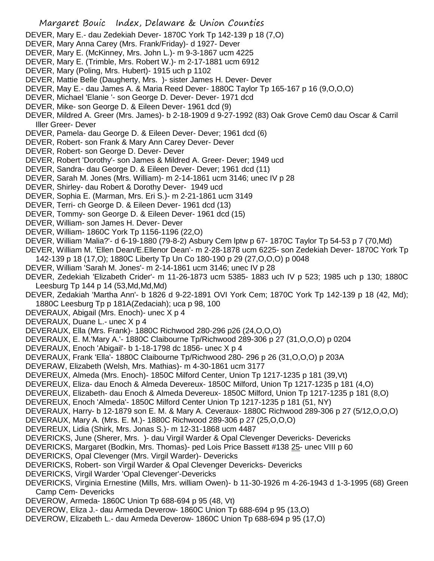- DEVER, Mary E.- dau Zedekiah Dever- 1870C York Tp 142-139 p 18 (7,O)
- DEVER, Mary Anna Carey (Mrs. Frank/Friday)- d 1927- Dever
- DEVER, Mary E. (McKinney, Mrs. John L.)- m 9-3-1867 ucm 4225
- DEVER, Mary E. (Trimble, Mrs. Robert W.)- m 2-17-1881 ucm 6912
- DEVER, Mary (Poling, Mrs. Hubert)- 1915 uch p 1102
- DEVER, Mattie Belle (Daugherty, Mrs. )- sister James H. Dever- Dever
- DEVER, May E.- dau James A. & Maria Reed Dever- 1880C Taylor Tp 165-167 p 16 (9,O,O,O)
- DEVER, Michael 'Elanie '- son George D. Dever- Dever- 1971 dcd
- DEVER, Mike- son George D. & Eileen Dever- 1961 dcd (9)
- DEVER, Mildred A. Greer (Mrs. James)- b 2-18-1909 d 9-27-1992 (83) Oak Grove Cem0 dau Oscar & Carril Iller Greer- Dever
- DEVER, Pamela- dau George D. & Eileen Dever- Dever; 1961 dcd (6)
- DEVER, Robert- son Frank & Mary Ann Carey Dever- Dever
- DEVER, Robert- son George D. Dever- Dever
- DEVER, Robert 'Dorothy'- son James & Mildred A. Greer- Dever; 1949 ucd
- DEVER, Sandra- dau George D. & Eileen Dever- Dever; 1961 dcd (11)
- DEVER, Sarah M. Jones (Mrs. William)- m 2-14-1861 ucm 3146; unec IV p 28
- DEVER, Shirley- dau Robert & Dorothy Dever- 1949 ucd
- DEVER, Sophia E. (Marman, Mrs. Eri S.)- m 2-21-1861 ucm 3149
- DEVER, Terri- ch George D. & Eileen Dever- 1961 dcd (13)
- DEVER, Tommy- son George D. & Eileen Dever- 1961 dcd (15)
- DEVER, William- son James H. Dever- Dever
- DEVER, William- 1860C York Tp 1156-1196 (22,O)
- DEVER, William 'Malia?'- d 6-19-1880 (79-8-2) Asbury Cem lptw p 67- 1870C Taylor Tp 54-53 p 7 (70,Md)
- DEVER, William M. 'Ellen Dean/E.Ellenor Dean'- m 2-28-1878 ucm 6225- son Zedekiah Dever- 1870C York Tp 142-139 p 18 (17,O); 1880C Liberty Tp Un Co 180-190 p 29 (27,O,O,O) p 0048
- DEVER, William 'Sarah M. Jones'- m 2-14-1861 ucm 3146; unec IV p 28
- DEVER, Zedekiah 'Elizabeth Crider'- m 11-26-1873 ucm 5385- 1883 uch IV p 523; 1985 uch p 130; 1880C Leesburg Tp 144 p 14 (53,Md,Md,Md)
- DEVER, Zedakiah 'Martha Ann'- b 1826 d 9-22-1891 OVI York Cem; 1870C York Tp 142-139 p 18 (42, Md); 1880C Leesburg Tp p 181A(Zedaciah); uca p 98, 100
- DEVERAUX, Abigail (Mrs. Enoch)- unec X p 4
- DEVERAUX, Duane L.- unec X p 4
- DEVERAUX, Ella (Mrs. Frank)- 1880C Richwood 280-296 p26 (24,O,O,O)
- DEVERAUX, E. M.'Mary A.'- 1880C Claibourne Tp/Richwood 289-306 p 27 (31,O,O,O) p 0204
- DEVERAUX, Enoch 'Abigail'- b 1-18-1798 dc 1856- unec X p 4
- DEVERAUX, Frank 'Ella'- 1880C Claibourne Tp/Richwood 280- 296 p 26 (31,O,O,O) p 203A
- DEVERAW, Elizabeth (Welsh, Mrs. Mathias)- m 4-30-1861 ucm 3177
- DEVEREUX, Almeda (Mrs. Enoch)- 1850C Milford Center, Union Tp 1217-1235 p 181 (39,Vt)
- DEVEREUX, Eliza- dau Enoch & Almeda Devereux- 1850C Milford, Union Tp 1217-1235 p 181 (4,O)
- DEVEREUX, Elizabeth- dau Enoch & Almeda Devereux- 1850C Milford, Union Tp 1217-1235 p 181 (8,O)
- DEVEREUX, Enoch 'Almeda'- 1850C Milford Center Union Tp 1217-1235 p 181 (51, NY)
- DEVERAUX, Harry- b 12-1879 son E. M. & Mary A. Ceveraux- 1880C Richwood 289-306 p 27 (5/12,O,O,O)
- DEVERAUX, Mary A. (Mrs. E. M.)- 1880C Richwood 289-306 p 27 (25,O,O,O)
- DEVEREUX, Lidia (Shirk, Mrs. Jonas S.)- m 12-31-1868 ucm 4487
- DEVERICKS, June (Sherer, Mrs. )- dau Virgil Warder & Opal Clevenger Devericks- Devericks
- DEVERICKS, Margaret (Bodkin, Mrs. Thomas)- ped Lois Price Bassett #138 25- unec VIII p 60
- DEVERICKS, Opal Clevenger (Mrs. Virgil Warder)- Devericks
- DEVERICKS, Robert- son Virgil Warder & Opal Clevenger Devericks- Devericks
- DEVERICKS, Virgil Warder 'Opal Clevenger'-Devericks
- DEVERICKS, Virginia Ernestine (Mills, Mrs. william Owen)- b 11-30-1926 m 4-26-1943 d 1-3-1995 (68) Green Camp Cem- Devericks
- DEVEROW, Armeda- 1860C Union Tp 688-694 p 95 (48, Vt)
- DEVEROW, Eliza J.- dau Armeda Deverow- 1860C Union Tp 688-694 p 95 (13,O)
- DEVEROW, Elizabeth L.- dau Armeda Deverow- 1860C Union Tp 688-694 p 95 (17,O)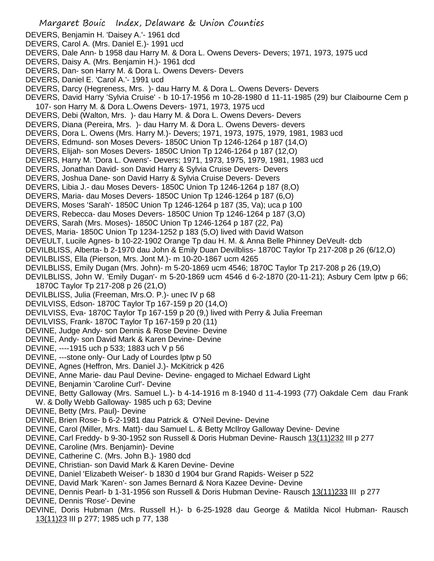Margaret Bouic Index, Delaware & Union Counties DEVERS, Benjamin H. 'Daisey A.'- 1961 dcd DEVERS, Carol A. (Mrs. Daniel E.)- 1991 ucd DEVERS, Dale Ann- b 1958 dau Harry M. & Dora L. Owens Devers- Devers; 1971, 1973, 1975 ucd DEVERS, Daisy A. (Mrs. Benjamin H.)- 1961 dcd DEVERS, Dan- son Harry M. & Dora L. Owens Devers- Devers DEVERS, Daniel E. 'Carol A.'- 1991 ucd DEVERS, Darcy (Hegreness, Mrs. )- dau Harry M. & Dora L. Owens Devers- Devers DEVERS, David Harry 'Sylvia Cruise' - b 10-17-1956 m 10-28-1980 d 11-11-1985 (29) bur Claibourne Cem p 107- son Harry M. & Dora L.Owens Devers- 1971, 1973, 1975 ucd DEVERS, Debi (Walton, Mrs. )- dau Harry M. & Dora L. Owens Devers- Devers DEVERS, Diana (Pereira, Mrs. )- dau Harry M. & Dora L. Owens Devers- devers DEVERS, Dora L. Owens (Mrs. Harry M.)- Devers; 1971, 1973, 1975, 1979, 1981, 1983 ucd DEVERS, Edmund- son Moses Devers- 1850C Union Tp 1246-1264 p 187 (14,O) DEVERS, Elijah- son Moses Devers- 1850C Union Tp 1246-1264 p 187 (12,O) DEVERS, Harry M. 'Dora L. Owens'- Devers; 1971, 1973, 1975, 1979, 1981, 1983 ucd DEVERS, Jonathan David- son David Harry & Sylvia Cruise Devers- Devers DEVERS, Joshua Dane- son David Harry & Sylvia Cruise Devers- Devers DEVERS, Libia J.- dau Moses Devers- 1850C Union Tp 1246-1264 p 187 (8,O) DEVERS, Maria- dau Moses Devers- 1850C Union Tp 1246-1264 p 187 (6,O) DEVERS, Moses 'Sarah'- 1850C Union Tp 1246-1264 p 187 (35, Va); uca p 100 DEVERS, Rebecca- dau Moses Devers- 1850C Union Tp 1246-1264 p 187 (3,O) DEVERS, Sarah (Mrs. Moses)- 1850C Union Tp 1246-1264 p 187 (22, Pa) DEVES, Maria- 1850C Union Tp 1234-1252 p 183 (5,O) lived with David Watson DEVEULT, Lucile Agnes- b 10-22-1902 Orange Tp dau H. M. & Anna Belle Phinney DeVeult- dcb DEVILBLISS, Alberta- b 2-1970 dau John & Emily Duan Devilbliss- 1870C Taylor Tp 217-208 p 26 (6/12,O) DEVILBLISS, Ella (Pierson, Mrs. Jont M.)- m 10-20-1867 ucm 4265 DEVILBLISS, Emily Dugan (Mrs. John)- m 5-20-1869 ucm 4546; 1870C Taylor Tp 217-208 p 26 (19,O) DEVILBLISS, John W. 'Emily Dugan'- m 5-20-1869 ucm 4546 d 6-2-1870 (20-11-21); Asbury Cem lptw p 66; 1870C Taylor Tp 217-208 p 26 (21,O) DEVILBLISS, Julia (Freeman, Mrs.O. P.)- unec IV p 68 DEVILVISS, Edson- 1870C Taylor Tp 167-159 p 20 (14,O) DEVILVISS, Eva- 1870C Taylor Tp 167-159 p 20 (9,) lived with Perry & Julia Freeman DEVILVISS, Frank- 1870C Taylor Tp 167-159 p 20 (11) DEVINE, Judge Andy- son Dennis & Rose Devine- Devine DEVINE, Andy- son David Mark & Karen Devine- Devine DEVINE, ----1915 uch p 533; 1883 uch V p 56 DEVINE, ---stone only- Our Lady of Lourdes lptw p 50 DEVINE, Agnes (Heffron, Mrs. Daniel J.)- McKitrick p 426 DEVINE, Anne Marie- dau Paul Devine- Devine- engaged to Michael Edward Light DEVINE, Benjamin 'Caroline Curl'- Devine DEVINE, Betty Galloway (Mrs. Samuel L.)- b 4-14-1916 m 8-1940 d 11-4-1993 (77) Oakdale Cem dau Frank W. & Dolly Webb Galloway- 1985 uch p 63; Devine DEVINE, Betty (Mrs. Paul)- Devine DEVINE, Brien Rose- b 6-2-1981 dau Patrick & O'Neil Devine- Devine DEVINE, Carol (Miller, Mrs. Matt)- dau Samuel L. & Betty McIlroy Galloway Devine- Devine DEVINE, Carl Freddy- b 9-30-1952 son Russell & Doris Hubman Devine- Rausch 13(11)232 III p 277 DEVINE, Caroline (Mrs. Benjamin)- Devine DEVINE, Catherine C. (Mrs. John B.)- 1980 dcd DEVINE, Christian- son David Mark & Karen Devine- Devine DEVINE, Daniel 'Elizabeth Weiser'- b 1830 d 1904 bur Grand Rapids- Weiser p 522 DEVINE, David Mark 'Karen'- son James Bernard & Nora Kazee Devine- Devine DEVINE, Dennis Pearl- b 1-31-1956 son Russell & Doris Hubman Devine- Rausch 13(11)233 III p 277 DEVINE, Dennis 'Rose'- Devine DEVINE, Doris Hubman (Mrs. Russell H.)- b 6-25-1928 dau George & Matilda Nicol Hubman- Rausch 13(11)23 III p 277; 1985 uch p 77, 138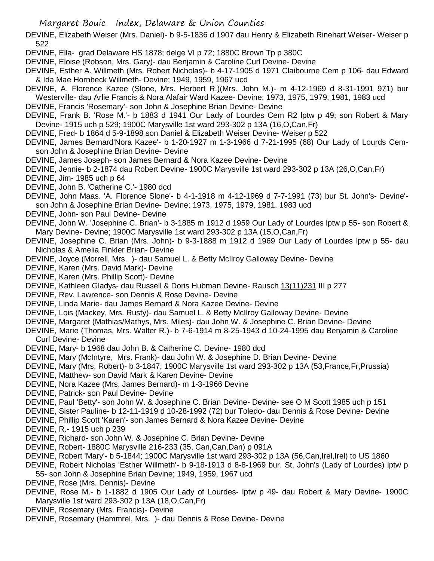DEVINE, Elizabeth Weiser (Mrs. Daniel)- b 9-5-1836 d 1907 dau Henry & Elizabeth Rinehart Weiser- Weiser p 522

DEVINE, Ella- grad Delaware HS 1878; delge VI p 72; 1880C Brown Tp p 380C

DEVINE, Eloise (Robson, Mrs. Gary)- dau Benjamin & Caroline Curl Devine- Devine

DEVINE, Esther A. Willmeth (Mrs. Robert Nicholas)- b 4-17-1905 d 1971 Claibourne Cem p 106- dau Edward & Ida Mae Hornbeck Willmeth- Devine; 1949, 1959, 1967 ucd

DEVINE, A. Florence Kazee (Slone, Mrs. Herbert R.)(Mrs. John M.)- m 4-12-1969 d 8-31-1991 971) bur Westerville- dau Arlie Francis & Nora Alafair Ward Kazee- Devine; 1973, 1975, 1979, 1981, 1983 ucd

DEVINE, Francis 'Rosemary'- son John & Josephine Brian Devine- Devine

DEVINE, Frank B. 'Rose M.'- b 1883 d 1941 Our Lady of Lourdes Cem R2 lptw p 49; son Robert & Mary Devine- 1915 uch p 529; 1900C Marysville 1st ward 293-302 p 13A (16,O,Can,Fr)

DEVINE, Fred- b 1864 d 5-9-1898 son Daniel & Elizabeth Weiser Devine- Weiser p 522

DEVINE, James Bernard'Nora Kazee'- b 1-20-1927 m 1-3-1966 d 7-21-1995 (68) Our Lady of Lourds Cemson John & Josephine Brian Devine- Devine

DEVINE, James Joseph- son James Bernard & Nora Kazee Devine- Devine

DEVINE, Jennie- b 2-1874 dau Robert Devine- 1900C Marysville 1st ward 293-302 p 13A (26,O,Can,Fr)

DEVINE, Jim- 1985 uch p 64

DEVINE, John B. 'Catherine C.'- 1980 dcd

DEVINE, John Maas. 'A. Florence Slone'- b 4-1-1918 m 4-12-1969 d 7-7-1991 (73) bur St. John's- Devine' son John & Josephine Brian Devine- Devine; 1973, 1975, 1979, 1981, 1983 ucd

DEVINE, John- son Paul Devine- Devine

DEVINE, John W. 'Josephine C. Brian'- b 3-1885 m 1912 d 1959 Our Lady of Lourdes lptw p 55- son Robert & Mary Devine- Devine; 1900C Marysville 1st ward 293-302 p 13A (15,O,Can,Fr)

DEVINE, Josephine C. Brian (Mrs. John)- b 9-3-1888 m 1912 d 1969 Our Lady of Lourdes lptw p 55- dau Nicholas & Amelia Finkler Brian- Devine

DEVINE, Joyce (Morrell, Mrs. )- dau Samuel L. & Betty McIlroy Galloway Devine- Devine

DEVINE, Karen (Mrs. David Mark)- Devine

DEVINE, Karen (Mrs. Phillip Scott)- Devine

DEVINE, Kathleen Gladys- dau Russell & Doris Hubman Devine- Rausch 13(11)231 III p 277

DEVINE, Rev. Lawrence- son Dennis & Rose Devine- Devine

DEVINE, Linda Marie- dau James Bernard & Nora Kazee Devine- Devine

DEVINE, Lois (Mackey, Mrs. Rusty)- dau Samuel L. & Betty McIlroy Galloway Devine- Devine

DEVINE, Margaret (Mathias/Mathys, Mrs. Miles)- dau John W. & Josephine C. Brian Devine- Devine

DEVINE, Marie (Thomas, Mrs. Walter R.)- b 7-6-1914 m 8-25-1943 d 10-24-1995 dau Benjamin & Caroline Curl Devine- Devine

DEVINE, Mary- b 1968 dau John B. & Catherine C. Devine- 1980 dcd

DEVINE, Mary (McIntyre, Mrs. Frank)- dau John W. & Josephine D. Brian Devine- Devine

DEVINE, Mary (Mrs. Robert)- b 3-1847; 1900C Marysville 1st ward 293-302 p 13A (53,France,Fr,Prussia)

DEVINE, Matthew- son David Mark & Karen Devine- Devine

DEVINE, Nora Kazee (Mrs. James Bernard)- m 1-3-1966 Devine

DEVINE, Patrick- son Paul Devine- Devine

DEVINE, Paul 'Betty'- son John W. & Josephine C. Brian Devine- Devine- see O M Scott 1985 uch p 151

DEVINE, Sister Pauline- b 12-11-1919 d 10-28-1992 (72) bur Toledo- dau Dennis & Rose Devine- Devine

DEVINE, Phillip Scott 'Karen'- son James Bernard & Nora Kazee Devine- Devine

DEVINE, R.- 1915 uch p 239

DEVINE, Richard- son John W. & Josephine C. Brian Devine- Devine

DEVINE, Robert- 1880C Marysville 216-233 (35, Can,Can,Dan) p 091A

DEVINE, Robert 'Mary'- b 5-1844; 1900C Marysville 1st ward 293-302 p 13A (56,Can,Irel,Irel) to US 1860

DEVINE, Robert Nicholas 'Esther Willmeth'- b 9-18-1913 d 8-8-1969 bur. St. John's (Lady of Lourdes) lptw p 55- son John & Josephine Brian Devine; 1949, 1959, 1967 ucd

DEVINE, Rose (Mrs. Dennis)- Devine

DEVINE, Rose M.- b 1-1882 d 1905 Our Lady of Lourdes- lptw p 49- dau Robert & Mary Devine- 1900C Marysville 1st ward 293-302 p 13A (18,O,Can,Fr)

DEVINE, Rosemary (Mrs. Francis)- Devine

DEVINE, Rosemary (Hammrel, Mrs. )- dau Dennis & Rose Devine- Devine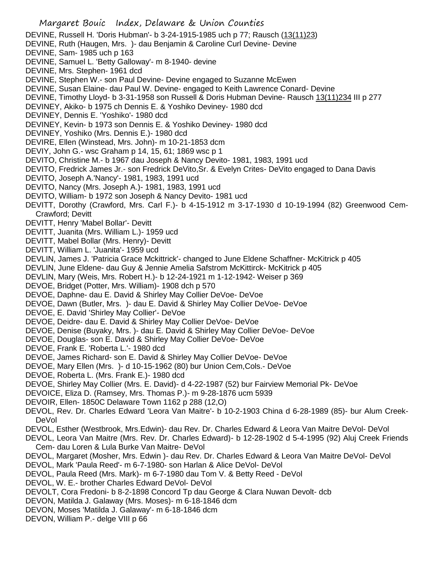## Margaret Bouic Index, Delaware & Union Counties DEVINE, Russell H. 'Doris Hubman'- b 3-24-1915-1985 uch p 77; Rausch (13(11)23) DEVINE, Ruth (Haugen, Mrs. )- dau Benjamin & Caroline Curl Devine- Devine DEVINE, Sam- 1985 uch p 163 DEVINE, Samuel L. 'Betty Galloway'- m 8-1940- devine DEVINE, Mrs. Stephen- 1961 dcd DEVINE, Stephen W.- son Paul Devine- Devine engaged to Suzanne McEwen DEVINE, Susan Elaine- dau Paul W. Devine- engaged to Keith Lawrence Conard- Devine DEVINE, Timothy Lloyd- b 3-31-1958 son Russell & Doris Hubman Devine- Rausch 13(11)234 III p 277 DEVINEY, Akiko- b 1975 ch Dennis E. & Yoshiko Deviney- 1980 dcd DEVINEY, Dennis E. 'Yoshiko'- 1980 dcd DEVINEY, Kevin- b 1973 son Dennis E. & Yoshiko Deviney- 1980 dcd DEVINEY, Yoshiko (Mrs. Dennis E.)- 1980 dcd DEVIRE, Ellen (Winstead, Mrs. John)- m 10-21-1853 dcm DEVIY, John G.- wsc Graham p 14, 15, 61; 1869 wsc p 1 DEVITO, Christine M.- b 1967 dau Joseph & Nancy Devito- 1981, 1983, 1991 ucd DEVITO, Fredrick James Jr.- son Fredrick DeVito,Sr. & Evelyn Crites- DeVito engaged to Dana Davis DEVITO, Joseph A.'Nancy'- 1981, 1983, 1991 ucd DEVITO, Nancy (Mrs. Joseph A.)- 1981, 1983, 1991 ucd DEVITO, William- b 1972 son Joseph & Nancy Devito- 1981 ucd DEVITT, Dorothy (Crawford, Mrs. Carl F.)- b 4-15-1912 m 3-17-1930 d 10-19-1994 (82) Greenwood Cem-Crawford; Devitt DEVITT, Henry 'Mabel Bollar'- Devitt DEVITT, Juanita (Mrs. William L.)- 1959 ucd DEVITT, Mabel Bollar (Mrs. Henry)- Devitt DEVITT, William L. 'Juanita'- 1959 ucd DEVLIN, James J. 'Patricia Grace Mckittrick'- changed to June Eldene Schaffner- McKitrick p 405 DEVLIN, June Eldene- dau Guy & Jennie Amelia Safstrom McKittirck- McKitrick p 405 DEVLIN, Mary (Weis, Mrs. Robert H.)- b 12-24-1921 m 1-12-1942- Weiser p 369 DEVOE, Bridget (Potter, Mrs. William)- 1908 dch p 570 DEVOE, Daphne- dau E. David & Shirley May Collier DeVoe- DeVoe DEVOE, Dawn (Butler, Mrs. )- dau E. David & Shirley May Collier DeVoe- DeVoe DEVOE, E. David 'Shirley May Collier'- DeVoe DEVOE, Deidre- dau E. David & Shirley May Collier DeVoe- DeVoe DEVOE, Denise (Buyaky, Mrs. )- dau E. David & Shirley May Collier DeVoe- DeVoe DEVOE, Douglas- son E. David & Shirley May Collier DeVoe- DeVoe DEVOE, Frank E. 'Roberta L.'- 1980 dcd DEVOE, James Richard- son E. David & Shirley May Collier DeVoe- DeVoe DEVOE, Mary Ellen (Mrs. )- d 10-15-1962 (80) bur Union Cem,Cols.- DeVoe DEVOE, Roberta L. (Mrs. Frank E.)- 1980 dcd DEVOE, Shirley May Collier (Mrs. E. David)- d 4-22-1987 (52) bur Fairview Memorial Pk- DeVoe DEVOICE, Eliza D. (Ramsey, Mrs. Thomas P.)- m 9-28-1876 ucm 5939 DEVOIR, Ellen- 1850C Delaware Town 1162 p 288 (12,O) DEVOL, Rev. Dr. Charles Edward 'Leora Van Maitre'- b 10-2-1903 China d 6-28-1989 (85)- bur Alum Creek-DeVol

- DEVOL, Esther (Westbrook, Mrs.Edwin)- dau Rev. Dr. Charles Edward & Leora Van Maitre DeVol- DeVol
- DEVOL, Leora Van Maitre (Mrs. Rev. Dr. Charles Edward)- b 12-28-1902 d 5-4-1995 (92) Aluj Creek Friends Cem- dau Loren & Lula Burke Van Maitre- DeVol
- DEVOL, Margaret (Mosher, Mrs. Edwin )- dau Rev. Dr. Charles Edward & Leora Van Maitre DeVol- DeVol
- DEVOL, Mark 'Paula Reed'- m 6-7-1980- son Harlan & Alice DeVol- DeVol
- DEVOL, Paula Reed (Mrs. Mark)- m 6-7-1980 dau Tom V. & Betty Reed DeVol
- DEVOL, W. E.- brother Charles Edward DeVol- DeVol
- DEVOLT, Cora Fredoni- b 8-2-1898 Concord Tp dau George & Clara Nuwan Devolt- dcb
- DEVON, Matilda J. Galaway (Mrs. Moses)- m 6-18-1846 dcm
- DEVON, Moses 'Matilda J. Galaway'- m 6-18-1846 dcm
- DEVON, William P.- delge VIII p 66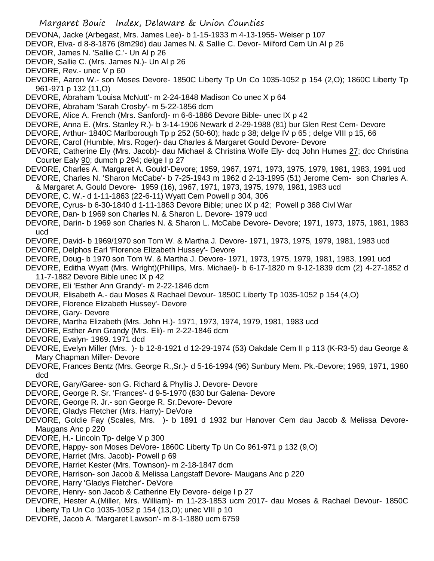- DEVONA, Jacke (Arbegast, Mrs. James Lee)- b 1-15-1933 m 4-13-1955- Weiser p 107
- DEVOR, Elva- d 8-8-1876 (8m29d) dau James N. & Sallie C. Devor- Milford Cem Un Al p 26
- DEVOR, James N. 'Sallie C.'- Un Al p 26
- DEVOR, Sallie C. (Mrs. James N.)- Un Al p 26
- DEVORE, Rev.- unec V p 60
- DEVORE, Aaron W.- son Moses Devore- 1850C Liberty Tp Un Co 1035-1052 p 154 (2,O); 1860C Liberty Tp 961-971 p 132 (11,O)
- DEVORE, Abraham 'Louisa McNutt'- m 2-24-1848 Madison Co unec X p 64
- DEVORE, Abraham 'Sarah Crosby'- m 5-22-1856 dcm
- DEVORE, Alice A. French (Mrs. Sanford)- m 6-6-1886 Devore Bible- unec IX p 42
- DEVORE, Anna E. (Mrs. Stanley R.)- b 3-14-1906 Newark d 2-29-1988 (81) bur Glen Rest Cem- Devore
- DEVORE, Arthur- 1840C Marlborough Tp p 252 (50-60); hadc p 38; delge IV p 65 ; delge VIII p 15, 66
- DEVORE, Carol (Humble, Mrs. Roger)- dau Charles & Margaret Gould Devore- Devore
- DEVORE, Catherine Ely (Mrs. Jacob)- dau Michael & Christina Wolfe Ely- dcq John Humes 27; dcc Christina Courter Ealy 90; dumch p 294; delge I p 27
- DEVORE, Charles A. 'Margaret A. Gould'-Devore; 1959, 1967, 1971, 1973, 1975, 1979, 1981, 1983, 1991 ucd DEVORE, Charles N. 'Sharon McCabe'- b 7-25-1943 m 1962 d 2-13-1995 (51) Jerome Cem- son Charles A.
- & Margaret A. Gould Devore- 1959 (16), 1967, 1971, 1973, 1975, 1979, 1981, 1983 ucd
- DEVORE, C. W.- d 1-11-1863 (22-6-11) Wyatt Cem Powell p 304, 306
- DEVORE, Cyrus- b 6-30-1840 d 1-11-1863 Devore Bible; unec IX p 42; Powell p 368 Civl War
- DEVORE, Dan- b 1969 son Charles N. & Sharon L. Devore- 1979 ucd
- DEVORE, Darin- b 1969 son Charles N. & Sharon L. McCabe Devore- Devore; 1971, 1973, 1975, 1981, 1983 ucd
- DEVORE, David- b 1969/1970 son Tom W. & Martha J. Devore- 1971, 1973, 1975, 1979, 1981, 1983 ucd
- DEVORE, Delphos Earl 'Florence Elizabeth Hussey'- Devore
- DEVORE, Doug- b 1970 son Tom W. & Martha J. Devore- 1971, 1973, 1975, 1979, 1981, 1983, 1991 ucd
- DEVORE, Editha Wyatt (Mrs. Wright)(Phillips, Mrs. Michael)- b 6-17-1820 m 9-12-1839 dcm (2) 4-27-1852 d 11-7-1882 Devore Bible unec IX p 42
- DEVORE, Eli 'Esther Ann Grandy'- m 2-22-1846 dcm
- DEVOUR, Elisabeth A.- dau Moses & Rachael Devour- 1850C Liberty Tp 1035-1052 p 154 (4,O)
- DEVORE, Florence Elizabeth Hussey'- Devore
- DEVORE, Gary- Devore
- DEVORE, Martha Elizabeth (Mrs. John H.)- 1971, 1973, 1974, 1979, 1981, 1983 ucd
- DEVORE, Esther Ann Grandy (Mrs. Eli)- m 2-22-1846 dcm
- DEVORE, Evalyn- 1969. 1971 dcd
- DEVORE, Evelyn Miller (Mrs. )- b 12-8-1921 d 12-29-1974 (53) Oakdale Cem II p 113 (K-R3-5) dau George & Mary Chapman Miller- Devore
- DEVORE, Frances Bentz (Mrs. George R.,Sr.)- d 5-16-1994 (96) Sunbury Mem. Pk.-Devore; 1969, 1971, 1980 dcd
- DEVORE, Gary/Garee- son G. Richard & Phyllis J. Devore- Devore
- DEVORE, George R. Sr. 'Frances'- d 9-5-1970 (830 bur Galena- Devore
- DEVORE, George R. Jr.- son George R. Sr.Devore- Devore
- DEVORE, Gladys Fletcher (Mrs. Harry)- DeVore
- DEVORE, Goldie Fay (Scales, Mrs. )- b 1891 d 1932 bur Hanover Cem dau Jacob & Melissa Devore-Maugans Anc p 220
- DEVORE, H.- Lincoln Tp- delge V p 300
- DEVORE, Happy- son Moses DeVore- 1860C Liberty Tp Un Co 961-971 p 132 (9,O)
- DEVORE, Harriet (Mrs. Jacob)- Powell p 69
- DEVORE, Harriet Kester (Mrs. Townson)- m 2-18-1847 dcm
- DEVORE, Harrison- son Jacob & Melissa Langstaff Devore- Maugans Anc p 220
- DEVORE, Harry 'Gladys Fletcher'- DeVore
- DEVORE, Henry- son Jacob & Catherine Ely Devore- delge I p 27
- DEVORE, Hester A.(Miller, Mrs. William)- m 11-23-1853 ucm 2017- dau Moses & Rachael Devour- 1850C Liberty Tp Un Co 1035-1052 p 154 (13,O); unec VIII p 10
- DEVORE, Jacob A. 'Margaret Lawson'- m 8-1-1880 ucm 6759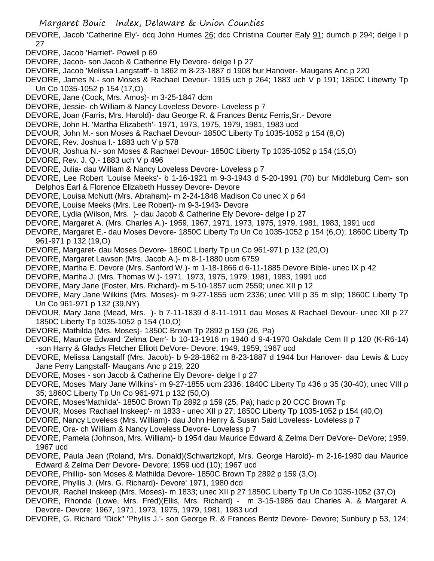- DEVORE, Jacob 'Catherine Ely'- dcq John Humes 26; dcc Christina Courter Ealy 91; dumch p 294; delge I p 27
- DEVORE, Jacob 'Harriet'- Powell p 69
- DEVORE, Jacob- son Jacob & Catherine Ely Devore- delge I p 27
- DEVORE, Jacob 'Melissa Langstaff'- b 1862 m 8-23-1887 d 1908 bur Hanover- Maugans Anc p 220
- DEVORE, James N.- son Moses & Rachael Devour- 1915 uch p 264; 1883 uch V p 191; 1850C Libewrty Tp Un Co 1035-1052 p 154 (17,O)
- DEVORE, Jane (Cook, Mrs. Amos)- m 3-25-1847 dcm
- DEVORE, Jessie- ch William & Nancy Loveless Devore- Loveless p 7
- DEVORE, Joan (Farris, Mrs. Harold)- dau George R. & Frances Bentz Ferris,Sr.- Devore
- DEVORE, John H. 'Martha Elizabeth'- 1971, 1973, 1975, 1979, 1981, 1983 ucd
- DEVOUR, John M.- son Moses & Rachael Devour- 1850C Liberty Tp 1035-1052 p 154 (8,O)
- DEVORE, Rev. Joshua I.- 1883 uch V p 578
- DEVOUR, Joshua N.- son Moses & Rachael Devour- 1850C Liberty Tp 1035-1052 p 154 (15,O)
- DEVORE, Rev. J. Q.- 1883 uch V p 496
- DEVORE, Julia- dau William & Nancy Loveless Devore- Loveless p 7
- DEVORE, Lee Robert 'Louise Meeks'- b 1-16-1921 m 9-3-1943 d 5-20-1991 (70) bur Middleburg Cem- son Delphos Earl & Florence Elizabeth Hussey Devore- Devore
- DEVORE, Louisa McNutt (Mrs. Abraham)- m 2-24-1848 Madison Co unec X p 64
- DEVORE, Louise Meeks (Mrs. Lee Robert)- m 9-3-1943- Devore
- DEVORE, Lydia (Wilson, Mrs. )- dau Jacob & Catherine Ely Devore- delge I p 27
- DEVORE, Margaret A. (Mrs. Charles A.)- 1959, 1967, 1971, 1973, 1975, 1979, 1981, 1983, 1991 ucd
- DEVORE, Margaret E.- dau Moses Devore- 1850C Liberty Tp Un Co 1035-1052 p 154 (6,O); 1860C Liberty Tp 961-971 p 132 (19,O)
- DEVORE, Margaret- dau Moses Devore- 1860C Liberty Tp un Co 961-971 p 132 (20,O)
- DEVORE, Margaret Lawson (Mrs. Jacob A.)- m 8-1-1880 ucm 6759
- DEVORE, Martha E. Devore (Mrs. Sanford W.)- m 1-18-1866 d 6-11-1885 Devore Bible- unec IX p 42
- DEVORE, Martha J. (Mrs. Thomas W.)- 1971, 1973, 1975, 1979, 1981, 1983, 1991 ucd
- DEVORE, Mary Jane (Foster, Mrs. Richard)- m 5-10-1857 ucm 2559; unec XII p 12
- DEVORE, Mary Jane Wilkins (Mrs. Moses)- m 9-27-1855 ucm 2336; unec VIII p 35 m slip; 1860C Liberty Tp Un Co 961-971 p 132 (39,NY)
- DEVOUR, Mary Jane (Mead, Mrs. )- b 7-11-1839 d 8-11-1911 dau Moses & Rachael Devour- unec XII p 27 1850C Liberty Tp 1035-1052 p 154 (10,O)
- DEVORE, Mathilda (Mrs. Moses)- 1850C Brown Tp 2892 p 159 (26, Pa)
- DEVORE, Maurice Edward 'Zelma Derr'- b 10-13-1916 m 1940 d 9-4-1970 Oakdale Cem II p 120 (K-R6-14) -son Harry & Gladys Fletcher Elliott DeVore- Devore; 1949, 1959, 1967 ucd
- DEVORE, Melissa Langstaff (Mrs. Jacob)- b 9-28-1862 m 8-23-1887 d 1944 bur Hanover- dau Lewis & Lucy Jane Perry Langstaff- Maugans Anc p 219, 220
- DEVORE, Moses son Jacob & Catherine Ely Devore- delge I p 27
- DEVORE, Moses 'Mary Jane Wilkins'- m 9-27-1855 ucm 2336; 1840C Liberty Tp 436 p 35 (30-40); unec VIII p 35; 1860C Liberty Tp Un Co 961-971 p 132 (50,O)
- DEVORE, Moses'Mathilda'- 1850C Brown Tp 2892 p 159 (25, Pa); hadc p 20 CCC Brown Tp
- DEVOUR, Moses 'Rachael Inskeep'- m 1833 unec XII p 27; 1850C Liberty Tp 1035-1052 p 154 (40,O)
- DEVORE, Nancy Loveless (Mrs. William)- dau John Henry & Susan Said Loveless- Lovleless p 7
- DEVORE, Ora- ch William & Nancy Loveless Devore- Loveless p 7
- DEVORE, Pamela (Johnson, Mrs. William)- b 1954 dau Maurice Edward & Zelma Derr DeVore- DeVore; 1959, 1967 ucd
- DEVORE, Paula Jean (Roland, Mrs. Donald)(Schwartzkopf, Mrs. George Harold)- m 2-16-1980 dau Maurice Edward & Zelma Derr Devore- Devore; 1959 ucd (10); 1967 ucd
- DEVORE, Phillip- son Moses & Mathilda Devore- 1850C Brown Tp 2892 p 159 (3,O)
- DEVORE, Phyllis J. (Mrs. G. Richard)- Devore' 1971, 1980 dcd
- DEVOUR, Rachel Inskeep (Mrs. Moses)- m 1833; unec XII p 27 1850C Liberty Tp Un Co 1035-1052 (37,O)
- DEVORE, Rhonda (Lowe, Mrs. Fred)(Ellis, Mrs. Richard) m 3-15-1986 dau Charles A. & Margaret A. Devore- Devore; 1967, 1971, 1973, 1975, 1979, 1981, 1983 ucd
- DEVORE, G. Richard "Dick" 'Phyllis J.'- son George R. & Frances Bentz Devore- Devore; Sunbury p 53, 124;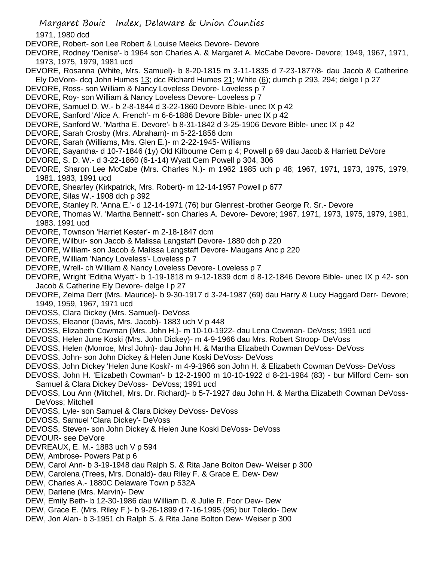1971, 1980 dcd

- DEVORE, Robert- son Lee Robert & Louise Meeks Devore- Devore
- DEVORE, Rodney 'Denise'- b 1964 son Charles A. & Margaret A. McCabe Devore- Devore; 1949, 1967, 1971, 1973, 1975, 1979, 1981 ucd
- DEVORE, Rosanna (White, Mrs. Samuel)- b 8-20-1815 m 3-11-1835 d 7-23-1877/8- dau Jacob & Catherine Ely DeVore- dcq John Humes  $13$ ; dcc Richard Humes  $21$ ; White  $(6)$ ; dumch p 293, 294; delge I p 27
- DEVORE, Ross- son William & Nancy Loveless Devore- Loveless p 7
- DEVORE, Roy- son William & Nancy Loveless Devore- Loveless p 7
- DEVORE, Samuel D. W.- b 2-8-1844 d 3-22-1860 Devore Bible- unec IX p 42
- DEVORE, Sanford 'Alice A. French'- m 6-6-1886 Devore Bible- unec IX p 42
- DEVORE, Sanford W. 'Martha E. Devore'- b 8-31-1842 d 3-25-1906 Devore Bible- unec IX p 42
- DEVORE, Sarah Crosby (Mrs. Abraham)- m 5-22-1856 dcm
- DEVORE, Sarah (Williams, Mrs. Glen E.)- m 2-22-1945- Williams
- DEVORE, Sayantha- d 10-7-1846 (1y) Old Kilbourne Cem p 4; Powell p 69 dau Jacob & Harriett DeVore
- DEVORE, S. D. W.- d 3-22-1860 (6-1-14) Wyatt Cem Powell p 304, 306
- DEVORE, Sharon Lee McCabe (Mrs. Charles N.)- m 1962 1985 uch p 48; 1967, 1971, 1973, 1975, 1979, 1981, 1983, 1991 ucd
- DEVORE, Shearley (Kirkpatrick, Mrs. Robert)- m 12-14-1957 Powell p 677
- DEVORE, Silas W.- 1908 dch p 392
- DEVORE, Stanley R. 'Anna E.'- d 12-14-1971 (76) bur Glenrest -brother George R. Sr.- Devore
- DEVORE, Thomas W. 'Martha Bennett'- son Charles A. Devore- Devore; 1967, 1971, 1973, 1975, 1979, 1981, 1983, 1991 ucd
- DEVORE, Townson 'Harriet Kester'- m 2-18-1847 dcm
- DEVORE, Wilbur- son Jacob & Malissa Langstaff Devore- 1880 dch p 220
- DEVORE, William- son Jacob & Malissa Langstaff Devore- Maugans Anc p 220
- DEVORE, William 'Nancy Loveless'- Loveless p 7
- DEVORE, Wrell- ch William & Nancy Loveless Devore- Loveless p 7
- DEVORE, Wright 'Editha Wyatt'- b 1-19-1818 m 9-12-1839 dcm d 8-12-1846 Devore Bible- unec IX p 42- son Jacob & Catherine Ely Devore- delge I p 27
- DEVORE, Zelma Derr (Mrs. Maurice)- b 9-30-1917 d 3-24-1987 (69) dau Harry & Lucy Haggard Derr- Devore; 1949, 1959, 1967, 1971 ucd
- DEVOSS, Clara Dickey (Mrs. Samuel)- DeVoss
- DEVOSS, Eleanor (Davis, Mrs. Jacob)- 1883 uch V p 448
- DEVOSS, Elizabeth Cowman (Mrs. John H.)- m 10-10-1922- dau Lena Cowman- DeVoss; 1991 ucd
- DEVOSS, Helen June Koski (Mrs. John Dickey)- m 4-9-1966 dau Mrs. Robert Stroop- DeVoss
- DEVOSS, Helen (Monroe, Mrsl John)- dau John H. & Martha Elizabeth Cowman DeVoss- DeVoss
- DEVOSS, John- son John Dickey & Helen June Koski DeVoss- DeVoss
- DEVOSS, John Dickey 'Helen June Koski'- m 4-9-1966 son John H. & Elizabeth Cowman DeVoss- DeVoss
- DEVOSS, John H. 'Elizabeth Cowman'- b 12-2-1900 m 10-10-1922 d 8-21-1984 (83) bur Milford Cem- son Samuel & Clara Dickey DeVoss- DeVoss; 1991 ucd
- DEVOSS, Lou Ann (Mitchell, Mrs. Dr. Richard)- b 5-7-1927 dau John H. & Martha Elizabeth Cowman DeVoss-DeVoss; Mitchell
- DEVOSS, Lyle- son Samuel & Clara Dickey DeVoss- DeVoss
- DEVOSS, Samuel 'Clara Dickey'- DeVoss
- DEVOSS, Steven- son John Dickey & Helen June Koski DeVoss- DeVoss
- DEVOUR- see DeVore
- DEVREAUX, E. M.- 1883 uch V p 594
- DEW, Ambrose- Powers Pat p 6
- DEW, Carol Ann- b 3-19-1948 dau Ralph S. & Rita Jane Bolton Dew- Weiser p 300
- DEW, Carolena (Trees, Mrs. Donald)- dau Riley F. & Grace E. Dew- Dew
- DEW, Charles A.- 1880C Delaware Town p 532A
- DEW, Darlene (Mrs. Marvin)- Dew
- DEW, Emily Beth- b 12-30-1986 dau William D. & Julie R. Foor Dew- Dew
- DEW, Grace E. (Mrs. Riley F.)- b 9-26-1899 d 7-16-1995 (95) bur Toledo- Dew
- DEW, Jon Alan- b 3-1951 ch Ralph S. & Rita Jane Bolton Dew- Weiser p 300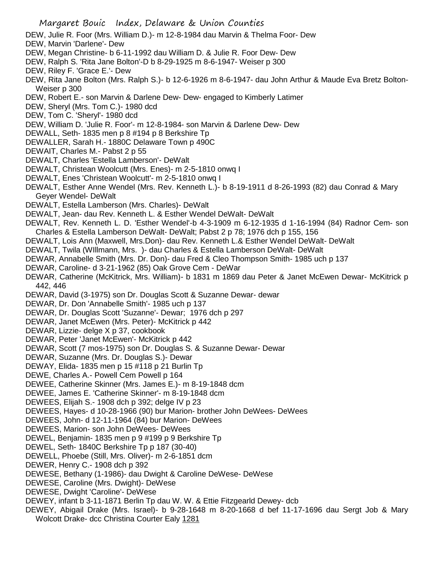- DEW, Julie R. Foor (Mrs. William D.)- m 12-8-1984 dau Marvin & Thelma Foor- Dew
- DEW, Marvin 'Darlene'- Dew
- DEW, Megan Christine- b 6-11-1992 dau William D. & Julie R. Foor Dew- Dew
- DEW, Ralph S. 'Rita Jane Bolton'-D b 8-29-1925 m 8-6-1947- Weiser p 300
- DEW, Riley F. 'Grace E.'- Dew
- DEW, Rita Jane Bolton (Mrs. Ralph S.)- b 12-6-1926 m 8-6-1947- dau John Arthur & Maude Eva Bretz Bolton-Weiser p 300
- DEW, Robert E.- son Marvin & Darlene Dew- Dew- engaged to Kimberly Latimer
- DEW, Sheryl (Mrs. Tom C.)- 1980 dcd
- DEW, Tom C. 'Sheryl'- 1980 dcd
- DEW, William D. 'Julie R. Foor'- m 12-8-1984- son Marvin & Darlene Dew- Dew
- DEWALL, Seth- 1835 men p 8 #194 p 8 Berkshire Tp
- DEWALLER, Sarah H.- 1880C Delaware Town p 490C
- DEWAIT, Charles M.- Pabst 2 p 55
- DEWALT, Charles 'Estella Lamberson'- DeWalt
- DEWALT, Christean Woolcutt (Mrs. Enes)- m 2-5-1810 onwq I
- DEWALT, Enes 'Christean Woolcutt'- m 2-5-1810 onwq I
- DEWALT, Esther Anne Wendel (Mrs. Rev. Kenneth L.)- b 8-19-1911 d 8-26-1993 (82) dau Conrad & Mary Geyer Wendel- DeWalt
- DEWALT, Estella Lamberson (Mrs. Charles)- DeWalt
- DEWALT, Jean- dau Rev. Kenneth L. & Esther Wendel DeWalt- DeWalt
- DEWALT, Rev. Kenneth L. D. 'Esther Wendel'-b 4-3-1909 m 6-12-1935 d 1-16-1994 (84) Radnor Cem- son Charles & Estella Lamberson DeWalt- DeWalt; Pabst 2 p 78; 1976 dch p 155, 156
- DEWALT, Lois Ann (Maxwell, Mrs.Don)- dau Rev. Kenneth L.& Esther Wendel DeWalt- DeWalt
- DEWALT, Twila (WIllmann, Mrs. )- dau Charles & Estella Lamberson DeWalt- DeWalt
- DEWAR, Annabelle Smith (Mrs. Dr. Don)- dau Fred & Cleo Thompson Smith- 1985 uch p 137
- DEWAR, Caroline- d 3-21-1962 (85) Oak Grove Cem DeWar
- DEWAR, Catherine (McKitrick, Mrs. William)- b 1831 m 1869 dau Peter & Janet McEwen Dewar- McKitrick p 442, 446
- DEWAR, David (3-1975) son Dr. Douglas Scott & Suzanne Dewar- dewar
- DEWAR, Dr. Don 'Annabelle Smith'- 1985 uch p 137
- DEWAR, Dr. Douglas Scott 'Suzanne'- Dewar; 1976 dch p 297
- DEWAR, Janet McEwen (Mrs. Peter)- McKitrick p 442
- DEWAR, Lizzie- delge X p 37, cookbook
- DEWAR, Peter 'Janet McEwen'- McKitrick p 442
- DEWAR, Scott (7 mos-1975) son Dr. Douglas S. & Suzanne Dewar- Dewar
- DEWAR, Suzanne (Mrs. Dr. Douglas S.)- Dewar
- DEWAY, Elida- 1835 men p 15 #118 p 21 Burlin Tp
- DEWE, Charles A.- Powell Cem Powell p 164
- DEWEE, Catherine Skinner (Mrs. James E.)- m 8-19-1848 dcm
- DEWEE, James E. 'Catherine Skinner'- m 8-19-1848 dcm
- DEWEES, Elijah S.- 1908 dch p 392; delge IV p 23
- DEWEES, Hayes- d 10-28-1966 (90) bur Marion- brother John DeWees- DeWees
- DEWEES, John- d 12-11-1964 (84) bur Marion- DeWees
- DEWEES, Marion- son John DeWees- DeWees
- DEWEL, Benjamin- 1835 men p 9 #199 p 9 Berkshire Tp
- DEWEL, Seth- 1840C Berkshire Tp p 187 (30-40)
- DEWELL, Phoebe (Still, Mrs. Oliver)- m 2-6-1851 dcm
- DEWER, Henry C.- 1908 dch p 392
- DEWESE, Bethany (1-1986)- dau Dwight & Caroline DeWese- DeWese
- DEWESE, Caroline (Mrs. Dwight)- DeWese
- DEWESE, Dwight 'Caroline'- DeWese
- DEWEY, infant b 3-11-1871 Berlin Tp dau W. W. & Ettie Fitzgearld Dewey- dcb
- DEWEY, Abigail Drake (Mrs. Israel)- b 9-28-1648 m 8-20-1668 d bef 11-17-1696 dau Sergt Job & Mary Wolcott Drake- dcc Christina Courter Ealy 1281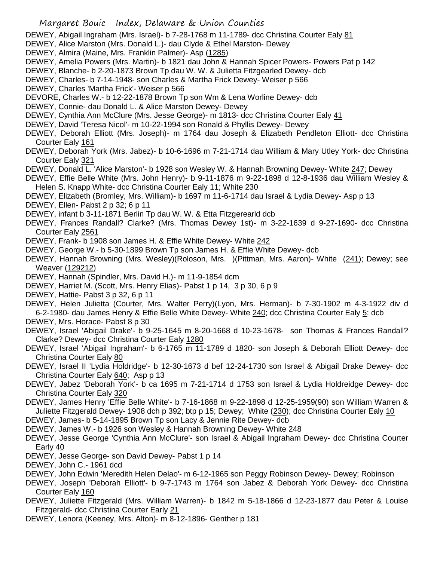DEWEY, Abigail Ingraham (Mrs. Israel)- b 7-28-1768 m 11-1789- dcc Christina Courter Ealy 81

- DEWEY, Alice Marston (Mrs. Donald L.)- dau Clyde & Ethel Marston- Dewey
- DEWEY, Almira (Maine, Mrs. Franklin Palmer)- Asp (1285)
- DEWEY, Amelia Powers (Mrs. Martin)- b 1821 dau John & Hannah Spicer Powers- Powers Pat p 142
- DEWEY, Blanche- b 2-20-1873 Brown Tp dau W. W. & Julietta Fitzgearled Dewey- dcb
- DEWEY, Charles- b 7-14-1948- son Charles & Martha Frick Dewey- Weiser p 566
- DEWEY, Charles 'Martha Frick'- Weiser p 566
- DEVORE, Charles W.- b 12-22-1878 Brown Tp son Wm & Lena Worline Dewey- dcb
- DEWEY, Connie- dau Donald L. & Alice Marston Dewey- Dewey
- DEWEY, Cynthia Ann McClure (Mrs. Jesse George)- m 1813- dcc Christina Courter Ealy 41
- DEWEY, David 'Teresa Nicol'- m 10-22-1994 son Ronald & Phyllis Dewey- Dewey
- DEWEY, Deborah Elliott (Mrs. Joseph)- m 1764 dau Joseph & Elizabeth Pendleton Elliott- dcc Christina Courter Ealy 161
- DEWEY, Deborah York (Mrs. Jabez)- b 10-6-1696 m 7-21-1714 dau William & Mary Utley York- dcc Christina Courter Ealy 321
- DEWEY, Donald L. 'Alice Marston'- b 1928 son Wesley W. & Hannah Browning Dewey- White 247; Dewey
- DEWEY, Effie Belle White (Mrs. John Henry)- b 9-11-1876 m 9-22-1898 d 12-8-1936 dau William Wesley & Helen S. Knapp White- dcc Christina Courter Ealy 11; White 230
- DEWEY, Elizabeth (Bromley, Mrs. William)- b 1697 m 11-6-1714 dau Israel & Lydia Dewey- Asp p 13
- DEWEY, Ellen- Pabst 2 p 32; 6 p 11
- DEWEY, infant b 3-11-1871 Berlin Tp dau W. W. & Etta Fitzgerearld dcb
- DEWEY, Frances Randall? Clarke? (Mrs. Thomas Dewey 1st)- m 3-22-1639 d 9-27-1690- dcc Christina Courter Ealy 2561
- DEWEY, Frank- b 1908 son James H. & Effie White Dewey- White 242
- DEWEY, George W.- b 5-30-1899 Brown Tp son James H. & Effie White Dewey- dcb
- DEWEY, Hannah Browning (Mrs. Wesley)(Roloson, Mrs. )(Pittman, Mrs. Aaron)- White (241); Dewey; see Weaver (129212)
- DEWEY, Hannah (Spindler, Mrs. David H.)- m 11-9-1854 dcm
- DEWEY, Harriet M. (Scott, Mrs. Henry Elias)- Pabst 1 p 14, 3 p 30, 6 p 9
- DEWEY, Hattie- Pabst 3 p 32, 6 p 11
- DEWEY, Helen Julietta (Courter, Mrs. Walter Perry)(Lyon, Mrs. Herman)- b 7-30-1902 m 4-3-1922 div d 6-2-1980- dau James Henry & Effie Belle White Dewey- White 240; dcc Christina Courter Ealy 5; dcb
- DEWEY, Mrs. Horace- Pabst 8 p 30
- DEWEY, Israel 'Abigail Drake'- b 9-25-1645 m 8-20-1668 d 10-23-1678- son Thomas & Frances Randall? Clarke? Dewey- dcc Christina Courter Ealy 1280
- DEWEY, Israel 'Abigail Ingraham'- b 6-1765 m 11-1789 d 1820- son Joseph & Deborah Elliott Dewey- dcc Christina Courter Ealy 80
- DEWEY, Israel II 'Lydia Holdridge'- b 12-30-1673 d bef 12-24-1730 son Israel & Abigail Drake Dewey- dcc Christina Courter Ealy 640; Asp p 13
- DEWEY, Jabez 'Deborah York'- b ca 1695 m 7-21-1714 d 1753 son Israel & Lydia Holdreidge Dewey- dcc Christina Courter Ealy 320
- DEWEY, James Henry 'Effie Belle White'- b 7-16-1868 m 9-22-1898 d 12-25-1959(90) son William Warren & Juliette Fitzgerald Dewey- 1908 dch p 392; btp p 15; Dewey; White (230); dcc Christina Courter Ealy 10
- DEWEY, James- b 5-14-1895 Brown Tp son Lacy & Jennie Rite Dewey- dcb
- DEWEY, James W.- b 1926 son Wesley & Hannah Browning Dewey- White 248
- DEWEY, Jesse George 'Cynthia Ann McClure'- son Israel & Abigail Ingraham Dewey- dcc Christina Courter Early 40
- DEWEY, Jesse George- son David Dewey- Pabst 1 p 14
- DEWEY, John C.- 1961 dcd
- DEWEY, John Edwin 'Meredith Helen Delao'- m 6-12-1965 son Peggy Robinson Dewey- Dewey; Robinson
- DEWEY, Joseph 'Deborah Elliott'- b 9-7-1743 m 1764 son Jabez & Deborah York Dewey- dcc Christina Courter Ealy 160
- DEWEY, Juliette Fitzgerald (Mrs. William Warren)- b 1842 m 5-18-1866 d 12-23-1877 dau Peter & Louise Fitzgerald- dcc Christina Courter Early 21
- DEWEY, Lenora (Keeney, Mrs. Alton)- m 8-12-1896- Genther p 181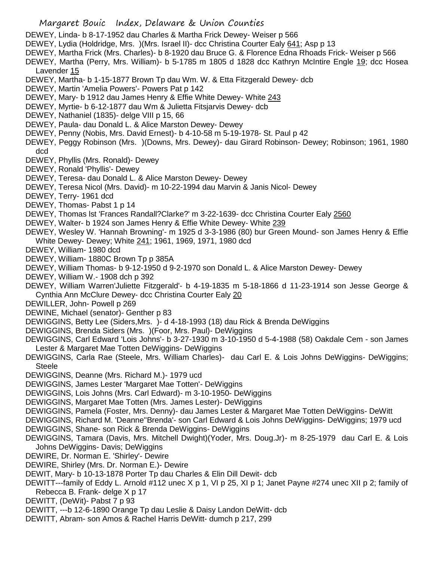- Margaret Bouic Index, Delaware & Union Counties
- DEWEY, Linda- b 8-17-1952 dau Charles & Martha Frick Dewey- Weiser p 566
- DEWEY, Lydia (Holdridge, Mrs. )(Mrs. Israel II)- dcc Christina Courter Ealy 641; Asp p 13
- DEWEY, Martha Frick (Mrs. Charles)- b 8-1920 dau Bruce G. & Florence Edna Rhoads Frick- Weiser p 566
- DEWEY, Martha (Perry, Mrs. William)- b 5-1785 m 1805 d 1828 dcc Kathryn McIntire Engle 19; dcc Hosea Lavender 15
- DEWEY, Martha- b 1-15-1877 Brown Tp dau Wm. W. & Etta Fitzgerald Dewey- dcb
- DEWEY, Martin 'Amelia Powers'- Powers Pat p 142
- DEWEY, Mary- b 1912 dau James Henry & Effie White Dewey- White 243
- DEWEY, Myrtie- b 6-12-1877 dau Wm & Julietta Fitsjarvis Dewey- dcb
- DEWEY, Nathaniel (1835)- delge VIII p 15, 66
- DEWEY, Paula- dau Donald L. & Alice Marston Dewey- Dewey
- DEWEY, Penny (Nobis, Mrs. David Ernest)- b 4-10-58 m 5-19-1978- St. Paul p 42
- DEWEY, Peggy Robinson (Mrs. )(Downs, Mrs. Dewey)- dau Girard Robinson- Dewey; Robinson; 1961, 1980 dcd
- DEWEY, Phyllis (Mrs. Ronald)- Dewey
- DEWEY, Ronald 'Phyllis'- Dewey
- DEWEY, Teresa- dau Donald L. & Alice Marston Dewey- Dewey
- DEWEY, Teresa Nicol (Mrs. David)- m 10-22-1994 dau Marvin & Janis Nicol- Dewey
- DEWEY, Terry- 1961 dcd
- DEWEY, Thomas- Pabst 1 p 14
- DEWEY, Thomas Ist 'Frances Randall?Clarke?' m 3-22-1639- dcc Christina Courter Ealy 2560
- DEWEY, Walter- b 1924 son James Henry & Effie White Dewey- White 239
- DEWEY, Wesley W. 'Hannah Browning'- m 1925 d 3-3-1986 (80) bur Green Mound- son James Henry & Effie White Dewey- Dewey; White 241; 1961, 1969, 1971, 1980 dcd
- DEWEY, William- 1980 dcd
- DEWEY, William- 1880C Brown Tp p 385A
- DEWEY, William Thomas- b 9-12-1950 d 9-2-1970 son Donald L. & Alice Marston Dewey- Dewey
- DEWEY, William W.- 1908 dch p 392
- DEWEY, William Warren'Juliette Fitzgerald'- b 4-19-1835 m 5-18-1866 d 11-23-1914 son Jesse George & Cynthia Ann McClure Dewey- dcc Christina Courter Ealy 20
- DEWILLER, John- Powell p 269
- DEWINE, Michael (senator)- Genther p 83
- DEWIGGINS, Betty Lee (Siders,Mrs. )- d 4-18-1993 (18) dau Rick & Brenda DeWiggins
- DEWIGGINS, Brenda Siders (Mrs. )(Foor, Mrs. Paul)- DeWiggins
- DEWIGGINS, Carl Edward 'Lois Johns'- b 3-27-1930 m 3-10-1950 d 5-4-1988 (58) Oakdale Cem son James Lester & Margaret Mae Totten DeWiggins- DeWiggins
- DEWIGGINS, Carla Rae (Steele, Mrs. William Charles)- dau Carl E. & Lois Johns DeWiggins- DeWiggins; Steele
- DEWIGGINS, Deanne (Mrs. Richard M.)- 1979 ucd
- DEWIGGINS, James Lester 'Margaret Mae Totten'- DeWiggins
- DEWIGGINS, Lois Johns (Mrs. Carl Edward)- m 3-10-1950- DeWiggins
- DEWIGGINS, Margaret Mae Totten (Mrs. James Lester)- DeWiggins
- DEWIGGINS, Pamela (Foster, Mrs. Denny)- dau James Lester & Margaret Mae Totten DeWiggins- DeWitt
- DEWIGGINS, Richard M. 'Deanne''Brenda'- son Carl Edward & Lois Johns DeWiggins- DeWiggins; 1979 ucd
- DEWIGGINS, Shane- son Rick & Brenda DeWiggins- DeWiggins
- DEWIGGINS, Tamara (Davis, Mrs. Mitchell Dwight)(Yoder, Mrs. Doug.Jr)- m 8-25-1979 dau Carl E. & Lois Johns DeWiggins- Davis; DeWiggins
- DEWIRE, Dr. Norman E. 'Shirley'- Dewire
- DEWIRE, Shirley (Mrs. Dr. Norman E.)- Dewire
- DEWIT, Mary- b 10-13-1878 Porter Tp dau Charles & Elin Dill Dewit- dcb
- DEWITT---family of Eddy L. Arnold #112 unec X p 1, VI p 25, XI p 1; Janet Payne #274 unec XII p 2; family of Rebecca B. Frank- delge X p 17
- DEWITT, (DeWit)- Pabst 7 p 93
- DEWITT, ---b 12-6-1890 Orange Tp dau Leslie & Daisy Landon DeWitt- dcb
- DEWITT, Abram- son Amos & Rachel Harris DeWitt- dumch p 217, 299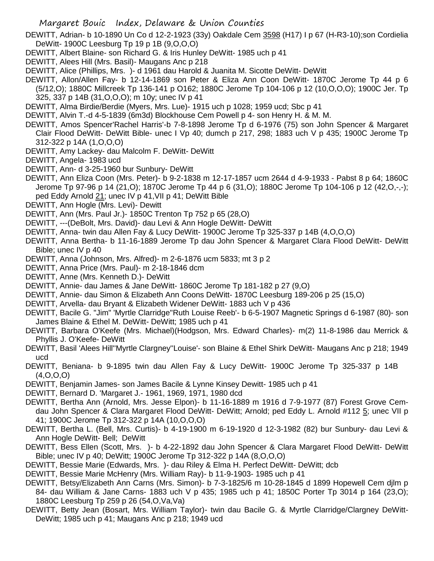DEWITT, Adrian- b 10-1890 Un Co d 12-2-1923 (33y) Oakdale Cem 3598 (H17) I p 67 (H-R3-10);son Cordielia DeWitt- 1900C Leesburg Tp 19 p 1B (9,O,O,O)

- DEWITT, Albert Blaine- son Richard G. & Iris Hunley DeWitt- 1985 uch p 41
- DEWITT, Alees Hill (Mrs. Basil)- Maugans Anc p 218
- DEWITT, Alice (Phillips, Mrs. )- d 1961 dau Harold & Juanita M. Sicotte DeWitt- DeWitt
- DEWITT, Allon/Allen Fay- b 12-14-1869 son Peter & Eliza Ann Coon DeWitt- 1870C Jerome Tp 44 p 6 (5/12,O); 1880C Millcreek Tp 136-141 p O162; 1880C Jerome Tp 104-106 p 12 (10,O,O,O); 1900C Jer. Tp
	- 325, 337 p 14B (31,O,O,O); m 10y; unec IV p 41
- DEWITT, Alma Birdie/Berdie (Myers, Mrs. Lue)- 1915 uch p 1028; 1959 ucd; Sbc p 41
- DEWITT, Alvin T.-d 4-5-1839 (6m3d) Blockhouse Cem Powell p 4- son Henry H. & M. M.

DEWITT, Amos Spencer'Rachel Harris'-b 7-8-1898 Jerome Tp d 6-1976 (75) son John Spencer & Margaret Clair Flood DeWitt- DeWitt Bible- unec I Vp 40; dumch p 217, 298; 1883 uch V p 435; 1900C Jerome Tp 312-322 p 14A (1,O,O,O)

- DEWITT, Amy Lackey- dau Malcolm F. DeWitt- DeWitt
- DEWITT, Angela- 1983 ucd
- DEWITT, Ann- d 3-25-1960 bur Sunbury- DeWitt
- DEWITT, Ann Eliza Coon (Mrs. Peter)- b 9-2-1838 m 12-17-1857 ucm 2644 d 4-9-1933 Pabst 8 p 64; 1860C Jerome Tp 97-96 p 14 (21,O); 1870C Jerome Tp 44 p 6 (31,O); 1880C Jerome Tp 104-106 p 12 (42,O,-,-); ped Eddy Arnold 21; unec IV p 41,VII p 41; DeWitt Bible
- DEWITT, Ann Hogle (Mrs. Levi)- Dewitt
- DEWITT, Ann (Mrs. Paul Jr.)- 1850C Trenton Tp 752 p 65 (28,O)
- DEWITT, ---(DeBolt, Mrs. David)- dau Levi & Ann Hogle DeWitt- DeWitt
- DEWITT, Anna- twin dau Allen Fay & Lucy DeWitt- 1900C Jerome Tp 325-337 p 14B (4,O,O,O)
- DEWITT, Anna Bertha- b 11-16-1889 Jerome Tp dau John Spencer & Margaret Clara Flood DeWitt- DeWitt Bible; unec IV p 40
- DEWITT, Anna (Johnson, Mrs. Alfred)- m 2-6-1876 ucm 5833; mt 3 p 2
- DEWITT, Anna Price (Mrs. Paul)- m 2-18-1846 dcm
- DEWITT, Anne (Mrs. Kenneth D.)- DeWitt
- DEWITT, Annie- dau James & Jane DeWitt- 1860C Jerome Tp 181-182 p 27 (9,O)
- DEWITT, Annie- dau Simon & Elizabeth Ann Coons DeWitt- 1870C Leesburg 189-206 p 25 (15,O)
- DEWITT, Arvella- dau Bryant & Elizabeth Widener DeWitt- 1883 uch V p 436
- DEWITT, Bacile G. "Jim" 'Myrtle Clarridge''Ruth Louise Reeb'- b 6-5-1907 Magnetic Springs d 6-1987 (80)- son James Blaine & Ethel M. DeWitt- DeWitt; 1985 uch p 41
- DEWITT, Barbara O'Keefe (Mrs. Michael)(Hodgson, Mrs. Edward Charles)- m(2) 11-8-1986 dau Merrick & Phyllis J. O'Keefe- DeWitt
- DEWITT, Basil 'Alees Hill''Myrtle Clargney''Louise'- son Blaine & Ethel Shirk DeWitt- Maugans Anc p 218; 1949 ucd
- DEWITT, Beniana- b 9-1895 twin dau Allen Fay & Lucy DeWitt- 1900C Jerome Tp 325-337 p 14B (4,O,O,O)
- DEWITT, Benjamin James- son James Bacile & Lynne Kinsey Dewitt- 1985 uch p 41
- DEWITT, Bernard D. 'Margaret J.- 1961, 1969, 1971, 1980 dcd
- DEWITT, Bertha Ann (Arnold, Mrs. Jesse Elpon)- b 11-16-1889 m 1916 d 7-9-1977 (87) Forest Grove Cemdau John Spencer & Clara Margaret Flood DeWitt- DeWitt; Arnold; ped Eddy L. Arnold #112 5; unec VII p 41; 1900C Jerome Tp 312-322 p 14A (10,O,O,O)
- DEWITT, Bertha L. (Bell, Mrs. Curtis)- b 4-19-1900 m 6-19-1920 d 12-3-1982 (82) bur Sunbury- dau Levi & Ann Hogle DeWitt- Bell; DeWitt
- DEWITT, Bess Ellen (Scott, Mrs. )- b 4-22-1892 dau John Spencer & Clara Margaret Flood DeWitt- DeWitt Bible; unec IV p 40; DeWitt; 1900C Jerome Tp 312-322 p 14A (8,O,O,O)
- DEWITT, Bessie Marie (Edwards, Mrs. )- dau Riley & Elma H. Perfect DeWitt- DeWitt; dcb
- DEWITT, Bessie Marie McHenry (Mrs. William Ray)- b 11-9-1903- 1985 uch p 41
- DEWITT, Betsy/Elizabeth Ann Carns (Mrs. Simon)- b 7-3-1825/6 m 10-28-1845 d 1899 Hopewell Cem djlm p 84- dau William & Jane Carns- 1883 uch V p 435; 1985 uch p 41; 1850C Porter Tp 3014 p 164 (23,O); 1880C Leesburg Tp 259 p 26 (54,O,Va,Va)
- DEWITT, Betty Jean (Bosart, Mrs. William Taylor)- twin dau Bacile G. & Myrtle Clarridge/Clargney DeWitt-DeWitt; 1985 uch p 41; Maugans Anc p 218; 1949 ucd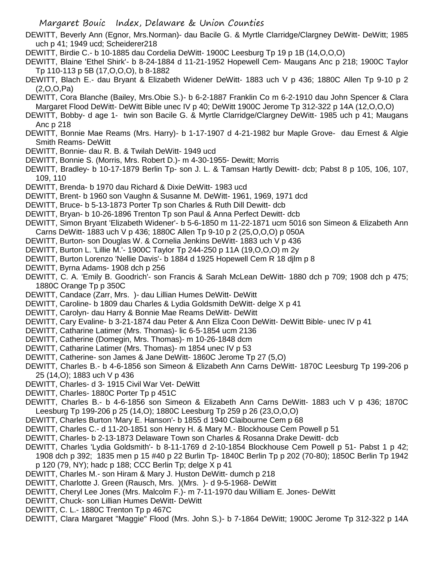- DEWITT, Beverly Ann (Egnor, Mrs.Norman)- dau Bacile G. & Myrtle Clarridge/Clargney DeWitt- DeWitt; 1985 uch p 41; 1949 ucd; Scheiderer218
- DEWITT, Birdie C.- b 10-1885 dau Cordelia DeWitt- 1900C Leesburg Tp 19 p 1B (14,O,O,O)
- DEWITT, Blaine 'Ethel Shirk'- b 8-24-1884 d 11-21-1952 Hopewell Cem- Maugans Anc p 218; 1900C Taylor Tp 110-113 p 5B (17,O,O,O), b 8-1882
- DEWITT, Blach E.- dau Bryant & Elizabeth Widener DeWitt- 1883 uch V p 436; 1880C Allen Tp 9-10 p 2 (2,O,O,Pa)
- DEWITT, Cora Blanche (Bailey, Mrs.Obie S.)- b 6-2-1887 Franklin Co m 6-2-1910 dau John Spencer & Clara Margaret Flood DeWitt- DeWitt Bible unec IV p 40; DeWitt 1900C Jerome Tp 312-322 p 14A (12,O,O,O)
- DEWITT, Bobby- d age 1- twin son Bacile G. & Myrtle Clarridge/Clargney DeWitt- 1985 uch p 41; Maugans Anc p 218
- DEWITT, Bonnie Mae Reams (Mrs. Harry)- b 1-17-1907 d 4-21-1982 bur Maple Grove- dau Ernest & Algie Smith Reams- DeWitt
- DEWITT, Bonnie- dau R. B. & Twilah DeWitt- 1949 ucd
- DEWITT, Bonnie S. (Morris, Mrs. Robert D.)- m 4-30-1955- Dewitt; Morris
- DEWITT, Bradley- b 10-17-1879 Berlin Tp- son J. L. & Tamsan Hartly Dewitt- dcb; Pabst 8 p 105, 106, 107, 109, 110
- DEWITT, Brenda- b 1970 dau Richard & Dixie DeWitt- 1983 ucd
- DEWITT, Brent- b 1960 son Vaughn & Susanne M. DeWitt- 1961, 1969, 1971 dcd
- DEWITT, Bruce- b 5-13-1873 Porter Tp son Charles & Ruth Dill Dewitt- dcb
- DEWITT, Bryan- b 10-26-1896 Trenton Tp son Paul & Anna Perfect Dewitt- dcb
- DEWITT, Simon Bryant 'Elizabeth Widener'- b 5-6-1850 m 11-22-1871 ucm 5016 son Simeon & Elizabeth Ann Carns DeWitt- 1883 uch V p 436; 1880C Allen Tp 9-10 p 2 (25,O,O,O) p 050A
- DEWITT, Burton- son Douglas W. & Cornelia Jenkins DeWitt- 1883 uch V p 436
- DEWITT, Burton L. 'Lillie M.'- 1900C Taylor Tp 244-250 p 11A (19,O,O,O) m 2y
- DEWITT, Burton Lorenzo 'Nellie Davis'- b 1884 d 1925 Hopewell Cem R 18 djlm p 8
- DEWITT, Byrna Adams- 1908 dch p 256
- DEWITT, C. A. 'Emily B. Goodrich'- son Francis & Sarah McLean DeWitt- 1880 dch p 709; 1908 dch p 475; 1880C Orange Tp p 350C
- DEWITT, Candace (Zarr, Mrs. )- dau Lillian Humes DeWitt- DeWitt
- DEWITT, Caroline- b 1809 dau Charles & Lydia Goldsmith DeWitt- delge X p 41
- DEWITT, Carolyn- dau Harry & Bonnie Mae Reams DeWitt- DeWitt
- DEWITT, Cary Evaline- b 3-21-1874 dau Peter & Ann Eliza Coon DeWitt- DeWitt Bible- unec IV p 41
- DEWITT, Catharine Latimer (Mrs. Thomas)- lic 6-5-1854 ucm 2136
- DEWITT, Catherine (Domegin, Mrs. Thomas)- m 10-26-1848 dcm
- DEWITT, Catharine Latimer (Mrs. Thomas)- m 1854 unec IV p 53
- DEWITT, Catherine- son James & Jane DeWitt- 1860C Jerome Tp 27 (5,O)
- DEWITT, Charles B.- b 4-6-1856 son Simeon & Elizabeth Ann Carns DeWitt- 1870C Leesburg Tp 199-206 p 25 (14,O); 1883 uch V p 436
- DEWITT, Charles- d 3- 1915 Civil War Vet- DeWitt
- DEWITT, Charles- 1880C Porter Tp p 451C
- DEWITT, Charles B.- b 4-6-1856 son Simeon & Elizabeth Ann Carns DeWitt- 1883 uch V p 436; 1870C Leesburg Tp 199-206 p 25 (14,O); 1880C Leesburg Tp 259 p 26 (23,O,O,O)
- DEWITT, Charles Burton 'Mary E. Hanson'- b 1855 d 1940 Claibourne Cem p 68
- DEWITT, Charles C.- d 11-20-1851 son Henry H. & Mary M.- Blockhouse Cem Powell p 51
- DEWITT, Charles- b 2-13-1873 Delaware Town son Charles & Rosanna Drake Dewitt- dcb
- DEWITT, Charles 'Lydia Goldsmith'- b 8-11-1769 d 2-10-1854 Blockhouse Cem Powell p 51- Pabst 1 p 42; 1908 dch p 392; 1835 men p 15 #40 p 22 Burlin Tp- 1840C Berlin Tp p 202 (70-80); 1850C Berlin Tp 1942 p 120 (79, NY); hadc p 188; CCC Berlin Tp; delge X p 41
- DEWITT, Charles M.- son Hiram & Mary J. Huston DeWitt- dumch p 218
- DEWITT, Charlotte J. Green (Rausch, Mrs. )(Mrs. )- d 9-5-1968- DeWitt
- DEWITT, Cheryl Lee Jones (Mrs. Malcolm F.)- m 7-11-1970 dau William E. Jones- DeWitt
- DEWITT, Chuck- son Lillian Humes DeWitt- DeWitt
- DEWITT, C. L.- 1880C Trenton Tp p 467C
- DEWITT, Clara Margaret "Maggie" Flood (Mrs. John S.)- b 7-1864 DeWitt; 1900C Jerome Tp 312-322 p 14A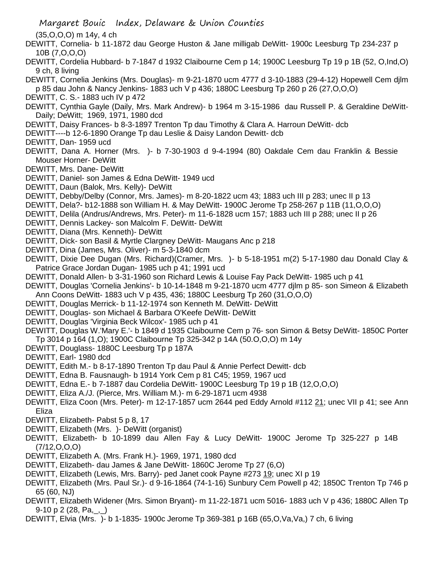(35,O,O,O) m 14y, 4 ch

- DEWITT, Cornelia- b 11-1872 dau George Huston & Jane milligab DeWitt- 1900c Leesburg Tp 234-237 p 10B (7,O,O,O)
- DEWITT, Cordelia Hubbard- b 7-1847 d 1932 Claibourne Cem p 14; 1900C Leesburg Tp 19 p 1B (52, O,Ind,O) 9 ch, 8 living
- DEWITT, Cornelia Jenkins (Mrs. Douglas)- m 9-21-1870 ucm 4777 d 3-10-1883 (29-4-12) Hopewell Cem djlm p 85 dau John & Nancy Jenkins- 1883 uch V p 436; 1880C Leesburg Tp 260 p 26 (27,O,O,O)
- DEWITT, C. S.- 1883 uch IV p 472
- DEWITT, Cynthia Gayle (Daily, Mrs. Mark Andrew)- b 1964 m 3-15-1986 dau Russell P. & Geraldine DeWitt-Daily; DeWitt; 1969, 1971, 1980 dcd
- DEWITT, Daisy Frances- b 8-3-1897 Trenton Tp dau Timothy & Clara A. Harroun DeWitt- dcb
- DEWITT----b 12-6-1890 Orange Tp dau Leslie & Daisy Landon Dewitt- dcb
- DEWITT, Dan- 1959 ucd
- DEWITT, Dana A. Horner (Mrs. )- b 7-30-1903 d 9-4-1994 (80) Oakdale Cem dau Franklin & Bessie Mouser Horner- DeWitt
- DEWITT, Mrs. Dane- DeWitt
- DEWITT, Daniel- son James & Edna DeWitt- 1949 ucd
- DEWITT, Daun (Balok, Mrs. Kelly)- DeWitt
- DEWITT, Debby/Delby (Connor, Mrs. James)- m 8-20-1822 ucm 43; 1883 uch III p 283; unec II p 13
- DEWITT, Dela?- b12-1888 son William H. & May DeWitt- 1900C Jerome Tp 258-267 p 11B (11,O,O,O)
- DEWITT, Delila (Andrus/Andrews, Mrs. Peter)- m 11-6-1828 ucm 157; 1883 uch III p 288; unec II p 26
- DEWITT, Dennis Lackey- son Malcolm F. DeWitt- DeWitt
- DEWITT, Diana (Mrs. Kenneth)- DeWitt
- DEWITT, Dick- son Basil & Myrtle Clargney DeWitt- Maugans Anc p 218
- DEWITT, Dina (James, Mrs. Oliver)- m 5-3-1840 dcm
- DEWITT, Dixie Dee Dugan (Mrs. Richard)(Cramer, Mrs. )- b 5-18-1951 m(2) 5-17-1980 dau Donald Clay & Patrice Grace Jordan Dugan- 1985 uch p 41; 1991 ucd
- DEWITT, Donald Allen- b 3-31-1960 son Richard Lewis & Louise Fay Pack DeWitt- 1985 uch p 41
- DEWITT, Douglas 'Cornelia Jenkins'- b 10-14-1848 m 9-21-1870 ucm 4777 djlm p 85- son Simeon & Elizabeth Ann Coons DeWitt- 1883 uch V p 435, 436; 1880C Leesburg Tp 260 (31,O,O,O)
- DEWITT, Douglas Merrick- b 11-12-1974 son Kenneth M. DeWitt- DeWitt
- DEWITT, Douglas- son Michael & Barbara O'Keefe DeWitt- DeWitt
- DEWITT, Douglas 'Virginia Beck Wilcox'- 1985 uch p 41
- DEWITT, Douglas W.'Mary E.'- b 1849 d 1935 Claibourne Cem p 76- son Simon & Betsy DeWitt- 1850C Porter Tp 3014 p 164 (1,O); 1900C Claibourne Tp 325-342 p 14A (50.O,O,O) m 14y
- DEWITT, Douglass- 1880C Leesburg Tp p 187A
- DEWITT, Earl- 1980 dcd
- DEWITT, Edith M.- b 8-17-1890 Trenton Tp dau Paul & Annie Perfect Dewitt- dcb
- DEWITT, Edna B. Fausnaugh- b 1914 York Cem p 81 C45; 1959, 1967 ucd
- DEWITT, Edna E.- b 7-1887 dau Cordelia DeWitt- 1900C Leesburg Tp 19 p 1B (12,O,O,O)
- DEWITT, Eliza A./J. (Pierce, Mrs. William M.)- m 6-29-1871 ucm 4938
- DEWITT, Eliza Coon (Mrs. Peter)- m 12-17-1857 ucm 2644 ped Eddy Arnold #112 21; unec VII p 41; see Ann Eliza
- DEWITT, Elizabeth- Pabst 5 p 8, 17
- DEWITT, Elizabeth (Mrs. )- DeWitt (organist)
- DEWITT, Elizabeth- b 10-1899 dau Allen Fay & Lucy DeWitt- 1900C Jerome Tp 325-227 p 14B (7/12,O,O,O)
- DEWITT, Elizabeth A. (Mrs. Frank H.)- 1969, 1971, 1980 dcd
- DEWITT, Elizabeth- dau James & Jane DeWitt- 1860C Jerome Tp 27 (6,O)
- DEWITT, Elizabeth (Lewis, Mrs. Barry)- ped Janet cook Payne #273 19; unec XI p 19
- DEWITT, Elizabeth (Mrs. Paul Sr.)- d 9-16-1864 (74-1-16) Sunbury Cem Powell p 42; 1850C Trenton Tp 746 p 65 (60, NJ)
- DEWITT, Elizabeth Widener (Mrs. Simon Bryant)- m 11-22-1871 ucm 5016- 1883 uch V p 436; 1880C Allen Tp 9-10 p 2 (28, Pa,  $\Box$ )
- DEWITT, Elvia (Mrs. )- b 1-1835- 1900c Jerome Tp 369-381 p 16B (65,O,Va,Va,) 7 ch, 6 living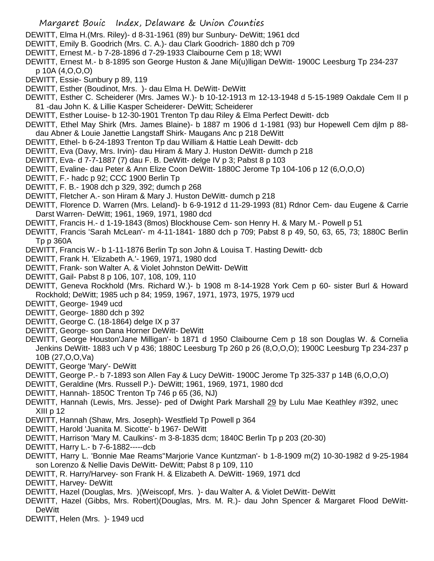- DEWITT, Elma H.(Mrs. Riley)- d 8-31-1961 (89) bur Sunbury- DeWitt; 1961 dcd
- DEWITT, Emily B. Goodrich (Mrs. C. A.)- dau Clark Goodrich- 1880 dch p 709
- DEWITT, Ernest M.- b 7-28-1896 d 7-29-1933 Claibourne Cem p 18; WWI
- DEWITT, Ernest M.- b 8-1895 son George Huston & Jane Mi(u)lligan DeWitt- 1900C Leesburg Tp 234-237 p 10A (4,O,O,O)
- DEWITT, Essie- Sunbury p 89, 119
- DEWITT, Esther (Boudinot, Mrs. )- dau Elma H. DeWitt- DeWitt
- DEWITT, Esther C. Scheiderer (Mrs. James W.)- b 10-12-1913 m 12-13-1948 d 5-15-1989 Oakdale Cem II p 81 -dau John K. & Lillie Kasper Scheiderer- DeWitt; Scheiderer
- DEWITT, Esther Louise- b 12-30-1901 Trenton Tp dau Riley & Elma Perfect Dewitt- dcb
- DEWITT, Ethel May Shirk (Mrs. James Blaine)- b 1887 m 1906 d 1-1981 (93) bur Hopewell Cem djlm p 88 dau Abner & Louie Janettie Langstaff Shirk- Maugans Anc p 218 DeWitt
- DEWITT, Ethel- b 6-24-1893 Trenton Tp dau William & Hattie Leah Dewitt- dcb
- DEWITT, Eva (Davy, Mrs. Irvin)- dau Hiram & Mary J. Huston DeWitt- dumch p 218
- DEWITT, Eva- d 7-7-1887 (7) dau F. B. DeWitt- delge IV p 3; Pabst 8 p 103
- DEWITT, Evaline- dau Peter & Ann Elize Coon DeWitt- 1880C Jerome Tp 104-106 p 12 (6,O,O,O)
- DEWITT, F.- hadc p 92; CCC 1900 Berlin Tp
- DEWITT, F. B.- 1908 dch p 329, 392; dumch p 268
- DEWITT, Fletcher A.- son Hiram & Mary J. Huston DeWitt- dumch p 218
- DEWITT, Florence D. Warren (Mrs. Leland)- b 6-9-1912 d 11-29-1993 (81) Rdnor Cem- dau Eugene & Carrie Darst Warren- DeWitt; 1961, 1969, 1971, 1980 dcd
- DEWITT, Francis H.- d 1-19-1843 (8mos) Blockhouse Cem- son Henry H. & Mary M.- Powell p 51
- DEWITT, Francis 'Sarah McLean'- m 4-11-1841- 1880 dch p 709; Pabst 8 p 49, 50, 63, 65, 73; 1880C Berlin Tp p 360A
- DEWITT, Francis W.- b 1-11-1876 Berlin Tp son John & Louisa T. Hasting Dewitt- dcb
- DEWITT, Frank H. 'Elizabeth A.'- 1969, 1971, 1980 dcd
- DEWITT, Frank- son Walter A. & Violet Johnston DeWitt- DeWitt
- DEWITT, Gail- Pabst 8 p 106, 107, 108, 109, 110
- DEWITT, Geneva Rockhold (Mrs. Richard W.)- b 1908 m 8-14-1928 York Cem p 60- sister Burl & Howard Rockhold; DeWitt; 1985 uch p 84; 1959, 1967, 1971, 1973, 1975, 1979 ucd
- DEWITT, George- 1949 ucd
- DEWITT, George- 1880 dch p 392
- DEWITT, George C. (18-1864) delge IX p 37
- DEWITT, George- son Dana Horner DeWitt- DeWitt
- DEWITT, George Houston'Jane Milligan'- b 1871 d 1950 Claibourne Cem p 18 son Douglas W. & Cornelia Jenkins DeWitt- 1883 uch V p 436; 1880C Leesburg Tp 260 p 26 (8,O,O,O); 1900C Leesburg Tp 234-237 p 10B (27,O,O,Va)
- DEWITT, George 'Mary'- DeWitt
- DEWITT, George P.- b 7-1893 son Allen Fay & Lucy DeWitt- 1900C Jerome Tp 325-337 p 14B (6,O,O,O)
- DEWITT, Geraldine (Mrs. Russell P.)- DeWitt; 1961, 1969, 1971, 1980 dcd
- DEWITT, Hannah- 1850C Trenton Tp 746 p 65 (36, NJ)
- DEWITT, Hannah (Lewis, Mrs. Jesse)- ped of Dwight Park Marshall 29 by Lulu Mae Keathley #392, unec XIII p 12
- DEWITT, Hannah (Shaw, Mrs. Joseph)- Westfield Tp Powell p 364
- DEWITT, Harold 'Juanita M. Sicotte'- b 1967- DeWitt
- DEWITT, Harrison 'Mary M. Caulkins'- m 3-8-1835 dcm; 1840C Berlin Tp p 203 (20-30)
- DEWITT, Harry L.- b 7-6-1882-----dcb
- DEWITT, Harry L. 'Bonnie Mae Reams''Marjorie Vance Kuntzman'- b 1-8-1909 m(2) 10-30-1982 d 9-25-1984 son Lorenzo & Nellie Davis DeWitt- DeWitt; Pabst 8 p 109, 110
- DEWITT, R. Harry/Harvey- son Frank H. & Elizabeth A. DeWitt- 1969, 1971 dcd
- DEWITT, Harvey- DeWitt
- DEWITT, Hazel (Douglas, Mrs. )(Weiscopf, Mrs. )- dau Walter A. & Violet DeWitt- DeWitt
- DEWITT, Hazel (Gibbs, Mrs. Robert)(Douglas, Mrs. M. R.)- dau John Spencer & Margaret Flood DeWitt-DeWitt
- DEWITT, Helen (Mrs. )- 1949 ucd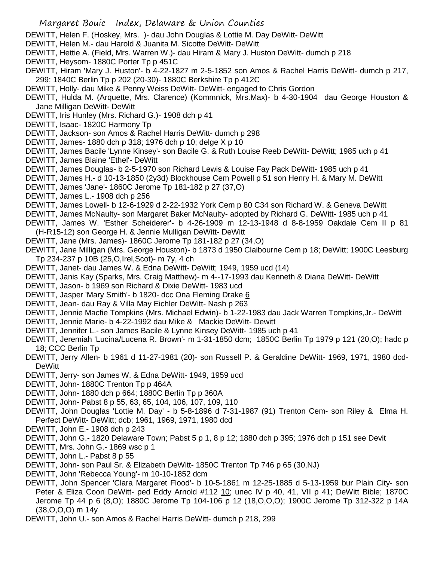DEWITT, Helen F. (Hoskey, Mrs. )- dau John Douglas & Lottie M. Day DeWitt- DeWitt

- DEWITT, Helen M.- dau Harold & Juanita M. Sicotte DeWitt- DeWitt
- DEWITT, Hettie A. (Field, Mrs. Warren W.)- dau Hiram & Mary J. Huston DeWitt- dumch p 218
- DEWITT, Heysom- 1880C Porter Tp p 451C
- DEWITT, Hiram 'Mary J. Huston'- b 4-22-1827 m 2-5-1852 son Amos & Rachel Harris DeWitt- dumch p 217, 299; 1840C Berlin Tp p 202 (20-30)- 1880C Berkshire Tp p 412C
- DEWITT, Holly- dau Mike & Penny Weiss DeWitt- DeWitt- engaged to Chris Gordon
- DEWITT, Hulda M. (Arquette, Mrs. Clarence) (Kommnick, Mrs.Max)- b 4-30-1904 dau George Houston & Jane Milligan DeWitt- DeWitt
- DEWITT, Iris Hunley (Mrs. Richard G.)- 1908 dch p 41
- DEWITT, Isaac- 1820C Harmony Tp
- DEWITT, Jackson- son Amos & Rachel Harris DeWitt- dumch p 298
- DEWITT, James- 1880 dch p 318; 1976 dch p 10; delge X p 10
- DEWITT, James Bacile 'Lynne Kinsey'- son Bacile G. & Ruth Louise Reeb DeWitt- DeWitt; 1985 uch p 41
- DEWITT, James Blaine 'Ethel'- DeWitt
- DEWITT, James Douglas- b 2-5-1970 son Richard Lewis & Louise Fay Pack DeWitt- 1985 uch p 41
- DEWITT, James H.- d 10-13-1850 (2y3d) Blockhouse Cem Powell p 51 son Henry H. & Mary M. DeWitt
- DEWITT, James 'Jane'- 1860C Jerome Tp 181-182 p 27 (37,O)
- DEWITT, James L.- 1908 dch p 256
- DEWITT, James Lowell- b 12-6-1929 d 2-22-1932 York Cem p 80 C34 son Richard W. & Geneva DeWitt
- DEWITT, James McNaulty- son Margaret Baker McNaulty- adopted by Richard G. DeWitt- 1985 uch p 41
- DEWITT, James W. 'Esther Scheiderer'- b 4-26-1909 m 12-13-1948 d 8-8-1959 Oakdale Cem II p 81 (H-R15-12) son George H. & Jennie Mulligan DeWitt- DeWitt
- DEWITT, Jane (Mrs. James)- 1860C Jerome Tp 181-182 p 27 (34,O)
- DEWITT, Jane Milligan (Mrs. George Houston)- b 1873 d 1950 Claibourne Cem p 18; DeWitt; 1900C Leesburg Tp 234-237 p 10B (25,O,Irel,Scot)- m 7y, 4 ch
- DEWITT, Janet- dau James W. & Edna DeWitt- DeWitt; 1949, 1959 ucd (14)
- DEWITT, Janis Kay (Sparks, Mrs. Craig Matthew)- m 4--17-1993 dau Kenneth & Diana DeWitt- DeWitt
- DEWITT, Jason- b 1969 son Richard & Dixie DeWitt- 1983 ucd
- DEWITT, Jasper 'Mary Smith'- b 1820- dcc Ona Fleming Drake 6
- DEWITT, Jean- dau Ray & Villa May Eichler DeWitt- Nash p 263
- DEWITT, Jennie Macfie Tompkins (Mrs. Michael Edwin)- b 1-22-1983 dau Jack Warren Tompkins,Jr.- DeWitt
- DEWITT, Jennie Marie- b 4-22-1992 dau Mike & Mackie DeWitt- Dewitt
- DEWITT, Jennifer L.- son James Bacile & Lynne Kinsey DeWitt- 1985 uch p 41
- DEWITT, Jeremiah 'Lucina/Lucena R. Brown'- m 1-31-1850 dcm; 1850C Berlin Tp 1979 p 121 (20,O); hadc p 18; CCC Berlin Tp
- DEWITT, Jerry Allen- b 1961 d 11-27-1981 (20)- son Russell P. & Geraldine DeWitt- 1969, 1971, 1980 dcd-DeWitt
- DEWITT, Jerry- son James W. & Edna DeWitt- 1949, 1959 ucd
- DEWITT, John- 1880C Trenton Tp p 464A
- DEWITT, John- 1880 dch p 664; 1880C Berlin Tp p 360A
- DEWITT, John- Pabst 8 p 55, 63, 65, 104, 106, 107, 109, 110
- DEWITT, John Douglas 'Lottie M. Day' b 5-8-1896 d 7-31-1987 (91) Trenton Cem- son Riley & Elma H. Perfect DeWitt- DeWitt; dcb; 1961, 1969, 1971, 1980 dcd
- DEWITT, John E.- 1908 dch p 243
- DEWITT, John G.- 1820 Delaware Town; Pabst 5 p 1, 8 p 12; 1880 dch p 395; 1976 dch p 151 see Devit
- DEWITT, Mrs. John G.- 1869 wsc p 1
- DEWITT, John L.- Pabst 8 p 55
- DEWITT, John- son Paul Sr. & Elizabeth DeWitt- 1850C Trenton Tp 746 p 65 (30,NJ)
- DEWITT, John 'Rebecca Young'- m 10-10-1852 dcm
- DEWITT, John Spencer 'Clara Margaret Flood'- b 10-5-1861 m 12-25-1885 d 5-13-1959 bur Plain City- son Peter & Eliza Coon DeWitt- ped Eddy Arnold #112 10; unec IV p 40, 41, VII p 41; DeWitt Bible; 1870C Jerome Tp 44 p 6 (8,O); 1880C Jerome Tp 104-106 p 12 (18,O,O,O); 1900C Jerome Tp 312-322 p 14A (38,O,O,O) m 14y
- DEWITT, John U.- son Amos & Rachel Harris DeWitt- dumch p 218, 299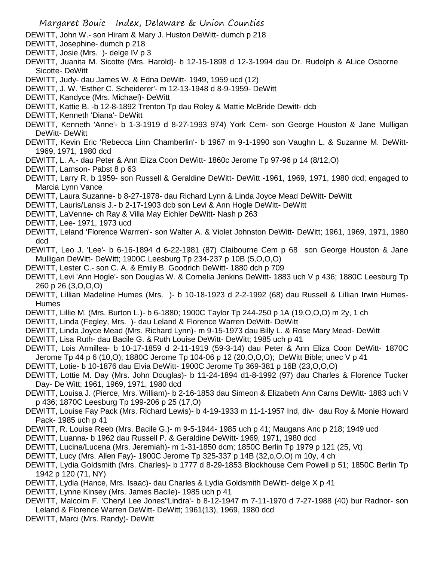- DEWITT, John W.- son Hiram & Mary J. Huston DeWitt- dumch p 218
- DEWITT, Josephine- dumch p 218
- DEWITT, Josie (Mrs. )- delge IV p 3
- DEWITT, Juanita M. Sicotte (Mrs. Harold)- b 12-15-1898 d 12-3-1994 dau Dr. Rudolph & ALice Osborne Sicotte- DeWitt
- DEWITT, Judy- dau James W. & Edna DeWitt- 1949, 1959 ucd (12)
- DEWITT, J. W. 'Esther C. Scheiderer'- m 12-13-1948 d 8-9-1959- DeWitt
- DEWITT, Kandyce (Mrs. Michael)- DeWitt
- DEWITT, Kattie B. -b 12-8-1892 Trenton Tp dau Roley & Mattie McBride Dewitt- dcb
- DEWITT, Kenneth 'Diana'- DeWitt
- DEWITT, Kenneth 'Anne'- b 1-3-1919 d 8-27-1993 974) York Cem- son George Houston & Jane Mulligan DeWitt- DeWitt
- DEWITT, Kevin Eric 'Rebecca Linn Chamberlin'- b 1967 m 9-1-1990 son Vaughn L. & Suzanne M. DeWitt-1969, 1971, 1980 dcd
- DEWITT, L. A.- dau Peter & Ann Eliza Coon DeWitt- 1860c Jerome Tp 97-96 p 14 (8/12,O)
- DEWITT, Lamson- Pabst 8 p 63
- DEWITT, Larry R. b 1959- son Russell & Geraldine DeWitt- DeWitt -1961, 1969, 1971, 1980 dcd; engaged to Marcia Lynn Vance
- DEWITT, Laura Suzanne- b 8-27-1978- dau Richard Lynn & Linda Joyce Mead DeWitt- DeWitt
- DEWITT, Lauris/Lansis J.- b 2-17-1903 dcb son Levi & Ann Hogle DeWitt- DeWitt
- DEWITT, LaVenne- ch Ray & Villa May Eichler DeWitt- Nash p 263
- DEWITT, Lee- 1971, 1973 ucd
- DEWITT, Leland 'Florence Warrren'- son Walter A. & Violet Johnston DeWitt- DeWitt; 1961, 1969, 1971, 1980 dcd
- DEWITT, Leo J. 'Lee'- b 6-16-1894 d 6-22-1981 (87) Claibourne Cem p 68 son George Houston & Jane Mulligan DeWitt- DeWitt; 1900C Leesburg Tp 234-237 p 10B (5,O,O,O)
- DEWITT, Lester C.- son C. A. & Emily B. Goodrich DeWitt- 1880 dch p 709
- DEWITT, Levi 'Ann Hogle'- son Douglas W. & Cornelia Jenkins DeWitt- 1883 uch V p 436; 1880C Leesburg Tp 260 p 26 (3,O,O,O)
- DEWITT, Lillian Madeline Humes (Mrs. )- b 10-18-1923 d 2-2-1992 (68) dau Russell & Lillian Irwin Humes-Humes
- DEWITT, Lillie M. (Mrs. Burton L.)- b 6-1880; 1900C Taylor Tp 244-250 p 1A (19,O,O,O) m 2y, 1 ch
- DEWITT, Linda (Fegley, Mrs. )- dau Leland & Florence Warren DeWitt- DeWitt
- DEWITT, Linda Joyce Mead (Mrs. Richard Lynn)- m 9-15-1973 dau Billy L. & Rose Mary Mead- DeWitt
- DEWITT, Lisa Ruth- dau Bacile G. & Ruth Louise DeWitt- DeWitt; 1985 uch p 41
- DEWITT, Lois Armillea- b 10-17-1859 d 2-11-1919 (59-3-14) dau Peter & Ann Eliza Coon DeWitt- 1870C Jerome Tp 44 p 6 (10,O); 1880C Jerome Tp 104-06 p 12 (20,O,O,O); DeWitt Bible; unec V p 41
- DEWITT, Lotie- b 10-1876 dau Elvia DeWitt- 1900C Jerome Tp 369-381 p 16B (23,O,O,O)
- DEWITT, Lottie M. Day (Mrs. John Douglas)- b 11-24-1894 d1-8-1992 (97) dau Charles & Florence Tucker Day- De Witt; 1961, 1969, 1971, 1980 dcd
- DEWITT, Louisa J. (Pierce, Mrs. William)- b 2-16-1853 dau Simeon & Elizabeth Ann Carns DeWitt- 1883 uch V p 436; 1870C Leesburg Tp 199-206 p 25 (17,O)
- DEWITT, Louise Fay Pack (Mrs. Richard Lewis)- b 4-19-1933 m 11-1-1957 Ind, div- dau Roy & Monie Howard Pack- 1985 uch p 41
- DEWITT, R. Louise Reeb (Mrs. Bacile G.)- m 9-5-1944- 1985 uch p 41; Maugans Anc p 218; 1949 ucd
- DEWITT, Luanna- b 1962 dau Russell P. & Geraldine DeWitt- 1969, 1971, 1980 dcd
- DEWITT, Lucina/Lucena (Mrs. Jeremiah)- m 1-31-1850 dcm; 1850C Berlin Tp 1979 p 121 (25, Vt)
- DEWITT, Lucy (Mrs. Allen Fay)- 1900C Jerome Tp 325-337 p 14B (32,o,O,O) m 10y, 4 ch
- DEWITT, Lydia Goldsmith (Mrs. Charles)- b 1777 d 8-29-1853 Blockhouse Cem Powell p 51; 1850C Berlin Tp 1942 p 120 (71, NY)
- DEWITT, Lydia (Hance, Mrs. Isaac)- dau Charles & Lydia Goldsmith DeWitt- delge X p 41
- DEWITT, Lynne Kinsey (Mrs. James Bacile)- 1985 uch p 41
- DEWITT, Malcolm F. 'Cheryl Lee Jones''Lindra'- b 8-12-1947 m 7-11-1970 d 7-27-1988 (40) bur Radnor- son Leland & Florence Warren DeWitt- DeWitt; 1961(13), 1969, 1980 dcd
- DEWITT, Marci (Mrs. Randy)- DeWitt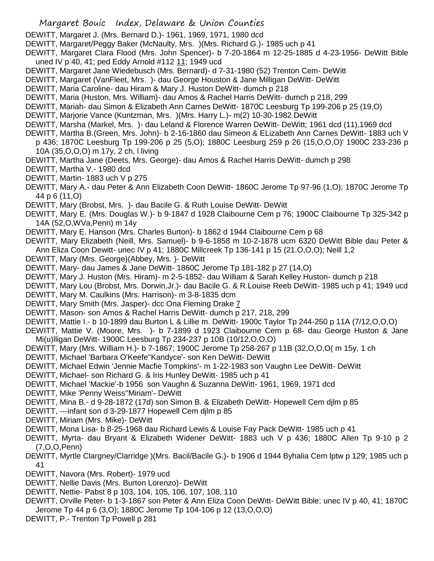- DEWITT, Margaret J. (Mrs. Bernard D.)- 1961, 1969, 1971, 1980 dcd
- DEWITT, Margaret/Peggy Baker (McNaulty, Mrs. )(Mrs. Richard G.)- 1985 uch p 41
- DEWITT, Margaret Clara Flood (Mrs. John Spencer)- b 7-20-1864 m 12-25-1885 d 4-23-1956- DeWitt Bible uned IV p 40, 41; ped Eddy Arnold #112 11; 1949 ucd
- DEWITT, Margaret Jane Wiedebusch (Mrs. Bernard)- d 7-31-1980 (52) Trenton Cem- DeWitt
- DEWITT, Margaret (VanFleet, Mrs. )- dau George Houston & Jane Milligan DeWitt- DeWitt
- DEWITT, Maria Caroline- dau Hiram & Mary J. Huston DeWitt- dumch p 218
- DEWITT, Maria (Huston, Mrs. William)- dau Amos & Rachel Harris DeWitt- dumch p 218, 299
- DEWITT, Mariah- dau Simon & Elizabeth Ann Carnes DeWitt- 1870C Leesburg Tp 199-206 p 25 (19,O)
- DEWITT, Marjorie Vance (Kuntzman, Mrs. )(Mrs. Harry L.)- m(2) 10-30-1982 DeWitt
- DEWITT, Marsha (Markel, Mrs. )- dau Leland & Florence Warren DeWitt- DeWitt; 1961 dcd (11),1969 dcd
- DEWITT, Martha B.(Green, Mrs. John)- b 2-16-1860 dau Simeon & ELizabeth Ann Carnes DeWitt- 1883 uch V p 436; 1870C Leesburg Tp 199-206 p 25 (5,O); 1880C Leesburg 259 p 26 (15,O,O,O)' 1900C 233-236 p
	- 10A (35,O,O,O) m 17y, 2 ch, l living
- DEWITT, Martha Jane (Deets, Mrs. George)- dau Amos & Rachel Harris DeWitt- dumch p 298
- DEWITT, Martha V.- 1980 dcd
- DEWITT, Martin- 1883 uch V p 275
- DEWITT, Mary A.- dau Peter & Ann Elizabeth Coon DeWitt- 1860C Jerome Tp 97-96 (1,O); 1870C Jerome Tp 44 p 6 (11,O)
- DEWITT, Mary (Brobst, Mrs. )- dau Bacile G. & Ruth Louise DeWitt- DeWitt
- DEWITT, Mary E. (Mrs. Douglas W.)- b 9-1847 d 1928 Claibourne Cem p 76; 1900C Claibourne Tp 325-342 p 14A (52,O,WVa,Penn) m 14y
- DEWITT, Mary E. Hanson (Mrs. Charles Burton)- b 1862 d 1944 Claibourne Cem p 68
- DEWITT, Mary Elizabeth (Neill, Mrs. Samuel)- b 9-6-1858 m 10-2-1878 ucm 6320 DeWitt Bible dau Peter & Ann Eliza Coon Dewitt- unec IV p 41; 1880C Millcreek Tp 136-141 p 15 (21.O,O,O); Neill 1,2
- DEWITT, Mary (Mrs. George)(Abbey, Mrs. )- DeWitt
- DEWITT, Mary- dau James & Jane DeWitt- 1860C Jerome Tp 181-182 p 27 (14,O)
- DEWITT, Mary J. Huston (Mrs. Hiram)- m 2-5-1852- dau William & Sarah Kelley Huston- dumch p 218
- DEWITT, Mary Lou (Brobst, Mrs. Dorwin,Jr.)- dau Bacile G. & R.Louise Reeb DeWitt- 1985 uch p 41; 1949 ucd
- DEWITT, Mary M. Caulkins (Mrs. Harrison)- m 3-8-1835 dcm
- DEWITT, Mary Smith (Mrs. Jasper)- dcc Ona Fleming Drake 7
- DEWITT, Mason- son Amos & Rachel Harris DeWitt- dumch p 217, 218, 299
- DEWITT, Mattie I.- b 10-1899 dau Burton L & Lillie m. DeWitt- 1900c Taylor Tp 244-250 p 11A (7/12,O,O,O)
- DEWITT, Mattie V. (Moore, Mrs. )- b 7-1899 d 1923 Claibourne Cem p 68- dau George Huston & Jane Mi(u)lligan DeWitt- 1900C Leesburg Tp 234-237 p 10B (10/12,O,O,O)
- DEWITT, Mary (Mrs. William H.)- b 7-1867; 1900C Jerome Tp 258-267 p 11B (32,O,O,O( m 15y, 1 ch
- DEWITT, Michael 'Barbara O'Keefe''Kandyce'- son Ken DeWitt- DeWitt
- DEWITT, Michael Edwin 'Jennie Macfie Tompkins'- m 1-22-1983 son Vaughn Lee DeWitt- DeWitt
- DEWITT, Michael- son Richard G. & Iris Hunley DeWitt- 1985 uch p 41
- DEWITT, Michael 'Mackie'-b 1956 son Vaughn & Suzanna DeWitt- 1961, 1969, 1971 dcd
- DEWITT, Mike 'Penny Weiss''Miriam'- DeWitt
- DEWITT, Mina B.- d 9-28-1872 (17d) son Simon B. & Elizabeth DeWitt- Hopewell Cem djlm p 85
- DEWITT, ---infant son d 3-29-1877 Hopewell Cem djlm p 85
- DEWITT, Miriam (Mrs. Mike)- DeWitt
- DEWITT, Mona Lisa- b 8-25-1968 dau Richard Lewis & Louise Fay Pack DeWitt- 1985 uch p 41
- DEWITT, Myrta- dau Bryant & Elizabeth Widener DeWitt- 1883 uch V p 436; 1880C Allen Tp 9-10 p 2 (7,O,O,Penn)
- DEWITT, Myrtle Clargney/Clarridge )(Mrs. Bacil/Bacile G.)- b 1906 d 1944 Byhalia Cem lptw p 129; 1985 uch p 41
- DEWITT, Navora (Mrs. Robert)- 1979 ucd
- DEWITT, Nellie Davis (Mrs. Burton Lorenzo)- DeWitt
- DEWITT, Nettie- Pabst 8 p 103, 104, 105, 106, 107, 108, 110
- DEWITT, Orville Peter- b 1-3-1867 son Peter & Ann Eliza Coon DeWitt- DeWitt Bible; unec IV p 40, 41; 1870C Jerome Tp 44 p 6 (3,O); 1880C Jerome Tp 104-106 p 12 (13,O,O,O)
- DEWITT, P.- Trenton Tp Powell p 281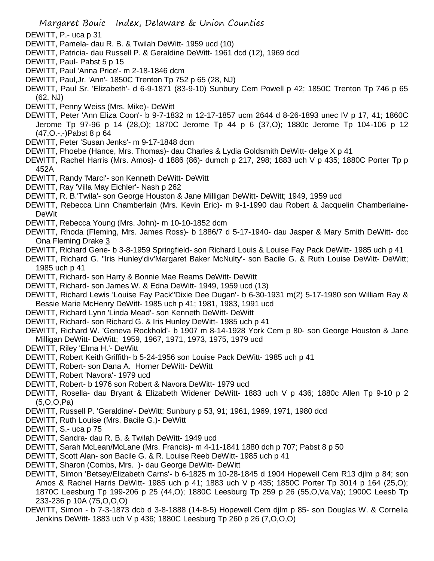- DEWITT, P.- uca p 31
- DEWITT, Pamela- dau R. B. & Twilah DeWitt- 1959 ucd (10)
- DEWITT, Patricia- dau Russell P. & Geraldine DeWitt- 1961 dcd (12), 1969 dcd
- DEWITT, Paul- Pabst 5 p 15
- DEWITT, Paul 'Anna Price'- m 2-18-1846 dcm
- DEWITT, Paul,Jr. 'Ann'- 1850C Trenton Tp 752 p 65 (28, NJ)
- DEWITT, Paul Sr. 'Elizabeth'- d 6-9-1871 (83-9-10) Sunbury Cem Powell p 42; 1850C Trenton Tp 746 p 65 (62, NJ)
- DEWITT, Penny Weiss (Mrs. Mike)- DeWitt
- DEWITT, Peter 'Ann Eliza Coon'- b 9-7-1832 m 12-17-1857 ucm 2644 d 8-26-1893 unec IV p 17, 41; 1860C Jerome Tp 97-96 p 14 (28,O); 1870C Jerome Tp 44 p 6 (37,O); 1880c Jerome Tp 104-106 p 12 (47,O.-,-)Pabst 8 p 64
- DEWITT, Peter 'Susan Jenks'- m 9-17-1848 dcm
- DEWITT, Phoebe (Hance, Mrs. Thomas)- dau Charles & Lydia Goldsmith DeWitt- delge X p 41
- DEWITT, Rachel Harris (Mrs. Amos)- d 1886 (86)- dumch p 217, 298; 1883 uch V p 435; 1880C Porter Tp p 452A
- DEWITT, Randy 'Marci'- son Kenneth DeWitt- DeWitt
- DEWITT, Ray 'Villa May Eichler'- Nash p 262
- DEWITT, R. B.'Twila'- son George Houston & Jane Milligan DeWitt- DeWitt; 1949, 1959 ucd
- DEWITT, Rebecca Linn Chamberlain (Mrs. Kevin Eric)- m 9-1-1990 dau Robert & Jacquelin Chamberlaine-**DeWit**
- DEWITT, Rebecca Young (Mrs. John)- m 10-10-1852 dcm
- DEWITT, Rhoda (Fleming, Mrs. James Ross)- b 1886/7 d 5-17-1940- dau Jasper & Mary Smith DeWitt- dcc Ona Fleming Drake 3
- DEWITT, Richard Gene- b 3-8-1959 Springfield- son Richard Louis & Louise Fay Pack DeWitt- 1985 uch p 41
- DEWITT, Richard G. "Iris Hunley'div'Margaret Baker McNulty'- son Bacile G. & Ruth Louise DeWitt- DeWitt; 1985 uch p 41
- DEWITT, Richard- son Harry & Bonnie Mae Reams DeWitt- DeWitt
- DEWITT, Richard- son James W. & Edna DeWitt- 1949, 1959 ucd (13)
- DEWITT, Richard Lewis 'Louise Fay Pack''Dixie Dee Dugan'- b 6-30-1931 m(2) 5-17-1980 son William Ray & Bessie Marie McHenry DeWitt- 1985 uch p 41; 1981, 1983, 1991 ucd
- DEWITT, Richard Lynn 'Linda Mead'- son Kenneth DeWitt- DeWitt
- DEWITT, Richard- son Richard G. & Iris Hunley DeWitt- 1985 uch p 41
- DEWITT, Richard W. 'Geneva Rockhold'- b 1907 m 8-14-1928 York Cem p 80- son George Houston & Jane Milligan DeWitt- DeWitt; 1959, 1967, 1971, 1973, 1975, 1979 ucd
- DEWITT, Riley 'Elma H.'- DeWitt
- DEWITT, Robert Keith Griffith- b 5-24-1956 son Louise Pack DeWitt- 1985 uch p 41
- DEWITT, Robert- son Dana A. Horner DeWitt- DeWitt
- DEWITT, Robert 'Navora'- 1979 ucd
- DEWITT, Robert- b 1976 son Robert & Navora DeWitt- 1979 ucd
- DEWITT, Rosella- dau Bryant & Elizabeth Widener DeWitt- 1883 uch V p 436; 1880c Allen Tp 9-10 p 2 (5,O,O,Pa)
- DEWITT, Russell P. 'Geraldine'- DeWitt; Sunbury p 53, 91; 1961, 1969, 1971, 1980 dcd
- DEWITT, Ruth Louise (Mrs. Bacile G.)- DeWitt
- DEWITT, S.- uca p 75
- DEWITT, Sandra- dau R. B. & Twilah DeWitt- 1949 ucd
- DEWITT, Sarah McLean/McLane (Mrs. Francis)- m 4-11-1841 1880 dch p 707; Pabst 8 p 50
- DEWITT, Scott Alan- son Bacile G. & R. Louise Reeb DeWitt- 1985 uch p 41
- DEWITT, Sharon (Combs, Mrs. )- dau George DeWitt- DeWitt
- DEWITT, Simon 'Betsey/Elizabeth Carns'- b 6-1825 m 10-28-1845 d 1904 Hopewell Cem R13 djlm p 84; son Amos & Rachel Harris DeWitt- 1985 uch p 41; 1883 uch V p 435; 1850C Porter Tp 3014 p 164 (25,O); 1870C Leesburg Tp 199-206 p 25 (44,O); 1880C Leesburg Tp 259 p 26 (55,O,Va,Va); 1900C Leesb Tp 233-236 p 10A (75,O,O,O)
- DEWITT, Simon b 7-3-1873 dcb d 3-8-1888 (14-8-5) Hopewell Cem djlm p 85- son Douglas W. & Cornelia Jenkins DeWitt- 1883 uch V p 436; 1880C Leesburg Tp 260 p 26 (7,O,O,O)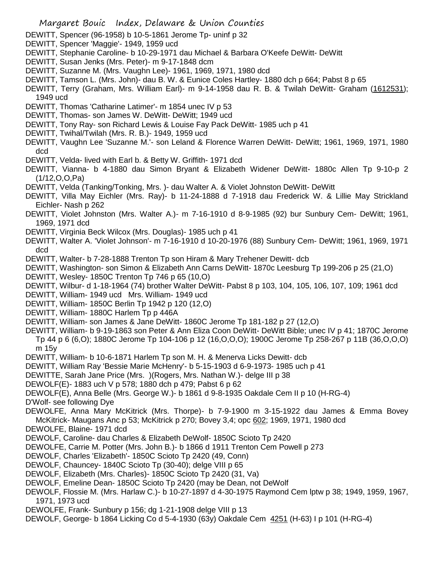- DEWITT, Spencer (96-1958) b 10-5-1861 Jerome Tp- uninf p 32
- DEWITT, Spencer 'Maggie'- 1949, 1959 ucd
- DEWITT, Stephanie Caroline- b 10-29-1971 dau Michael & Barbara O'Keefe DeWitt- DeWitt
- DEWITT, Susan Jenks (Mrs. Peter)- m 9-17-1848 dcm
- DEWITT, Suzanne M. (Mrs. Vaughn Lee)- 1961, 1969, 1971, 1980 dcd
- DEWITT, Tamson L. (Mrs. John)- dau B. W. & Eunice Coles Hartley- 1880 dch p 664; Pabst 8 p 65
- DEWITT, Terry (Graham, Mrs. William Earl)- m 9-14-1958 dau R. B. & Twilah DeWitt- Graham (1612531); 1949 ucd
- DEWITT, Thomas 'Catharine Latimer'- m 1854 unec IV p 53
- DEWITT, Thomas- son James W. DeWitt- DeWitt; 1949 ucd
- DEWITT, Tony Ray- son Richard Lewis & Louise Fay Pack DeWitt- 1985 uch p 41
- DEWITT, Twihal/Twilah (Mrs. R. B.)- 1949, 1959 ucd
- DEWITT, Vaughn Lee 'Suzanne M.'- son Leland & Florence Warren DeWitt- DeWitt; 1961, 1969, 1971, 1980 dcd
- DEWITT, Velda- lived with Earl b. & Betty W. Griffith- 1971 dcd
- DEWITT, Vianna- b 4-1880 dau Simon Bryant & Elizabeth Widener DeWitt- 1880c Allen Tp 9-10-p 2 (1/12,O,O,Pa)
- DEWITT, Velda (Tanking/Tonking, Mrs. )- dau Walter A. & Violet Johnston DeWitt- DeWitt
- DEWITT, Villa May Eichler (Mrs. Ray)- b 11-24-1888 d 7-1918 dau Frederick W. & Lillie May Strickland Eichler- Nash p 262
- DEWITT, Violet Johnston (Mrs. Walter A.)- m 7-16-1910 d 8-9-1985 (92) bur Sunbury Cem- DeWitt; 1961, 1969, 1971 dcd
- DEWITT, Virginia Beck Wilcox (Mrs. Douglas)- 1985 uch p 41
- DEWITT, Walter A. 'Violet Johnson'- m 7-16-1910 d 10-20-1976 (88) Sunbury Cem- DeWitt; 1961, 1969, 1971 dcd
- DEWITT, Walter- b 7-28-1888 Trenton Tp son Hiram & Mary Trehener Dewitt- dcb
- DEWITT, Washington- son Simon & Elizabeth Ann Carns DeWitt- 1870c Leesburg Tp 199-206 p 25 (21,O)
- DEWITT, Wesley- 1850C Trenton Tp 746 p 65 (10,O)
- DEWITT, Wilbur- d 1-18-1964 (74) brother Walter DeWitt- Pabst 8 p 103, 104, 105, 106, 107, 109; 1961 dcd
- DEWITT, William- 1949 ucd Mrs. William- 1949 ucd
- DEWITT, William- 1850C Berlin Tp 1942 p 120 (12,O)
- DEWITT, William- 1880C Harlem Tp p 446A
- DEWITT, William- son James & Jane DeWitt- 1860C Jerome Tp 181-182 p 27 (12,O)
- DEWITT, William- b 9-19-1863 son Peter & Ann Eliza Coon DeWitt- DeWitt Bible; unec IV p 41; 1870C Jerome Tp 44 p 6 (6,O); 1880C Jerome Tp 104-106 p 12 (16,O,O,O); 1900C Jerome Tp 258-267 p 11B (36,O,O,O) m 15y
- DEWITT, William- b 10-6-1871 Harlem Tp son M. H. & Menerva Licks Dewitt- dcb
- DEWITT, William Ray 'Bessie Marie McHenry'- b 5-15-1903 d 6-9-1973- 1985 uch p 41
- DEWITTE, Sarah Jane Price (Mrs. )(Rogers, Mrs. Nathan W.)- delge III p 38
- DEWOLF(E)- 1883 uch V p 578; 1880 dch p 479; Pabst 6 p 62
- DEWOLF(E), Anna Belle (Mrs. George W.)- b 1861 d 9-8-1935 Oakdale Cem II p 10 (H-RG-4)
- D'Wolf- see following Dye
- DEWOLFE, Anna Mary McKitrick (Mrs. Thorpe)- b 7-9-1900 m 3-15-1922 dau James & Emma Bovey McKitrick- Maugans Anc p 53; McKitrick p 270; Bovey 3,4; opc 602; 1969, 1971, 1980 dcd
- DEWOLFE, Blaine- 1971 dcd
- DEWOLF, Caroline- dau Charles & Elizabeth DeWolf- 1850C Scioto Tp 2420
- DEWOLFE, Carrie M. Potter (Mrs. John B.)- b 1866 d 1911 Trenton Cem Powell p 273
- DEWOLF, Charles 'Elizabeth'- 1850C Scioto Tp 2420 (49, Conn)
- DEWOLF, Chauncey- 1840C Scioto Tp (30-40); delge VIII p 65
- DEWOLF, Elizabeth (Mrs. Charles)- 1850C Scioto Tp 2420 (31, Va)
- DEWOLF, Emeline Dean- 1850C Scioto Tp 2420 (may be Dean, not DeWolf
- DEWOLF, Flossie M. (Mrs. Harlaw C.)- b 10-27-1897 d 4-30-1975 Raymond Cem lptw p 38; 1949, 1959, 1967, 1971, 1973 ucd
- DEWOLFE, Frank- Sunbury p 156; dg 1-21-1908 delge VIII p 13
- DEWOLF, George- b 1864 Licking Co d 5-4-1930 (63y) Oakdale Cem 4251 (H-63) I p 101 (H-RG-4)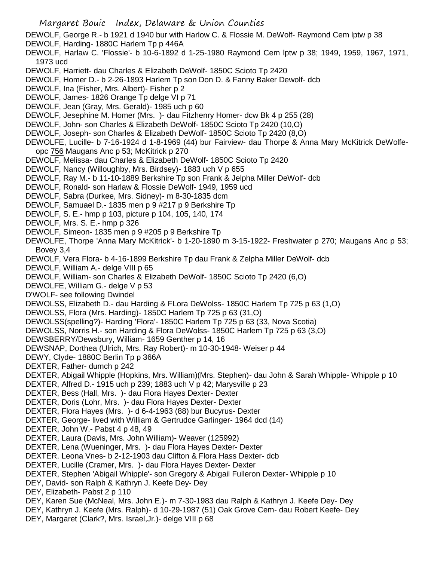DEWOLF, George R.- b 1921 d 1940 bur with Harlow C. & Flossie M. DeWolf- Raymond Cem lptw p 38

- DEWOLF, Harding- 1880C Harlem Tp p 446A
- DEWOLF, Harlaw C. 'Flossie'- b 10-6-1892 d 1-25-1980 Raymond Cem lptw p 38; 1949, 1959, 1967, 1971, 1973 ucd
- DEWOLF, Harriett- dau Charles & Elizabeth DeWolf- 1850C Scioto Tp 2420
- DEWOLF, Homer D.- b 2-26-1893 Harlem Tp son Don D. & Fanny Baker Dewolf- dcb
- DEWOLF, Ina (Fisher, Mrs. Albert)- Fisher p 2
- DEWOLF, James- 1826 Orange Tp delge VI p 71
- DEWOLF, Jean (Gray, Mrs. Gerald)- 1985 uch p 60
- DEWOLF, Jesephine M. Homer (Mrs. )- dau Fitzhenry Homer- dcw Bk 4 p 255 (28)
- DEWOLF, John- son Charles & Elizabeth DeWolf- 1850C Scioto Tp 2420 (10,O)
- DEWOLF, Joseph- son Charles & Elizabeth DeWolf- 1850C Scioto Tp 2420 (8,O)
- DEWOLFE, Lucille- b 7-16-1924 d 1-8-1969 (44) bur Fairview- dau Thorpe & Anna Mary McKitrick DeWolfeopc 756 Maugans Anc p 53; McKitrick p 270
- DEWOLF, Melissa- dau Charles & Elizabeth DeWolf- 1850C Scioto Tp 2420
- DEWOLF, Nancy (Willoughby, Mrs. Birdsey)- 1883 uch V p 655
- DEWOLF, Ray M.- b 11-10-1889 Berkshire Tp son Frank & Jelpha Miller DeWolf- dcb
- DEWOLF, Ronald- son Harlaw & Flossie DeWolf- 1949, 1959 ucd
- DEWOLF, Sabra (Durkee, Mrs. Sidney)- m 8-30-1835 dcm
- DEWOLF, Samuael D.- 1835 men p 9 #217 p 9 Berkshire Tp
- DEWOLF, S. E.- hmp p 103, picture p 104, 105, 140, 174
- DEWOLF, Mrs. S. E.- hmp p 326
- DEWOLF, Simeon- 1835 men p 9 #205 p 9 Berkshire Tp
- DEWOLFE, Thorpe 'Anna Mary McKitrick'- b 1-20-1890 m 3-15-1922- Freshwater p 270; Maugans Anc p 53; Bovey 3,4
- DEWOLF, Vera Flora- b 4-16-1899 Berkshire Tp dau Frank & Zelpha Miller DeWolf- dcb
- DEWOLF, William A.- delge VIII p 65
- DEWOLF, William- son Charles & Elizabeth DeWolf- 1850C Scioto Tp 2420 (6,O)
- DEWOLFE, William G.- delge V p 53
- D'WOLF- see following Dwindel
- DEWOLSS, Elizabeth D.- dau Harding & FLora DeWolss- 1850C Harlem Tp 725 p 63 (1,O)
- DEWOLSS, Flora (Mrs. Harding)- 1850C Harlem Tp 725 p 63 (31,O)
- DEWOLSS(spelling?)- Harding 'Flora'- 1850C Harlem Tp 725 p 63 (33, Nova Scotia)
- DEWOLSS, Norris H.- son Harding & Flora DeWolss- 1850C Harlem Tp 725 p 63 (3,O)
- DEWSBERRY/Dewsbury, William- 1659 Genther p 14, 16
- DEWSNAP, Dorthea (Ulrich, Mrs. Ray Robert)- m 10-30-1948- Weiser p 44
- DEWY, Clyde- 1880C Berlin Tp p 366A
- DEXTER, Father- dumch p 242
- DEXTER, Abigail Whipple (Hopkins, Mrs. William)(Mrs. Stephen)- dau John & Sarah Whipple- Whipple p 10
- DEXTER, Alfred D.- 1915 uch p 239; 1883 uch V p 42; Marysville p 23
- DEXTER, Bess (Hall, Mrs. )- dau Flora Hayes Dexter- Dexter
- DEXTER, Doris (Lohr, Mrs. )- dau Flora Hayes Dexter- Dexter
- DEXTER, Flora Hayes (Mrs. )- d 6-4-1963 (88) bur Bucyrus- Dexter
- DEXTER, George- lived with William & Gertrudce Garlinger- 1964 dcd (14)
- DEXTER, John W.- Pabst 4 p 48, 49
- DEXTER, Laura (Davis, Mrs. John William)- Weaver (125992)
- DEXTER, Lena (Wueninger, Mrs. )- dau Flora Hayes Dexter- Dexter
- DEXTER. Leona Vnes- b 2-12-1903 dau Clifton & Flora Hass Dexter- dcb
- DEXTER, Lucille (Cramer, Mrs. )- dau Flora Hayes Dexter- Dexter
- DEXTER, Stephen 'Abigail Whipple'- son Gregory & Abigail Fulleron Dexter- Whipple p 10
- DEY, David- son Ralph & Kathryn J. Keefe Dey- Dey
- DEY, Elizabeth- Pabst 2 p 110
- DEY, Karen Sue (McNeal, Mrs. John E.)- m 7-30-1983 dau Ralph & Kathryn J. Keefe Dey- Dey
- DEY, Kathryn J. Keefe (Mrs. Ralph)- d 10-29-1987 (51) Oak Grove Cem- dau Robert Keefe- Dey
- DEY, Margaret (Clark?, Mrs. Israel,Jr.)- delge VIII p 68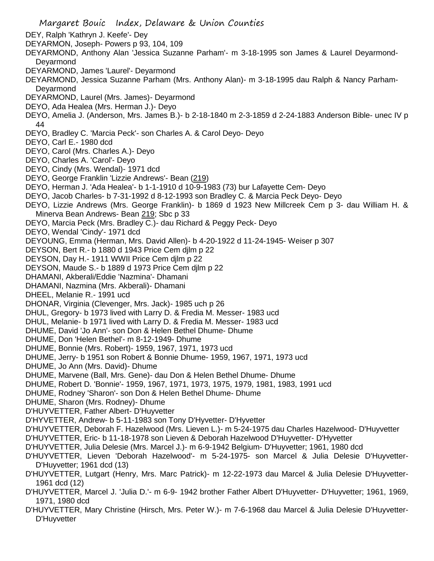- Margaret Bouic Index, Delaware & Union Counties DEY, Ralph 'Kathryn J. Keefe'- Dey DEYARMON, Joseph- Powers p 93, 104, 109 DEYARMOND, Anthony Alan 'Jessica Suzanne Parham'- m 3-18-1995 son James & Laurel Deyarmond-**Devarmond** DEYARMOND, James 'Laurel'- Deyarmond DEYARMOND, Jessica Suzanne Parham (Mrs. Anthony Alan)- m 3-18-1995 dau Ralph & Nancy Parham-Deyarmond DEYARMOND, Laurel (Mrs. James)- Deyarmond DEYO, Ada Healea (Mrs. Herman J.)- Deyo DEYO, Amelia J. (Anderson, Mrs. James B.)- b 2-18-1840 m 2-3-1859 d 2-24-1883 Anderson Bible- unec IV p 44 DEYO, Bradley C. 'Marcia Peck'- son Charles A. & Carol Deyo- Deyo DEYO, Carl E.- 1980 dcd DEYO, Carol (Mrs. Charles A.)- Deyo DEYO, Charles A. 'Carol'- Deyo DEYO, Cindy (Mrs. Wendal)- 1971 dcd DEYO, George Franklin 'Lizzie Andrews'- Bean (219) DEYO, Herman J. 'Ada Healea'- b 1-1-1910 d 10-9-1983 (73) bur Lafayette Cem- Deyo DEYO, Jacob Charles- b 7-31-1992 d 8-12-1993 son Bradley C. & Marcia Peck Deyo- Deyo DEYO, Lizzie Andrews (Mrs. George Franklin)- b 1869 d 1923 New Millcreek Cem p 3- dau William H. & Minerva Bean Andrews- Bean 219; Sbc p 33 DEYO, Marcia Peck (Mrs. Bradley C.)- dau Richard & Peggy Peck- Deyo DEYO, Wendal 'Cindy'- 1971 dcd DEYOUNG, Emma (Herman, Mrs. David Allen)- b 4-20-1922 d 11-24-1945- Weiser p 307 DEYSON, Bert R.- b 1880 d 1943 Price Cem djlm p 22 DEYSON, Day H.- 1911 WWII Price Cem djlm p 22 DEYSON, Maude S.- b 1889 d 1973 Price Cem djlm p 22 DHAMANI, Akberali/Eddie 'Nazmina'- Dhamani DHAMANI, Nazmina (Mrs. Akberali)- Dhamani DHEEL, Melanie R.- 1991 ucd DHONAR, Virginia (Clevenger, Mrs. Jack)- 1985 uch p 26 DHUL, Gregory- b 1973 lived with Larry D. & Fredia M. Messer- 1983 ucd DHUL, Melanie- b 1971 lived with Larry D. & Fredia M. Messer- 1983 ucd DHUME, David 'Jo Ann'- son Don & Helen Bethel Dhume- Dhume DHUME, Don 'Helen Bethel'- m 8-12-1949- Dhume DHUME, Bonnie (Mrs. Robert)- 1959, 1967, 1971, 1973 ucd DHUME, Jerry- b 1951 son Robert & Bonnie Dhume- 1959, 1967, 1971, 1973 ucd DHUME, Jo Ann (Mrs. David)- Dhume DHUME, Marvene (Ball, Mrs. Gene)- dau Don & Helen Bethel Dhume- Dhume DHUME, Robert D. 'Bonnie'- 1959, 1967, 1971, 1973, 1975, 1979, 1981, 1983, 1991 ucd DHUME, Rodney 'Sharon'- son Don & Helen Bethel Dhume- Dhume DHUME, Sharon (Mrs. Rodney)- Dhume D'HUYVETTER, Father Albert- D'Huyvetter D'HYVETTER, Andrew- b 5-11-1983 son Tony D'Hyvetter- D'Hyvetter D'HUYVETTER, Deborah F. Hazelwood (Mrs. Lieven L.)- m 5-24-1975 dau Charles Hazelwood- D'Huyvetter D'HUYVETTER, Eric- b 11-18-1978 son Lieven & Deborah Hazelwood D'Huyvetter- D'Hyvetter D'HUYVETTER, Julia Delesie (Mrs. Marcel J.)- m 6-9-1942 Belgium- D'Huyvetter; 1961, 1980 dcd D'HUYVETTER, Lieven 'Deborah Hazelwood'- m 5-24-1975- son Marcel & Julia Delesie D'Huyvetter-D'Huyvetter; 1961 dcd (13) D'HUYVETTER, Lutgart (Henry, Mrs. Marc Patrick)- m 12-22-1973 dau Marcel & Julia Delesie D'Huyvetter-1961 dcd (12) D'HUYVETTER, Marcel J. 'Julia D.'- m 6-9- 1942 brother Father Albert D'Huyvetter- D'Huyvetter; 1961, 1969, 1971, 1980 dcd
- D'HUYVETTER, Mary Christine (Hirsch, Mrs. Peter W.)- m 7-6-1968 dau Marcel & Julia Delesie D'Huyvetter-D'Huyvetter